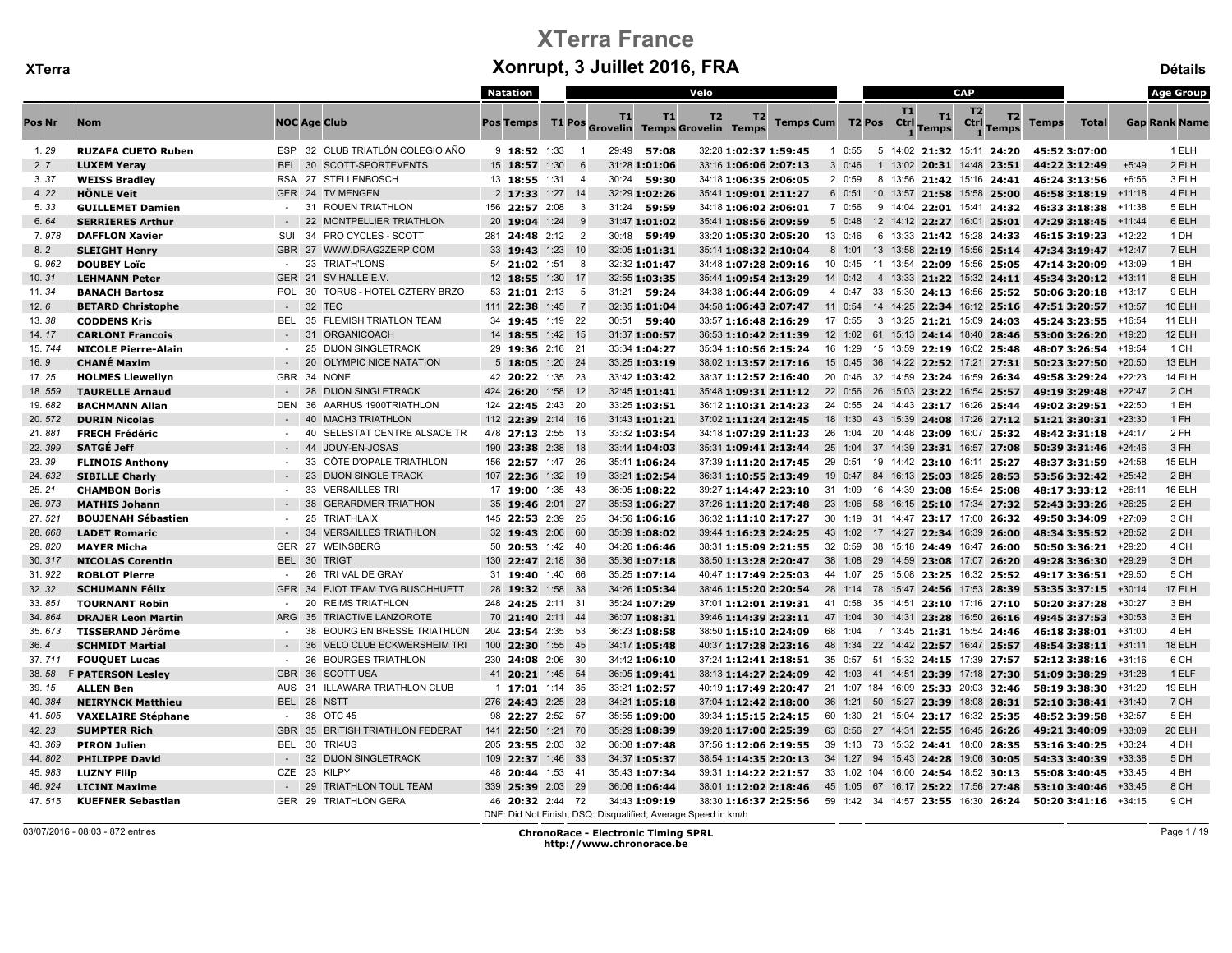|        |                            |            |       |                                  | <b>Natation</b>   |                |           |               | Velo                                                          |                |                       |            |                                     | <b>CAP</b> |                |                         |               |                                                         |          | <b>Age Group</b>     |
|--------|----------------------------|------------|-------|----------------------------------|-------------------|----------------|-----------|---------------|---------------------------------------------------------------|----------------|-----------------------|------------|-------------------------------------|------------|----------------|-------------------------|---------------|---------------------------------------------------------|----------|----------------------|
| Pos Nr | <b>Nom</b>                 |            |       | <b>NOC Age Club</b>              | <b>Pos Temps</b>  |                | <b>T1</b> | T1            | T <sub>2</sub><br>T1 Pos Grovelin Temps Grovelin Temps        | T <sub>2</sub> | Temps Cum T2 Pos      |            | T1<br>Ctrl Temps                    | T1         | T <sub>2</sub> | T2<br><b>Ctrl</b> Temps | <b>Temps</b>  | <b>Total</b>                                            |          | <b>Gap Rank Name</b> |
| 1.29   | <b>RUZAFA CUETO Ruben</b>  |            |       | ESP 32 CLUB TRIATLÓN COLEGIO AÑO | $9$ 18:52 1:33    | $\overline{1}$ |           | 29:49 57:08   |                                                               |                | 32:28 1:02:37 1:59:45 | $1 \t0:55$ | 5 14:02 21:32 15:11 24:20           |            |                |                         | 45:52 3:07:00 |                                                         |          | 1 ELH                |
| 2.7    | <b>LUXEM Yeray</b>         |            |       | BEL 30 SCOTT-SPORTEVENTS         | 15 18:57 1:30     | 6              |           | 31:28 1:01:06 |                                                               |                | 33:16 1:06:06 2:07:13 | 30:46      | 1 13:02 20:31 14:48 23:51           |            |                |                         | 44:22 3:12:49 |                                                         | $+5:49$  | 2 ELH                |
| 3.37   | <b>WEISS Bradley</b>       | <b>RSA</b> | 27    | STELLENBOSCH                     | 13 18:55 1:31     | $\overline{4}$ | 30:24     | 59:30         |                                                               |                | 34:18 1:06:35 2:06:05 | 2 0:59     | 8 13:56 21:42 15:16 24:41           |            |                |                         | 46:24 3:13:56 |                                                         | $+6:56$  | 3 ELH                |
| 4.22   | <b>HÖNLE Veit</b>          |            |       | GER 24 TV MENGEN                 | 2 17:33 1:27 14   |                |           | 32:29 1:02:26 |                                                               |                | 35:41 1:09:01 2:11:27 |            | 6 0:51 10 13:57 21:58 15:58 25:00   |            |                |                         |               | 46:58 3:18:19 +11:18                                    |          | 4 ELH                |
| 5.33   | <b>GUILLEMET Damien</b>    | $\sim$     | 31    | <b>ROUEN TRIATHLON</b>           | 156 22:57 2:08    | -3             |           | 31:24 59:59   |                                                               |                | 34:18 1:06:02 2:06:01 | 7 0:56     | 9 14:04 22:01 15:41 24:32           |            |                |                         |               | 46:33 3:18:38 +11:38                                    |          | 5 ELH                |
| 6.64   | <b>SERRIERES Arthur</b>    |            | 22    | <b>MONTPELLIER TRIATHLON</b>     | 20 19:04 1:24     | - 9            |           | 31:47 1:01:02 |                                                               |                | 35:41 1:08:56 2:09:59 | 50:48      | 12 14:12 22:27 16:01 25:01          |            |                |                         |               | 47:29 3:18:45 +11:44                                    |          | 6 ELH                |
| 7.978  | <b>DAFFLON Xavier</b>      | SUI        | - 34  | <b>PRO CYCLES - SCOTT</b>        | 281 24:48 2:12    | $\overline{2}$ |           | 30:48 59:49   |                                                               |                | 33:20 1:05:30 2:05:20 | 13 0:46    | 6 13:33 21:42 15:28 24:33           |            |                |                         |               | 46:15 3:19:23                                           | $+12:22$ | 1 DH                 |
| 8.2    | <b>SLEIGHT Henry</b>       |            |       | GBR 27 WWW.DRAG2ZERP.COM         | 33 19:43 1:23     | 10             |           | 32:05 1:01:31 |                                                               |                | 35:14 1:08:32 2:10:04 |            | 8 1:01 13 13:58 22:19 15:56 25:14   |            |                |                         |               | 47:34 3:19:47                                           | $+12:47$ | 7 ELH                |
| 9.962  | <b>DOUBEY Loïc</b>         | $\sim$     | 23    | <b>TRIATH'LONS</b>               | 54 21:02 1:51     | 8              |           | 32:32 1:01:47 |                                                               |                | 34:48 1:07:28 2:09:16 |            | 10 0:45 11 13:54 22:09 15:56 25:05  |            |                |                         |               | 47:14 3:20:09                                           | $+13:09$ | 1 BH                 |
| 10.31  | <b>LEHMANN Peter</b>       | GER 21     |       | SV HALLE E.V.                    | 12 18:55 1:30     | -17            |           | 32:55 1:03:35 |                                                               |                | 35:44 1:09:54 2:13:29 | 14 0:42    | 4 13:33 21:22 15:32 24:11           |            |                |                         |               | 45:34 3:20:12                                           | $+13:11$ | 8 ELH                |
| 11.34  | <b>BANACH Bartosz</b>      | <b>POL</b> |       | 30 TORUS - HOTEL CZTERY BRZO     | 53 21:01 2:13     | 5              |           | 31:21 59:24   |                                                               |                | 34:38 1:06:44 2:06:09 |            | 4 0:47 33 15:30 24:13 16:56 25:52   |            |                |                         |               | 50:06 3:20:18 $+13:17$                                  |          | 9 ELH                |
| 12.6   | <b>BETARD Christophe</b>   | $\sim$     | 32    | <b>TEC</b>                       | 111 22:38 1:45    | $\overline{7}$ |           | 32:35 1:01:04 |                                                               |                | 34:58 1:06:43 2:07:47 |            | 11 0:54 14 14:25 22:34 16:12 25:16  |            |                |                         |               | 47:51 3:20:57 +13:57                                    |          | 10 ELH               |
| 13.38  | <b>CODDENS Kris</b>        | BEL        | 35    | FLEMISH TRIATLON TEAM            | 34 19:45 1:19 22  |                |           | 30:51 59:40   |                                                               |                | 33:57 1:16:48 2:16:29 | 17 0:55    | 3 13:25 21:21 15:09 24:03           |            |                |                         |               | 45:24 3:23:55 +16:54                                    |          | 11 ELH               |
| 14.17  | <b>CARLONI Francois</b>    |            | $-31$ | ORGANICOACH                      | 14 18:55 1:42 15  |                |           | 31:37 1:00:57 |                                                               |                | 36:53 1:10:42 2:11:39 |            | 12 1:02 61 15:13 24:14 18:40 28:46  |            |                |                         |               | 53:00 3:26:20 +19:20                                    |          | 12 ELH               |
| 15.744 | <b>NICOLE Pierre-Alain</b> | $\sim$     | 25    | <b>DIJON SINGLETRACK</b>         | 29 19:36 2:16 21  |                |           | 33:34 1:04:27 |                                                               |                | 35:34 1:10:56 2:15:24 |            | 16 1:29 15 13:59 22:19 16:02 25:48  |            |                |                         |               | 48:07 3:26:54 +19:54                                    |          | 1 CH                 |
| 16.9   | <b>CHANÉ Maxim</b>         | $\sim$     | 20    | <b>OLYMPIC NICE NATATION</b>     | 5 18:05 1:20 24   |                |           | 33:25 1:03:19 |                                                               |                | 38:02 1:13:57 2:17:16 |            | 15 0:45 36 14:22 22:52 17:21 27:31  |            |                |                         |               | 50:23 3:27:50 +20:50                                    |          | 13 ELH               |
| 17.25  | <b>HOLMES Llewellyn</b>    | GBR 34     |       | <b>NONE</b>                      | 42 20:22 1:35 23  |                |           | 33:42 1:03:42 |                                                               |                | 38:37 1:12:57 2:16:40 |            | 20 0:46 32 14:59 23:24 16:59 26:34  |            |                |                         |               | 49:58 3:29:24 +22:23                                    |          | 14 ELH               |
| 18.559 | <b>TAURELLE Arnaud</b>     |            | 28    | <b>DIJON SINGLETRACK</b>         | 424 26:20 1:58 12 |                |           | 32:45 1:01:41 |                                                               |                | 35:48 1:09:31 2:11:12 |            | 22 0:56 26 15:03 23:22 16:54 25:57  |            |                |                         |               | 49:19 3:29:48 +22:47                                    |          | 2 CH                 |
| 19.682 | <b>BACHMANN Allan</b>      | <b>DEN</b> | - 36  | AARHUS 1900TRIATHLON             | 124 22:45 2:43 20 |                |           | 33:25 1:03:51 |                                                               |                | 36:12 1:10:31 2:14:23 |            | 24 0:55 24 14:43 23:17 16:26 25:44  |            |                |                         |               | 49:02 3:29:51                                           | $+22:50$ | 1 EH                 |
| 20.572 | <b>DURIN Nicolas</b>       |            | 40    | <b>MACH3 TRIATHLON</b>           | 112 22:39 2:14 16 |                |           | 31:43 1:01:21 |                                                               |                | 37:02 1:11:24 2:12:45 |            |                                     |            |                |                         |               | 18 1:30 43 15:39 24:08 17:26 27:12 51:21 3:30:31 +23:30 |          | 1 FH                 |
| 21.881 | <b>FRECH Frédéric</b>      | $\sim$     | - 40  | SELESTAT CENTRE ALSACE TR        | 478 27:13 2:55 13 |                |           | 33:32 1:03:54 |                                                               |                | 34:18 1:07:29 2:11:23 | 26 1:04    | 20 14:48 23:09 16:07 25:32          |            |                |                         |               | 48:42 3:31:18                                           | $+24:17$ | 2 FH                 |
| 22.399 | <b>SATGÉ Jeff</b>          |            | 44    | JOUY-EN-JOSAS                    | 190 23:38 2:38 18 |                |           | 33:44 1:04:03 |                                                               |                | 35:31 1:09:41 2:13:44 |            | 25 1:04 37 14:39 23:31 16:57 27:08  |            |                |                         |               | 50:39 3:31:46                                           | $+24:46$ | 3 FH                 |
| 23.39  | <b>FLINOIS Anthony</b>     |            | 33    | CÔTE D'OPALE TRIATHLON           | 156 22:57 1:47 26 |                |           | 35:41 1:06:24 |                                                               |                | 37:39 1:11:20 2:17:45 |            | 29 0:51 19 14:42 23:10 16:11 25:27  |            |                |                         |               | 48:37 3:31:59                                           | +24:58   | 15 ELH               |
| 24.632 | <b>SIBILLE Charly</b>      |            | 23    | <b>DIJON SINGLE TRACK</b>        | 107 22:36 1:32 19 |                |           | 33:21 1:02:54 |                                                               |                | 36:31 1:10:55 2:13:49 |            | 19 0:47 84 16:13 25:03 18:25 28:53  |            |                |                         |               | 53:56 3:32:42 +25:42                                    |          | 2 BH                 |
| 25.21  | <b>CHAMBON Boris</b>       | $\sim$     | 33    | <b>VERSAILLES TRI</b>            | 17 19:00 1:35 43  |                |           | 36:05 1:08:22 |                                                               |                | 39:27 1:14:47 2:23:10 |            | 31 1:09 16 14:39 23:08 15:54 25:08  |            |                |                         |               | 48:17 3:33:12 +26:11                                    |          | 16 ELH               |
| 26.973 | <b>MATHIS Johann</b>       |            | 38    | <b>GERARDMER TRIATHON</b>        | 35 19:46 2:01 27  |                |           | 35:53 1:06:27 |                                                               |                | 37:26 1:11:20 2:17:48 | 23 1:06    | 58 16:15 25:10 17:34 27:32          |            |                |                         |               | 52:43 3:33:26                                           | $+26:25$ | 2 EH                 |
| 27.521 | <b>BOUJENAH Sébastien</b>  | $\sim$     | 25    | TRIATHLAIX                       | 145 22:53 2:39 25 |                |           | 34:56 1:06:16 |                                                               |                | 36:32 1:11:10 2:17:27 |            | 30 1:19 31 14:47 23:17 17:00 26:32  |            |                |                         |               | 49:50 3:34:09 +27:09                                    |          | 3 CH                 |
| 28.668 | <b>LADET Romaric</b>       |            | 34    | <b>VERSAILLES TRIATHLON</b>      | 32 19:43 2:06 60  |                |           | 35:39 1:08:02 |                                                               |                | 39:44 1:16:23 2:24:25 |            | 43 1:02 17 14:27 22:34 16:39 26:00  |            |                |                         |               | 48:34 3:35:52 +28:52                                    |          | 2 DH                 |
| 29.820 | <b>MAYER Micha</b>         | GER 27     |       | WEINSBERG                        | 50 20:53 1:42 40  |                |           | 34:26 1:06:46 |                                                               |                | 38:31 1:15:09 2:21:55 |            | 32 0:59 38 15:18 24:49 16:47 26:00  |            |                |                         |               | 50:50 3:36:21                                           | $+29:20$ | 4 CH                 |
| 30.317 | <b>NICOLAS Corentin</b>    |            |       | BEL 30 TRIGT                     | 130 22:47 2:18 36 |                |           | 35:36 1:07:18 |                                                               |                | 38:50 1:13:28 2:20:47 |            | 38 1:08 29 14:59 23:08 17:07 26:20  |            |                |                         |               | 49:28 3:36:30                                           | $+29:29$ | 3 DH                 |
| 31.922 | <b>ROBLOT Pierre</b>       | $\sim$     | 26    | TRI VAL DE GRAY                  | 31 19:40 1:40 66  |                |           | 35:25 1:07:14 |                                                               |                | 40:47 1:17:49 2:25:03 |            | 44 1:07 25 15:08 23:25 16:32 25:52  |            |                |                         |               | 49:17 3:36:51                                           | +29:50   | 5 CH                 |
| 32.32  | <b>SCHUMANN Félix</b>      |            |       | GER 34 EJOT TEAM TVG BUSCHHUETT  | 28 19:32 1:58 38  |                |           | 34:26 1:05:34 |                                                               |                | 38:46 1:15:20 2:20:54 |            | 28 1:14 78 15:47 24:56 17:53 28:39  |            |                |                         |               | 53:35 3:37:15                                           | $+30:14$ | 17 ELH               |
| 33.851 | <b>TOURNANT Robin</b>      | $\sim$     | 20    | <b>REIMS TRIATHLON</b>           | 248 24:25 2:11 31 |                |           | 35:24 1:07:29 |                                                               |                | 37:01 1:12:01 2:19:31 |            | 41 0:58 35 14:51 23:10 17:16 27:10  |            |                |                         |               | 50:20 3:37:28                                           | $+30:27$ | 3 BH                 |
| 34.864 | <b>DRAJER Leon Martin</b>  | ARG 35     |       | TRIACTIVE LANZOROTE              | 70 21:40 2:11 44  |                |           | 36:07 1:08:31 |                                                               |                | 39:46 1:14:39 2:23:11 |            | 47 1:04 30 14:31 23:28 16:50 26:16  |            |                |                         |               | 49:45 3:37:53                                           | $+30:53$ | 3 EH                 |
| 35.673 | <b>TISSERAND Jérôme</b>    |            | 38    | <b>BOURG EN BRESSE TRIATHLON</b> | 204 23:54 2:35 53 |                |           | 36:23 1:08:58 |                                                               |                | 38:50 1:15:10 2:24:09 | 68 1:04    | 7 13:45 21:31 15:54 24:46           |            |                |                         |               | 46:18 3:38:01                                           | $+31:00$ | 4 EH                 |
| 36.4   | <b>SCHMIDT Martial</b>     |            | 36    | <b>VELO CLUB ECKWERSHEIM TRI</b> | 100 22:30 1:55 45 |                |           | 34:17 1:05:48 |                                                               |                | 40:37 1:17:28 2:23:16 |            | 48 1:34 22 14:42 22:57 16:47 25:57  |            |                |                         |               | 48:54 3:38:11 +31:11                                    |          | 18 ELH               |
| 37.711 | <b>FOUQUET Lucas</b>       | $\sim$     | 26    | <b>BOURGES TRIATHLON</b>         | 230 24:08 2:06 30 |                |           | 34:42 1:06:10 |                                                               |                | 37:24 1:12:41 2:18:51 |            | 35 0:57 51 15:32 24:15 17:39 27:57  |            |                |                         |               | 52:12 3:38:16 +31:16                                    |          | 6 CH                 |
| 38.58  | <b>F PATERSON Lesley</b>   | GBR 36     |       | <b>SCOTT USA</b>                 | 41 20:21 1:45 54  |                |           | 36:05 1:09:41 |                                                               |                | 38:13 1:14:27 2:24:09 |            | 42 1:03 41 14:51 23:39 17:18 27:30  |            |                |                         |               | 51:09 3:38:29                                           | $+31:28$ | 1 ELF                |
| 39.15  | <b>ALLEN Ben</b>           | AUS 31     |       | <b>ILLAWARA TRIATHLON CLUB</b>   | $1$ 17:01 1:14 35 |                |           | 33:21 1:02:57 |                                                               |                | 40:19 1:17:49 2:20:47 |            | 21 1:07 184 16:09 25:33 20:03 32:46 |            |                |                         |               | 58:19 3:38:30                                           | +31:29   | 19 ELH               |
| 40.384 | <b>NEIRYNCK Matthieu</b>   | BEL 28     |       | <b>NSTT</b>                      | 276 24:43 2:25 28 |                |           | 34:21 1:05:18 |                                                               |                | 37:04 1:12:42 2:18:00 |            | 36 1:21 50 15:27 23:39 18:08 28:31  |            |                |                         |               | 52:10 3:38:41                                           | $+31:40$ | 7 CH                 |
| 41.505 | <b>VAXELAIRE Stéphane</b>  | $\sim$     | 38    | OTC <sub>45</sub>                | 98 22:27 2:52 57  |                |           | 35:55 1:09:00 |                                                               |                | 39:34 1:15:15 2:24:15 |            | 60 1:30 21 15:04 23:17 16:32 25:35  |            |                |                         |               | 48:52 3:39:58                                           | +32:57   | 5 EH                 |
| 42.23  | <b>SUMPTER Rich</b>        | GBR 35     |       | <b>BRITISH TRIATHLON FEDERAT</b> | 141 22:50 1:21 70 |                |           | 35:29 1:08:39 |                                                               |                | 39:28 1:17:00 2:25:39 |            | 63 0:56 27 14:31 22:55 16:45 26:26  |            |                |                         |               | 49:21 3:40:09                                           | $+33:09$ | 20 ELH               |
| 43.369 | <b>PIRON Julien</b>        |            |       | BEL 30 TRI4US                    | 205 23:55 2:03 32 |                |           | 36:08 1:07:48 |                                                               |                | 37:56 1:12:06 2:19:55 |            | 39 1:13 73 15:32 24:41 18:00 28:35  |            |                |                         |               | 53:16 3:40:25 +33:24                                    |          | 4 DH                 |
| 44.802 | <b>PHILIPPE David</b>      | $\sim 100$ | 32    | <b>DIJON SINGLETRACK</b>         | 109 22:37 1:46 33 |                |           | 34:37 1:05:37 |                                                               |                | 38:54 1:14:35 2:20:13 | 34 1:27    | 94 15:43 24:28 19:06 30:05          |            |                |                         |               | 54:33 3:40:39                                           | +33:38   | 5 DH                 |
| 45.983 | <b>LUZNY Filip</b>         | CZE 23     |       | <b>KILPY</b>                     | 48 20:44 1:53 41  |                |           | 35:43 1:07:34 |                                                               |                | 39:31 1:14:22 2:21:57 |            | 33 1:02 104 16:00 24:54 18:52 30:13 |            |                |                         |               | 55:08 3:40:45                                           | $+33:45$ | 4 BH                 |
| 46.924 | <b>LICINI Maxime</b>       |            | $-29$ | <b>TRIATHLON TOUL TEAM</b>       | 339 25:39 2:03 29 |                |           | 36:06 1:06:44 |                                                               |                | 38:01 1:12:02 2:18:46 |            | 45 1:05 67 16:17 25:22 17:56 27:48  |            |                |                         |               | 53:10 3:40:46                                           | $+33:45$ | 8 CH                 |
| 47.515 | <b>KUEFNER Sebastian</b>   |            |       | GER 29 TRIATHLON GERA            | 46 20:32 2:44 72  |                |           | 34:43 1:09:19 |                                                               |                | 38:30 1:16:37 2:25:56 |            | 59 1:42 34 14:57 23:55 16:30 26:24  |            |                |                         |               | 50:20 3:41:16 $+34:15$                                  |          | 9 CH                 |
|        |                            |            |       |                                  |                   |                |           |               | DNF: Did Not Finish: DSQ: Disqualified: Average Speed in km/h |                |                       |            |                                     |            |                |                         |               |                                                         |          |                      |

03/07/2016 - 08:03 - 872 entries ChronoRace - Electronic Timing SPRL http://www.chronorace.be

Page 1 / 19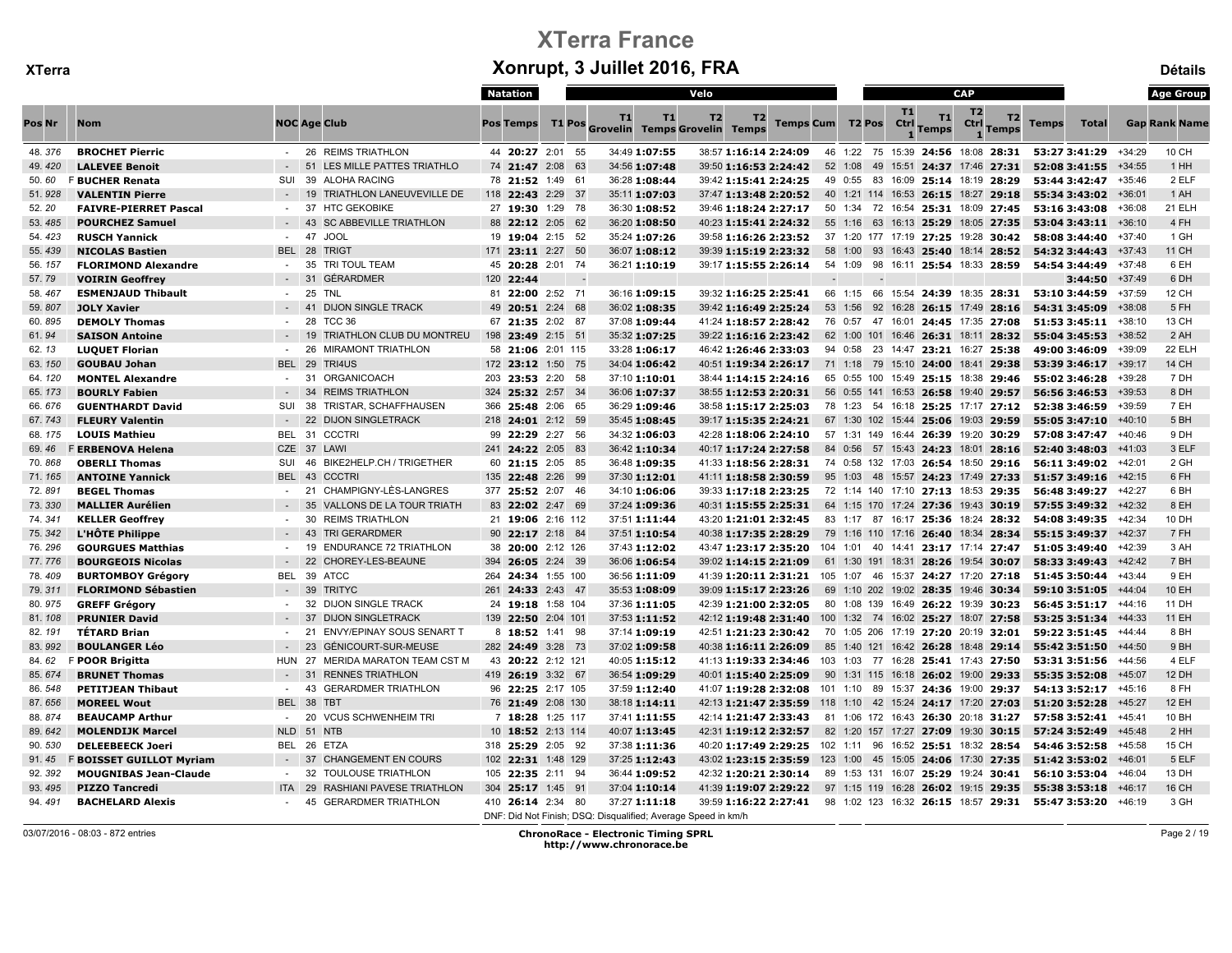|        |                                 |                          |                                     | Natation              |    | Velo                                                                           |                       |                         |         |                   |                    | <b>CAP</b>                                        |              |                      |          | <b>Age Group</b>     |
|--------|---------------------------------|--------------------------|-------------------------------------|-----------------------|----|--------------------------------------------------------------------------------|-----------------------|-------------------------|---------|-------------------|--------------------|---------------------------------------------------|--------------|----------------------|----------|----------------------|
| Pos Nr | <b>Nom</b>                      |                          | <b>NOC Age Club</b>                 | <b>Pos Temps</b>      | T1 | T1<br>T1 Pos Grovelin Temps Grovelin Temps                                     | T <sub>2</sub><br>T2  | <b>Temps Cum T2 Pos</b> |         | <b>T1</b><br>Ctrl | T1<br><b>Temps</b> | T <sub>2</sub><br>T2<br>Ctrl<br>Temps             | <b>Temps</b> | <b>Total</b>         |          | <b>Gap Rank Name</b> |
| 48.376 | <b>BROCHET Pierric</b>          |                          | - 26 REIMS TRIATHLON                | 44 20:27 2:01 55      |    | 34:49 1:07:55                                                                  |                       | 38:57 1:16:14 2:24:09   |         |                   |                    | 46 1:22 75 15:39 24:56 18:08 28:31                |              | 53:27 3:41:29 +34:29 |          | 10 CH                |
| 49.420 | <b>LALEVEE Benoit</b>           |                          | 51<br>LES MILLE PATTES TRIATHLO     | 74 21:47 2:08 63      |    | 34:56 1:07:48                                                                  |                       | 39:50 1:16:53 2:24:42   | 52 1:08 |                   |                    | 49 15:51 24:37 17:46 27:31                        |              | 52:08 3:41:55        | $+34:55$ | 1 HH                 |
| 50.60  | <b>F BUCHER Renata</b>          | <b>SUI</b>               | 39<br><b>ALOHA RACING</b>           | 78 21:52 1:49 61      |    | 36:28 1:08:44                                                                  |                       | 39:42 1:15:41 2:24:25   | 49 0:55 |                   |                    | 83 16:09 25:14 18:19 28:29                        |              | 53:44 3:42:47        | +35:46   | 2 ELF                |
| 51.928 | <b>VALENTIN Pierre</b>          |                          | 19<br>TRIATHLON LANEUVEVILLE DE     | 118 22:43 2:29 37     |    | 35:11 1:07:03                                                                  |                       | 37:47 1:13:48 2:20:52   |         |                   |                    | 40 1:21 114 16:53 26:15 18:27 29:18               |              | 55:34 3:43:02        | $+36:01$ | 1 AH                 |
| 52.20  | <b>FAIVRE-PIERRET Pascal</b>    | $\sim$                   | 37<br><b>HTC GEKOBIKE</b>           | 27 19:30 1:29 78      |    | 36:30 1:08:52                                                                  |                       | 39:46 1:18:24 2:27:17   |         |                   |                    | 50 1:34 72 16:54 25:31 18:09 27:45                |              | 53:16 3:43:08        | $+36:08$ | 21 ELH               |
| 53.485 | <b>POURCHEZ Samuel</b>          |                          | 43<br><b>SC ABBEVILLE TRIATHLON</b> | 88 22:12 2:05 62      |    | 36:20 1:08:50                                                                  |                       | 40:23 1:15:41 2:24:32   |         |                   |                    | 55 1:16 63 16:13 25:29 18:05 27:35                |              | 53:04 3:43:11        | $+36:10$ | 4 FH                 |
| 54.423 | <b>RUSCH Yannick</b>            | $\sim$                   | 47<br><b>JOOL</b>                   | 19 19:04 2:15 52      |    | 35:24 1:07:26                                                                  |                       | 39:58 1:16:26 2:23:52   |         |                   |                    | 37 1:20 177 17:19 27:25 19:28 30:42               |              | 58:08 3:44:40        | +37:40   | 1 GH                 |
| 55.439 | <b>NICOLAS Bastien</b>          | BEL 28                   | <b>TRIGT</b>                        | 171 23:11 2:27 50     |    | 36:07 1:08:12                                                                  |                       | 39:39 1:15:19 2:23:32   | 58 1:00 |                   |                    | 93 16:43 25:40 18:14 28:52                        |              | 54:32 3:44:43        | $+37:43$ | 11 CH                |
| 56.157 | <b>FLORIMOND Alexandre</b>      | $\sim$                   | 35<br>TRI TOUL TEAM                 | 45 20:28 2:01 74      |    | 36:21 1:10:19                                                                  |                       | 39:17 1:15:55 2:26:14   |         |                   |                    | 54 1:09 98 16:11 25:54 18:33 28:59                |              | 54:54 3:44:49        | +37:48   | 6 EH                 |
| 57.79  | <b>VOIRIN Geoffrey</b>          |                          | 31<br><b>GÉRARDMER</b>              | 120<br>22:44          |    |                                                                                |                       |                         |         |                   |                    |                                                   |              | 3:44:50              | $+37:49$ | 6 DH                 |
| 58.467 | <b>ESMENJAUD Thibault</b>       |                          | 25<br><b>TNL</b>                    | 81 22:00 2:52 71      |    | 36:16 1:09:15                                                                  |                       | 39:32 1:16:25 2:25:41   |         |                   |                    | 66 1:15 66 15:54 24:39 18:35 28:31 53:10 3:44:59  |              |                      | +37:59   | 12 CH                |
| 59.807 | <b>JOLY Xavier</b>              |                          | 41<br><b>DIJON SINGLE TRACK</b>     | 49 20:51 2:24 68      |    | 36:02 1:08:35                                                                  | 39:42 1:16:49 2:25:24 |                         |         |                   |                    | 53 1:56 92 16:28 26:15 17:49 28:16                |              | 54:31 3:45:09        | $+38:08$ | 5 FH                 |
| 60.895 | <b>DEMOLY Thomas</b>            | $\sim$                   | 28<br>TCC 36                        | 67 21:35 2:02 87      |    | 37:08 1:09:44                                                                  |                       | 41:24 1:18:57 2:28:42   |         |                   |                    | 76 0:57 47 16:01 24:45 17:35 27:08                |              | 51:53 3:45:11        | $+38:10$ | 13 CH                |
| 61.94  | <b>SAISON Antoine</b>           |                          | 19<br>TRIATHLON CLUB DU MONTREU     | 198 23:49 2:15 51     |    | 35:32 1:07:25                                                                  |                       | 39:22 1:16:16 2:23:42   |         |                   |                    | 62 1:00 101 16:46 26:31 18:11 28:32               |              | 55:04 3:45:53        | $+38:52$ | 2 AH                 |
| 62.13  | <b>LUQUET Florian</b>           |                          | 26<br><b>MIRAMONT TRIATHLON</b>     | 58 21:06 2:01 115     |    | 33:28 1:06:17                                                                  | 46:42 1:26:46 2:33:03 |                         | 94 0:58 |                   |                    | 23 14:47 23:21 16:27 25:38                        |              | 49:00 3:46:09        | +39:09   | 22 ELH               |
| 63.150 | <b>GOUBAU Johan</b>             | BEL 29                   | TRI4US                              | 172 23:12 1:50 75     |    | 34:04 1:06:42                                                                  |                       | 40:51 1:19:34 2:26:17   |         |                   |                    | 71 1:18 79 15:10 24:00 18:41 29:38                |              | 53:39 3:46:17        | $+39:17$ | <b>14 CH</b>         |
| 64.120 | <b>MONTEL Alexandre</b>         | $\sim$                   | 31<br>ORGANICOACH                   | 203 23:53 2:20 58     |    | 37:10 1:10:01                                                                  |                       | 38:44 1:14:15 2:24:16   |         |                   |                    | 65 0:55 100 15:49 25:15 18:38 29:46               |              | 55:02 3:46:28        | $+39:28$ | 7 DH                 |
| 65.173 | <b>BOURLY Fabien</b>            |                          | 34<br><b>REIMS TRIATHLON</b>        | 324 25:32 2:57 34     |    | 36:06 1:07:37                                                                  | 38:55 1:12:53 2:20:31 |                         |         |                   |                    | 56 0:55 141 16:53 26:58 19:40 29:57               |              | 56:56 3:46:53        | $+39:53$ | 8 DH                 |
| 66.676 | <b>GUENTHARDT David</b>         | <b>SUI</b>               | 38<br>TRISTAR, SCHAFFHAUSEN         | 366 25:48 2:06 65     |    | 36:29 1:09:46                                                                  |                       | 38:58 1:15:17 2:25:03   |         |                   |                    | 78 1:23 54 16:18 25:25 17:17 27:12                |              | 52:38 3:46:59        | +39:59   | 7 EH                 |
| 67.743 | <b>FLEURY Valentin</b>          |                          | 22<br><b>DIJON SINGLETRACK</b>      | 218 24:01 2:12 59     |    | 35:45 1:08:45                                                                  |                       | 39:17 1:15:35 2:24:21   |         |                   |                    | 67 1:30 102 15:44 25:06 19:03 29:59               |              | 55:05 3:47:10        | $+40:10$ | 5 <sub>BH</sub>      |
| 68.175 | <b>LOUIS Mathieu</b>            |                          | BEL 31 CCCTRI                       | 99 22:29 2:27 56      |    | 34:32 1:06:03                                                                  |                       | 42:28 1:18:06 2:24:10   |         |                   |                    | 57 1:31 149 16:44 26:39 19:20 30:29               |              | 57:08 3:47:47        | $+40:46$ | 9 DH                 |
| 69.46  | F ERBENOVA Helena               |                          | CZE 37 LAWI                         | 241 24:22 2:05 83     |    | 36:42 1:10:34                                                                  |                       | 40:17 1:17:24 2:27:58   |         |                   |                    | 84 0:56 57 15:43 24:23 18:01 28:16                |              | 52:40 3:48:03        | $+41:03$ | 3 ELF                |
| 70.868 | <b>OBERLI Thomas</b>            | SUI                      | BIKE2HELP.CH / TRIGETHER<br>46      | 60 21:15 2:05 85      |    | 36:48 1:09:35                                                                  |                       | 41:33 1:18:56 2:28:31   |         |                   |                    | 74 0:58 132 17:03 26:54 18:50 29:16               |              | 56:11 3:49:02 +42:01 |          | 2 GH                 |
| 71.165 | <b>ANTOINE Yannick</b>          | BEL 43                   | <b>CCCTRI</b>                       | 135 22:48 2:26 99     |    | 37:30 1:12:01                                                                  |                       | 41:11 1:18:58 2:30:59   |         |                   |                    | 95 1:03 48 15:57 24:23 17:49 27:33                |              | 51:57 3:49:16        | $+42:15$ | 6 FH                 |
| 72.891 | <b>BEGEL Thomas</b>             | $\sim$                   | CHAMPIGNY-LÈS-LANGRES<br>21         | 377 25:52 2:07 46     |    | 34:10 1:06:06                                                                  |                       | 39:33 1:17:18 2:23:25   |         |                   |                    | 72 1:14 140 17:10 27:13 18:53 29:35               |              | 56:48 3:49:27 +42:27 |          | 6 <sub>BH</sub>      |
| 73.330 | <b>MALLIER Aurélien</b>         |                          | 35<br>VALLONS DE LA TOUR TRIATH     | 83 22:02 2:47 69      |    | 37:24 1:09:36                                                                  |                       | 40:31 1:15:55 2:25:31   |         |                   |                    | 64 1:15 170 17:24 27:36 19:43 30:19               |              | 57:55 3:49:32 +42:32 |          | 8 EH                 |
| 74.341 | <b>KELLER Geoffrey</b>          |                          | 30<br><b>REIMS TRIATHLON</b>        | 21 19:06 2:16 112     |    | 37:51 1:11:44                                                                  |                       | 43:20 1:21:01 2:32:45   |         |                   |                    | 83 1:17 87 16:17 25:36 18:24 28:32                |              | 54:08 3:49:35 +42:34 |          | 10 DH                |
| 75.342 | L'HÔTE Philippe                 | $\sim$ 100 $\pm$         | 43<br><b>TRI GERARDMER</b>          | 90 22:17 2:18 84      |    | 37:51 1:10:54                                                                  |                       | 40:38 1:17:35 2:28:29   |         |                   |                    | 79 1:16 110 17:16 26:40 18:34 28:34               |              | 55:15 3:49:37        | $+42:37$ | 7 FH                 |
| 76.296 | <b>GOURGUES Matthias</b>        | $\sim$                   | <b>ENDURANCE 72 TRIATHLON</b><br>19 | 38 20:00 2:12 126     |    | 37:43 1:12:02                                                                  |                       | 43:47 1:23:17 2:35:20   |         |                   |                    | 104 1:01 40 14:41 23:17 17:14 27:47               |              | 51:05 3:49:40        | $+42:39$ | 3 AH                 |
| 77.776 | <b>BOURGEOIS Nicolas</b>        |                          | 22<br>CHOREY-LES-BEAUNE             | 394 26:05 2:24 39     |    | 36:06 1:06:54                                                                  |                       | 39:02 1:14:15 2:21:09   |         |                   |                    | 61 1:30 191 18:31 28:26 19:54 30:07               |              | 58:33 3:49:43        | $+42:42$ | 7 BH                 |
| 78.409 | <b>BURTOMBOY Grégory</b>        | <b>BEL</b>               | 39<br><b>ATCC</b>                   | 24:34 1:55 100<br>264 |    | 36:56 1:11:09                                                                  |                       | 41:39 1:20:11 2:31:21   |         |                   |                    | 105 1:07 46 15:37 24:27 17:20 27:18               |              | 51:45 3:50:44        | $+43:44$ | 9 EH                 |
| 79.311 | <b>FLORIMOND Sébastien</b>      |                          | 39<br><b>TRITYC</b>                 | 261 24:33 2:43 47     |    | 35:53 1:08:09                                                                  |                       | 39:09 1:15:17 2:23:26   |         |                   |                    | 69 1:10 202 19:02 28:35 19:46 30:34               |              | 59:10 3:51:05        | $+44:04$ | 10 EH                |
| 80.975 | <b>GREFF Grégory</b>            | $\overline{\phantom{a}}$ | <b>DIJON SINGLE TRACK</b><br>32     | 24 19:18 1:58 104     |    | 37:36 1:11:05                                                                  |                       | 42:39 1:21:00 2:32:05   |         |                   |                    | 80 1:08 139 16:49 26:22 19:39 30:23               |              | 56:45 3:51:17 +44:16 |          | 11 DH                |
| 81.108 | <b>PRUNIER David</b>            |                          | 37<br><b>DIJON SINGLETRACK</b>      | 139 22:50 2:04 101    |    | 37:53 1:11:52                                                                  |                       | 42:12 1:19:48 2:31:40   |         |                   |                    | 100 1:32 74 16:02 25:27 18:07 27:58               |              | 53:25 3:51:34 +44:33 |          | 11 EH                |
| 82.191 | <b>TÉTARD Brian</b>             |                          | 21<br>ENVY/EPINAY SOUS SENART T     | 8 18:52 1:41 98       |    | 37:14 1:09:19                                                                  |                       | 42:51 1:21:23 2:30:42   |         |                   |                    | 70 1:05 206 17:19 27:20 20:19 32:01               |              | 59:22 3:51:45        | $+44:44$ | 8 BH                 |
| 83.992 | <b>BOULANGER Léo</b>            |                          | 23<br>GÉNICOURT-SUR-MEUSE           | 282 24:49 3:28 73     |    | 37:02 1:09:58                                                                  |                       | 40:38 1:16:11 2:26:09   |         |                   |                    | 85 1:40 121 16:42 26:28 18:48 29:14               |              | 55:42 3:51:50        | +44:50   | 9 <sub>BH</sub>      |
| 84.62  | F POOR Brigitta                 | HUN                      | 27<br>MERIDA MARATON TEAM CST M     | 43 20:22 2:12 121     |    | 40:05 1:15:12                                                                  |                       | 41:13 1:19:33 2:34:46   |         |                   |                    | 103 1:03 77 16:28 25:41 17:43 27:50               |              | 53:31 3:51:56        | $+44:56$ | 4 ELF                |
| 85.674 | <b>BRUNET Thomas</b>            |                          | 31<br><b>RENNES TRIATHLON</b>       | 419 26:19 3:32 67     |    | 36:54 1:09:29                                                                  |                       | 40:01 1:15:40 2:25:09   |         |                   |                    | 90 1:31 115 16:18 26:02 19:00 29:33               |              | 55:35 3:52:08        | $+45:07$ | 12 DH                |
| 86.548 | <b>PETITJEAN Thibaut</b>        | $\sim 10$                | 43<br><b>GERARDMER TRIATHLON</b>    | 96 22:25 2:17 105     |    | 37:59 1:12:40                                                                  |                       | 41:07 1:19:28 2:32:08   |         |                   |                    | 101 1:10 89 15:37 24:36 19:00 29:37               |              | 54:13 3:52:17 +45:16 |          | 8 FH                 |
| 87.656 | <b>MOREEL Wout</b>              | BEL 38                   | <b>TBT</b>                          | 76 21:49 2:08 130     |    | 38:18 1:14:11                                                                  |                       | 42:13 1:21:47 2:35:59   |         |                   |                    | 118 1:10 42 15:24 24:17 17:20 27:03               |              | 51:20 3:52:28        | $+45:27$ | 12 EH                |
| 88.874 | <b>BEAUCAMP Arthur</b>          | $\sim$                   | 20<br><b>VCUS SCHWENHEIM TRI</b>    | 7 18:28 1:25 117      |    | 37:41 1:11:55                                                                  |                       | 42:14 1:21:47 2:33:43   |         |                   |                    | 81 1:06 172 16:43 26:30 20:18 31:27               |              | 57:58 3:52:41        | $+45:41$ | 10 BH                |
| 89.642 | <b>MOLENDIJK Marcel</b>         |                          | NLD 51 NTB                          | 10 18:52 2:13 114     |    | 40:07 1:13:45                                                                  |                       | 42:31 1:19:12 2:32:57   |         |                   |                    | 82 1:20 157 17:27 27:09 19:30 30:15               |              | 57:24 3:52:49        | +45:48   | 2 HH                 |
| 90.530 | <b>DELEEBEECK Joeri</b>         | BEL                      | 26<br><b>ETZA</b>                   | 318 25:29 2:05 92     |    | 37:38 1:11:36                                                                  |                       | 40:20 1:17:49 2:29:25   |         |                   |                    | 102 1:11 96 16:52 25:51 18:32 28:54               |              | 54:46 3:52:58        | +45:58   | 15 CH                |
| 91.45  | <b>F BOISSET GUILLOT Myriam</b> |                          | 37<br><b>CHANGEMENT EN COURS</b>    | 102 22:31 1:48 129    |    | 37:25 1:12:43                                                                  |                       | 43:02 1:23:15 2:35:59   |         |                   |                    | 123 1:00 45 15:05 24:06 17:30 27:35               |              | 51:42 3:53:02        | $+46:01$ | 5 ELF                |
| 92.392 | <b>MOUGNIBAS Jean-Claude</b>    | $\sim$                   | 32<br><b>TOULOUSE TRIATHLON</b>     | 105 22:35 2:11 94     |    | 36:44 1:09:52                                                                  |                       | 42:32 1:20:21 2:30:14   |         |                   |                    | 89 1:53 131 16:07 25:29 19:24 30:41               |              | 56:10 3:53:04        | +46:04   | 13 DH                |
| 93.495 | <b>PIZZO Tancredi</b>           | <b>ITA</b>               | 29<br>RASHIANI PAVESE TRIATHLON     | 304 25:17 1:45 91     |    | 37:04 1:10:14                                                                  |                       | 41:39 1:19:07 2:29:22   |         |                   |                    | 97 1:15 119 16:28 26:02 19:15 29:35               |              | 55:38 3:53:18        | $+46:17$ | 16 CH                |
| 94.491 | <b>BACHELARD Alexis</b>         |                          | 45<br><b>GERARDMER TRIATHLON</b>    | 410 26:14 2:34 80     |    | 37:27 1:11:18<br>DNF: Did Not Finish; DSQ: Disqualified; Average Speed in km/h |                       | 39:59 1:16:22 2:27:41   |         |                   |                    | 98 1:02 123 16:32 26:15 18:57 29:31 55:47 3:53:20 |              |                      | +46:19   | 3 GH                 |

03/07/2016 - 08:03 - 872 entries ChronoRace - Electronic Timing SPRL http://www.chronorace.be

Page 2 / 19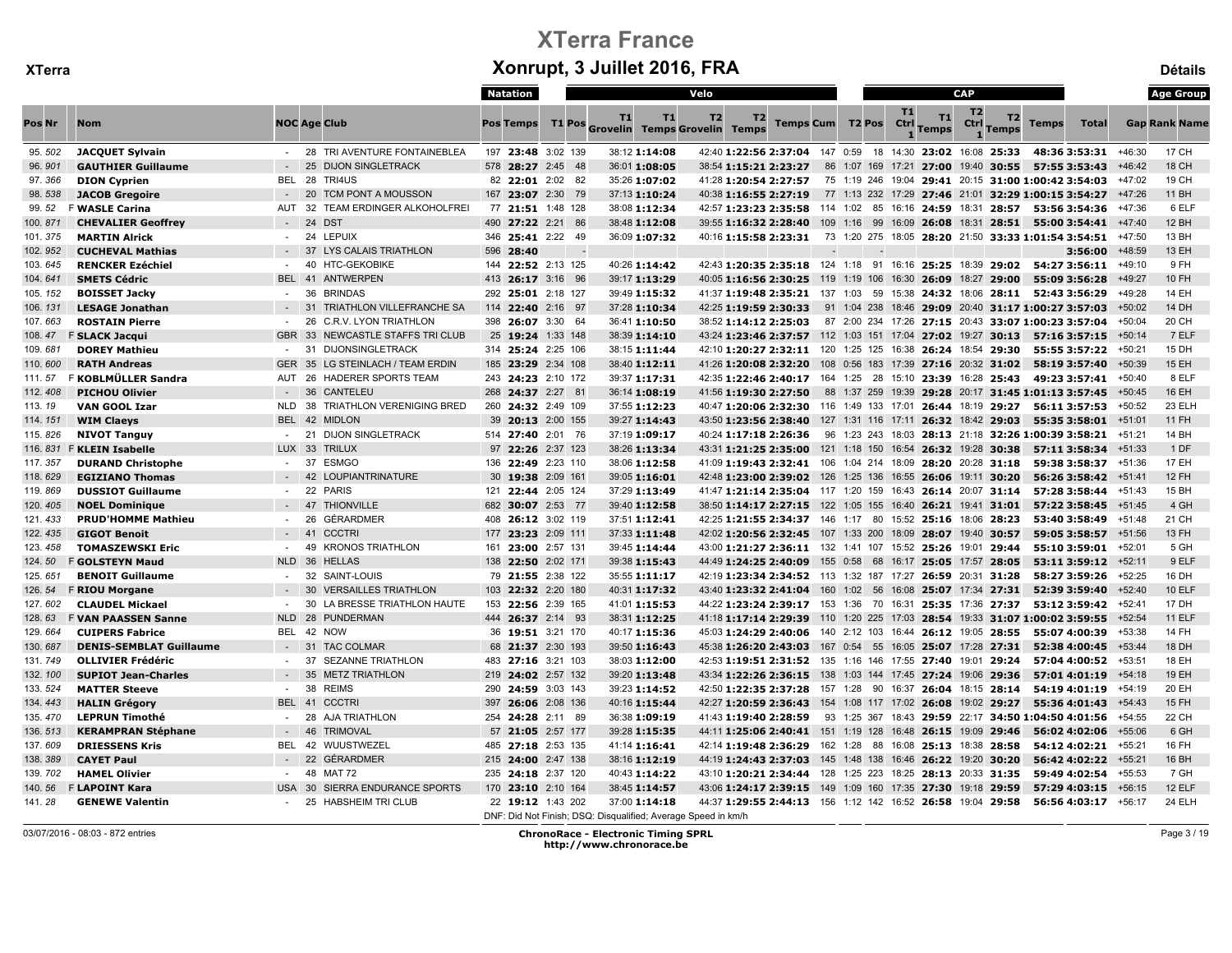|         |                                |               |                                        | Natation           |        |               | Velo                                                          |                                                                                 |                  |                                      |                          |                    | <b>CAP</b>             |             |                                                            |                      |          | <b>Age Group</b>     |
|---------|--------------------------------|---------------|----------------------------------------|--------------------|--------|---------------|---------------------------------------------------------------|---------------------------------------------------------------------------------|------------------|--------------------------------------|--------------------------|--------------------|------------------------|-------------|------------------------------------------------------------|----------------------|----------|----------------------|
| Pos Nr  | <b>Nom</b>                     |               | <b>NOC Age Club</b>                    | <b>Pos Temps</b>   | T1 Pos | <b>T1</b>     | T1<br>T <sub>2</sub><br><b>Grovelin Temps Grovelin Temps</b>  | T2                                                                              | Temps Cum T2 Pos |                                      | <b>T1</b><br><b>Ctrl</b> | T1<br><b>Temps</b> | T <sub>2</sub><br>Ctrl | T2<br>Temps | <b>Temps</b>                                               | <b>Total</b>         |          | <b>Gap Rank Name</b> |
| 95.502  | <b>JACQUET Sylvain</b>         |               | - 28 TRI AVENTURE FONTAINEBLEA         | 197 23:48 3:02 139 |        | 38:12 1:14:08 |                                                               | 42:40 1:22:56 2:37:04 147 0:59 18 14:30 23:02 16:08 25:33                       |                  |                                      |                          |                    |                        |             |                                                            | 48:36 3:53:31 +46:30 |          | 17 CH                |
| 96.901  | <b>GAUTHIER Guillaume</b>      |               | 25<br><b>DIJON SINGLETRACK</b>         | 578 28:27 2:45 48  |        | 36:01 1:08:05 |                                                               | 38:54 1:15:21 2:23:27                                                           |                  | 86 1:07 169 17:21 27:00 19:40 30:55  |                          |                    |                        |             | 57:55 3:53:43                                              |                      | $+46:42$ | <b>18 CH</b>         |
| 97.366  | <b>DION Cyprien</b>            |               | BEL 28 TRI4US                          | 82 22:01 2:02 82   |        | 35:26 1:07:02 |                                                               | 41:28 1:20:54 2:27:57                                                           |                  |                                      |                          |                    |                        |             | 75 1:19 246 19:04 29:41 20:15 31:00 1:00:42 3:54:03        |                      | +47:02   | 19 CH                |
| 98.538  | <b>JACOB Gregoire</b>          |               | <b>TCM PONT A MOUSSON</b><br>20        | 167 23:07 2:30 79  |        | 37:13 1:10:24 |                                                               | 40:38 1:16:55 2:27:19                                                           |                  |                                      |                          |                    |                        |             | 77 1:13 232 17:29 27:46 21:01 32:29 1:00:15 3:54:27        |                      | +47:26   | 11 BH                |
| 99.52   | <b>F WASLE Carina</b>          | AUT           | 32<br><b>TEAM ERDINGER ALKOHOLFREI</b> | 77 21:51 1:48 128  |        |               | 38:08 1:12:34                                                 | 42:57 1:23:23 2:35:58 114 1:02 85 16:16 24:59 18:31 28:57 53:56 3:54:36 +47:36  |                  |                                      |                          |                    |                        |             |                                                            |                      |          | 6 ELF                |
| 100.871 | <b>CHEVALIER Geoffrey</b>      |               | 24<br><b>DST</b>                       | 490 27:22 2:21 86  |        | 38:48 1:12:08 |                                                               | 39:55 1:16:32 2:28:40                                                           |                  |                                      |                          |                    |                        |             | 109 1:16 99 16:09 26:08 18:31 28:51 55:00 3:54:41 +47:40   |                      |          | 12 BH                |
| 101.375 | <b>MARTIN Alrick</b>           | $\sim$        | 24<br><b>LEPUIX</b>                    | 346 25:41 2:22 49  |        | 36:09 1:07:32 |                                                               | 40:16 1:15:58 2:23:31                                                           |                  |                                      |                          |                    |                        |             | 73 1:20 275 18:05 28:20 21:50 33:33 1:01:54 3:54:51 +47:50 |                      |          | 13 BH                |
| 102.952 | <b>CUCHEVAL Mathias</b>        |               | 37<br><b>LYS CALAIS TRIATHLON</b>      | 596 28:40          |        |               |                                                               |                                                                                 |                  |                                      |                          |                    |                        |             |                                                            | $3:56:00$ +48:59     |          | 13 EH                |
| 103.645 | <b>RENCKER Ezéchiel</b>        |               | <b>HTC-GEKOBIKE</b><br>40              | 144 22:52 2:13 125 |        |               | 40:26 1:14:42                                                 | 42:43 1:20:35 2:35:18 124 1:18 91 16:16 25:25 18:39 29:02 54:27 3:56:11 +49:10  |                  |                                      |                          |                    |                        |             |                                                            |                      |          | 9 FH                 |
| 104.641 | <b>SMETS Cédric</b>            | <b>BEL 41</b> | <b>ANTWERPEN</b>                       | 413 26:17 3:16 96  |        | 39:17 1:13:29 |                                                               | 40:05 1:16:56 2:30:25 119 1:19 106 16:30 26:09 18:27 29:00 55:09 3:56:28        |                  |                                      |                          |                    |                        |             |                                                            |                      | +49:27   | 10 FH                |
| 105.152 | <b>BOISSET Jacky</b>           | $\sim$        | 36<br><b>BRINDAS</b>                   | 292 25:01 2:18 127 |        | 39:49 1:15:32 |                                                               | 41:37 1:19:48 2:35:21 137 1:03 59 15:38 24:32 18:06 28:11 52:43 3:56:29         |                  |                                      |                          |                    |                        |             |                                                            |                      | +49:28   | <b>14 EH</b>         |
| 106.131 | <b>LESAGE Jonathan</b>         |               | <b>TRIATHLON VILLEFRANCHE SA</b><br>31 | 114 22:40 2:16 97  |        | 37:28 1:10:34 |                                                               | 42:25 1:19:59 2:30:33                                                           |                  |                                      |                          |                    |                        |             | 91 1:04 238 18:46 29:09 20:40 31:17 1:00:27 3:57:03        |                      | $+50:02$ | 14 DH                |
| 107.663 | <b>ROSTAIN Pierre</b>          |               | 26<br><b>C.R.V. LYON TRIATHLON</b>     | 398 26:07 3:30 64  |        | 36:41 1:10:50 |                                                               | 38:52 1:14:12 2:25:03                                                           |                  |                                      |                          |                    |                        |             | 87 2:00 234 17:26 27:15 20:43 33:07 1:00:23 3:57:04        |                      | +50:04   | 20 CH                |
| 108.47  | <b>F SLACK Jacqui</b>          | GBR 33        | NEWCASTLE STAFFS TRI CLUB              | 25 19:24 1:33 148  |        | 38:39 1:14:10 |                                                               | 43:24 1:23:46 2:37:57 112 1:03 151 17:04 27:02 19:27 30:13 57:16 3:57:15 +50:14 |                  |                                      |                          |                    |                        |             |                                                            |                      |          | 7 ELF                |
| 109.681 | <b>DOREY Mathieu</b>           | $\sim$        | 31<br><b>DIJONSINGLETRACK</b>          | 314 25:24 2:25 106 |        | 38:15 1:11:44 |                                                               | 42:10 1:20:27 2:32:11 120 1:25 125 16:38 26:24 18:54 29:30                      |                  |                                      |                          |                    |                        |             |                                                            | 55:55 3:57:22 +50:21 |          | 15 DH                |
| 110.600 | <b>RATH Andreas</b>            | <b>GER</b>    | 35 LG STEINLACH / TEAM ERDIN           | 185 23:29 2:34 108 |        | 38:40 1:12:11 |                                                               | 41:26 1:20:08 2:32:20 108 0:56 183 17:39 27:16 20:32 31:02                      |                  |                                      |                          |                    |                        |             | 58:19 3:57:40                                              |                      | +50:39   | 15 EH                |
| 111.57  | F KOBLMÜLLER Sandra            | AUT 26        | HADERER SPORTS TEAM                    | 243 24:23 2:10 172 |        | 39:37 1:17:31 |                                                               | 42:35 1:22:46 2:40:17 164 1:25 28 15:10 23:39 16:28 25:43                       |                  |                                      |                          |                    |                        |             | 49:23 3:57:41                                              |                      | +50:40   | 8 ELF                |
| 112.408 | <b>PICHOU Olivier</b>          |               | 36<br><b>CANTELEU</b>                  | 268 24:37 2:27 81  |        | 36:14 1:08:19 |                                                               | 41:56 1:19:30 2:27:50                                                           |                  |                                      |                          |                    |                        |             | 88 1:37 259 19:39 29:28 20:17 31:45 1:01:13 3:57:45        |                      | $+50:45$ | 16 EH                |
| 113.19  | <b>VAN GOOL Izar</b>           | <b>NLD</b>    | TRIATHLON VERENIGING BRED<br>38        | 260 24:32 2:49 109 |        | 37:55 1:12:23 |                                                               | 40:47 1:20:06 2:32:30 116 1:49 133 17:01 26:44 18:19 29:27 56:11 3:57:53        |                  |                                      |                          |                    |                        |             |                                                            |                      | +50:52   | 23 ELH               |
| 114.151 | <b>WIM Claeys</b>              | BEL 42        | <b>MIDLON</b>                          | 39 20:13 2:00 155  |        | 39:27 1:14:43 |                                                               | 43:50 1:23:56 2:38:40 127 1:31 116 17:11 26:32 18:42 29:03                      |                  |                                      |                          |                    |                        |             | 55:35 3:58:01                                              |                      | $+51:01$ | <b>11 FH</b>         |
| 115.826 | <b>NIVOT Tanguy</b>            |               | 21 DIJON SINGLETRACK                   | 514 27:40 2:01 76  |        | 37:19 1:09:17 |                                                               | 40:24 1:17:18 2:26:36                                                           |                  |                                      |                          |                    |                        |             | 96 1:23 243 18:03 28:13 21:18 32:26 1:00:39 3:58:21        |                      | +51:21   | 14 BH                |
| 116.831 | <b>F KLEIN Isabelle</b>        | LUX 33        | <b>TRILUX</b>                          | 97 22:26 2:37 123  |        | 38:26 1:13:34 |                                                               | 43:31 1:21:25 2:35:00 121 1:18 150 16:54 26:32 19:28 30:38                      |                  |                                      |                          |                    |                        |             |                                                            | 57:11 3:58:34 +51:33 |          | 1 DF                 |
| 117.357 | <b>DURAND Christophe</b>       | $\sim$        | 37<br><b>ESMGO</b>                     | 136 22:49 2:23 110 |        | 38:06 1:12:58 |                                                               | 41:09 1:19:43 2:32:41 106 1:04 214 18:09 28:20 20:28 31:18                      |                  |                                      |                          |                    |                        |             |                                                            | 59:38 3:58:37 +51:36 |          | <b>17 EH</b>         |
| 118.629 | <b>EGIZIANO Thomas</b>         |               | 42<br><b>LOUPIANTRINATURE</b>          | 30 19:38 2:09 161  |        | 39:05 1:16:01 |                                                               | 42:48 1:23:00 2:39:02 126 1:25 136 16:55 26:06 19:11 30:20                      |                  |                                      |                          |                    |                        |             |                                                            | 56:26 3:58:42 +51:41 |          | <b>12 FH</b>         |
| 119.869 | <b>DUSSIOT Guillaume</b>       |               | 22<br><b>PARIS</b>                     | 121 22:44 2:05 124 |        | 37:29 1:13:49 |                                                               | 41:47 1:21:14 2:35:04 117 1:20 159 16:43 26:14 20:07 31:14                      |                  |                                      |                          |                    |                        |             |                                                            | 57:28 3:58:44 +51:43 |          | 15 BH                |
| 120.405 | <b>NOEL Dominique</b>          |               | $-47$<br><b>THIONVILLE</b>             | 682 30:07 2:53 77  |        | 39:40 1:12:58 |                                                               | 38:50 1:14:17 2:27:15 122 1:05 155 16:40 26:21 19:41 31:01                      |                  |                                      |                          |                    |                        |             |                                                            | 57:22 3:58:45 +51:45 |          | 4 GH                 |
| 121.433 | <b>PRUD'HOMME Mathieu</b>      | $\sim$        | <b>GÉRARDMER</b><br>26                 | 408 26:12 3:02 119 |        | 37:51 1:12:41 |                                                               | 42:25 1:21:55 2:34:37 146 1:17 80 15:52 25:16 18:06 28:23                       |                  |                                      |                          |                    |                        |             |                                                            | 53:40 3:58:49        | $+51:48$ | 21 CH                |
| 122.435 | <b>GIGOT Benoit</b>            |               | 41<br><b>CCCTRI</b>                    | 177 23:23 2:09 111 |        | 37:33 1:11:48 |                                                               | 42:02 1:20:56 2:32:45 107 1:33 200 18:09 28:07 19:40 30:57                      |                  |                                      |                          |                    |                        |             |                                                            | 59:05 3:58:57 +51:56 |          | 13 FH                |
| 123.458 | <b>TOMASZEWSKI Eric</b>        |               | <b>KRONOS TRIATHLON</b><br>49          | 161 23:00 2:57 131 |        | 39:45 1:14:44 |                                                               | 43:00 1:21:27 2:36:11 132 1:41 107 15:52 25:26 19:01 29:44                      |                  |                                      |                          |                    |                        |             |                                                            | 55:10 3:59:01        | +52:01   | 5 GH                 |
| 124.50  | <b>F GOLSTEYN Maud</b>         | <b>NLD</b>    | 36<br><b>HELLAS</b>                    | 138 22:50 2:02 171 |        | 39:38 1:15:43 |                                                               | 44:49 1:24:25 2:40:09 155 0:58 68 16:17 25:05 17:57 28:05                       |                  |                                      |                          |                    |                        |             |                                                            | 53:11 3:59:12 +52:11 |          | 9 ELF                |
| 125.651 | <b>BENOIT Guillaume</b>        | $\sim$        | 32<br>SAINT-LOUIS                      | 79 21:55 2:38 122  |        | 35:55 1:11:17 |                                                               | 42:19 1:23:34 2:34:52 113 1:32 187 17:27 26:59 20:31 31:28                      |                  |                                      |                          |                    |                        |             |                                                            | 58:27 3:59:26        | $+52:25$ | 16 DH                |
| 126.54  | <b>F RIOU Morgane</b>          |               | 30<br><b>VERSAILLES TRIATHLON</b>      | 103 22:32 2:20 180 |        | 40:31 1:17:32 |                                                               | 43:40 1:23:32 2:41:04 160 1:02 56 16:08 25:07 17:34 27:31                       |                  |                                      |                          |                    |                        |             |                                                            | 52:39 3:59:40 +52:40 |          | <b>10 ELF</b>        |
| 127.602 | <b>CLAUDEL Mickael</b>         |               | LA BRESSE TRIATHLON HAUTE<br>30        | 153 22:56 2:39 165 |        | 41:01 1:15:53 |                                                               | 44:22 1:23:24 2:39:17 153 1:36 70 16:31 25:35 17:36 27:37                       |                  |                                      |                          |                    |                        |             |                                                            | 53:12 3:59:42        | +52:41   | 17 DH                |
| 128.63  | <b>F VAN PAASSEN Sanne</b>     | <b>NLD</b>    | 28<br><b>PUNDERMAN</b>                 | 444 26:37 2:14 93  |        | 38:31 1:12:25 |                                                               | 41:18 1:17:14 2:29:39 110 1:20 225 17:03 28:54 19:33 31:07 1:00:02 3:59:55      |                  |                                      |                          |                    |                        |             |                                                            |                      | +52:54   | <b>11 ELF</b>        |
| 129.664 | <b>CUIPERS Fabrice</b>         |               | BEL 42 NOW                             | 36 19:51 3:21 170  |        | 40:17 1:15:36 |                                                               | 45:03 1:24:29 2:40:06 140 2:12 103 16:44 26:12 19:05 28:55 55:07 4:00:39        |                  |                                      |                          |                    |                        |             |                                                            |                      | $+53:38$ | <b>14 FH</b>         |
| 130.687 | <b>DENIS-SEMBLAT Guillaume</b> |               | 31<br><b>TAC COLMAR</b>                | 68 21:37 2:30 193  |        | 39:50 1:16:43 |                                                               | 45:38 1:26:20 2:43:03 167 0:54 55 16:05 25:07 17:28 27:31                       |                  |                                      |                          |                    |                        |             |                                                            | 52:38 4:00:45        | $+53:44$ | 18 DH                |
| 131.749 | <b>OLLIVIER Frédéric</b>       | $\sim$        | <b>SEZANNE TRIATHLON</b><br>-37        | 483 27:16 3:21 103 |        | 38:03 1:12:00 |                                                               | 42:53 1:19:51 2:31:52 135 1:16 146 17:55 27:40 19:01 29:24                      |                  |                                      |                          |                    |                        |             |                                                            | 57:04 4:00:52        | +53:51   | 18 EH                |
| 132.100 | <b>SUPIOT Jean-Charles</b>     |               | 35<br><b>METZ TRIATHLON</b>            | 219 24:02 2:57 132 |        | 39:20 1:13:48 |                                                               | 43:34 1:22:26 2:36:15 138 1:03 144 17:45 27:24 19:06 29:36                      |                  |                                      |                          |                    |                        |             |                                                            | 57:01 4:01:19        | $+54:18$ | 19 EH                |
| 133.524 | <b>MATTER Steeve</b>           | $\sim$ $-$    | 38<br><b>REIMS</b>                     | 290 24:59 3:03 143 |        |               | 39:23 1:14:52                                                 | 42:50 1:22:35 2:37:28 157 1:28 90 16:37 26:04 18:15 28:14                       |                  |                                      |                          |                    |                        |             |                                                            | 54:19 4:01:19        | +54:19   | 20 EH                |
| 134.443 | <b>HALIN Grégory</b>           | BEL 41        | <b>CCCTRI</b>                          | 397 26:06 2:08 136 |        | 40:16 1:15:44 |                                                               | 42:27 1:20:59 2:36:43 154 1:08 117 17:02 26:08 19:02 29:27                      |                  |                                      |                          |                    |                        |             | 55:36 4:01:43 +54:43                                       |                      |          | 15 FH                |
| 135.470 | <b>LEPRUN Timothé</b>          |               | <b>AJA TRIATHLON</b><br>-28            | 254 24:28 2:11 89  |        | 36:38 1:09:19 |                                                               | 41:43 1:19:40 2:28:59                                                           |                  |                                      |                          |                    |                        |             | 93 1:25 367 18:43 29:59 22:17 34:50 1:04:50 4:01:56        |                      | +54:55   | 22 CH                |
| 136.513 | <b>KERAMPRAN Stéphane</b>      |               | $-46$<br><b>TRIMOVAL</b>               | 57 21:05 2:57 177  |        | 39:28 1:15:35 |                                                               | 44:11 1:25:06 2:40:41 151 1:19 128 16:48 26:15 19:09 29:46 56:02 4:02:06        |                  |                                      |                          |                    |                        |             |                                                            |                      | +55:06   | 6 GH                 |
| 137.609 | <b>DRIESSENS Kris</b>          | BEL           | 42 WUUSTWEZEL                          | 485 27:18 2:53 135 |        | 41:14 1:16:41 |                                                               | 42:14 1:19:48 2:36:29 162 1:28 88 16:08 25:13 18:38 28:58 54:12 4:02:21         |                  |                                      |                          |                    |                        |             |                                                            |                      | $+55:21$ | 16 FH                |
| 138.389 | <b>CAYET Paul</b>              |               | 22<br><b>GÉRARDMER</b>                 | 215 24:00 2:47 138 |        | 38:16 1:12:19 |                                                               | 44:19 1:24:43 2:37:03                                                           |                  | 145 1:48 138 16:46 26:22 19:20 30:20 |                          |                    |                        |             |                                                            | 56:42 4:02:22        | +55:21   | 16 BH                |
| 139.702 | <b>HAMEL Olivier</b>           |               | 48<br><b>MAT 72</b>                    | 235 24:18 2:37 120 |        | 40:43 1:14:22 |                                                               | 43:10 1:20:21 2:34:44 128 1:25 223 18:25 28:13 20:33 31:35                      |                  |                                      |                          |                    |                        |             |                                                            | 59:49 4:02:54        | +55:53   | 7 GH                 |
| 140.56  | <b>F LAPOINT Kara</b>          | <b>USA 30</b> | SIERRA ENDURANCE SPORTS                | 170 23:10 2:10 164 |        | 38:45 1:14:57 |                                                               | 43:06 1:24:17 2:39:15 149 1:09 160 17:35 27:30 19:18 29:59                      |                  |                                      |                          |                    |                        |             |                                                            | 57:29 4:03:15        | $+56:15$ | 12 ELF               |
| 141.28  | <b>GENEWE Valentin</b>         |               | 25 HABSHEIM TRI CLUB                   | 22 19:12 1:43 202  |        | 37:00 1:14:18 | DNF: Did Not Finish; DSQ: Disqualified; Average Speed in km/h | 44:37 1:29:55 2:44:13 156 1:12 142 16:52 26:58 19:04 29:58                      |                  |                                      |                          |                    |                        |             | 56:56 4:03:17 $+56:17$                                     |                      |          | 24 ELH               |

<sup>03/07/2016 - 08:03 - 872</sup> entries ChronoRace - Electronic Timing SPRL http://www.chronorace.be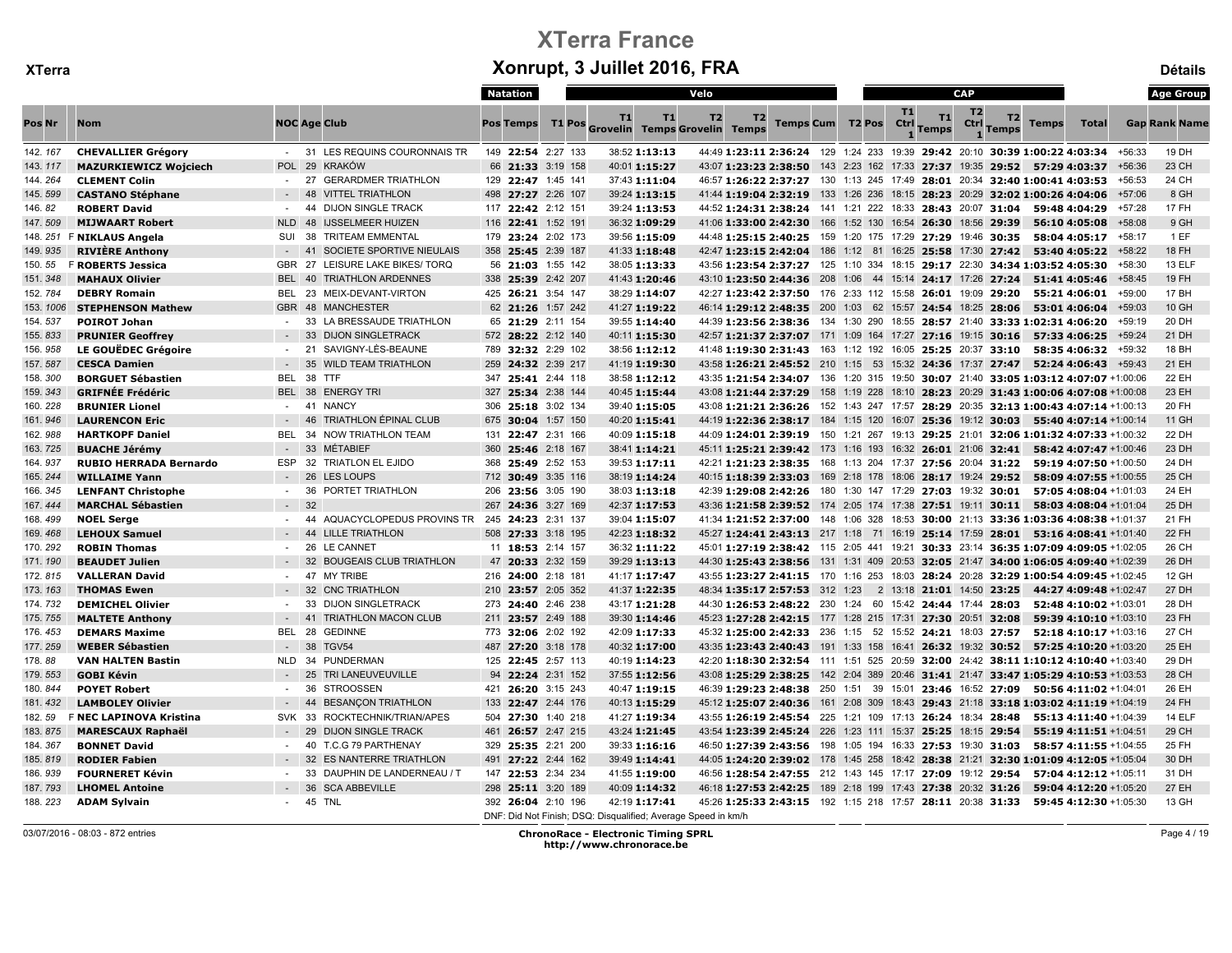|          |                               |            |                                                    | Natation         |                    |                                                               |               | Velo           |                                                                                     |  |                       |           |                    | <b>CAP</b>     |                  |              |                        |          | <b>Age Group</b>     |
|----------|-------------------------------|------------|----------------------------------------------------|------------------|--------------------|---------------------------------------------------------------|---------------|----------------|-------------------------------------------------------------------------------------|--|-----------------------|-----------|--------------------|----------------|------------------|--------------|------------------------|----------|----------------------|
| Pos Nr   | <b>Nom</b>                    |            | <b>NOC Age Club</b>                                | <b>Pos Temps</b> |                    | <b>T1</b><br>T1 Pos Grovelin Temps Grovelin Temps             | T1            | T <sub>2</sub> | T <sub>2</sub>                                                                      |  | Temps Cum T2 Pos Ctrl | <b>T1</b> | T1<br><b>Temps</b> | T <sub>2</sub> | T2<br>Ctrl Temps | <b>Temps</b> | <b>Total</b>           |          | <b>Gap Rank Name</b> |
| 142. 167 | <b>CHEVALLIER Grégory</b>     |            | - 31 LES REQUINS COURONNAIS TR                     |                  | 149 22:54 2:27 133 |                                                               | 38:52 1:13:13 |                | 44:49 1:23:11 2:36:24 129 1:24 233 19:39 29:42 20:10 30:39 1:00:22 4:03:34 +56:33   |  |                       |           |                    |                |                  |              |                        |          | 19 DH                |
| 143.117  | <b>MAZURKIEWICZ Wojciech</b>  |            | POL 29 KRAKÓW                                      |                  | 66 21:33 3:19 158  |                                                               | 40:01 1:15:27 |                | 43:07 1:23:23 2:38:50 143 2:23 162 17:33 27:37 19:35 29:52 57:29 4:03:37            |  |                       |           |                    |                |                  |              |                        | +56:36   | 23 CH                |
| 144.264  | <b>CLEMENT Colin</b>          |            | <b>GERARDMER TRIATHLON</b><br>27                   |                  | 129 22:47 1:45 141 |                                                               | 37:43 1:11:04 |                | 46:57 1:26:22 2:37:27 130 1:13 245 17:49 28:01 20:34 32:40 1:00:41 4:03:53          |  |                       |           |                    |                |                  |              |                        | $+56:53$ | 24 CH                |
| 145.599  | <b>CASTANO Stéphane</b>       |            | <b>VITTEL TRIATHLON</b><br>48                      |                  | 498 27:27 2:26 107 |                                                               | 39:24 1:13:15 |                | 41:44 1:19:04 2:32:19 133 1:26 236 18:15 28:23 20:29 32:02 1:00:26 4:04:06          |  |                       |           |                    |                |                  |              |                        | +57:06   | 8 GH                 |
| 146.82   | <b>ROBERT David</b>           | $\sim$     | <b>DIJON SINGLE TRACK</b><br>44                    |                  | 117 22:42 2:12 151 |                                                               | 39:24 1:13:53 |                | 44:52 1:24:31 2:38:24 141 1:21 222 18:33 28:43 20:07 31:04 59:48 4:04:29            |  |                       |           |                    |                |                  |              |                        | +57:28   | 17 FH                |
| 147.509  | <b>MIJWAART Robert</b>        | <b>NLD</b> | 48<br><b>IJSSELMEER HUIZEN</b>                     |                  | 116 22:41 1:52 191 |                                                               | 36:32 1:09:29 |                | 41:06 1:33:00 2:42:30 166 1:52 130 16:54 26:30 18:56 29:39                          |  |                       |           |                    |                |                  |              | 56:10 4:05:08          | +58:08   | 9 GH                 |
|          | 148. 251 F NIKLAUS Angela     | SUI        | 38<br><b>TRITEAM EMMENTAL</b>                      |                  | 179 23:24 2:02 173 |                                                               | 39:56 1:15:09 |                | 44:48 1:25:15 2:40:25 159 1:20 175 17:29 27:29 19:46 30:35                          |  |                       |           |                    |                |                  |              | 58:04 4:05:17 +58:17   |          | 1EF                  |
| 149.935  | <b>RIVIÈRE Anthony</b>        |            | 41<br>SOCIETE SPORTIVE NIEULAIS                    |                  | 358 25:45 2:39 187 |                                                               | 41:33 1:18:48 |                | 42:47 1:23:15 2:42:04 186 1:12 81 16:25 25:58 17:30 27:42                           |  |                       |           |                    |                |                  |              | 53:40 4:05:22 +58:22   |          | <b>18 FH</b>         |
| 150.55   | <b>F ROBERTS Jessica</b>      |            | GBR 27 LEISURE LAKE BIKES/ TORQ                    |                  | 56 21:03 1:55 142  |                                                               | 38:05 1:13:33 |                | 43:56 1:23:54 2:37:27 125 1:10 334 18:15 29:17 22:30 34:34 1:03:52 4:05:30          |  |                       |           |                    |                |                  |              |                        | +58:30   | 13 ELF               |
| 151.348  | <b>MAHAUX Olivier</b>         |            | BEL 40 TRIATHLON ARDENNES                          |                  | 338 25:39 2:42 207 |                                                               | 41:43 1:20:46 |                | 43:10 1:23:50 2:44:36 208 1:06 44 15:14 24:17 17:26 27:24 51:41 4:05:46             |  |                       |           |                    |                |                  |              |                        | $+58:45$ | 19 FH                |
| 152.784  | <b>DEBRY Romain</b>           |            | BEL 23 MEIX-DEVANT-VIRTON                          |                  | 425 26:21 3:54 147 |                                                               | 38:29 1:14:07 |                | 42:27 1:23:42 2:37:50 176 2:33 112 15:58 26:01 19:09 29:20                          |  |                       |           |                    |                |                  |              | 55:21 4:06:01          | +59:00   | 17 BH                |
| 153.1006 | <b>STEPHENSON Mathew</b>      |            | GBR 48 MANCHESTER                                  |                  | 62 21:26 1:57 242  |                                                               | 41:27 1:19:22 |                | 46:14 1:29:12 2:48:35 200 1:03 62 15:57 24:54 18:25 28:06 53:01 4:06:04             |  |                       |           |                    |                |                  |              |                        | $+59:03$ | 10 GH                |
| 154.537  | <b>POIROT Johan</b>           | $\sim$     | LA BRESSAUDE TRIATHLON<br>33                       |                  | 65 21:29 2:11 154  |                                                               | 39:55 1:14:40 |                | 44:39 1:23:56 2:38:36 134 1:30 290 18:55 28:57 21:40 33:33 1:02:31 4:06:20          |  |                       |           |                    |                |                  |              |                        | +59:19   | 20 DH                |
| 155.833  | <b>PRUNIER Geoffrey</b>       |            | <b>DIJON SINGLETRACK</b><br>33                     |                  | 572 28:22 2:12 140 |                                                               | 40:11 1:15:30 |                | 42:57 1:21:37 2:37:07 171 1:09 164 17:27 27:16 19:15 30:16 57:33 4:06:25            |  |                       |           |                    |                |                  |              |                        | +59:24   | 21 DH                |
| 156.958  | LE GOUËDEC Grégoire           | $\sim$     | SAVIGNY-LÈS-BEAUNE<br>21                           |                  | 789 32:32 2:29 102 |                                                               | 38:56 1:12:12 |                | 41:48 1:19:30 2:31:43 163 1:12 192 16:05 25:25 20:37 33:10                          |  |                       |           |                    |                |                  |              | 58:35 4:06:32          | +59:32   | 18 BH                |
| 157.587  | <b>CESCA Damien</b>           |            | 35<br><b>WILD TEAM TRIATHLON</b>                   |                  | 259 24:32 2:39 217 |                                                               | 41:19 1:19:30 |                | 43:58 1:26:21 2:45:52 210 1:15 53 15:32 24:36 17:37 27:47 52:24 4:06:43 +59:43      |  |                       |           |                    |                |                  |              |                        |          | 21 EH                |
| 158.300  | <b>BORGUET Sébastien</b>      | BEL        | 38<br><b>TTF</b>                                   |                  | 347 25:41 2:44 118 |                                                               | 38:58 1:12:12 |                | 43:35 1:21:54 2:34:07 136 1:20 315 19:50 30:07 21:40 33:05 1:03:12 4:07:07 +1:00:06 |  |                       |           |                    |                |                  |              |                        |          | 22 EH                |
| 159.343  | <b>GRIFNÉE Frédéric</b>       | BEL 38     | <b>ENERGY TRI</b>                                  |                  | 327 25:34 2:38 144 |                                                               | 40:45 1:15:44 |                | 43:08 1:21:44 2:37:29 158 1:19 228 18:10 28:23 20:29 31:43 1:00:06 4:07:08 +1:00:08 |  |                       |           |                    |                |                  |              |                        |          | 23 EH                |
| 160.228  | <b>BRUNIER Lionel</b>         |            | - 41 NANCY                                         |                  | 306 25:18 3:02 134 |                                                               | 39:40 1:15:05 |                | 43:08 1:21:21 2:36:26 152 1:43 247 17:57 28:29 20:35 32:13 1:00:43 4:07:14 +1:00:13 |  |                       |           |                    |                |                  |              |                        |          | 20 FH                |
| 161.946  | <b>LAURENCON Eric</b>         |            | <b>TRIATHLON ÉPINAL CLUB</b><br>46                 |                  | 675 30:04 1:57 150 |                                                               | 40:20 1:15:41 |                | 44:19 1:22:36 2:38:17 184 1:15 120 16:07 25:36 19:12 30:03 55:40 4:07:14 +1:00:14   |  |                       |           |                    |                |                  |              |                        |          | 11 GH                |
| 162.988  | <b>HARTKOPF Daniel</b>        | BEL        | 34 NOW TRIATHLON TEAM                              |                  | 131 22:47 2:31 166 |                                                               | 40:09 1:15:18 |                | 44:09 1:24:01 2:39:19 150 1:21 267 19:13 29:25 21:01 32:06 1:01:32 4:07:33 +1:00:32 |  |                       |           |                    |                |                  |              |                        |          | 22 DH                |
| 163.725  | <b>BUACHE Jérémy</b>          |            | 33<br><b>MÉTABIEF</b>                              | 360              | 25:46 2:18 167     |                                                               | 38:41 1:14:21 |                | 45:11 1:25:21 2:39:42 173 1:16 193 16:32 26:01 21:06 32:41                          |  |                       |           |                    |                |                  |              | 58:42 4:07:47 +1:00:46 |          | 23 DH                |
| 164.937  | <b>RUBIO HERRADA Bernardo</b> | ESP        | 32 TRIATLON EL EJIDO                               |                  | 368 25:49 2:52 153 |                                                               | 39:53 1:17:11 |                | 42:21 1:21:23 2:38:35 168 1:13 204 17:37 27:56 20:04 31:22                          |  |                       |           |                    |                |                  |              | 59:19 4:07:50 +1:00:50 |          | 24 DH                |
| 165.244  | <b>WILLAIME Yann</b>          |            | 26<br><b>LES LOUPS</b>                             |                  | 712 30:49 3:35 116 |                                                               | 38:19 1:14:24 |                | 40:15 1:18:39 2:33:03 169 2:18 178 18:06 28:17 19:24 29:52 58:09 4:07:55 +1:00:55   |  |                       |           |                    |                |                  |              |                        |          | 25 CH                |
| 166. 345 | <b>LENFANT Christophe</b>     | $\sim$     | 36<br>PORTET TRIATHLON                             |                  | 206 23:56 3:05 190 |                                                               | 38:03 1:13:18 |                | 42:39 1:29:08 2:42:26 180 1:30 147 17:29 27:03 19:32 30:01                          |  |                       |           |                    |                |                  |              | 57:05 4:08:04 +1:01:03 |          | 24 EH                |
| 167.444  | <b>MARCHAL Sébastien</b>      | $-32$      |                                                    |                  | 267 24:36 3:27 169 |                                                               | 42:37 1:17:53 |                | 43:36 1:21:58 2:39:52 174 2:05 174 17:38 27:51 19:11 30:11 58:03 4:08:04 +1:01:04   |  |                       |           |                    |                |                  |              |                        |          | 25 DH                |
| 168.499  | <b>NOEL Serge</b>             | $\sim$     | AQUACYCLOPEDUS PROVINS TR 245 24:23 2:31 137<br>44 |                  |                    |                                                               | 39:04 1:15:07 |                | 41:34 1:21:52 2:37:00 148 1:06 328 18:53 30:00 21:13 33:36 1:03:36 4:08:38 +1:01:37 |  |                       |           |                    |                |                  |              |                        |          | 21 FH                |
| 169.468  | <b>LEHOUX Samuel</b>          | $-44$      | <b>LILLE TRIATHLON</b>                             |                  | 508 27:33 3:18 195 |                                                               | 42:23 1:18:32 |                | 45:27 1:24:41 2:43:13 217 1:18 71 16:19 25:14 17:59 28:01 53:16 4:08:41 +1:01:40    |  |                       |           |                    |                |                  |              |                        |          | <b>22 FH</b>         |
| 170.292  | <b>ROBIN Thomas</b>           | $\sim$     | 26<br><b>LE CANNET</b>                             |                  | 11 18:53 2:14 157  |                                                               | 36:32 1:11:22 |                | 45:01 1:27:19 2:38:42 115 2:05 441 19:21 30:33 23:14 36:35 1:07:09 4:09:05 +1:02:05 |  |                       |           |                    |                |                  |              |                        |          | 26 CH                |
| 171.190  | <b>BEAUDET Julien</b>         |            | 32<br><b>BOUGEAIS CLUB TRIATHLON</b>               |                  | 47 20:33 2:32 159  |                                                               | 39:29 1:13:13 |                | 44:30 1:25:43 2:38:56 131 1:31 409 20:53 32:05 21:47 34:00 1:06:05 4:09:40 +1:02:39 |  |                       |           |                    |                |                  |              |                        |          | 26 DH                |
| 172.815  | <b>VALLERAN David</b>         | $\sim$     | 47<br><b>MY TRIBE</b>                              |                  | 216 24:00 2:18 181 |                                                               | 41:17 1:17:47 |                | 43:55 1:23:27 2:41:15 170 1:16 253 18:03 28:24 20:28 32:29 1:00:54 4:09:45 +1:02:45 |  |                       |           |                    |                |                  |              |                        |          | 12 GH                |
| 173.163  | <b>THOMAS Ewen</b>            |            | 32<br><b>CNC TRIATHLON</b>                         |                  | 210 23:57 2:05 352 |                                                               | 41:37 1:22:35 |                | 48:34 1:35:17 2:57:53 312 1:23 2 13:18 21:01 14:50 23:25 44:27 4:09:48 +1:02:47     |  |                       |           |                    |                |                  |              |                        |          | 27 DH                |
| 174.732  | <b>DEMICHEL Olivier</b>       | $\sim$     | 33<br><b>DIJON SINGLETRACK</b>                     |                  | 273 24:40 2:46 238 |                                                               | 43:17 1:21:28 |                | 44:30 1:26:53 2:48:22 230 1:24 60 15:42 24:44 17:44 28:03                           |  |                       |           |                    |                |                  |              | 52:48 4:10:02 +1:03:01 |          | 28 DH                |
| 175.755  | <b>MALTETE Anthony</b>        |            | 41<br><b>TRIATHLON MACON CLUB</b>                  |                  | 211 23:57 2:49 188 |                                                               | 39:30 1:14:46 |                | 45:23 1:27:28 2:42:15 177 1:28 215 17:31 27:30 20:51 32:08                          |  |                       |           |                    |                |                  |              | 59:39 4:10:10 +1:03:10 |          | 23 FH                |
| 176.453  | <b>DEMARS Maxime</b>          | BEL 28     | <b>GEDINNE</b>                                     |                  | 773 32:06 2:02 192 |                                                               | 42:09 1:17:33 |                | 45:32 1:25:00 2:42:33 236 1:15 52 15:52 24:21 18:03 27:57                           |  |                       |           |                    |                |                  |              | 52:18 4:10:17 +1:03:16 |          | 27 CH                |
| 177.259  | <b>WEBER Sébastien</b>        | $\sim$     | 38<br><b>TGV54</b>                                 |                  | 487 27:20 3:18 178 |                                                               | 40:32 1:17:00 |                | 43:35 1:23:43 2:40:43 191 1:33 158 16:41 26:32 19:32 30:52 57:25 4:10:20 +1:03:20   |  |                       |           |                    |                |                  |              |                        |          | 25 EH                |
| 178.88   | <b>VAN HALTEN Bastin</b>      | <b>NLD</b> | 34<br>PUNDERMAN                                    |                  | 125 22:45 2:57 113 |                                                               | 40:19 1:14:23 |                | 42:20 1:18:30 2:32:54 111 1:51 525 20:59 32:00 24:42 38:11 1:10:12 4:10:40 +1:03:40 |  |                       |           |                    |                |                  |              |                        |          | 29 DH                |
| 179.553  | <b>GOBI Kévin</b>             |            | 25<br>TRI LANEUVEUVILLE                            |                  | 94 22:24 2:31 152  |                                                               | 37:55 1:12:56 |                | 43:08 1:25:29 2:38:25 142 2:04 389 20:46 31:41 21:47 33:47 1:05:29 4:10:53 +1:03:53 |  |                       |           |                    |                |                  |              |                        |          | 28 CH                |
| 180.844  | <b>POYET Robert</b>           | $\sim$     | <b>STROOSSEN</b><br>36                             |                  | 421 26:20 3:15 243 |                                                               | 40:47 1:19:15 |                | 46:39 1:29:23 2:48:38 250 1:51 39 15:01 23:46 16:52 27:09 50:56 4:11:02 +1:04:01    |  |                       |           |                    |                |                  |              |                        |          | 26 EH                |
| 181.432  | <b>LAMBOLEY Olivier</b>       |            | 44<br><b>BESANÇON TRIATHLON</b>                    |                  | 133 22:47 2:44 176 |                                                               | 40:13 1:15:29 |                | 45:12 1:25:07 2:40:36 161 2:08 309 18:43 29:43 21:18 33:18 1:03:02 4:11:19 +1:04:19 |  |                       |           |                    |                |                  |              |                        |          | 24 FH                |
| 182.59   | F NEC LAPINOVA Kristina       | <b>SVK</b> | 33<br>ROCKTECHNIK/TRIAN/APES                       |                  | 504 27:30 1:40 218 |                                                               | 41:27 1:19:34 |                | 43:55 1:26:19 2:45:54 225 1:21 109 17:13 26:24 18:34 28:48 55:13 4:11:40 +1:04:39   |  |                       |           |                    |                |                  |              |                        |          | 14 ELF               |
| 183.875  | <b>MARESCAUX Raphaël</b>      |            | 29<br><b>DIJON SINGLE TRACK</b>                    |                  | 461 26:57 2:47 215 |                                                               | 43:24 1:21:45 |                | 43:54 1:23:39 2:45:24 226 1:23 111 15:37 25:25 18:15 29:54                          |  |                       |           |                    |                |                  |              | 55:19 4:11:51 +1:04:51 |          | 29 CH                |
| 184.367  | <b>BONNET David</b>           | $\sim$     | 40 T.C.G 79 PARTHENAY                              |                  | 329 25:35 2:21 200 |                                                               | 39:33 1:16:16 |                | 46:50 1:27:39 2:43:56 198 1:05 194 16:33 27:53 19:30 31:03 58:57 4:11:55 +1:04:55   |  |                       |           |                    |                |                  |              |                        |          | 25 FH                |
| 185.819  | <b>RODIER Fabien</b>          | $\sim$     | <b>ES NANTERRE TRIATHLON</b><br>-32                |                  | 491 27:22 2:44 162 |                                                               | 39:49 1:14:41 |                | 44:05 1:24:20 2:39:02 178 1:45 258 18:42 28:38 21:21 32:30 1:01:09 4:12:05 +1:05:04 |  |                       |           |                    |                |                  |              |                        |          | 30 DH                |
| 186.939  | <b>FOURNERET Kévin</b>        | $\sim$     | 33<br>DAUPHIN DE LANDERNEAU / T                    |                  | 147 22:53 2:34 234 |                                                               | 41:55 1:19:00 |                | 46:56 1:28:54 2:47:55 212 1:43 145 17:17 27:09 19:12 29:54 57:04 4:12:12 +1:05:11   |  |                       |           |                    |                |                  |              |                        |          | 31 DH                |
| 187.793  | <b>LHOMEL Antoine</b>         |            | 36<br><b>SCA ABBEVILLE</b>                         |                  | 298 25:11 3:20 189 |                                                               | 40:09 1:14:32 |                | 46:18 1:27:53 2:42:25 189 2:18 199 17:43 27:38 20:32 31:26                          |  |                       |           |                    |                |                  |              | 59:04 4:12:20 +1:05:20 |          | 27 EH                |
| 188.223  | <b>ADAM Sylvain</b>           | $\sim$     | 45 TNL                                             |                  | 392 26:04 2:10 196 | DNF: Did Not Finish: DSQ: Disgualified: Average Speed in km/h | 42:19 1:17:41 |                | 45:26 1:25:33 2:43:15 192 1:15 218 17:57 28:11 20:38 31:33 59:45 4:12:30 +1:05:30   |  |                       |           |                    |                |                  |              |                        |          | 13 GH                |

<sup>03/07/2016 - 08:03 - 872</sup> entries ChronoRace - Electronic Timing SPRL http://www.chronorace.be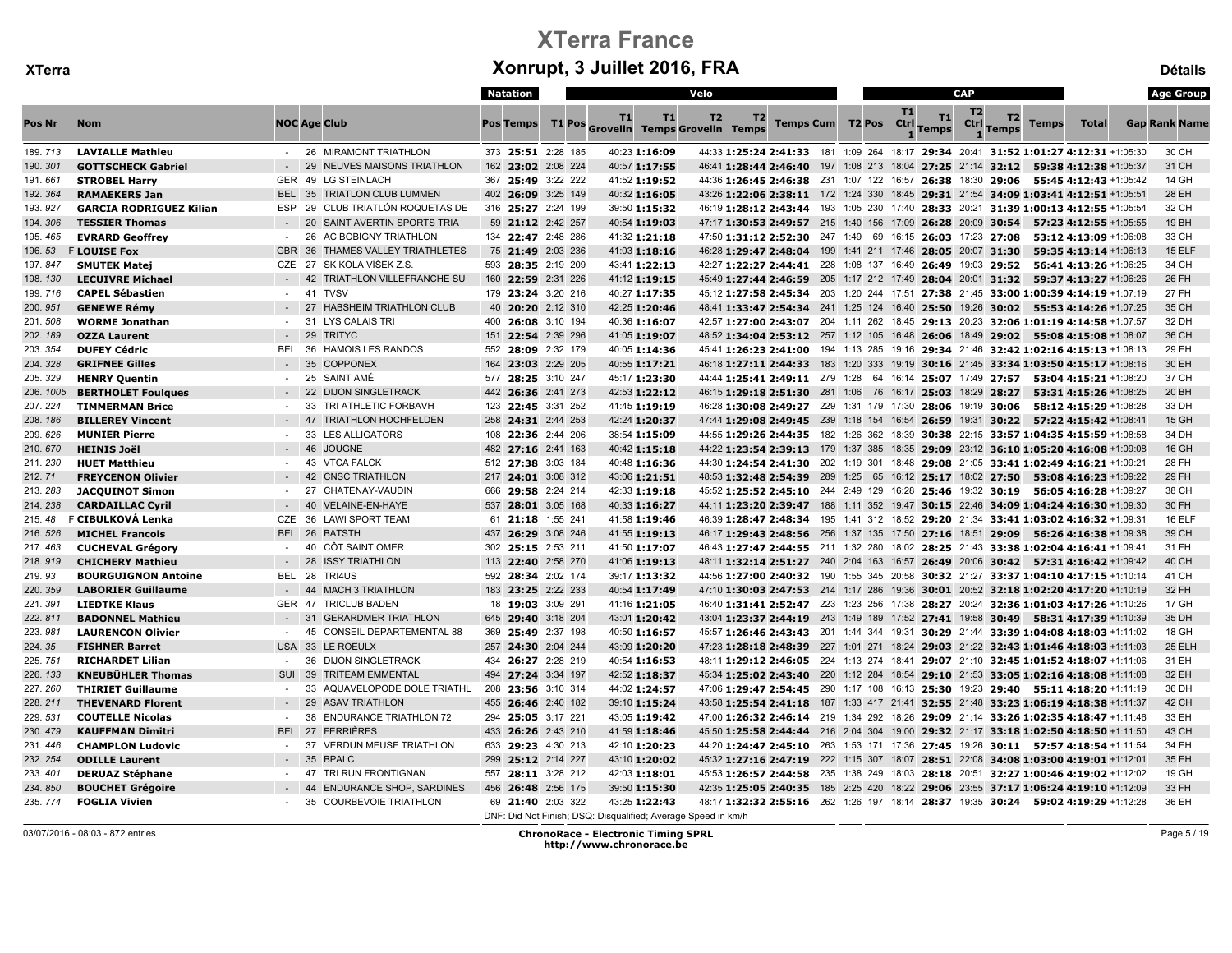|           |                                |                  |                                          | Natation           |                                                               | Velo                                                                                |                             |  |           | <b>CAP</b>     |                  |              |                        | <b>Age Group</b>     |
|-----------|--------------------------------|------------------|------------------------------------------|--------------------|---------------------------------------------------------------|-------------------------------------------------------------------------------------|-----------------------------|--|-----------|----------------|------------------|--------------|------------------------|----------------------|
| Pos Nr    | <b>Nom</b>                     |                  | <b>NOC Age Club</b>                      | <b>Pos Temps</b>   | T1<br>T1<br>T1 Pos Grovelin Temps Grovelin Temps              | T2<br>T2                                                                            | Temps Cum T2 Pos Ctrl Temps |  | <b>T1</b> | T <sub>2</sub> | T2<br>Ctrl Temps | <b>Temps</b> | <b>Total</b>           | <b>Gap Rank Name</b> |
| 189, 713  | <b>LAVIALLE Mathieu</b>        |                  | - 26 MIRAMONT TRIATHLON                  | 373 25:51 2:28 185 | 40:23 1:16:09                                                 | 44:33 1:25:24 2:41:33 181 1:09 264 18:17 29:34 20:41 31:52 1:01:27 4:12:31 +1:05:30 |                             |  |           |                |                  |              |                        | 30 CH                |
| 190.301   | <b>GOTTSCHECK Gabriel</b>      |                  | 29 NEUVES MAISONS TRIATHLON              | 162 23:02 2:08 224 | 40:57 1:17:55                                                 | 46:41 1:28:44 2:46:40 197 1:08 213 18:04 27:25 21:14 32:12 59:38 4:12:38 +1:05:37   |                             |  |           |                |                  |              |                        | 31 CH                |
| 191.661   | <b>STROBEL Harry</b>           |                  | GER 49 LG STEINLACH                      | 367 25:49 3:22 222 | 41:52 1:19:52                                                 | 44:36 1:26:45 2:46:38 231 1:07 122 16:57 26:38 18:30 29:06 55:45 4:12:43 +1:05:42   |                             |  |           |                |                  |              |                        | 14 GH                |
| 192.364   | <b>RAMAEKERS Jan</b>           |                  | BEL 35 TRIATLON CLUB LUMMEN              | 402 26:09 3:25 149 | 40:32 1:16:05                                                 | 43:26 1:22:06 2:38:11 172 1:24 330 18:45 29:31 21:54 34:09 1:03:41 4:12:51 +1:05:51 |                             |  |           |                |                  |              |                        | 28 EH                |
| 193.927   | <b>GARCIA RODRIGUEZ Kilian</b> | ESP              | 29 CLUB TRIATLÓN ROQUETAS DE             | 316 25:27 2:24 199 | 39:50 1:15:32                                                 | 46:19 1:28:12 2:43:44 193 1:05 230 17:40 28:33 20:21 31:39 1:00:13 4:12:55 +1:05:54 |                             |  |           |                |                  |              |                        | 32 CH                |
| 194.306   | <b>TESSIER Thomas</b>          |                  | 20<br>SAINT AVERTIN SPORTS TRIA          | 59 21:12 2:42 257  | 40:54 1:19:03                                                 | 47:17 1:30:53 2:49:57 215 1:40 156 17:09 26:28 20:09 30:54 57:23 4:12:55 +1:05:55   |                             |  |           |                |                  |              |                        | 19 BH                |
| 195.465   | <b>EVRARD Geoffrey</b>         | $\sim$           | 26<br>AC BOBIGNY TRIATHLON               | 134 22:47 2:48 286 | 41:32 1:21:18                                                 | 47:50 1:31:12 2:52:30 247 1:49 69 16:15 26:03 17:23 27:08                           |                             |  |           |                |                  |              | 53:12 4:13:09 +1:06:08 | 33 CH                |
| 196.53    | <b>FLOUISE Fox</b>             | <b>GBR</b>       | 36<br>THAMES VALLEY TRIATHLETES          | 75 21:49 2:03 236  | 41:03 1:18:16                                                 | 46:28 1:29:47 2:48:04 199 1:41 211 17:46 28:05 20:07 31:30                          |                             |  |           |                |                  |              | 59:35 4:13:14 +1:06:13 | <b>15 ELF</b>        |
| 197.847   | <b>SMUTEK Matej</b>            |                  | CZE 27 SK KOLA VÍŠEK Z.S.                | 593 28:35 2:19 209 | 43:41 1:22:13                                                 | 42:27 1:22:27 2:44:41 228 1:08 137 16:49 26:49 19:03 29:52 56:41 4:13:26 +1:06:25   |                             |  |           |                |                  |              |                        | 34 CH                |
| 198.130   | <b>LECUIVRE Michael</b>        |                  | $-42$<br>TRIATHLON VILLEFRANCHE SU       | 160 22:59 2:31 226 | 41:12 1:19:15                                                 | 45:49 1:27:44 2:46:59 205 1:17 212 17:49 28:04 20:01 31:32 59:37 4:13:27 +1:06:26   |                             |  |           |                |                  |              |                        | 26 FH                |
| 199.716   | <b>CAPEL Sébastien</b>         |                  | 41<br><b>TVSV</b>                        | 179 23:24 3:20 216 | 40:27 1:17:35                                                 | 45:12 1:27:58 2:45:34 203 1:20 244 17:51 27:38 21:45 33:00 1:00:39 4:14:19 +1:07:19 |                             |  |           |                |                  |              |                        | 27 FH                |
| 200.951   | <b>GENEWE Rémy</b>             | $\sim$ 100 $\pm$ | 27<br><b>HABSHEIM TRIATHLON CLUB</b>     | 40 20:20 2:12 310  | 42:25 1:20:46                                                 | 48:41 1:33:47 2:54:34 241 1:25 124 16:40 25:50 19:26 30:02 55:53 4:14:26 +1:07:25   |                             |  |           |                |                  |              |                        | 35 CH                |
| 201.508   | <b>WORME Jonathan</b>          | $\sim$           | <b>LYS CALAIS TRI</b><br>31              | 400 26:08 3:10 194 | 40:36 1:16:07                                                 | 42:57 1:27:00 2:43:07 204 1:11 262 18:45 29:13 20:23 32:06 1:01:19 4:14:58 +1:07:57 |                             |  |           |                |                  |              |                        | 32 DH                |
| 202.189   | <b>OZZA Laurent</b>            |                  | 29<br><b>TRITYC</b>                      | 151 22:54 2:39 296 | 41:05 1:19:07                                                 | 48:52 1:34:04 2:53:12 257 1:12 105 16:48 26:06 18:49 29:02 55:08 4:15:08 +1:08:07   |                             |  |           |                |                  |              |                        | 36 CH                |
| 203.354   | <b>DUFEY Cédric</b>            | BEL.             | <b>HAMOIS LES RANDOS</b><br>-36          | 552 28:09 2:32 179 | 40:05 1:14:36                                                 | 45:41 1:26:23 2:41:00 194 1:13 285 19:16 29:34 21:46 32:42 1:02:16 4:15:13 +1:08:13 |                             |  |           |                |                  |              |                        | 29 EH                |
| 204.328   | <b>GRIFNEE Gilles</b>          |                  | $-35$<br><b>COPPONEX</b>                 | 164 23:03 2:29 205 | 40:55 1:17:21                                                 | 46:18 1:27:11 2:44:33 183 1:20 333 19:19 30:16 21:45 33:34 1:03:50 4:15:17 +1:08:16 |                             |  |           |                |                  |              |                        | 30 EH                |
| 205.329   | <b>HENRY Quentin</b>           | $\sim$           | SAINT AMÉ<br>25                          | 577 28:25 3:10 247 | 45:17 1:23:30                                                 | 44:44 1:25:41 2:49:11 279 1:28 64 16:14 25:07 17:49 27:57 53:04 4:15:21 +1:08:20    |                             |  |           |                |                  |              |                        | 37 CH                |
| 206. 1005 | <b>BERTHOLET Foulques</b>      |                  | 22<br><b>DIJON SINGLETRACK</b>           | 442 26:36 2:41 273 | 42:53 1:22:12                                                 | 46:15 1:29:18 2:51:30 281 1:06 76 16:17 25:03 18:29 28:27 53:31 4:15:26 +1:08:25    |                             |  |           |                |                  |              |                        | 20 BH                |
| 207.224   | <b>TIMMERMAN Brice</b>         |                  | 33<br>TRI ATHLETIC FORBAVH               | 123 22:45 3:31 252 | 41:45 1:19:19                                                 | 46:28 1:30:08 2:49:27 229 1:31 179 17:30 28:06 19:19 30:06                          |                             |  |           |                |                  |              | 58:12 4:15:29 +1:08:28 | 33 DH                |
| 208.186   | <b>BILLEREY Vincent</b>        |                  | <b>TRIATHLON HOCHFELDEN</b><br>47        | 258 24:31 2:44 253 | 42:24 1:20:37                                                 | 47:44 1:29:08 2:49:45 239 1:18 154 16:54 26:59 19:31 30:22 57:22 4:15:42 +1:08:41   |                             |  |           |                |                  |              |                        | 15 GH                |
| 209.626   | <b>MUNIER Pierre</b>           | $\sim$ 100 $\mu$ | 33<br><b>LES ALLIGATORS</b>              | 108 22:36 2:44 206 | 38:54 1:15:09                                                 | 44:55 1:29:26 2:44:35 182 1:26 362 18:39 30:38 22:15 33:57 1:04:35 4:15:59 +1:08:58 |                             |  |           |                |                  |              |                        | 34 DH                |
| 210.670   | <b>HEINIS Joël</b>             |                  | 46<br><b>JOUGNE</b>                      | 482 27:16 2:41 163 | 40:42 1:15:18                                                 | 44:22 1:23:54 2:39:13 179 1:37 385 18:35 29:09 23:12 36:10 1:05:20 4:16:08 +1:09:08 |                             |  |           |                |                  |              |                        | 16 GH                |
| 211.230   | <b>HUET Matthieu</b>           | $\sim$           | 43<br><b>VTCA FALCK</b>                  | 512 27:38 3:03 184 | 40:48 1:16:36                                                 | 44:30 1:24:54 2:41:30 202 1:19 301 18:48 29:08 21:05 33:41 1:02:49 4:16:21 +1:09:21 |                             |  |           |                |                  |              |                        | 28 FH                |
| 212.71    | <b>FREYCENON Olivier</b>       |                  | 42<br><b>CNSC TRIATHLON</b>              | 217 24:01 3:08 312 | 43:06 1:21:51                                                 | 48:53 1:32:48 2:54:39 289 1:25 65 16:12 25:17 18:02 27:50 53:08 4:16:23 +1:09:22    |                             |  |           |                |                  |              |                        | 29 FH                |
| 213.283   | <b>JACQUINOT Simon</b>         | $\sim$           | 27<br>CHATENAY-VAUDIN                    | 666 29:58 2:24 214 | 42:33 1:19:18                                                 | 45:52 1:25:52 2:45:10 244 2:49 129 16:28 25:46 19:32 30:19 56:05 4:16:28 +1:09:27   |                             |  |           |                |                  |              |                        | 38 CH                |
| 214.238   | <b>CARDAILLAC Cyril</b>        |                  | 40<br>VELAINE-EN-HAYE                    | 537 28:01 3:05 168 | 40:33 1:16:27                                                 | 44:11 1:23:20 2:39:47 188 1:11 352 19:47 30:15 22:46 34:09 1:04:24 4:16:30 +1:09:30 |                             |  |           |                |                  |              |                        | 30 FH                |
| 215.48    | F CIBULKOVÁ Lenka              |                  | CZE 36 LAWI SPORT TEAM                   | 61 21:18 1:55 241  | 41:58 1:19:46                                                 | 46:39 1:28:47 2:48:34 195 1:41 312 18:52 29:20 21:34 33:41 1:03:02 4:16:32 +1:09:31 |                             |  |           |                |                  |              |                        | <b>16 ELF</b>        |
| 216.526   | <b>MICHEL Francois</b>         |                  | BEL 26 BATSTH                            | 437 26:29 3:08 246 | 41:55 1:19:13                                                 | 46:17 1:29:43 2:48:56 256 1:37 135 17:50 27:16 18:51 29:09 56:26 4:16:38 +1:09:38   |                             |  |           |                |                  |              |                        | 39 CH                |
| 217.463   | <b>CUCHEVAL Grégory</b>        | $\sim$ 100 $\mu$ | 40 CÔT SAINT OMER                        | 302 25:15 2:53 211 | 41:50 1:17:07                                                 | 46:43 1:27:47 2:44:55 211 1:32 280 18:02 28:25 21:43 33:38 1:02:04 4:16:41 +1:09:41 |                             |  |           |                |                  |              |                        | 31 FH                |
| 218.919   | <b>CHICHERY Mathieu</b>        | $\sim$           | 28<br><b>ISSY TRIATHLON</b>              | 113 22:40 2:58 270 | 41:06 1:19:13                                                 | 48:11 1:32:14 2:51:27 240 2:04 163 16:57 26:49 20:06 30:42 57:31 4:16:42 +1:09:42   |                             |  |           |                |                  |              |                        | 40 CH                |
| 219.93    | <b>BOURGUIGNON Antoine</b>     | BEL              | 28<br>TRI4US                             | 592 28:34 2:02 174 | 39:17 1:13:32                                                 | 44:56 1:27:00 2:40:32 190 1:55 345 20:58 30:32 21:27 33:37 1:04:10 4:17:15 +1:10:14 |                             |  |           |                |                  |              |                        | 41 CH                |
| 220.359   | <b>LABORIER Guillaume</b>      |                  | 44<br><b>MACH 3 TRIATHLON</b>            | 183 23:25 2:22 233 | 40:54 1:17:49                                                 | 47:10 1:30:03 2:47:53 214 1:17 286 19:36 30:01 20:52 32:18 1:02:20 4:17:20 +1:10:19 |                             |  |           |                |                  |              |                        | 32 FH                |
| 221.391   | <b>LIEDTKE Klaus</b>           | GER 47           | <b>TRICLUB BADEN</b>                     | 18 19:03 3:09 291  | 41:16 1:21:05                                                 | 46:40 1:31:41 2:52:47 223 1:23 256 17:38 28:27 20:24 32:36 1:01:03 4:17:26 +1:10:26 |                             |  |           |                |                  |              |                        | 17 GH                |
| 222.811   | <b>BADONNEL Mathieu</b>        |                  | <b>GERARDMER TRIATHLON</b><br>31         | 645 29:40 3:18 204 | 43:01 1:20:42                                                 | 43:04 1:23:37 2:44:19 243 1:49 189 17:52 27:41 19:58 30:49 58:31 4:17:39 +1:10:39   |                             |  |           |                |                  |              |                        | 35 DH                |
| 223.981   | <b>LAURENCON Olivier</b>       | $\sim$           | 45<br><b>CONSEIL DEPARTEMENTAL 88</b>    | 369 25:49 2:37 198 | 40:50 1:16:57                                                 | 45:57 1:26:46 2:43:43 201 1:44 344 19:31 30:29 21:44 33:39 1:04:08 4:18:03 +1:11:02 |                             |  |           |                |                  |              |                        | 18 GH                |
| 224.35    | <b>FISHNER Barret</b>          |                  | USA 33 LE ROEULX                         | 257 24:30 2:04 244 | 43:09 1:20:20                                                 | 47:23 1:28:18 2:48:39 227 1:01 271 18:24 29:03 21:22 32:43 1:01:46 4:18:03 +1:11:03 |                             |  |           |                |                  |              |                        | 25 ELH               |
| 225.751   | <b>RICHARDET Lilian</b>        |                  | <b>DIJON SINGLETRACK</b><br>36           | 434 26:27 2:28 219 | 40:54 1:16:53                                                 | 48:11 1:29:12 2:46:05 224 1:13 274 18:41 29:07 21:10 32:45 1:01:52 4:18:07 +1:11:06 |                             |  |           |                |                  |              |                        | 31 EH                |
| 226.133   | <b>KNEUBÜHLER Thomas</b>       | SUI              | 39<br><b>TRITEAM EMMENTAL</b>            | 494 27:24 3:34 197 | 42:52 1:18:37                                                 | 45:34 1:25:02 2:43:40 220 1:12 284 18:54 29:10 21:53 33:05 1:02:16 4:18:08 +1:11:08 |                             |  |           |                |                  |              |                        | 32 EH                |
| 227.260   | <b>THIRIET Guillaume</b>       |                  | 33<br>AQUAVELOPODE DOLE TRIATHL          | 208 23:56 3:10 314 | 44:02 1:24:57                                                 | 47:06 1:29:47 2:54:45 290 1:17 108 16:13 25:30 19:23 29:40 55:11 4:18:20 +1:11:19   |                             |  |           |                |                  |              |                        | 36 DH                |
| 228.211   | <b>THEVENARD Florent</b>       |                  | 29<br><b>ASAV TRIATHLON</b>              | 455 26:46 2:40 182 | 39:10 1:15:24                                                 | 43:58 1:25:54 2:41:18 187 1:33 417 21:41 32:55 21:48 33:23 1:06:19 4:18:38 +1:11:37 |                             |  |           |                |                  |              |                        | 42 CH                |
| 229.531   | <b>COUTELLE Nicolas</b>        |                  | <b>ENDURANCE TRIATHLON 72</b><br>-38     | 294 25:05 3:17 221 | 43:05 1:19:42                                                 | 47:00 1:26:32 2:46:14 219 1:34 292 18:26 29:09 21:14 33:26 1:02:35 4:18:47 +1:11:46 |                             |  |           |                |                  |              |                        | 33 EH                |
| 230.479   | <b>KAUFFMAN Dimitri</b>        | BEL 27           | <b>FERRIÈRES</b>                         | 433 26:26 2:43 210 | 41:59 1:18:46                                                 | 45:50 1:25:58 2:44:44 216 2:04 304 19:00 29:32 21:17 33:18 1:02:50 4:18:50 +1:11:50 |                             |  |           |                |                  |              |                        | 43 CH                |
| 231.446   | <b>CHAMPLON Ludovic</b>        | $\sim$           | 37<br><b>VERDUN MEUSE TRIATHLON</b>      | 633 29:23 4:30 213 | 42:10 1:20:23                                                 | 44:20 1:24:47 2:45:10 263 1:53 171 17:36 27:45 19:26 30:11 57:57 4:18:54 +1:11:54   |                             |  |           |                |                  |              |                        | 34 EH                |
| 232.254   | <b>ODILLE Laurent</b>          |                  | 35<br><b>BPALC</b>                       | 299 25:12 2:14 227 | 43:10 1:20:02                                                 | 45:32 1:27:16 2:47:19 222 1:15 307 18:07 28:51 22:08 34:08 1:03:00 4:19:01 +1:12:01 |                             |  |           |                |                  |              |                        | 35 EH                |
| 233.401   | <b>DERUAZ Stéphane</b>         |                  | 47<br>TRI RUN FRONTIGNAN                 | 557 28:11 3:28 212 | 42:03 1:18:01                                                 | 45:53 1:26:57 2:44:58 235 1:38 249 18:03 28:18 20:51 32:27 1:00:46 4:19:02 +1:12:02 |                             |  |           |                |                  |              |                        | 19 GH                |
| 234.850   | <b>BOUCHET Grégoire</b>        |                  | <b>ENDURANCE SHOP, SARDINES</b><br>$-44$ | 456 26:48 2:56 175 | 39:50 1:15:30                                                 | 42:35 1:25:05 2:40:35 185 2:25 420 18:22 29:06 23:55 37:17 1:06:24 4:19:10 +1:12:09 |                             |  |           |                |                  |              |                        | 33 FH                |
| 235.774   | <b>FOGLIA Vivien</b>           |                  | 35<br><b>COURBEVOIE TRIATHLON</b>        | 69 21:40 2:03 322  | 43:25 1:22:43                                                 | 48:17 1:32:32 2:55:16 262 1:26 197 18:14 28:37 19:35 30:24 59:02 4:19:29 +1:12:28   |                             |  |           |                |                  |              |                        | 36 EH                |
|           |                                |                  |                                          |                    | DNF: Did Not Finish: DSQ: Disqualified: Average Speed in km/h |                                                                                     |                             |  |           |                |                  |              |                        |                      |

03/07/2016 - 08:03 - 872 entries ChronoRace - Electronic Timing SPRL http://www.chronorace.be

Page 5 / 19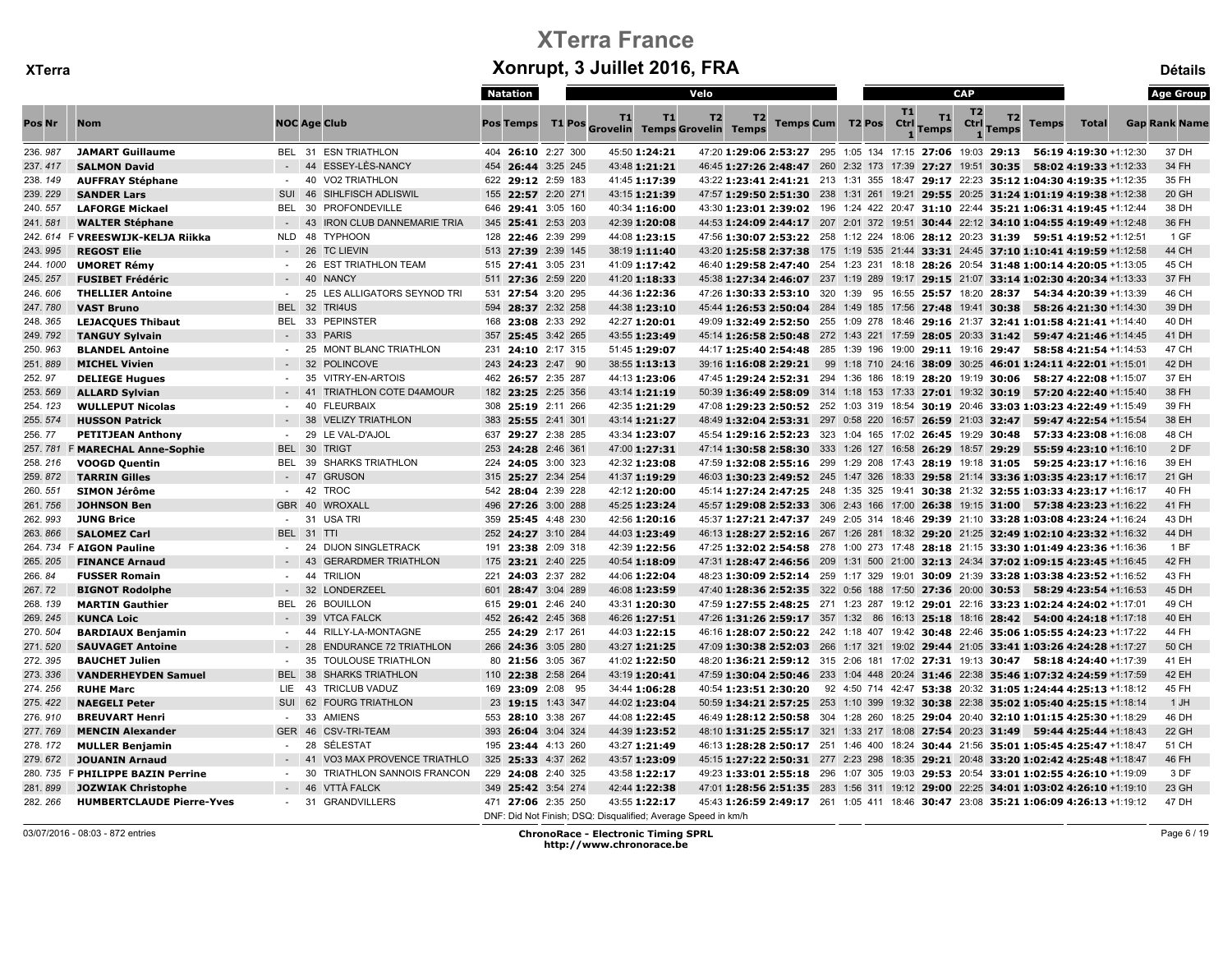|          |                                   |                  |                                        | <b>Natation</b>    |        |                                                                                | Velo                                                                                |  |                                                              |                          |                    | <b>CAP</b>             |                    |              |                        | <b>Age Group</b>     |
|----------|-----------------------------------|------------------|----------------------------------------|--------------------|--------|--------------------------------------------------------------------------------|-------------------------------------------------------------------------------------|--|--------------------------------------------------------------|--------------------------|--------------------|------------------------|--------------------|--------------|------------------------|----------------------|
| Pos Nr   | <b>Nom</b>                        |                  | <b>NOC Age Club</b>                    | <b>Pos Temps</b>   | T1 Pos | T1<br>T1<br><b>Grovelin Temps Grovelin Temps</b>                               | T2<br>T2                                                                            |  | Temps Cum T2 Pos                                             | <b>T1</b><br><b>Ctrl</b> | T1<br><b>Temps</b> | T <sub>2</sub><br>Ctrl | T2<br><b>Temps</b> | <b>Temps</b> | Total                  | <b>Gap Rank Name</b> |
| 236.987  | <b>JAMART Guillaume</b>           |                  | BEL 31 ESN TRIATHLON                   | 404 26:10 2:27 300 |        | 45:50 1:24:21                                                                  | 47:20 1:29:06 2:53:27 295 1:05 134 17:15 27:06 19:03 29:13                          |  |                                                              |                          |                    |                        |                    |              | 56:19 4:19:30 +1:12:30 | 37 DH                |
| 237.417  | <b>SALMON David</b>               |                  | 44 ESSEY-LÈS-NANCY                     | 454 26:44 3:25 245 |        | 43:48 1:21:21                                                                  | 46:45 1:27:26 2:48:47 260 2:32 173 17:39 27:27 19:51 30:35 58:02 4:19:33 +1:12:33   |  |                                                              |                          |                    |                        |                    |              |                        | 34 FH                |
| 238.149  | <b>AUFFRAY Stéphane</b>           | $\sim$ 100 $\mu$ | 40 VO2 TRIATHLON                       | 622 29:12 2:59 183 |        | 41:45 1:17:39                                                                  | 43:22 1:23:41 2:41:21 213 1:31 355 18:47 29:17 22:23 35:12 1:04:30 4:19:35 +1:12:35 |  |                                                              |                          |                    |                        |                    |              |                        | 35 FH                |
| 239.229  | <b>SANDER Lars</b>                | SUI              | 46<br>SIHLFISCH ADLISWIL               | 155 22:57 2:20 271 |        | 43:15 1:21:39                                                                  | 47:57 1:29:50 2:51:30 238 1:31 261 19:21 29:55 20:25 31:24 1:01:19 4:19:38 +1:12:38 |  |                                                              |                          |                    |                        |                    |              |                        | 20 GH                |
| 240.557  | <b>LAFORGE Mickael</b>            | BEL              | PROFONDEVILLE<br>30                    | 646 29:41 3:05 160 |        | 40:34 1:16:00                                                                  | 43:30 1:23:01 2:39:02 196 1:24 422 20:47 31:10 22:44 35:21 1:06:31 4:19:45 +1:12:44 |  |                                                              |                          |                    |                        |                    |              |                        | 38 DH                |
| 241.581  | <b>WALTER Stéphane</b>            |                  | 43<br><b>IRON CLUB DANNEMARIE TRIA</b> | 345 25:41 2:53 203 |        | 42:39 1:20:08                                                                  | 44:53 1:24:09 2:44:17 207 2:01 372 19:51 30:44 22:12 34:10 1:04:55 4:19:49 +1:12:48 |  |                                                              |                          |                    |                        |                    |              |                        | 36 FH                |
|          | 242. 614 F VREESWIJK-KELJA Riikka | NLD              | 48 TYPHOON                             | 128 22:46 2:39 299 |        | 44:08 1:23:15                                                                  | 47:56 1:30:07 2:53:22 258 1:12 224 18:06 28:12 20:23 31:39 59:51 4:19:52 +1:12:51   |  |                                                              |                          |                    |                        |                    |              |                        | 1 GF                 |
| 243.995  | <b>REGOST Elie</b>                |                  | 26<br><b>TC LIEVIN</b>                 | 513 27:39 2:39 145 |        | 38:19 1:11:40                                                                  | 43:20 1:25:58 2:37:38 175 1:19 535 21:44 33:31 24:45 37:10 1:10:41 4:19:59 +1:12:58 |  |                                                              |                          |                    |                        |                    |              |                        | 44 CH                |
| 244.1000 | <b>UMORET Rémy</b>                |                  | <b>EST TRIATHLON TEAM</b><br>26        | 515 27:41 3:05 231 |        | 41:09 1:17:42                                                                  | 46:40 1:29:58 2:47:40 254 1:23 231 18:18 28:26 20:54 31:48 1:00:14 4:20:05 +1:13:05 |  |                                                              |                          |                    |                        |                    |              |                        | 45 CH                |
| 245.257  | <b>FUSIBET Frédéric</b>           |                  | $-40$<br><b>NANCY</b>                  | 511 27:36 2:59 220 |        | 41:20 1:18:33                                                                  | 45:38 1:27:34 2:46:07 237 1:19 289 19:17 29:15 21:07 33:14 1:02:30 4:20:34 +1:13:33 |  |                                                              |                          |                    |                        |                    |              |                        | 37 FH                |
| 246.606  | <b>THELLIER Antoine</b>           | $\sim$           | 25<br>LES ALLIGATORS SEYNOD TRI        | 531 27:54 3:20 295 |        | 44:36 1:22:36                                                                  | 47:26 1:30:33 2:53:10 320 1:39 95 16:55 25:57 18:20 28:37 54:34 4:20:39 +1:13:39    |  |                                                              |                          |                    |                        |                    |              |                        | 46 CH                |
| 247.780  | <b>VAST Bruno</b>                 | <b>BEL 32</b>    | TRI4US                                 | 594 28:37 2:32 258 |        | 44:38 1:23:10                                                                  | 45:44 1:26:53 2:50:04 284 1:49 185 17:56 27:48 19:41 30:38 58:26 4:21:30 +1:14:30   |  |                                                              |                          |                    |                        |                    |              |                        | 39 DH                |
| 248.365  | <b>LEJACQUES Thibaut</b>          | <b>BEL</b>       | <b>PEPINSTER</b><br>33                 | 168 23:08 2:33 292 |        | 42:27 1:20:01                                                                  | 49:09 1:32:49 2:52:50 255 1:09 278 18:46 29:16 21:37 32:41 1:01:58 4:21:41 +1:14:40 |  |                                                              |                          |                    |                        |                    |              |                        | 40 DH                |
| 249.792  | <b>TANGUY Sylvain</b>             |                  | 33<br><b>PARIS</b>                     | 357 25:45 3:42 265 |        | 43:55 1:23:49                                                                  | 45:14 1:26:58 2:50:48 272 1:43 221 17:59 28:05 20:33 31:42 59:47 4:21:46 +1:14:45   |  |                                                              |                          |                    |                        |                    |              |                        | 41 DH                |
| 250.963  | <b>BLANDEL Antoine</b>            | $\sim$           | <b>MONT BLANC TRIATHLON</b><br>25      | 231 24:10 2:17 315 |        | 51:45 1:29:07                                                                  | 44:17 1:25:40 2:54:48 285 1:39 196 19:00 29:11 19:16 29:47 58:58 4:21:54 +1:14:53   |  |                                                              |                          |                    |                        |                    |              |                        | 47 CH                |
| 251.889  | <b>MICHEL Vivien</b>              |                  | 32<br><b>POLINCOVE</b>                 | 243 24:23 2:47 90  |        | 38:55 1:13:13                                                                  | 39:16 1:16:08 2:29:21                                                               |  | 99 1:18 710 24:16 38:09 30:25 46:01 1:24:11 4:22:01 +1:15:01 |                          |                    |                        |                    |              |                        | 42 DH                |
| 252.97   | <b>DELIEGE Hugues</b>             |                  | 35<br>VITRY-EN-ARTOIS                  | 462 26:57 2:35 287 |        | 44:13 1:23:06                                                                  | 47:45 1:29:24 2:52:31 294 1:36 186 18:19 28:20 19:19 30:06                          |  |                                                              |                          |                    |                        |                    |              | 58:27 4:22:08 +1:15:07 | 37 EH                |
| 253.569  | <b>ALLARD Sylvian</b>             |                  | <b>TRIATHLON COTE D4AMOUR</b><br>41    | 182 23:25 2:25 356 |        | 43:14 1:21:19                                                                  | 50:39 1:36:49 2:58:09 314 1:18 153 17:33 27:01 19:32 30:19 57:20 4:22:40 +1:15:40   |  |                                                              |                          |                    |                        |                    |              |                        | 38 FH                |
| 254.123  | <b>WULLEPUT Nicolas</b>           | $\sim$           | 40<br><b>FLEURBAIX</b>                 | 308 25:19 2:11 266 |        | 42:35 1:21:29                                                                  | 47:08 1:29:23 2:50:52 252 1:03 319 18:54 30:19 20:46 33:03 1:03:23 4:22:49 +1:15:49 |  |                                                              |                          |                    |                        |                    |              |                        | 39 FH                |
| 255.574  | <b>HUSSON Patrick</b>             |                  | 38<br><b>VELIZY TRIATHLON</b>          | 383 25:55 2:41 301 |        | 43:14 1:21:27                                                                  | 48:49 1:32:04 2:53:31 297 0:58 220 16:57 26:59 21:03 32:47                          |  |                                                              |                          |                    |                        |                    |              | 59:47 4:22:54 +1:15:54 | 38 EH                |
| 256.77   | <b>PETITJEAN Anthony</b>          | $\sim$           | 29<br>LE VAL-D'AJOL                    | 637 29:27 2:38 285 |        | 43:34 1:23:07                                                                  | 45:54 1:29:16 2:52:23 323 1:04 165 17:02 26:45 19:29 30:48                          |  |                                                              |                          |                    |                        |                    |              | 57:33 4:23:08 +1:16:08 | 48 CH                |
| 257.781  | <b>F MARECHAL Anne-Sophie</b>     | BEL 30           | <b>TRIGT</b>                           | 253 24:28 2:46 361 |        | 47:00 1:27:31                                                                  | 47:14 1:30:58 2:58:30 333 1:26 127 16:58 26:29 18:57 29:29                          |  |                                                              |                          |                    |                        |                    |              | 55:59 4:23:10 +1:16:10 | 2 DF                 |
| 258.216  | <b>VOOGD Quentin</b>              | <b>BEL 39</b>    | <b>SHARKS TRIATHLON</b>                | 224 24:05 3:00 323 |        | 42:32 1:23:08                                                                  | 47:59 1:32:08 2:55:16 299 1:29 208 17:43 28:19 19:18 31:05 59:25 4:23:17 +1:16:16   |  |                                                              |                          |                    |                        |                    |              |                        | 39 EH                |
| 259.872  | <b>TARRIN Gilles</b>              |                  | $-47$<br><b>GRUSON</b>                 | 315 25:27 2:34 254 |        | 41:37 1:19:29                                                                  | 46:03 1:30:23 2:49:52 245 1:47 326 18:33 29:58 21:14 33:36 1:03:35 4:23:17 +1:16:17 |  |                                                              |                          |                    |                        |                    |              |                        | 21 GH                |
| 260.551  | <b>SIMON Jérôme</b>               | $\sim$           | 42 TROC                                | 542 28:04 2:39 228 |        | 42:12 1:20:00                                                                  | 45:14 1:27:24 2:47:25 248 1:35 325 19:41 30:38 21:32 32:55 1:03:33 4:23:17 +1:16:17 |  |                                                              |                          |                    |                        |                    |              |                        | 40 FH                |
| 261.756  | <b>JOHNSON Ben</b>                |                  | GBR 40 WROXALL                         | 496 27:26 3:00 288 |        | 45:25 1:23:24                                                                  | 45:57 1:29:08 2:52:33 306 2:43 166 17:00 26:38 19:15 31:00 57:38 4:23:23 +1:16:22   |  |                                                              |                          |                    |                        |                    |              |                        | 41 FH                |
| 262.993  | <b>JUNG Brice</b>                 |                  | 31 USA TRI                             | 359 25:45 4:48 230 |        | 42:56 1:20:16                                                                  | 45:37 1:27:21 2:47:37 249 2:05 314 18:46 29:39 21:10 33:28 1:03:08 4:23:24 +1:16:24 |  |                                                              |                          |                    |                        |                    |              |                        | 43 DH                |
| 263.866  | <b>SALOMEZ Carl</b>               |                  | BEL 31 TTI                             | 252 24:27 3:10 284 |        | 44:03 1:23:49                                                                  | 46:13 1:28:27 2:52:16 267 1:26 281 18:32 29:20 21:25 32:49 1:02:10 4:23:32 +1:16:32 |  |                                                              |                          |                    |                        |                    |              |                        | 44 DH                |
|          | 264.734 F AIGON Pauline           |                  | 24<br><b>DIJON SINGLETRACK</b>         | 191 23:38 2:09 318 |        | 42:39 1:22:56                                                                  | 47:25 1:32:02 2:54:58 278 1:00 273 17:48 28:18 21:15 33:30 1:01:49 4:23:36 +1:16:36 |  |                                                              |                          |                    |                        |                    |              |                        | 1 <sub>BF</sub>      |
| 265.205  | <b>FINANCE Arnaud</b>             |                  | <b>GERARDMER TRIATHLON</b><br>43       | 175 23:21 2:40 225 |        | 40:54 1:18:09                                                                  | 47:31 1:28:47 2:46:56 209 1:31 500 21:00 32:13 24:34 37:02 1:09:15 4:23:45 +1:16:45 |  |                                                              |                          |                    |                        |                    |              |                        | 42 FH                |
| 266.84   | <b>FUSSER Romain</b>              | $\sim$           | 44<br><b>TRILION</b>                   | 221 24:03 2:37 282 |        | 44:06 1:22:04                                                                  | 48:23 1:30:09 2:52:14 259 1:17 329 19:01 30:09 21:39 33:28 1:03:38 4:23:52 +1:16:52 |  |                                                              |                          |                    |                        |                    |              |                        | 43 FH                |
| 267.72   | <b>BIGNOT Rodolphe</b>            |                  | 32<br><b>LONDERZEEL</b>                | 601 28:47 3:04 289 |        | 46:08 1:23:59                                                                  | 47:40 1:28:36 2:52:35 322 0:56 188 17:50 27:36 20:00 30:53 58:29 4:23:54 +1:16:53   |  |                                                              |                          |                    |                        |                    |              |                        | 45 DH                |
| 268.139  | <b>MARTIN Gauthier</b>            | BEL 26           | <b>BOUILLON</b>                        | 615 29:01 2:46 240 |        | 43:31 1:20:30                                                                  | 47:59 1:27:55 2:48:25 271 1:23 287 19:12 29:01 22:16 33:23 1:02:24 4:24:02 +1:17:01 |  |                                                              |                          |                    |                        |                    |              |                        | 49 CH                |
| 269.245  | <b>KUNCA Loic</b>                 |                  | 39<br><b>VTCA FALCK</b>                | 452 26:42 2:45 368 |        | 46:26 1:27:51                                                                  | 47:26 1:31:26 2:59:17 357 1:32 86 16:13 25:18 18:16 28:42 54:00 4:24:18 +1:17:18    |  |                                                              |                          |                    |                        |                    |              |                        | 40 EH                |
| 270.504  | <b>BARDIAUX Benjamin</b>          | $\sim$           | RILLY-LA-MONTAGNE<br>44                | 255 24:29 2:17 261 |        | 44:03 1:22:15                                                                  | 46:16 1:28:07 2:50:22 242 1:18 407 19:42 30:48 22:46 35:06 1:05:55 4:24:23 +1:17:22 |  |                                                              |                          |                    |                        |                    |              |                        | 44 FH                |
| 271.520  | <b>SAUVAGET Antoine</b>           |                  | 28<br><b>ENDURANCE 72 TRIATHLON</b>    | 266 24:36 3:05 280 |        | 43:27 1:21:25                                                                  | 47:09 1:30:38 2:52:03 266 1:17 321 19:02 29:44 21:05 33:41 1:03:26 4:24:28 +1:17:27 |  |                                                              |                          |                    |                        |                    |              |                        | 50 CH                |
| 272.395  | <b>BAUCHET Julien</b>             | $\sim$           | 35<br><b>TOULOUSE TRIATHLON</b>        | 80 21:56 3:05 367  |        | 41:02 1:22:50                                                                  | 48:20 1:36:21 2:59:12 315 2:06 181 17:02 27:31 19:13 30:47 58:18 4:24:40 +1:17:39   |  |                                                              |                          |                    |                        |                    |              |                        | 41 EH                |
| 273.336  | <b>VANDERHEYDEN Samuel</b>        | <b>BEL 38</b>    | <b>SHARKS TRIATHLON</b>                | 110 22:38 2:58 264 |        | 43:19 1:20:41                                                                  | 47:59 1:30:04 2:50:46 233 1:04 448 20:24 31:46 22:38 35:46 1:07:32 4:24:59 +1:17:59 |  |                                                              |                          |                    |                        |                    |              |                        | 42 EH                |
| 274.256  | <b>RUHE Marc</b>                  | LIE              | 43<br><b>TRICLUB VADUZ</b>             | 169 23:09 2:08 95  |        | 34:44 1:06:28                                                                  | 40:54 1:23:51 2:30:20                                                               |  | 92 4:50 714 42:47 53:38 20:32 31:05 1:24:44 4:25:13 +1:18:12 |                          |                    |                        |                    |              |                        | 45 FH                |
| 275.422  | <b>NAEGELI Peter</b>              | SUI 62           | <b>FOURG TRIATHLON</b>                 | 23 19:15 1:43 347  |        | 44:02 1:23:04                                                                  | 50:59 1:34:21 2:57:25 253 1:10 399 19:32 30:38 22:38 35:02 1:05:40 4:25:15 +1:18:14 |  |                                                              |                          |                    |                        |                    |              |                        | 1 JH                 |
| 276.910  | <b>BREUVART Henri</b>             |                  | 33<br><b>AMIENS</b>                    | 553 28:10 3:38 267 |        | 44:08 1:22:45                                                                  | 46:49 1:28:12 2:50:58 304 1:28 260 18:25 29:04 20:40 32:10 1:01:15 4:25:30 +1:18:29 |  |                                                              |                          |                    |                        |                    |              |                        | 46 DH                |
| 277.769  | <b>MENCIN Alexander</b>           | GER 46           | <b>CSV-TRI-TEAM</b>                    | 393 26:04 3:04 324 |        | 44:39 1:23:52                                                                  | 48:10 1:31:25 2:55:17 321 1:33 217 18:08 27:54 20:23 31:49 59:44 4:25:44 +1:18:43   |  |                                                              |                          |                    |                        |                    |              |                        | 22 GH                |
| 278.172  | <b>MULLER Benjamin</b>            |                  | 28<br>SÉLESTAT                         | 195 23:44 4:13 260 |        | 43:27 1:21:49                                                                  | 46:13 1:28:28 2:50:17 251 1:46 400 18:24 30:44 21:56 35:01 1:05:45 4:25:47 +1:18:47 |  |                                                              |                          |                    |                        |                    |              |                        | 51 CH                |
| 279.672  | <b>JOUANIN Arnaud</b>             |                  | VO3 MAX PROVENCE TRIATHLO<br>41        | 325 25:33 4:37 262 |        | 43:57 1:23:09                                                                  | 45:15 1:27:22 2:50:31 277 2:23 298 18:35 29:21 20:48 33:20 1:02:42 4:25:48 +1:18:47 |  |                                                              |                          |                    |                        |                    |              |                        | 46 FH                |
|          | 280. 735 F PHILIPPE BAZIN Perrine | $\sim$           | TRIATHLON SANNOIS FRANCON<br>-30       | 229 24:08 2:40 325 |        | 43:58 1:22:17                                                                  | 49:23 1:33:01 2:55:18 296 1:07 305 19:03 29:53 20:54 33:01 1:02:55 4:26:10 +1:19:09 |  |                                                              |                          |                    |                        |                    |              |                        | 3 DF                 |
| 281.899  | <b>JOZWIAK Christophe</b>         |                  | 46<br><b>VTTÀ FALCK</b>                | 349 25:42 3:54 274 |        | 42:44 1:22:38                                                                  | 47:01 1:28:56 2:51:35 283 1:56 311 19:12 29:00 22:25 34:01 1:03:02 4:26:10 +1:19:10 |  |                                                              |                          |                    |                        |                    |              |                        | 23 GH                |
| 282.266  | <b>HUMBERTCLAUDE Pierre-Yves</b>  |                  | - 31 GRANDVILLERS                      | 471 27:06 2:35 250 |        | 43:55 1:22:17<br>DNF: Did Not Finish; DSQ: Disqualified; Average Speed in km/h | 45:43 1:26:59 2:49:17 261 1:05 411 18:46 30:47 23:08 35:21 1:06:09 4:26:13 +1:19:12 |  |                                                              |                          |                    |                        |                    |              |                        | 47 DH                |

03/07/2016 - 08:03 - 872 entries ChronoRace - Electronic Timing SPRL http://www.chronorace.be

Page 6 / 19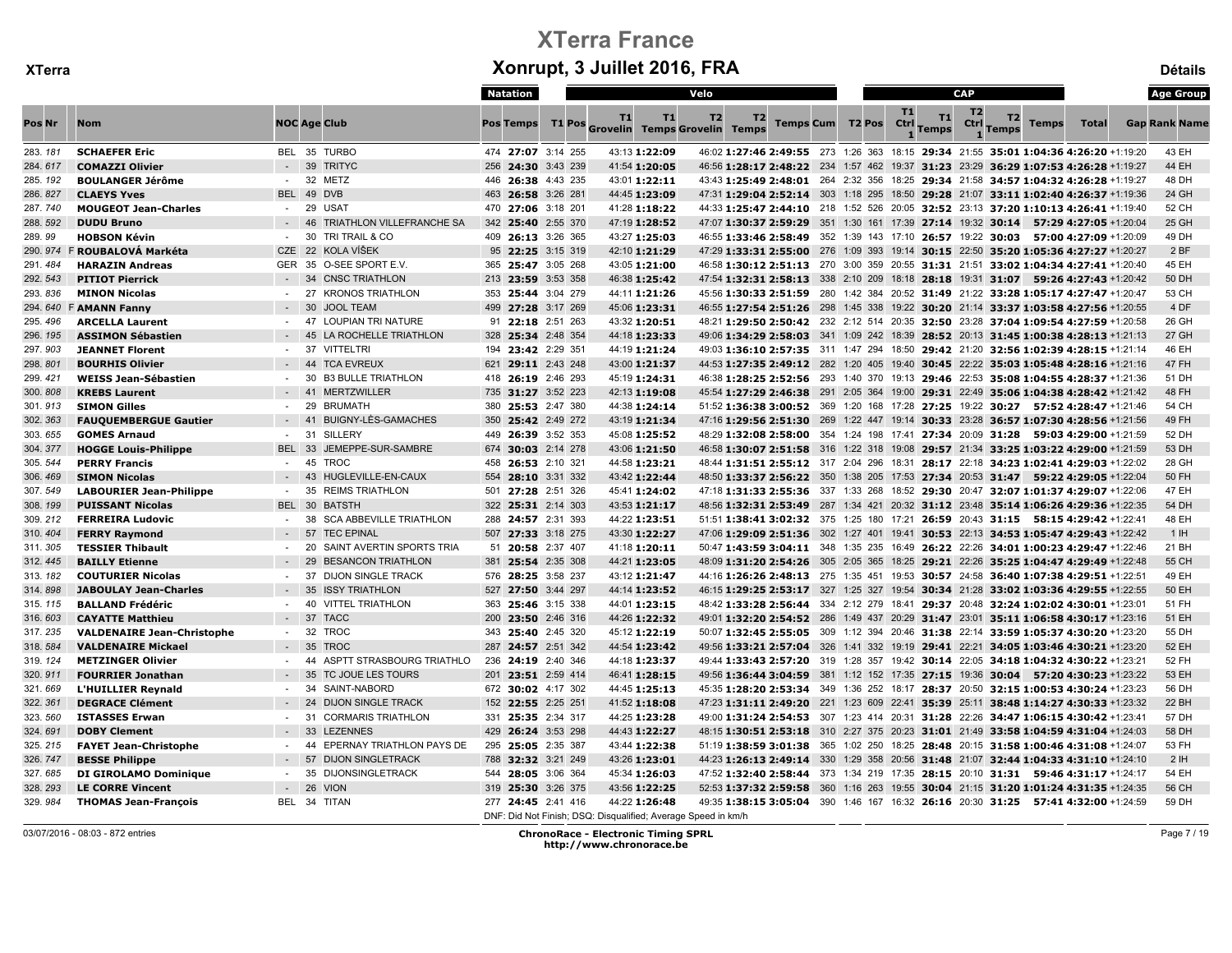|         |                                   |               |                                        | Natation           |                                                               | Velo                                                                                                   |                             |           | <b>CAP</b>     |                                  |              | <b>Age Group</b>     |
|---------|-----------------------------------|---------------|----------------------------------------|--------------------|---------------------------------------------------------------|--------------------------------------------------------------------------------------------------------|-----------------------------|-----------|----------------|----------------------------------|--------------|----------------------|
| Pos Nr  | <b>Nom</b>                        |               | <b>NOC Age Club</b>                    | <b>Pos Temps</b>   | T1<br>T1<br>T1 Pos Grovelin Temps Grovelin Temps              | T <sub>2</sub><br>T2                                                                                   | Temps Cum T2 Pos Ctrl Temps | <b>T1</b> | T <sub>2</sub> | T2<br>Ctrl Temps<br><b>Temps</b> | <b>Total</b> | <b>Gap Rank Name</b> |
| 283.181 | <b>SCHAEFER Eric</b>              |               | BEL 35 TURBO                           | 474 27:07 3:14 255 | 43:13 1:22:09                                                 | 46:02 1:27:46 2:49:55 273 1:26 363 18:15 29:34 21:55 35:01 1:04:36 4:26:20 +1:19:20                    |                             |           |                |                                  |              | 43 EH                |
| 284.617 | <b>COMAZZI Olivier</b>            |               | <b>TRITYC</b><br>$-39$                 | 256 24:30 3:43 239 | 41:54 1:20:05                                                 | 46:56 1:28:17 2:48:22 234 1:57 462 19:37 31:23 23:29 36:29 1:07:53 4:26:28 +1:19:27                    |                             |           |                |                                  |              | 44 EH                |
| 285.192 | <b>BOULANGER Jérôme</b>           |               | - 32 METZ                              | 446 26:38 4:43 235 | 43:01 1:22:11                                                 | 43:43 1:25:49 2:48:01 264 2:32 356 18:25 29:34 21:58 34:57 1:04:32 4:26:28 +1:19:27                    |                             |           |                |                                  |              | 48 DH                |
| 286.827 | <b>CLAEYS Yves</b>                |               | BEL 49 DVB                             | 463 26:58 3:26 281 | 44:45 1:23:09                                                 | 47:31 1:29:04 2:52:14 303 1:18 295 18:50 29:28 21:07 33:11 1:02:40 4:26:37 +1:19:36                    |                             |           |                |                                  |              | 24 GH                |
| 287.740 | <b>MOUGEOT Jean-Charles</b>       |               | 29 USAT                                | 470 27:06 3:18 201 | 41:28 1:18:22                                                 | 44:33 1:25:47 2:44:10 218 1:52 526 20:05 32:52 23:13 37:20 1:10:13 4:26:41 +1:19:40                    |                             |           |                |                                  |              | 52 CH                |
| 288.592 | <b>DUDU Bruno</b>                 |               | 46<br><b>TRIATHLON VILLEFRANCHE SA</b> | 342 25:40 2:55 370 | 47:19 1:28:52                                                 | 47:07 1:30:37 2:59:29 351 1:30 161 17:39 27:14 19:32 30:14 57:29 4:27:05 +1:20:04                      |                             |           |                |                                  |              | 25 GH                |
| 289.99  | <b>HOBSON Kévin</b>               |               | TRI TRAIL & CO<br>- 30                 | 409 26:13 3:26 365 | 43:27 1:25:03                                                 | 46:55 <b>1:33:46 2:58:49</b> 352 1:39 143 17:10 <b>26:57</b> 19:22 <b>30:03 57:00 4:27:09</b> +1:20:09 |                             |           |                |                                  |              | 49 DH                |
| 290.974 | F ROUBALOVÁ Markéta               | CZE 22        | KOLA VÍŠEK                             | 95 22:25 3:15 319  | 42:10 1:21:29                                                 | 47:29 1:33:31 2:55:00 276 1:09 393 19:14 30:15 22:50 35:20 1:05:36 4:27:27 +1:20:27                    |                             |           |                |                                  |              | 2 BF                 |
| 291.484 | <b>HARAZIN Andreas</b>            |               | GER 35 O-SEE SPORT E.V.                | 365 25:47 3:05 268 | 43:05 1:21:00                                                 | 46:58 1:30:12 2:51:13 270 3:00 359 20:55 31:31 21:51 33:02 1:04:34 4:27:41 +1:20:40                    |                             |           |                |                                  |              | 45 EH                |
| 292.543 | <b>PITIOT Pierrick</b>            |               | $-34$<br><b>CNSC TRIATHLON</b>         | 213 23:59 3:53 358 | 46:38 1:25:42                                                 | 47:54 1:32:31 2:58:13 338 2:10 209 18:18 28:18 19:31 31:07 59:26 4:27:43 +1:20:42                      |                             |           |                |                                  |              | 50 DH                |
| 293.836 | <b>MINON Nicolas</b>              |               | 27<br><b>KRONOS TRIATHLON</b>          | 353 25:44 3:04 279 | 44:11 1:21:26                                                 | 45:56 1:30:33 2:51:59 280 1:42 384 20:52 31:49 21:22 33:28 1:05:17 4:27:47 +1:20:47                    |                             |           |                |                                  |              | 53 CH                |
|         | 294. 640 F AMANN Fanny            |               | $-30$<br><b>JOOL TEAM</b>              | 499 27:28 3:17 269 | 45:06 1:23:31                                                 | 46:55 1:27:54 2:51:26 298 1:45 338 19:22 30:20 21:14 33:37 1:03:58 4:27:56 +1:20:55                    |                             |           |                |                                  |              | 4 DF                 |
| 295.496 | <b>ARCELLA Laurent</b>            |               | <b>LOUPIAN TRI NATURE</b><br>47        | 91 22:18 2:51 263  | 43:32 1:20:51                                                 | 48:21 1:29:50 2:50:42 232 2:12 514 20:35 32:50 23:28 37:04 1:09:54 4:27:59 +1:20:58                    |                             |           |                |                                  |              | 26 GH                |
| 296.195 | <b>ASSIMON Sébastien</b>          |               | LA ROCHELLE TRIATHLON<br>45            | 328 25:34 2:48 354 | 44:18 1:23:33                                                 | 49:06 1:34:29 2:58:03 341 1:09 242 18:39 28:52 20:13 31:45 1:00:38 4:28:13 +1:21:13                    |                             |           |                |                                  |              | 27 GH                |
| 297.903 | <b>JEANNET Florent</b>            |               | 37<br><b>VITTELTRI</b>                 | 194 23:42 2:29 351 | 44:19 1:21:24                                                 | 49:03 1:36:10 2:57:35 311 1:47 294 18:50 29:42 21:20 32:56 1:02:39 4:28:15 +1:21:14                    |                             |           |                |                                  |              | 46 EH                |
| 298.801 | <b>BOURHIS Olivier</b>            |               | $-44$<br><b>TCA EVREUX</b>             | 621 29:11 2:43 248 | 43:00 1:21:37                                                 | 44:53 1:27:35 2:49:12 282 1:20 405 19:40 30:45 22:22 35:03 1:05:48 4:28:16 +1:21:16                    |                             |           |                |                                  |              | 47 FH                |
| 299.421 | <b>WEISS Jean-Sébastien</b>       |               | 30<br><b>B3 BULLE TRIATHLON</b>        | 418 26:19 2:46 293 | 45:19 1:24:31                                                 | 46:38 1:28:25 2:52:56 293 1:40 370 19:13 29:46 22:53 35:08 1:04:55 4:28:37 +1:21:36                    |                             |           |                |                                  |              | 51 DH                |
| 300.808 | <b>KREBS Laurent</b>              |               | 41<br><b>MERTZWILLER</b>               | 735 31:27 3:52 223 | 42:13 1:19:08                                                 | 45:54 1:27:29 2:46:38 291 2:05 364 19:00 29:31 22:49 35:06 1:04:38 4:28:42 +1:21:42                    |                             |           |                |                                  |              | 48 FH                |
| 301.913 | <b>SIMON Gilles</b>               |               | 29<br><b>BRUMATH</b>                   | 380 25:53 2:47 380 | 44:38 1:24:14                                                 | 51:52 1:36:38 3:00:52 369 1:20 168 17:28 27:25 19:22 30:27 57:52 4:28:47 +1:21:46                      |                             |           |                |                                  |              | 54 CH                |
| 302.363 | <b>FAUQUEMBERGUE Gautier</b>      |               | <b>BUIGNY-LÈS-GAMACHES</b><br>41       | 350 25:42 2:49 272 | 43:19 1:21:34                                                 | 47:16 1:29:56 2:51:30 269 1:22 447 19:14 30:33 23:28 36:57 1:07:30 4:28:56 +1:21:56                    |                             |           |                |                                  |              | 49 FH                |
| 303.655 | <b>GOMES Arnaud</b>               |               | $-31$<br>SILLERY                       | 449 26:39 3:52 353 | 45:08 1:25:52                                                 | 48:29 1:32:08 2:58:00 354 1:24 198 17:41 27:34 20:09 31:28 59:03 4:29:00 +1:21:59                      |                             |           |                |                                  |              | 52 DH                |
| 304.377 | <b>HOGGE Louis-Philippe</b>       | <b>BEL 33</b> | JEMEPPE-SUR-SAMBRE                     | 674 30:03 2:14 278 | 43:06 1:21:50                                                 | 46:58 1:30:07 2:51:58 316 1:22 318 19:08 29:57 21:34 33:25 1:03:22 4:29:00 +1:21:59                    |                             |           |                |                                  |              | 53 DH                |
| 305.544 | <b>PERRY Francis</b>              |               | 45<br><b>TROC</b>                      | 458 26:53 2:10 321 | 44:58 1:23:21                                                 | 48:44 1:31:51 2:55:12 317 2:04 296 18:31 28:17 22:18 34:23 1:02:41 4:29:03 +1:22:02                    |                             |           |                |                                  |              | 28 GH                |
| 306.469 | <b>SIMON Nicolas</b>              |               | HUGLEVILLE-EN-CAUX<br>43               | 554 28:10 3:31 332 | 43:42 1:22:44                                                 | 48:50 1:33:37 2:56:22 350 1:38 205 17:53 27:34 20:53 31:47 59:22 4:29:05 +1:22:04                      |                             |           |                |                                  |              | 50 FH                |
| 307.549 | <b>LABOURIER Jean-Philippe</b>    |               | $-35$<br><b>REIMS TRIATHLON</b>        | 501 27:28 2:51 326 | 45:41 1:24:02                                                 | 47:18 1:31:33 2:55:36 337 1:33 268 18:52 29:30 20:47 32:07 1:01:37 4:29:07 +1:22:06                    |                             |           |                |                                  |              | 47 EH                |
| 308.199 | <b>PUISSANT Nicolas</b>           | BEL 30        | <b>BATSTH</b>                          | 322 25:31 2:14 303 | 43:53 1:21:17                                                 | 48:56 1:32:31 2:53:49 287 1:34 421 20:32 31:12 23:48 35:14 1:06:26 4:29:36 +1:22:35                    |                             |           |                |                                  |              | 54 DH                |
| 309.212 | <b>FERREIRA Ludovic</b>           |               | <b>SCA ABBEVILLE TRIATHLON</b><br>-38  | 288 24:57 2:31 393 | 44:22 1:23:51                                                 | 51:51 1:38:41 3:02:32 375 1:25 180 17:21 26:59 20:43 31:15 58:15 4:29:42 +1:22:41                      |                             |           |                |                                  |              | 48 EH                |
| 310.404 | <b>FERRY Raymond</b>              |               | $-57$<br><b>TEC EPINAL</b>             | 507 27:33 3:18 275 | 43:30 1:22:27                                                 | 47:06 1:29:09 2:51:36 302 1:27 401 19:41 30:53 22:13 34:53 1:05:47 4:29:43 +1:22:42                    |                             |           |                |                                  |              | 1H                   |
| 311.305 | <b>TESSIER Thibault</b>           | $\sim$        | SAINT AVERTIN SPORTS TRIA<br>20        | 51 20:58 2:37 407  | 41:18 1:20:11                                                 | 50:47 1:43:59 3:04:11 348 1:35 235 16:49 26:22 22:26 34:01 1:00:23 4:29:47 +1:22:46                    |                             |           |                |                                  |              | 21 BH                |
| 312.445 | <b>BAILLY Etienne</b>             |               | 29<br><b>BESANCON TRIATHLON</b>        | 381 25:54 2:35 308 | 44:21 1:23:05                                                 | 48:09 1:31:20 2:54:26 305 2:05 365 18:25 29:21 22:26 35:25 1:04:47 4:29:49 +1:22:48                    |                             |           |                |                                  |              | 55 CH                |
| 313.182 | <b>COUTURIER Nicolas</b>          | $\sim$        | -37<br><b>DIJON SINGLE TRACK</b>       | 576 28:25 3:58 237 | 43:12 1:21:47                                                 | 44:16 1:26:26 2:48:13 275 1:35 451 19:53 30:57 24:58 36:40 1:07:38 4:29:51 +1:22:51                    |                             |           |                |                                  |              | 49 EH                |
| 314.898 | <b>JABOULAY Jean-Charles</b>      |               | $-35$<br><b>ISSY TRIATHLON</b>         | 527 27:50 3:44 297 | 44:14 1:23:52                                                 | 46:15 1:29:25 2:53:17 327 1:25 327 19:54 30:34 21:28 33:02 1:03:36 4:29:55 +1:22:55                    |                             |           |                |                                  |              | 50 EH                |
| 315.115 | <b>BALLAND Frédéric</b>           | $\sim$        | 40<br><b>VITTEL TRIATHLON</b>          | 363 25:46 3:15 338 | 44:01 1:23:15                                                 | 48:42 1:33:28 2:56:44 334 2:12 279 18:41 29:37 20:48 32:24 1:02:02 4:30:01 +1:23:01                    |                             |           |                |                                  |              | 51 FH                |
| 316.603 | <b>CAYATTE Matthieu</b>           | $-37$         | <b>TACC</b>                            | 200 23:50 2:46 316 | 44:26 1:22:32                                                 | 49:01 1:32:20 2:54:52 286 1:49 437 20:29 31:47 23:01 35:11 1:06:58 4:30:17 +1:23:16                    |                             |           |                |                                  |              | 51 EH                |
| 317.235 | <b>VALDENAIRE Jean-Christophe</b> |               | $-32$<br><b>TROC</b>                   | 343 25:40 2:45 320 | 45:12 1:22:19                                                 | 50:07 1:32:45 2:55:05 309 1:12 394 20:46 31:38 22:14 33:59 1:05:37 4:30:20 +1:23:20                    |                             |           |                |                                  |              | 55 DH                |
| 318.584 | <b>VALDENAIRE Mickael</b>         |               | 35<br><b>TROC</b>                      | 287 24:57 2:51 342 | 44:54 1:23:42                                                 | 49:56 1:33:21 2:57:04 326 1:41 332 19:19 29:41 22:21 34:05 1:03:46 4:30:21 +1:23:20                    |                             |           |                |                                  |              | 52 EH                |
| 319.124 | <b>METZINGER Olivier</b>          |               | ASPTT STRASBOURG TRIATHLO<br>44        | 236 24:19 2:40 346 | 44:18 1:23:37                                                 | 49:44 1:33:43 2:57:20 319 1:28 357 19:42 30:14 22:05 34:18 1:04:32 4:30:22 +1:23:21                    |                             |           |                |                                  |              | 52 FH                |
| 320.911 | <b>FOURRIER Jonathan</b>          |               | 35<br>TC JOUE LES TOURS                | 201 23:51 2:59 414 | 46:41 1:28:15                                                 | 49:56 1:36:44 3:04:59 381 1:12 152 17:35 27:15 19:36 30:04 57:20 4:30:23 +1:23:22                      |                             |           |                |                                  |              | 53 EH                |
| 321.669 | L'HUILLIER Reynald                | $\sim$        | -34<br>SAINT-NABORD                    | 672 30:02 4:17 302 | 44:45 1:25:13                                                 | 45:35 1:28:20 2:53:34 349 1:36 252 18:17 28:37 20:50 32:15 1:00:53 4:30:24 +1:23:23                    |                             |           |                |                                  |              | 56 DH                |
| 322.361 | <b>DEGRACE Clément</b>            |               | 24<br><b>DIJON SINGLE TRACK</b>        | 152 22:55 2:25 251 | 41:52 1:18:08                                                 | 47:23 1:31:11 2:49:20 221 1:23 609 22:41 35:39 25:11 38:48 1:14:27 4:30:33 +1:23:32                    |                             |           |                |                                  |              | 22 BH                |
| 323.560 | <b>ISTASSES Erwan</b>             | $-31$         | <b>CORMARIS TRIATHLON</b>              | 331 25:35 2:34 317 | 44:25 1:23:28                                                 | 49:00 1:31:24 2:54:53 307 1:23 414 20:31 31:28 22:26 34:47 1:06:15 4:30:42 +1:23:41                    |                             |           |                |                                  |              | 57 DH                |
| 324.691 | <b>DOBY Clement</b>               |               | 33<br><b>LEZENNES</b>                  | 429 26:24 3:53 298 | 44:43 1:22:27                                                 | 48:15 1:30:51 2:53:18 310 2:27 375 20:23 31:01 21:49 33:58 1:04:59 4:31:04 +1:24:03                    |                             |           |                |                                  |              | 58 DH                |
| 325.215 | <b>FAYET Jean-Christophe</b>      |               | EPERNAY TRIATHLON PAYS DE<br>-44       | 295 25:05 2:35 387 | 43:44 1:22:38                                                 | 51:19 1:38:59 3:01:38 365 1:02 250 18:25 28:48 20:15 31:58 1:00:46 4:31:08 +1:24:07                    |                             |           |                |                                  |              | 53 FH                |
| 326.747 | <b>BESSE Philippe</b>             |               | 57<br><b>DIJON SINGLETRACK</b>         | 788 32:32 3:21 249 | 43:26 1:23:01                                                 | 44:23 1:26:13 2:49:14 330 1:29 358 20:56 31:48 21:07 32:44 1:04:33 4:31:10 +1:24:10                    |                             |           |                |                                  |              | 2 <sub>IH</sub>      |
| 327.685 | <b>DI GIROLAMO Dominique</b>      |               | <b>DIJONSINGLETRACK</b><br>35          | 544 28:05 3:06 364 | 45:34 1:26:03                                                 | 47:52 1:32:40 2:58:44 373 1:34 219 17:35 28:15 20:10 31:31 59:46 4:31:17 +1:24:17                      |                             |           |                |                                  |              | 54 EH                |
| 328.293 | <b>LE CORRE Vincent</b>           |               | $-26$<br><b>VION</b>                   | 319 25:30 3:26 375 | 43:56 1:22:25                                                 | 52:53 1:37:32 2:59:58 360 1:16 263 19:55 30:04 21:15 31:20 1:01:24 4:31:35 +1:24:35                    |                             |           |                |                                  |              | 56 CH                |
| 329.984 | <b>THOMAS Jean-François</b>       |               | BEL 34 TITAN                           | 277 24:45 2:41 416 | 44:22 1:26:48                                                 | 49:35 1:38:15 3:05:04 390 1:46 167 16:32 26:16 20:30 31:25 57:41 4:32:00 +1:24:59                      |                             |           |                |                                  |              | 59 DH                |
|         |                                   |               |                                        |                    | DNF: Did Not Finish: DSQ: Disqualified: Average Speed in km/h |                                                                                                        |                             |           |                |                                  |              |                      |

03/07/2016 - 08:03 - 872 entries ChronoRace - Electronic Timing SPRL http://www.chronorace.be

Page 7 / 19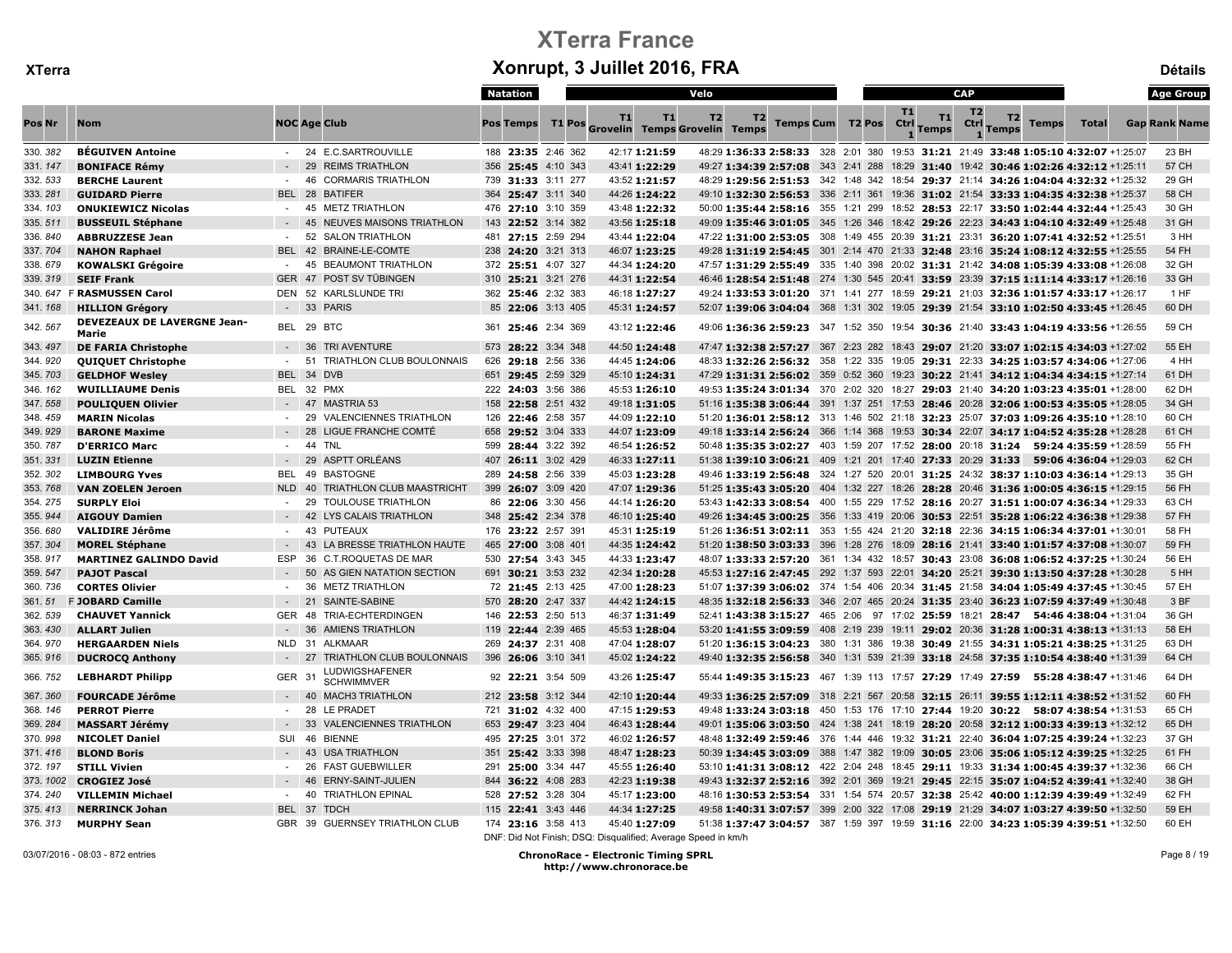|                    |                                             |                          |                                                           | Natation                                 |               |                                                               | Velo     |                  |                   |                    | CAP                    |                                                                                                                                                                            |              | <b>Age Group</b>     |
|--------------------|---------------------------------------------|--------------------------|-----------------------------------------------------------|------------------------------------------|---------------|---------------------------------------------------------------|----------|------------------|-------------------|--------------------|------------------------|----------------------------------------------------------------------------------------------------------------------------------------------------------------------------|--------------|----------------------|
| Pos Nr             | <b>Nom</b>                                  |                          | <b>NOC Age Club</b>                                       | <b>Pos Temps</b>                         | <b>T1 Pos</b> | T1<br>T1<br><b>Grovelin Temps Grovelin Temps</b>              | T2<br>T2 | Temps Cum T2 Pos | <b>T1</b><br>Ctrl | T1<br><b>Temps</b> | T <sub>2</sub><br>Ctrl | T <sub>2</sub><br><b>Temps</b><br>Temps                                                                                                                                    | <b>Total</b> | <b>Gap Rank Name</b> |
| 330.382            | <b>BÉGUIVEN Antoine</b>                     |                          | - 24 E.C.SARTROUVILLE                                     | 188 23:35 2:46 362                       |               | 42:17 1:21:59                                                 |          |                  |                   |                    |                        | 48:29 1:36:33 2:58:33 328 2:01 380 19:53 31:21 21:49 33:48 1:05:10 4:32:07 +1:25:07                                                                                        |              | 23 BH                |
| 331.147            | <b>BONIFACE Rémy</b>                        |                          | 29<br><b>REIMS TRIATHLON</b>                              | 356 25:45 4:10 343                       |               | 43:41 1:22:29                                                 |          |                  |                   |                    |                        | 49:27 1:34:39 2:57:08 343 2:41 288 18:29 31:40 19:42 30:46 1:02:26 4:32:12 +1:25:11                                                                                        |              | 57 CH                |
| 332.533            | <b>BERCHE Laurent</b>                       | $\sim$                   | 46<br><b>CORMARIS TRIATHLON</b>                           | 739 31:33 3:11 277                       |               | 43:52 1:21:57                                                 |          |                  |                   |                    |                        | 48:29 1:29:56 2:51:53 342 1:48 342 18:54 29:37 21:14 34:26 1:04:04 4:32:32 +1:25:32                                                                                        |              | 29 GH                |
| 333.281            | <b>GUIDARD Pierre</b>                       | BEL 28                   | <b>BATIFER</b>                                            | 364 25:47 3:11 340                       |               | 44:26 1:24:22                                                 |          |                  |                   |                    |                        | 49:10 1:32:30 2:56:53 336 2:11 361 19:36 31:02 21:54 33:33 1:04:35 4:32:38 +1:25:37                                                                                        |              | 58 CH                |
| 334.103            | <b>ONUKIEWICZ Nicolas</b>                   | $\sim$                   | 45 METZ TRIATHLON                                         | 476 27:10 3:10 359                       |               | 43:48 1:22:32                                                 |          |                  |                   |                    |                        | 50:00 1:35:44 2:58:16 355 1:21 299 18:52 28:53 22:17 33:50 1:02:44 4:32:44 +1:25:43                                                                                        |              | 30 GH                |
| 335.511            | <b>BUSSEUIL Stéphane</b>                    |                          | - 45 NEUVES MAISONS TRIATHLON                             | 143 22:52 3:14 382                       |               | 43:56 1:25:18                                                 |          |                  |                   |                    |                        | 49:09 1:35:46 3:01:05 345 1:26 346 18:42 29:26 22:23 34:43 1:04:10 4:32:49 +1:25:48                                                                                        |              | 31 GH                |
| 336.840            | <b>ABBRUZZESE Jean</b>                      | $\sim$                   | 52 SALON TRIATHLON                                        | 481 27:15 2:59 294                       |               | 43:44 1:22:04                                                 |          |                  |                   |                    |                        | 47:22 1:31:00 2:53:05 308 1:49 455 20:39 31:21 23:31 36:20 1:07:41 4:32:52 +1:25:51                                                                                        |              | 3 HH                 |
| 337.704            | <b>NAHON Raphael</b>                        | BEL 42                   | BRAINE-LE-COMTE                                           | 238 24:20 3:21 313                       |               | 46:07 1:23:25                                                 |          |                  |                   |                    |                        | 49:28 1:31:19 2:54:45 301 2:14 470 21:33 32:48 23:16 35:24 1:08:12 4:32:55 +1:25:55                                                                                        |              | 54 FH                |
| 338.679            | <b>KOWALSKI Grégoire</b>                    |                          | 45<br><b>BEAUMONT TRIATHLON</b>                           | 372 25:51 4:07 327                       |               | 44:34 1:24:20                                                 |          |                  |                   |                    |                        | 47:57 1:31:29 2:55:49 335 1:40 398 20:02 31:31 21:42 34:08 1:05:39 4:33:08 +1:26:08                                                                                        |              | 32 GH                |
| 339.319            | <b>SEIF Frank</b>                           | <b>GER</b>               | 47 POST SV TÜBINGEN                                       | 310 25:21 3:21 276                       |               | 44:31 1:22:54                                                 |          |                  |                   |                    |                        | 46:46 1:28:54 2:51:48 274 1:30 545 20:41 33:59 23:39 37:15 1:11:14 4:33:17 +1:26:16                                                                                        |              | 33 GH                |
|                    | 340. 647 F RASMUSSEN Carol                  |                          | DEN 52 KARLSLUNDE TRI                                     | 362 25:46 2:32 383                       |               | 46:18 1:27:27                                                 |          |                  |                   |                    |                        | 49:24 1:33:53 3:01:20 371 1:41 277 18:59 29:21 21:03 32:36 1:01:57 4:33:17 +1:26:17                                                                                        |              | 1 HF                 |
| 341.168            | <b>HILLION Grégory</b>                      | $\sim$                   | 33 PARIS                                                  | 85 22:06 3:13 405                        |               | 45:31 1:24:57                                                 |          |                  |                   |                    |                        | 52:07 1:39:06 3:04:04 368 1:31 302 19:05 29:39 21:54 33:10 1:02:50 4:33:45 +1:26:45                                                                                        |              | 60 DH                |
| 342.567            | <b>DEVEZEAUX DE LAVERGNE Jean-</b><br>Marie |                          | BEL 29 BTC                                                | 361 25:46 2:34 369                       |               | 43:12 1:22:46                                                 |          |                  |                   |                    |                        | 49:06 1:36:36 2:59:23 347 1:52 350 19:54 30:36 21:40 33:43 1:04:19 4:33:56 +1:26:55                                                                                        |              | 59 CH                |
| 343.497            | <b>DE FARIA Christophe</b>                  |                          | 36<br>TRI AVENTURE                                        | 573 28:22 3:34 348                       |               | 44:50 1:24:48                                                 |          |                  |                   |                    |                        | 47:47 1:32:38 2:57:27 367 2:23 282 18:43 29:07 21:20 33:07 1:02:15 4:34:03 +1:27:02                                                                                        |              | 55 EH                |
| 344.920            | <b>QUIQUET Christophe</b>                   | $\sim$                   | 51 TRIATHLON CLUB BOULONNAIS                              | 626 29:18 2:56 336                       |               | 44:45 1:24:06                                                 |          |                  |                   |                    |                        | 48:33 1:32:26 2:56:32 358 1:22 335 19:05 29:31 22:33 34:25 1:03:57 4:34:06 +1:27:06                                                                                        |              | 4 HH                 |
| 345.703            | <b>GELDHOF Wesley</b>                       |                          | BEL 34 DVB                                                | 651 29:45 2:59 329                       |               | 45:10 1:24:31                                                 |          |                  |                   |                    |                        | 47:29 1:31:31 2:56:02 359 0:52 360 19:23 30:22 21:41 34:12 1:04:34 4:34:15 +1:27:14                                                                                        |              | 61 DH                |
| 346.162            | <b>WUILLIAUME Denis</b>                     |                          | BEL 32 PMX                                                | 222 24:03 3:56 386                       |               | 45:53 1:26:10                                                 |          |                  |                   |                    |                        | 49:53 1:35:24 3:01:34 370 2:02 320 18:27 29:03 21:40 34:20 1:03:23 4:35:01 +1:28:00                                                                                        |              | 62 DH                |
| 347.558            | <b>POULIQUEN Olivier</b>                    |                          | <b>MASTRIA 53</b><br>$-47$                                | 158 22:58 2:51 432                       |               | 49:18 1:31:05                                                 |          |                  |                   |                    |                        | 51:16 1:35:38 3:06:44 391 1:37 251 17:53 28:46 20:28 32:06 1:00:53 4:35:05 +1:28:05                                                                                        |              | 34 GH                |
| 348.459            | <b>MARIN Nicolas</b>                        |                          | <b>VALENCIENNES TRIATHLON</b><br>29                       | 126 22:46 2:58 357                       |               | 44:09 1:22:10                                                 |          |                  |                   |                    |                        | 51:20 1:36:01 2:58:12 313 1:46 502 21:18 32:23 25:07 37:03 1:09:26 4:35:10 +1:28:10                                                                                        |              | 60 CH                |
| 349.929            | <b>BARONE Maxime</b>                        |                          | 28<br><b>LIGUE FRANCHE COMTÉ</b>                          | 658 29:52 3:04 333                       |               | 44:07 1:23:09                                                 |          |                  |                   |                    |                        | 49:18 1:33:14 2:56:24 366 1:14 368 19:53 30:34 22:07 34:17 1:04:52 4:35:28 +1:28:28                                                                                        |              | 61 CH                |
| 350.787            | <b>D'ERRICO Marc</b>                        | $\sim$                   | 44<br><b>TNL</b>                                          | 599 28:44 3:22 392                       |               | 46:54 1:26:52                                                 |          |                  |                   |                    |                        | 50:48 1:35:35 3:02:27 403 1:59 207 17:52 28:00 20:18 31:24 59:24 4:35:59 +1:28:59                                                                                          |              | 55 FH                |
| 351.331            | <b>LUZIN Etienne</b>                        |                          | <b>ASPTT ORLÉANS</b><br>29                                | 407 26:11 3:02 429                       |               | 46:33 1:27:11                                                 |          |                  |                   |                    |                        | 51:38 1:39:10 3:06:21 409 1:21 201 17:40 27:33 20:29 31:33 59:06 4:36:04 +1:29:03                                                                                          |              | 62 CH                |
| 352.302            | <b>LIMBOURG Yves</b>                        | BEL 49                   | <b>BASTOGNE</b>                                           | 289 24:58 2:56 339                       |               | 45:03 1:23:28                                                 |          |                  |                   |                    |                        | 49:46 1:33:19 2:56:48 324 1:27 520 20:01 31:25 24:32 38:37 1:10:03 4:36:14 +1:29:13                                                                                        |              | 35 GH                |
| 353.768            | <b>VAN ZOELEN Jeroen</b>                    | <b>NLD</b>               | 40<br><b>TRIATHLON CLUB MAASTRICHT</b>                    | 399 26:07 3:09 420                       |               | 47:07 1:29:36                                                 |          |                  |                   |                    |                        | 51:25 1:35:43 3:05:20 404 1:32 227 18:26 28:28 20:46 31:36 1:00:05 4:36:15 +1:29:15                                                                                        |              | 56 FH                |
| 354.275            | <b>SURPLY Eloi</b>                          | $\sim$                   | <b>TOULOUSE TRIATHLON</b><br>29                           | 86 22:06 3:30 456                        |               | 44:14 1:26:20                                                 |          |                  |                   |                    |                        | 53:43 1:42:33 3:08:54 400 1:55 229 17:52 28:16 20:27 31:51 1:00:07 4:36:34 +1:29:33                                                                                        |              | 63 CH                |
| 355.944            | <b>AIGOUY Damien</b>                        |                          | 42<br>LYS CALAIS TRIATHLON                                | 348 25:42 2:34 378                       |               | 46:10 1:25:40                                                 |          |                  |                   |                    |                        | 49:26 1:34:45 3:00:25 356 1:33 419 20:06 30:53 22:51 35:28 1:06:22 4:36:38 +1:29:38                                                                                        |              | 57 FH                |
| 356.680            | <b>VALIDIRE Jérôme</b>                      | $\sim$                   | <b>PUTEAUX</b><br>43                                      | 176 23:22 2:57 391                       |               | 45:31 1:25:19                                                 |          |                  |                   |                    |                        | 51:26 1:36:51 3:02:11 353 1:55 424 21:20 32:18 22:36 34:15 1:06:34 4:37:01 +1:30:01                                                                                        |              | 58 FH                |
| 357.304            | <b>MOREL Stéphane</b>                       | $\overline{\phantom{a}}$ | 43<br>LA BRESSE TRIATHLON HAUTE                           | 465 27:00 3:08 401                       |               | 44:35 1:24:42                                                 |          |                  |                   |                    |                        | 51:20 1:38:50 3:03:33 396 1:28 276 18:09 28:16 21:41 33:40 1:01:57 4:37:08 +1:30:07                                                                                        |              | 59 FH                |
| 358.917            | <b>MARTINEZ GALINDO David</b>               | ESP.                     | 36<br>C.T.ROQUETAS DE MAR                                 | 530 27:54 3:43 345                       |               | 44:33 1:23:47                                                 |          |                  |                   |                    |                        | 48:07 1:33:33 2:57:20 361 1:34 432 18:57 30:43 23:08 36:08 1:06:52 4:37:25 +1:30:24                                                                                        |              | 56 EH                |
| 359.547            | <b>PAJOT Pascal</b>                         |                          | 50<br>AS GIEN NATATION SECTION                            | 691 30:21 3:53 232                       |               | 42:34 1:20:28                                                 |          |                  |                   |                    |                        | 45:53 1:27:16 2:47:45 292 1:37 593 22:01 34:20 25:21 39:30 1:13:50 4:37:28 +1:30:28                                                                                        |              | 5 HH                 |
| 360.736            | <b>CORTES Olivier</b>                       | $\sim$                   | 36<br><b>METZ TRIATHLON</b>                               | 72 21:45 2:13 425                        |               | 47:00 1:28:23                                                 |          |                  |                   |                    |                        | 51:07 1:37:39 3:06:02 374 1:54 406 20:34 31:45 21:58 34:04 1:05:49 4:37:45 +1:30:45                                                                                        |              | 57 EH                |
| 361.51             | <b>F JOBARD Camille</b>                     |                          | 21 SAINTE-SABINE                                          | 570 28:20 2:47 337                       |               | 44:42 1:24:15                                                 |          |                  |                   |                    |                        | 48:35 1:32:18 2:56:33 346 2:07 465 20:24 31:35 23:40 36:23 1:07:59 4:37:49 +1:30:48                                                                                        |              | 3 BF                 |
| 362.539            | <b>CHAUVET Yannick</b>                      |                          | GER 48 TRIA-ECHTERDINGEN                                  | 146 22:53 2:50 513                       |               | 46:37 1:31:49                                                 |          |                  |                   |                    |                        | 52:41 1:43:38 3:15:27 465 2:06 97 17:02 25:59 18:21 28:47 54:46 4:38:04 +1:31:04                                                                                           |              | 36 GH                |
| 363.430            | <b>ALLART Julien</b>                        |                          | 36<br><b>AMIENS TRIATHLON</b>                             | 119 22:44 2:39 465                       |               | 45:53 1:28:04                                                 |          |                  |                   |                    |                        | 53:20 1:41:55 3:09:59 408 2:19 239 19:11 29:02 20:36 31:28 1:00:31 4:38:13 +1:31:13                                                                                        |              | 58 EH                |
| 364.970            | <b>HERGAARDEN Niels</b>                     | NLD                      | 31<br>ALKMAAR                                             | 269 24:37 2:31 408                       |               | 47:04 1:28:07                                                 |          |                  |                   |                    |                        | 51:20 1:36:15 3:04:23 380 1:31 386 19:38 30:49 21:55 34:31 1:05:21 4:38:25 +1:31:25                                                                                        |              | 63 DH                |
| 365.916            | <b>DUCROCQ Anthony</b>                      |                          | TRIATHLON CLUB BOULONNAIS<br>27<br>LUDWIGSHAFENER         | 396 26:06 3:10 341                       |               | 45:02 1:24:22<br>43:26 1:25:47                                |          |                  |                   |                    |                        | 49:40 1:32:35 2:56:58 340 1:31 539 21:39 33:18 24:58 37:35 1:10:54 4:38:40 +1:31:39<br>55:44 1:49:35 3:15:23 467 1:39 113 17:57 27:29 17:49 27:59 55:28 4:38:47 +1:31:46   |              | 64 CH<br>64 DH       |
| 366.752            | <b>LEBHARDT Philipp</b>                     | GER <sub>31</sub>        | <b>SCHWIMMVER</b>                                         | 92 22:21 3:54 509                        |               |                                                               |          |                  |                   |                    |                        |                                                                                                                                                                            |              |                      |
| 367.360            | <b>FOURCADE Jérôme</b>                      |                          | - 40 MACH3 TRIATHLON                                      | 212 23:58 3:12 344                       |               | 42:10 1:20:44                                                 |          |                  |                   |                    |                        | 49:33 1:36:25 2:57:09 318 2:21 567 20:58 32:15 26:11 39:55 1:12:11 4:38:52 +1:31:52                                                                                        |              | 60 FH                |
| 368.146            | <b>PERROT Pierre</b>                        |                          | 28<br>LE PRADET                                           | 721 31:02 4:32 400                       |               | 47:15 1:29:53                                                 |          |                  |                   |                    |                        | 49:48 1:33:24 3:03:18 450 1:53 176 17:10 27:44 19:20 30:22 58:07 4:38:54 +1:31:53                                                                                          |              | 65 CH                |
| 369.284            | <b>MASSART Jérémy</b>                       |                          | 33<br><b>VALENCIENNES TRIATHLON</b>                       | 653 29:47 3:23 404                       |               | 46:43 1:28:44                                                 |          |                  |                   |                    |                        | 49:01 1:35:06 3:03:50 424 1:38 241 18:19 28:20 20:58 32:12 1:00:33 4:39:13 +1:32:12                                                                                        |              | 65 DH                |
| 370.998            | <b>NICOLET Daniel</b>                       | SUI                      | 46<br><b>BIENNE</b>                                       | 495 27:25 3:01 372                       |               | 46:02 1:26:57                                                 |          |                  |                   |                    |                        | 48:48 1:32:49 2:59:46 376 1:44 446 19:32 31:21 22:40 36:04 1:07:25 4:39:24 +1:32:23                                                                                        |              | 37 GH                |
| 371.416            | <b>BLOND Boris</b>                          |                          | <b>USA TRIATHLON</b><br>43                                | 351 25:42 3:33 398                       |               | 48:47 1:28:23                                                 |          |                  |                   |                    |                        | 50:39 1:34:45 3:03:09 388 1:47 382 19:09 30:05 23:06 35:06 1:05:12 4:39:25 +1:32:25                                                                                        |              | 61 FH                |
| 372.197            | <b>STILL Vivien</b>                         | $\sim$                   | 26<br><b>FAST GUEBWILLER</b>                              | 291 25:00 3:34 447                       |               | 45:55 1:26:40                                                 |          |                  |                   |                    |                        | 53:10 1:41:31 3:08:12 422 2:04 248 18:45 29:11 19:33 31:34 1:00:45 4:39:37 +1:32:36                                                                                        |              | 66 CH                |
| 373.1002           | <b>CROGIEZ José</b>                         | $-40$                    | 46<br><b>ERNY-SAINT-JULIEN</b><br><b>TRIATHLON EPINAL</b> | 844 36:22 4:08 283                       |               | 42:23 1:19:38                                                 |          |                  |                   |                    |                        | 49:43 1:32:37 2:52:16 392 2:01 369 19:21 29:45 22:15 35:07 1:04:52 4:39:41 +1:32:40                                                                                        |              | 38 GH<br>62 FH       |
| 374.240            | <b>VILLEMIN Michael</b>                     |                          | BEL 37 TDCH                                               | 528 27:52 3:28 304                       |               | 45:17 1:23:00                                                 |          |                  |                   |                    |                        | 48:16 1:30:53 2:53:54 331 1:54 574 20:57 32:38 25:42 40:00 1:12:39 4:39:49 +1:32:49                                                                                        |              | 59 EH                |
| 375.413<br>376.313 | <b>NERRINCK Johan</b>                       |                          | GBR 39 GUERNSEY TRIATHLON CLUB                            | 115 22:41 3:43 446<br>174 23:16 3:58 413 |               | 44:34 1:27:25<br>45:40 1:27:09                                |          |                  |                   |                    |                        | 49:58 1:40:31 3:07:57 399 2:00 322 17:08 29:19 21:29 34:07 1:03:27 4:39:50 +1:32:50<br>51:38 1:37:47 3:04:57 387 1:59 397 19:59 31:16 22:00 34:23 1:05:39 4:39:51 +1:32:50 |              | 60 EH                |
|                    | <b>MURPHY Sean</b>                          |                          |                                                           |                                          |               | DNF: Did Not Finish: DSQ: Disqualified: Average Speed in km/h |          |                  |                   |                    |                        |                                                                                                                                                                            |              |                      |

03/07/2016 - 08:03 - 872 entries ChronoRace - Electronic Timing SPRL http://www.chronorace.be

Page 8 / 19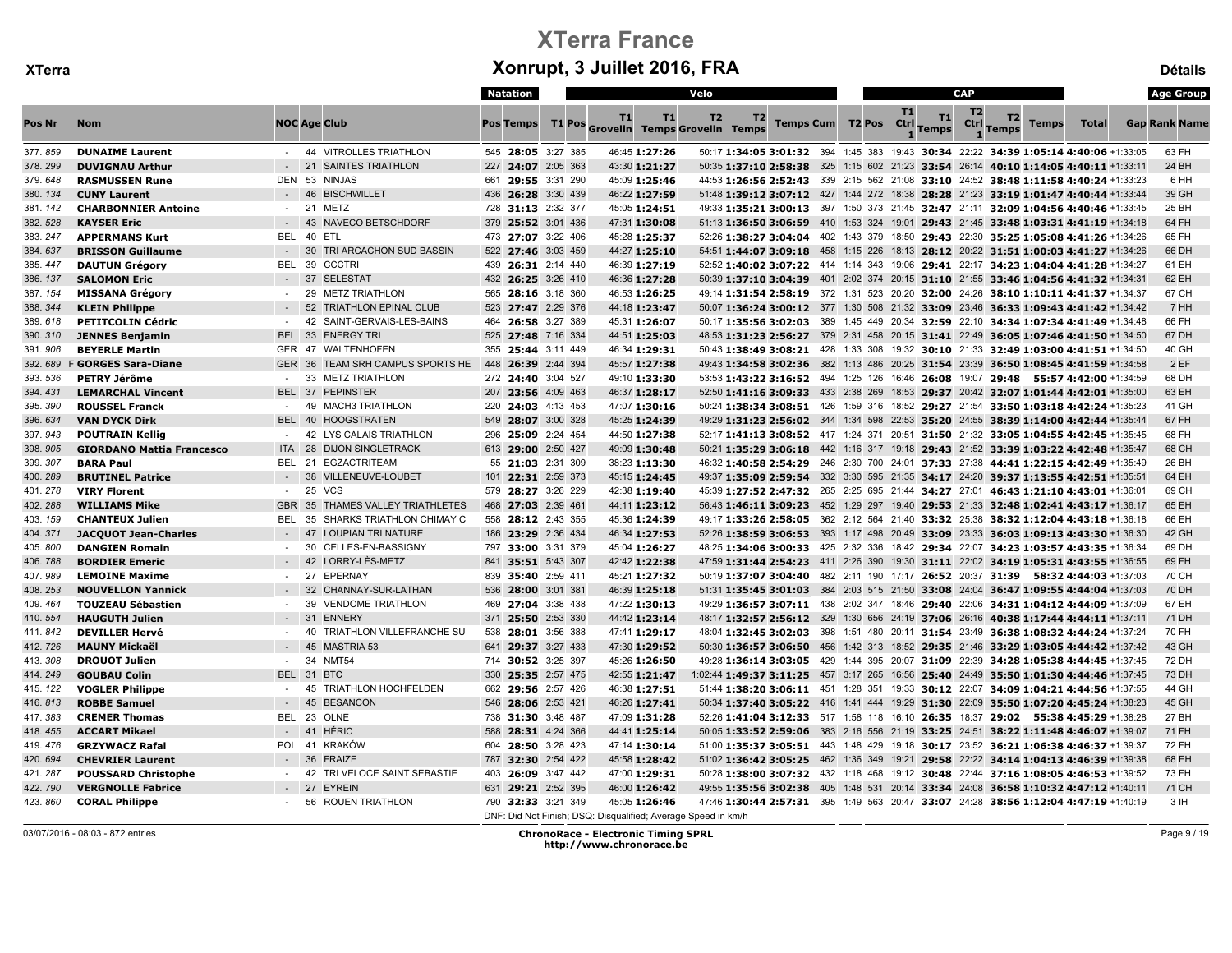|         |                                  |               |                                        | Natation           |                                                               | Velo           |    |                         |           |                  | <b>CAP</b>             |                                                                                       |              | <b>Age Group</b>     |
|---------|----------------------------------|---------------|----------------------------------------|--------------------|---------------------------------------------------------------|----------------|----|-------------------------|-----------|------------------|------------------------|---------------------------------------------------------------------------------------|--------------|----------------------|
| Pos Nr  | <b>Nom</b>                       |               | <b>NOC Age Club</b>                    | <b>Pos Temps</b>   | T1<br>T1<br>T1 Pos Grovelin Temps Grovelin Temps              | T <sub>2</sub> | T2 | <b>Temps Cum T2 Pos</b> | <b>T1</b> | T1<br>Ctrl Temps | T <sub>2</sub><br>Ctrl | T2<br><b>Temps</b><br><b>Temps</b>                                                    | <b>Total</b> | <b>Gap Rank Name</b> |
| 377.859 | <b>DUNAIME Laurent</b>           |               | - 44 VITROLLES TRIATHLON               | 545 28:05 3:27 385 | 46:45 1:27:26                                                 |                |    |                         |           |                  |                        | 50:17 1:34:05 3:01:32 394 1:45 383 19:43 30:34 22:22 34:39 1:05:14 4:40:06 +1:33:05   |              | 63 FH                |
| 378.299 | <b>DUVIGNAU Arthur</b>           | $-21$         | <b>SAINTES TRIATHLON</b>               | 227 24:07 2:05 363 | 43:30 1:21:27                                                 |                |    |                         |           |                  |                        | 50:35 1:37:10 2:58:38 325 1:15 602 21:23 33:54 26:14 40:10 1:14:05 4:40:11 +1:33:11   |              | 24 BH                |
| 379.648 | <b>RASMUSSEN Rune</b>            | <b>DEN 53</b> | <b>NINJAS</b>                          | 661 29:55 3:31 290 | 45:09 1:25:46                                                 |                |    |                         |           |                  |                        | 44:53 1:26:56 2:52:43 339 2:15 562 21:08 33:10 24:52 38:48 1:11:58 4:40:24 +1:33:23   |              | 6 HH                 |
| 380.134 | <b>CUNY Laurent</b>              |               | 46 BISCHWILLET                         | 436 26:28 3:30 439 | 46:22 1:27:59                                                 |                |    |                         |           |                  |                        | 51:48 1:39:12 3:07:12 427 1:44 272 18:38 28:28 21:23 33:19 1:01:47 4:40:44 +1:33:44   |              | 39 GH                |
| 381.142 | <b>CHARBONNIER Antoine</b>       |               | - 21 METZ                              | 728 31:13 2:32 377 | 45:05 1:24:51                                                 |                |    |                         |           |                  |                        | 49:33 1:35:21 3:00:13 397 1:50 373 21:45 32:47 21:11 32:09 1:04:56 4:40:46 +1:33:45   |              | 25 BH                |
| 382.528 | <b>KAYSER Eric</b>               |               | 43<br><b>NAVECO BETSCHDORF</b>         | 379 25:52 3:01 436 | 47:31 1:30:08                                                 |                |    |                         |           |                  |                        | 51:13 1:36:50 3:06:59 410 1:53 324 19:01 29:43 21:45 33:48 1:03:31 4:41:19 +1:34:18   |              | 64 FH                |
| 383.247 | <b>APPERMANS Kurt</b>            | BEL 40        | ETL                                    | 473 27:07 3:22 406 | 45:28 1:25:37                                                 |                |    |                         |           |                  |                        | 52:26 1:38:27 3:04:04 402 1:43 379 18:50 29:43 22:30 35:25 1:05:08 4:41:26 +1:34:26   |              | 65 FH                |
| 384.637 | <b>BRISSON Guillaume</b>         |               | 30<br>TRI ARCACHON SUD BASSIN          | 522 27:46 3:03 459 | 44:27 1:25:10                                                 |                |    |                         |           |                  |                        | 54:51 1:44:07 3:09:18 458 1:15 226 18:13 28:12 20:22 31:51 1:00:03 4:41:27 +1:34:26   |              | 66 DH                |
| 385.447 | <b>DAUTUN Grégory</b>            |               | BEL 39 CCCTRI                          | 439 26:31 2:14 440 | 46:39 1:27:19                                                 |                |    |                         |           |                  |                        | 52:52 1:40:02 3:07:22 414 1:14 343 19:06 29:41 22:17 34:23 1:04:04 4:41:28 +1:34:27   |              | 61 EH                |
| 386.137 | <b>SALOMON Eric</b>              | $-37$         | <b>SELESTAT</b>                        | 432 26:25 3:26 410 | 46:36 1:27:28                                                 |                |    |                         |           |                  |                        | 50:39 1:37:10 3:04:39 401 2:02 374 20:15 31:10 21:55 33:46 1:04:56 4:41:32 +1:34:31   |              | 62 EH                |
| 387.154 | <b>MISSANA Grégory</b>           |               | <b>METZ TRIATHLON</b><br>29            | 565 28:16 3:18 360 | 46:53 1:26:25                                                 |                |    |                         |           |                  |                        | 49:14 1:31:54 2:58:19 372 1:31 523 20:20 32:00 24:26 38:10 1:10:11 4:41:37 +1:34:37   |              | 67 CH                |
| 388.344 | <b>KLEIN Philippe</b>            | $-52$         | <b>TRIATHLON EPINAL CLUB</b>           | 523 27:47 2:29 376 | 44:18 1:23:47                                                 |                |    |                         |           |                  |                        | 50:07 1:36:24 3:00:12 377 1:30 508 21:32 33:09 23:46 36:33 1:09:43 4:41:42 +1:34:42   |              | 7 HH                 |
| 389.618 | <b>PETITCOLIN Cédric</b>         | $\sim$ $-$    | SAINT-GERVAIS-LES-BAINS<br>42          | 464 26:58 3:27 389 | 45:31 1:26:07                                                 |                |    |                         |           |                  |                        | 50:17 1:35:56 3:02:03 389 1:45 449 20:34 32:59 22:10 34:34 1:07:34 4:41:49 +1:34:48   |              | 66 FH                |
| 390.310 | <b>JENNES Benjamin</b>           |               | BEL 33 ENERGY TRI                      | 525 27:48 7:16 334 | 44:51 1:25:03                                                 |                |    |                         |           |                  |                        | 48:53 1:31:23 2:56:27 379 2:31 458 20:15 31:41 22:49 36:05 1:07:46 4:41:50 +1:34:50   |              | 67 DH                |
| 391.906 | <b>BEYERLE Martin</b>            |               | GER 47 WALTENHOFEN                     | 355 25:44 3:11 449 | 46:34 1:29:31                                                 |                |    |                         |           |                  |                        | 50:43 1:38:49 3:08:21 428 1:33 308 19:32 30:10 21:33 32:49 1:03:00 4:41:51 +1:34:50   |              | 40 GH                |
| 392.689 | <b>F GORGES Sara-Diane</b>       |               | GER 36 TEAM SRH CAMPUS SPORTS HE       | 448 26:39 2:44 394 | 45:57 1:27:38                                                 |                |    |                         |           |                  |                        | 49:43 1:34:58 3:02:36 382 1:13 486 20:25 31:54 23:39 36:50 1:08:45 4:41:59 +1:34:58   |              | 2EF                  |
| 393.536 | PETRY Jérôme                     | $\sim$        | 33 METZ TRIATHLON                      | 272 24:40 3:04 527 | 49:10 1:33:30                                                 |                |    |                         |           |                  |                        | 53:53 1:43:22 3:16:52 494 1:25 126 16:46 26:08 19:07 29:48 55:57 4:42:00 +1:34:59     |              | 68 DH                |
| 394.431 | <b>LEMARCHAL Vincent</b>         |               | BEL 37 PEPINSTER                       | 207 23:56 4:09 463 | 46:37 1:28:17                                                 |                |    |                         |           |                  |                        | 52:50 1:41:16 3:09:33 433 2:38 269 18:53 29:37 20:42 32:07 1:01:44 4:42:01 +1:35:00   |              | 63 EH                |
| 395.390 | <b>ROUSSEL Franck</b>            |               | 49 MACH3 TRIATHLON                     | 220 24:03 4:13 453 | 47:07 1:30:16                                                 |                |    |                         |           |                  |                        | 50:24 1:38:34 3:08:51 426 1:59 316 18:52 29:27 21:54 33:50 1:03:18 4:42:24 +1:35:23   |              | 41 GH                |
| 396.634 | <b>VAN DYCK Dirk</b>             |               | BEL 40 HOOGSTRATEN                     | 549 28:07 3:00 328 | 45:25 1:24:39                                                 |                |    |                         |           |                  |                        | 49:29 1:31:23 2:56:02 344 1:34 598 22:53 35:20 24:55 38:39 1:14:00 4:42:44 +1:35:44   |              | 67 FH                |
| 397.943 | <b>POUTRAIN Kellig</b>           |               | - 42 LYS CALAIS TRIATHLON              | 296 25:09 2:24 454 | 44:50 1:27:38                                                 |                |    |                         |           |                  |                        | 52:17 1:41:13 3:08:52 417 1:24 371 20:51 31:50 21:32 33:05 1:04:55 4:42:45 +1:35:45   |              | 68 FH                |
| 398.905 | <b>GIORDANO Mattia Francesco</b> | <b>ITA</b>    | <b>DIJON SINGLETRACK</b><br>28         | 613 29:00 2:50 427 | 49:09 1:30:48                                                 |                |    |                         |           |                  |                        | 50:21 1:35:29 3:06:18 442 1:16 317 19:18 29:43 21:52 33:39 1:03:22 4:42:48 +1:35:47   |              | 68 CH                |
| 399.307 | <b>BARA Paul</b>                 |               | BEL 21 EGZACTRITEAM                    | 55 21:03 2:31 309  | 38:23 1:13:30                                                 |                |    |                         |           |                  |                        | 46:32 1:40:58 2:54:29 246 2:30 700 24:01 37:33 27:38 44:41 1:22:15 4:42:49 +1:35:49   |              | 26 BH                |
| 400.289 | <b>BRUTINEL Patrice</b>          | $-38$         | VILLENEUVE-LOUBET                      | 101 22:31 2:59 373 | 45:15 1:24:45                                                 |                |    |                         |           |                  |                        | 49:37 1:35:09 2:59:54 332 3:30 595 21:35 34:17 24:20 39:37 1:13:55 4:42:51 +1:35:51   |              | 64 EH                |
| 401.278 | <b>VIRY Florent</b>              | $-25$         | <b>VCS</b>                             | 579 28:27 3:26 229 | 42:38 1:19:40                                                 |                |    |                         |           |                  |                        | 45:39 1:27:52 2:47:32 265 2:25 695 21:44 34:27 27:01 46:43 1:21:10 4:43:01 +1:36:01   |              | 69 CH                |
| 402.288 | <b>WILLIAMS Mike</b>             | GBR 35        | THAMES VALLEY TRIATHLETES              | 468 27:03 2:39 461 | 44:11 1:23:12                                                 |                |    |                         |           |                  |                        | 56:43 1:46:11 3:09:23 452 1:29 297 19:40 29:53 21:33 32:48 1:02:41 4:43:17 +1:36:17   |              | 65 EH                |
| 403.159 | <b>CHANTEUX Julien</b>           | BEL           | SHARKS TRIATHLON CHIMAY C<br>35        | 558 28:12 2:43 355 | 45:36 1:24:39                                                 |                |    |                         |           |                  |                        | 49:17 1:33:26 2:58:05 362 2:12 564 21:40 33:32 25:38 38:32 1:12:04 4:43:18 +1:36:18   |              | 66 EH                |
| 404.371 | <b>JACQUOT Jean-Charles</b>      |               | - 47 LOUPIAN TRI NATURE                | 186 23:29 2:36 434 | 46:34 1:27:53                                                 |                |    |                         |           |                  |                        | 52:26 1:38:59 3:06:53 393 1:17 498 20:49 33:09 23:33 36:03 1:09:13 4:43:30 +1:36:30   |              | 42 GH                |
| 405.800 | <b>DANGIEN Romain</b>            | $\sim$ $-$    | CELLES-EN-BASSIGNY<br>30               | 797 33:00 3:31 379 | 45:04 1:26:27                                                 |                |    |                         |           |                  |                        | 48:25 1:34:06 3:00:33 425 2:32 336 18:42 29:34 22:07 34:23 1:03:57 4:43:35 +1:36:34   |              | 69 DH                |
| 406.788 | <b>BORDIER Emeric</b>            |               | LORRY-LÈS-METZ<br>42                   | 841 35:51 5:43 307 | 42:42 1:22:38                                                 |                |    |                         |           |                  |                        | 47:59 1:31:44 2:54:23 411 2:26 390 19:30 31:11 22:02 34:19 1:05:31 4:43:55 +1:36:55   |              | 69 FH                |
| 407.989 | <b>LEMOINE Maxime</b>            |               | 27<br><b>EPERNAY</b>                   | 839 35:40 2:59 411 | 45:21 1:27:32                                                 |                |    |                         |           |                  |                        | 50:19 1:37:07 3:04:40 482 2:11 190 17:17 26:52 20:37 31:39 58:32 4:44:03 +1:37:03     |              | 70 CH                |
| 408.253 | <b>NOUVELLON Yannick</b>         | $-32$         | CHANNAY-SUR-LATHAN                     | 536 28:00 3:01 381 | 46:39 1:25:18                                                 |                |    |                         |           |                  |                        | 51:31 1:35:45 3:01:03 384 2:03 515 21:50 33:08 24:04 36:47 1:09:55 4:44:04 +1:37:03   |              | 70 DH                |
| 409.464 | <b>TOUZEAU Sébastien</b>         |               | 39<br><b>VENDOME TRIATHLON</b>         | 469 27:04 3:38 438 | 47:22 1:30:13                                                 |                |    |                         |           |                  |                        | 49:29 1:36:57 3:07:11 438 2:02 347 18:46 29:40 22:06 34:31 1:04:12 4:44:09 +1:37:09   |              | 67 EH                |
| 410.554 | <b>HAUGUTH Julien</b>            |               | 31<br><b>ENNERY</b>                    | 371 25:50 2:53 330 | 44:42 1:23:14                                                 |                |    |                         |           |                  |                        | 48:17 1:32:57 2:56:12 329 1:30 656 24:19 37:06 26:16 40:38 1:17:44 4:44:11 +1:37:11   |              | 71 DH                |
| 411.842 | <b>DEVILLER Hervé</b>            |               | 40<br><b>TRIATHLON VILLEFRANCHE SU</b> | 538 28:01 3:56 388 | 47:41 1:29:17                                                 |                |    |                         |           |                  |                        | 48:04 1:32:45 3:02:03 398 1:51 480 20:11 31:54 23:49 36:38 1:08:32 4:44:24 +1:37:24   |              | 70 FH                |
| 412.726 | <b>MAUNY Mickaël</b>             |               | 45<br><b>MASTRIA 53</b>                | 641 29:37 3:27 433 | 47:30 1:29:52                                                 |                |    |                         |           |                  |                        | 50:30 1:36:57 3:06:50 456 1:42 313 18:52 29:35 21:46 33:29 1:03:05 4:44:42 +1:37:42   |              | 43 GH                |
| 413.308 | <b>DROUOT Julien</b>             |               | - 34 NMT54                             | 714 30:52 3:25 397 | 45:26 1:26:50                                                 |                |    |                         |           |                  |                        | 49:28 1:36:14 3:03:05 429 1:44 395 20:07 31:09 22:39 34:28 1:05:38 4:44:45 +1:37:45   |              | 72 DH                |
| 414.249 | <b>GOUBAU Colin</b>              | <b>BEL 31</b> | <b>BTC</b>                             | 330 25:35 2:57 475 | 42:55 1:21:47                                                 |                |    |                         |           |                  |                        | 1:02:44 1:49:37 3:11:25 457 3:17 265 16:56 25:40 24:49 35:50 1:01:30 4:44:46 +1:37:45 |              | 73 DH                |
| 415.122 | <b>VOGLER Philippe</b>           |               | <b>TRIATHLON HOCHFELDEN</b><br>45      | 662 29:56 2:57 426 | 46:38 1:27:51                                                 |                |    |                         |           |                  |                        | 51:44 1:38:20 3:06:11 451 1:28 351 19:33 30:12 22:07 34:09 1:04:21 4:44:56 +1:37:55   |              | 44 GH                |
| 416.813 | <b>ROBBE Samuel</b>              |               | 45<br><b>BESANCON</b>                  | 546 28:06 2:53 421 | 46:26 1:27:41                                                 |                |    |                         |           |                  |                        | 50:34 1:37:40 3:05:22 416 1:41 444 19:29 31:30 22:09 35:50 1:07:20 4:45:24 +1:38:23   |              | 45 GH                |
| 417.383 | <b>CREMER Thomas</b>             |               | BEL 23 OLNE                            | 738 31:30 3:48 487 | 47:09 1:31:28                                                 |                |    |                         |           |                  |                        | 52:26 1:41:04 3:12:33 517 1:58 118 16:10 26:35 18:37 29:02 55:38 4:45:29 +1:38:28     |              | 27 BH                |
| 418.455 | <b>ACCART Mikael</b>             |               | 41 HÉRIC                               | 588 28:31 4:24 366 | 44:41 1:25:14                                                 |                |    |                         |           |                  |                        | 50:05 1:33:52 2:59:06 383 2:16 556 21:19 33:25 24:51 38:22 1:11:48 4:46:07 +1:39:07   |              | 71 FH                |
| 419.476 | <b>GRZYWACZ Rafal</b>            | POL 41        | <b>KRAKÓW</b>                          | 604 28:50 3:28 423 | 47:14 1:30:14                                                 |                |    |                         |           |                  |                        | 51:00 1:35:37 3:05:51 443 1:48 429 19:18 30:17 23:52 36:21 1:06:38 4:46:37 +1:39:37   |              | 72 FH                |
| 420.694 | <b>CHEVRIER Laurent</b>          | $-36$         | <b>FRAIZE</b>                          | 787 32:30 2:54 422 | 45:58 1:28:42                                                 |                |    |                         |           |                  |                        | $51:02$ 1:36:42 3:05:25 462 1:36 349 19:21 29:58 22:22 34:14 1:04:13 4:46:39 +1:39:38 |              | 68 EH                |
| 421.287 | <b>POUSSARD Christophe</b>       |               | 42<br>TRI VELOCE SAINT SEBASTIE        | 403 26:09 3:47 442 | 47:00 1:29:31                                                 |                |    |                         |           |                  |                        | 50:28 1:38:00 3:07:32 432 1:18 468 19:12 30:48 22:44 37:16 1:08:05 4:46:53 +1:39:52   |              | 73 FH                |
| 422.790 | <b>VERGNOLLE Fabrice</b>         |               | 27<br><b>EYREIN</b>                    | 631 29:21 2:52 395 | 46:00 1:26:42                                                 |                |    |                         |           |                  |                        | 49:55 1:35:56 3:02:38 405 1:48 531 20:14 33:34 24:08 36:58 1:10:32 4:47:12 +1:40:11   |              | 71 CH                |
| 423.860 | <b>CORAL Philippe</b>            |               | 56 ROUEN TRIATHLON                     | 790 32:33 3:21 349 | 45:05 1:26:46                                                 |                |    |                         |           |                  |                        | 47:46 1:30:44 2:57:31 395 1:49 563 20:47 33:07 24:28 38:56 1:12:04 4:47:19 +1:40:19   |              | 3H                   |
|         |                                  |               |                                        |                    | DNF: Did Not Finish; DSQ: Disqualified; Average Speed in km/h |                |    |                         |           |                  |                        |                                                                                       |              |                      |

03/07/2016 - 08:03 - 872 entries ChronoRace - Electronic Timing SPRL http://www.chronorace.be

Page 9 / 19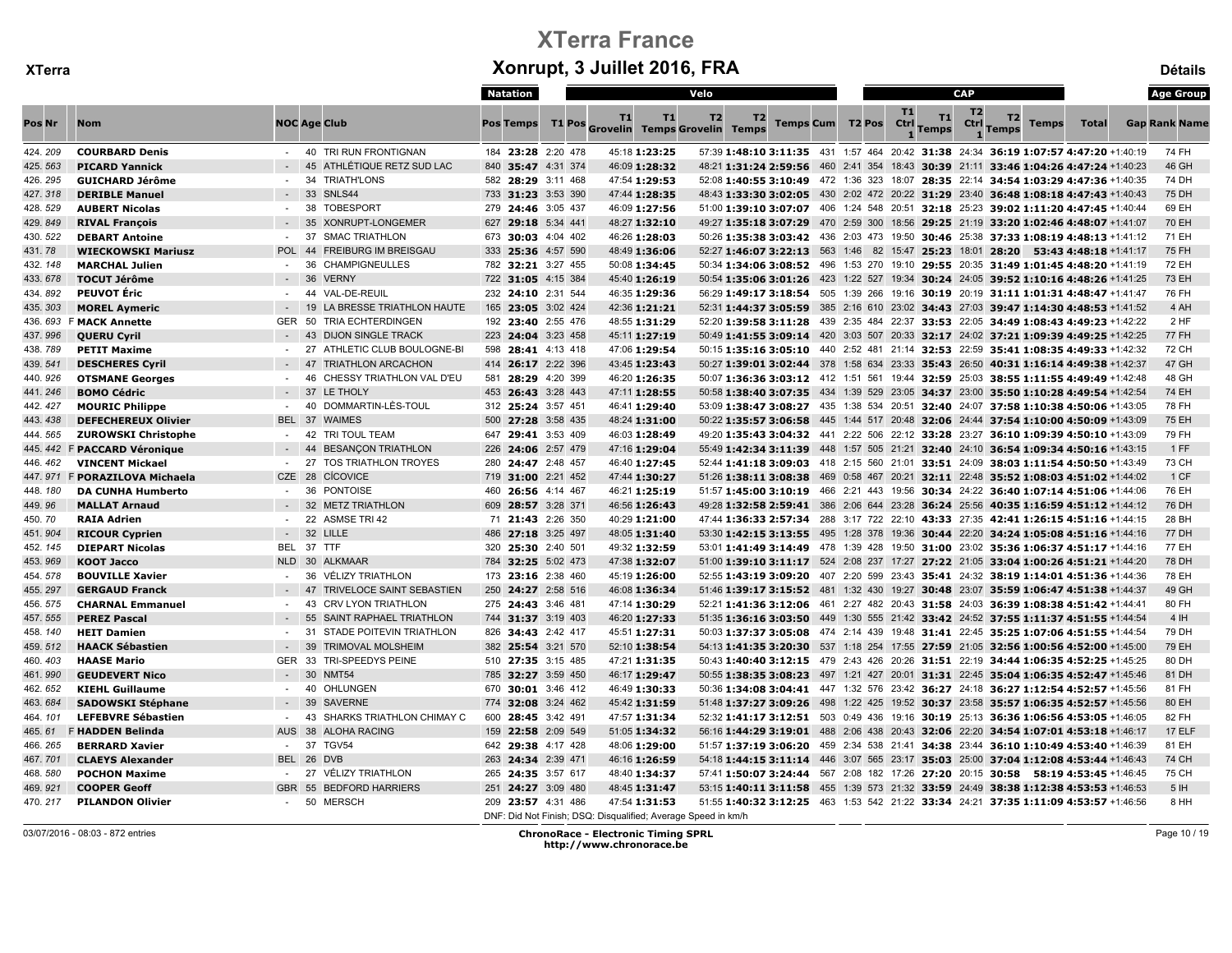|         |                            |                |                                   | Natation           |           |               | Velo                                                                                |    |  |                                                                                       |            |                    | <b>CAP</b>             |                    |              |              | <b>Age Group</b>     |
|---------|----------------------------|----------------|-----------------------------------|--------------------|-----------|---------------|-------------------------------------------------------------------------------------|----|--|---------------------------------------------------------------------------------------|------------|--------------------|------------------------|--------------------|--------------|--------------|----------------------|
| Pos Nr  | <b>Nom</b>                 |                | <b>NOC Age Club</b>               | <b>Pos Temps</b>   | <b>T1</b> | T1            | T <sub>2</sub><br>T1 Pos Grovelin Temps Grovelin Temps                              | T2 |  | <b>Temps Cum T2 Pos</b>                                                               | T1<br>Ctrl | T1<br><b>Temps</b> | T <sub>2</sub><br>Ctrl | T2<br><b>Temps</b> | <b>Temps</b> | <b>Total</b> | <b>Gap Rank Name</b> |
| 424.209 | <b>COURBARD Denis</b>      |                | - 40 TRI RUN FRONTIGNAN           | 184 23:28 2:20 478 |           | 45:18 1:23:25 | 57:39 1:48:10 3:11:35 431 1:57 464 20:42 31:38 24:34 36:19 1:07:57 4:47:20 +1:40:19 |    |  |                                                                                       |            |                    |                        |                    |              |              | 74 FH                |
| 425.563 | <b>PICARD Yannick</b>      |                | 45<br>ATHLÉTIQUE RETZ SUD LAC     | 840 35:47 4:31 374 |           | 46:09 1:28:32 |                                                                                     |    |  | 46:21 1:31:24 2:59:56 460 2:41 354 18:43 30:39 21:11 33:46 1:04:26 4:47:24 +1:40:23   |            |                    |                        |                    |              |              | 46 GH                |
| 426.295 | <b>GUICHARD Jérôme</b>     | $\sim$         | 34<br><b>TRIATH'LONS</b>          | 582 28:29 3:11 468 |           | 47:54 1:29:53 |                                                                                     |    |  | 52:08 1:40:55 3:10:49 472 1:36 323 18:07 28:35 22:14 34:54 1:03:29 4:47:36 +1:40:35   |            |                    |                        |                    |              |              | 74 DH                |
| 427.318 | <b>DERIBLE Manuel</b>      |                | 33 SNLS44                         | 733 31:23 3:53 390 |           | 47:44 1:28:35 | 48:43 1:33:30 3:02:05 430 2:02 472 20:22 31:29 23:40 36:48 1:08:18 4:47:43 +1:40:43 |    |  |                                                                                       |            |                    |                        |                    |              |              | 75 DH                |
| 428.529 | <b>AUBERT Nicolas</b>      | $\sim$         | <b>TOBESPORT</b><br>38            | 279 24:46 3:05 437 |           | 46:09 1:27:56 | 51:00 1:39:10 3:07:07 406 1:24 548 20:51 32:18 25:23 39:02 1:11:20 4:47:45 +1:40:44 |    |  |                                                                                       |            |                    |                        |                    |              |              | 69 EH                |
| 429.849 | <b>RIVAL François</b>      |                | 35<br>XONRUPT-LONGEMER            | 627 29:18 5:34 441 |           | 48:27 1:32:10 | 49:27 1:35:18 3:07:29 470 2:59 300 18:56 29:25 21:19 33:20 1:02:46 4:48:07 +1:41:07 |    |  |                                                                                       |            |                    |                        |                    |              |              | 70 EH                |
| 430.522 | <b>DEBART Antoine</b>      | $\sim$         | 37<br><b>SMAC TRIATHLON</b>       | 673 30:03 4:04 402 |           | 46:26 1:28:03 |                                                                                     |    |  | $50:26$ 1:35:38 3:03:42 436 2:03 473 19:50 30:46 25:38 37:33 1:08:19 4:48:13 +1:41:12 |            |                    |                        |                    |              |              | 71 EH                |
| 431.78  | <b>WIECKOWSKI Mariusz</b>  | <b>POL</b>     | 44<br><b>FREIBURG IM BREISGAU</b> | 333 25:36 4:57 590 |           | 48:49 1:36:06 |                                                                                     |    |  | 52:27 1:46:07 3:22:13 563 1:46 82 15:47 25:23 18:01 28:20 53:43 4:48:18 +1:41:17      |            |                    |                        |                    |              |              | 75 FH                |
| 432.148 | <b>MARCHAL Julien</b>      | $\sim$         | 36<br><b>CHAMPIGNEULLES</b>       | 782 32:21 3:27 455 |           | 50:08 1:34:45 |                                                                                     |    |  | 50:34 1:34:06 3:08:52 496 1:53 270 19:10 29:55 20:35 31:49 1:01:45 4:48:20 +1:41:19   |            |                    |                        |                    |              |              | 72 EH                |
| 433.678 | <b>TOCUT Jérôme</b>        | $\sim$ $-$     | 36<br><b>VERNY</b>                | 722 31:05 4:15 384 |           | 45:40 1:26:19 | 50:54 1:35:06 3:01:26 423 1:22 527 19:34 30:24 24:05 39:52 1:10:16 4:48:26 +1:41:25 |    |  |                                                                                       |            |                    |                        |                    |              |              | 73 EH                |
| 434.892 | <b>PEUVOT Éric</b>         | $\sim$         | VAL-DE-REUIL<br>44                | 232 24:10 2:31 544 |           | 46:35 1:29:36 |                                                                                     |    |  | 56:29 1:49:17 3:18:54 505 1:39 266 19:16 30:19 20:19 31:11 1:01:31 4:48:47 +1:41:47   |            |                    |                        |                    |              |              | 76 FH                |
| 435.303 | <b>MOREL Aymeric</b>       | $-19$          | LA BRESSE TRIATHLON HAUTE         | 165 23:05 3:02 424 |           | 42:36 1:21:21 | 52:31 1:44:37 3:05:59 385 2:16 610 23:02 34:43 27:03 39:47 1:14:30 4:48:53 +1:41:52 |    |  |                                                                                       |            |                    |                        |                    |              |              | 4 AH                 |
|         | 436. 693 F MACK Annette    | GER            | 50<br>TRIA ECHTERDINGEN           | 192 23:40 2:55 476 |           | 48:55 1:31:29 | 52:20 1:39:58 3:11:28 439 2:35 484 22:37 33:53 22:05 34:49 1:08:43 4:49:23 +1:42:22 |    |  |                                                                                       |            |                    |                        |                    |              |              | 2 HF                 |
| 437.996 | <b>QUERU Cyril</b>         |                | 43<br><b>DIJON SINGLE TRACK</b>   | 223 24:04 3:23 458 |           | 45:11 1:27:19 | 50:49 1:41:55 3:09:14 420 3:03 507 20:33 32:17 24:02 37:21 1:09:39 4:49:25 +1:42:25 |    |  |                                                                                       |            |                    |                        |                    |              |              | <b>77 FH</b>         |
| 438.789 | <b>PETIT Maxime</b>        | $\blacksquare$ | 27<br>ATHLETIC CLUB BOULOGNE-BI   | 598 28:41 4:13 418 |           | 47:06 1:29:54 |                                                                                     |    |  | 50:15 1:35:16 3:05:10 440 2:52 481 21:14 32:53 22:59 35:41 1:08:35 4:49:33 +1:42:32   |            |                    |                        |                    |              |              | 72 CH                |
| 439.541 | <b>DESCHERES Cyril</b>     |                | <b>TRIATHLON ARCACHON</b><br>47   | 414 26:17 2:22 396 |           | 43:45 1:23:43 |                                                                                     |    |  | 50:27 1:39:01 3:02:44 378 1:58 634 23:33 35:43 26:50 40:31 1:16:14 4:49:38 +1:42:37   |            |                    |                        |                    |              |              | 47 GH                |
| 440.926 | <b>OTSMANE Georges</b>     | $\sim$         | 46<br>CHESSY TRIATHLON VAL D'EU   | 581 28:29 4:20 399 |           | 46:20 1:26:35 | 50:07 1:36:36 3:03:12 412 1:51 561 19:44 32:59 25:03 38:55 1:11:55 4:49:49 +1:42:48 |    |  |                                                                                       |            |                    |                        |                    |              |              | 48 GH                |
| 441.246 | <b>BOMO Cédric</b>         |                | 37<br>LE THOLY                    | 453 26:43 3:28 443 |           | 47:11 1:28:55 |                                                                                     |    |  | 50:58 1:38:40 3:07:35 434 1:39 529 23:05 34:37 23:00 35:50 1:10:28 4:49:54 +1:42:54   |            |                    |                        |                    |              |              | 74 EH                |
| 442.427 | <b>MOURIC Philippe</b>     |                | DOMMARTIN-LÈS-TOUL<br>40          | 312 25:24 3:57 451 |           | 46:41 1:29:40 |                                                                                     |    |  | 53:09 1:38:47 3:08:27 435 1:38 534 20:51 32:40 24:07 37:58 1:10:38 4:50:06 +1:43:05   |            |                    |                        |                    |              |              | 78 FH                |
| 443.438 | <b>DEFECHEREUX Olivier</b> |                | BEL 37 WAIMES                     | 500 27:28 3:58 435 |           | 48:24 1:31:00 |                                                                                     |    |  | 50:22 1:35:57 3:06:58 445 1:44 517 20:48 32:06 24:44 37:54 1:10:00 4:50:09 +1:43:09   |            |                    |                        |                    |              |              | 75 EH                |
| 444.565 | <b>ZUROWSKI Christophe</b> |                | - 42 TRI TOUL TEAM                | 647 29:41 3:53 409 |           | 46:03 1:28:49 |                                                                                     |    |  | 49:20 1:35:43 3:04:32 441 2:22 506 22:12 33:28 23:27 36:10 1:09:39 4:50:10 +1:43:09   |            |                    |                        |                    |              |              | 79 FH                |
| 445.442 | F PACCARD Véronique        |                | 44<br><b>BESANÇON TRIATHLON</b>   | 226 24:06 2:57 479 |           | 47:16 1:29:04 |                                                                                     |    |  | 55:49 1:42:34 3:11:39 448 1:57 505 21:21 32:40 24:10 36:54 1:09:34 4:50:16 +1:43:15   |            |                    |                        |                    |              |              | 1 FF                 |
| 446.462 | <b>VINCENT Mickael</b>     | $\sim$         | 27<br><b>TOS TRIATHLON TROYES</b> | 280 24:47 2:48 457 |           | 46:40 1:27:45 |                                                                                     |    |  | 52:44 1:41:18 3:09:03 418 2:15 560 21:01 33:51 24:09 38:03 1:11:54 4:50:50 +1:43:49   |            |                    |                        |                    |              |              | 73 CH                |
| 447.971 | F PORAZILOVA Michaela      | CZE 28         | <b>CÍCOVICE</b>                   | 719 31:00 2:21 452 |           | 47:44 1:30:27 | 51:26 1:38:11 3:08:38 469 0:58 467 20:21 32:11 22:48 35:52 1:08:03 4:51:02 +1:44:02 |    |  |                                                                                       |            |                    |                        |                    |              |              | 1 CF                 |
| 448.180 | <b>DA CUNHA Humberto</b>   | $\sim 100$     | 36 PONTOISE                       | 460 26:56 4:14 467 |           | 46:21 1:25:19 | 51:57 1:45:00 3:10:19 466 2:21 443 19:56 30:34 24:22 36:40 1:07:14 4:51:06 +1:44:06 |    |  |                                                                                       |            |                    |                        |                    |              |              | 76 EH                |
| 449.96  | <b>MALLAT Arnaud</b>       |                | 32 METZ TRIATHLON                 | 609 28:57 3:28 371 |           | 46:56 1:26:43 | 49:28 1:32:58 2:59:41 386 2:06 644 23:28 36:24 25:56 40:35 1:16:59 4:51:12 +1:44:12 |    |  |                                                                                       |            |                    |                        |                    |              |              | 76 DH                |
| 450.770 | <b>RAIA Adrien</b>         | $\sim$         | 22<br><b>ASMSE TRI 42</b>         | 71 21:43 2:26 350  |           | 40:29 1:21:00 | 47:44 1:36:33 2:57:34 288 3:17 722 22:10 43:33 27:35 42:41 1:26:15 4:51:16 +1:44:15 |    |  |                                                                                       |            |                    |                        |                    |              |              | 28 BH                |
| 451.904 | <b>RICOUR Cyprien</b>      |                | - 32 LILLE                        | 486 27:18 3:25 497 |           | 48:05 1:31:40 | 53:30 1:42:15 3:13:55 495 1:28 378 19:36 30:44 22:20 34:24 1:05:08 4:51:16 +1:44:16 |    |  |                                                                                       |            |                    |                        |                    |              |              | 77 DH                |
| 452.145 | <b>DIEPART Nicolas</b>     |                | BEL 37 TTF                        | 320 25:30 2:40 501 |           | 49:32 1:32:59 | 53:01 1:41:49 3:14:49 478 1:39 428 19:50 31:00 23:02 35:36 1:06:37 4:51:17 +1:44:16 |    |  |                                                                                       |            |                    |                        |                    |              |              | 77 EH                |
| 453.969 | <b>KOOT Jacco</b>          |                | NLD 30 ALKMAAR                    | 784 32:25 5:02 473 |           | 47:38 1:32:07 | 51:00 1:39:10 3:11:17 524 2:08 237 17:27 27:22 21:05 33:04 1:00:26 4:51:21 +1:44:20 |    |  |                                                                                       |            |                    |                        |                    |              |              | 78 DH                |
| 454.578 | <b>BOUVILLE Xavier</b>     |                | <b>VÉLIZY TRIATHLON</b><br>36     | 173 23:16 2:38 460 |           | 45:19 1:26:00 | 52:55 1:43:19 3:09:20 407 2:20 599 23:43 35:41 24:32 38:19 1:14:01 4:51:36 +1:44:36 |    |  |                                                                                       |            |                    |                        |                    |              |              | 78 EH                |
| 455.297 | <b>GERGAUD Franck</b>      |                | 47<br>TRIVELOCE SAINT SEBASTIEN   | 250 24:27 2:58 516 |           | 46:08 1:36:34 | 51:46 1:39:17 3:15:52 481 1:32 430 19:27 30:48 23:07 35:59 1:06:47 4:51:38 +1:44:37 |    |  |                                                                                       |            |                    |                        |                    |              |              | 49 GH                |
| 456.575 | <b>CHARNAL Emmanuel</b>    | $\sim$         | 43<br><b>CRV LYON TRIATHLON</b>   | 275 24:43 3:46 481 |           | 47:14 1:30:29 | 52:21 1:41:36 3:12:06 461 2:27 482 20:43 31:58 24:03 36:39 1:08:38 4:51:42 +1:44:41 |    |  |                                                                                       |            |                    |                        |                    |              |              | 80 FH                |
| 457.555 | <b>PEREZ Pascal</b>        |                | SAINT RAPHAEL TRIATHLON<br>55     | 744 31:37 3:19 403 |           | 46:20 1:27:33 | 51:35 1:36:16 3:03:50 449 1:30 555 21:42 33:42 24:52 37:55 1:11:37 4:51:55 +1:44:54 |    |  |                                                                                       |            |                    |                        |                    |              |              | 4IH                  |
| 458.140 | <b>HEIT Damien</b>         | $\sim$         | 31<br>STADE POITEVIN TRIATHLON    | 826 34:43 2:42 417 |           | 45:51 1:27:31 |                                                                                     |    |  | 50:03 1:37:37 3:05:08 474 2:14 439 19:48 31:41 22:45 35:25 1:07:06 4:51:55 +1:44:54   |            |                    |                        |                    |              |              | 79 DH                |
| 459.512 | <b>HAACK Sébastien</b>     |                | 39<br><b>TRIMOVAL MOLSHEIM</b>    | 382 25:54 3:21 570 |           | 52:10 1:38:54 | 54:13 1:41:35 3:20:30 537 1:18 254 17:55 27:59 21:05 32:56 1:00:56 4:52:00 +1:45:00 |    |  |                                                                                       |            |                    |                        |                    |              |              | 79 EH                |
| 460.403 | <b>HAASE Mario</b>         |                | GER 33 TRI-SPEEDYS PEINE          | 510 27:35 3:15 485 |           | 47:21 1:31:35 |                                                                                     |    |  | 50:43 1:40:40 3:12:15 479 2:43 426 20:26 31:51 22:19 34:44 1:06:35 4:52:25 +1:45:25   |            |                    |                        |                    |              |              | 80 DH                |
| 461.990 | <b>GEUDEVERT Nico</b>      |                | 30<br><b>NMT54</b>                | 785 32:27 3:59 450 |           | 46:17 1:29:47 |                                                                                     |    |  | 50:55 1:38:35 3:08:23 497 1:21 427 20:01 31:31 22:45 35:04 1:06:35 4:52:47 +1:45:46   |            |                    |                        |                    |              |              | 81 DH                |
| 462.652 | <b>KIEHL Guillaume</b>     | $\sim$         | 40<br>OHLUNGEN                    | 670 30:01 3:46 412 |           | 46:49 1:30:33 |                                                                                     |    |  | 50:36 1:34:08 3:04:41 447 1:32 576 23:42 36:27 24:18 36:27 1:12:54 4:52:57 +1:45:56   |            |                    |                        |                    |              |              | 81 FH                |
| 463.684 | <b>SADOWSKI Stéphane</b>   |                | 39<br><b>SAVERNE</b>              | 774 32:08 3:24 462 |           | 45:42 1:31:59 | 51:48 1:37:27 3:09:26 498 1:22 425 19:52 30:37 23:58 35:57 1:06:35 4:52:57 +1:45:56 |    |  |                                                                                       |            |                    |                        |                    |              |              | 80 EH                |
| 464.101 | <b>LEFEBVRE Sébastien</b>  | $\sim$         | SHARKS TRIATHLON CHIMAY C<br>43   | 600 28:45 3:42 491 |           | 47:57 1:31:34 |                                                                                     |    |  | 52:32 1:41:17 3:12:51 503 0:49 436 19:16 30:19 25:13 36:36 1:06:56 4:53:05 +1:46:05   |            |                    |                        |                    |              |              | 82 FH                |
| 465.61  | F HADDEN Belinda           |                | AUS 38 ALOHA RACING               | 159 22:58 2:09 549 |           | 51:05 1:34:32 |                                                                                     |    |  | 56:16 1:44:29 3:19:01 488 2:06 438 20:43 32:06 22:20 34:54 1:07:01 4:53:18 +1:46:17   |            |                    |                        |                    |              |              | 17 ELF               |
| 466.265 | <b>BERRARD Xavier</b>      | $\sim 100$     | 37 TGV54                          | 642 29:38 4:17 428 |           | 48:06 1:29:00 | 51:57 1:37:19 3:06:20 459 2:34 538 21:41 34:38 23:44 36:10 1:10:49 4:53:40 +1:46:39 |    |  |                                                                                       |            |                    |                        |                    |              |              | 81 EH                |
| 467.701 | <b>CLAEYS Alexander</b>    |                | BEL 26 DVB                        | 263 24:34 2:39 471 |           | 46:16 1:26:59 | 54:18 1:44:15 3:11:14 446 3:07 565 23:17 35:03 25:00 37:04 1:12:08 4:53:44 +1:46:43 |    |  |                                                                                       |            |                    |                        |                    |              |              | 74 CH                |
| 468.580 | <b>POCHON Maxime</b>       | $\sim$         | 27<br>VÉLIZY TRIATHLON            | 265 24:35 3:57 617 |           | 48:40 1:34:37 | 57:41 1:50:07 3:24:44 567 2:08 182 17:26 27:20 20:15 30:58 58:19 4:53:45 +1:46:45   |    |  |                                                                                       |            |                    |                        |                    |              |              | 75 CH                |
| 469.921 | <b>COOPER Geoff</b>        | <b>GBR</b>     | 55 BEDFORD HARRIERS               | 251 24:27 3:09 480 |           | 48:45 1:31:47 |                                                                                     |    |  | 53:15 1:40:11 3:11:58 455 1:39 573 21:32 33:59 24:49 38:38 1:12:38 4:53:53 +1:46:53   |            |                    |                        |                    |              |              | 5H                   |
| 470.217 | <b>PILANDON Olivier</b>    | $\sim$         | 50 MERSCH                         | 209 23:57 4:31 486 |           | 47:54 1:31:53 | 51:55 1:40:32 3:12:25 463 1:53 542 21:22 33:34 24:21 37:35 1:11:09 4:53:57 +1:46:56 |    |  |                                                                                       |            |                    |                        |                    |              |              | 8 HH                 |
|         |                            |                |                                   |                    |           |               | DNF: Did Not Finish; DSQ: Disqualified; Average Speed in km/h                       |    |  |                                                                                       |            |                    |                        |                    |              |              |                      |

03/07/2016 - 08:03 - 872 entries ChronoRace - Electronic Timing SPRL http://www.chronorace.be

Page 10 / 19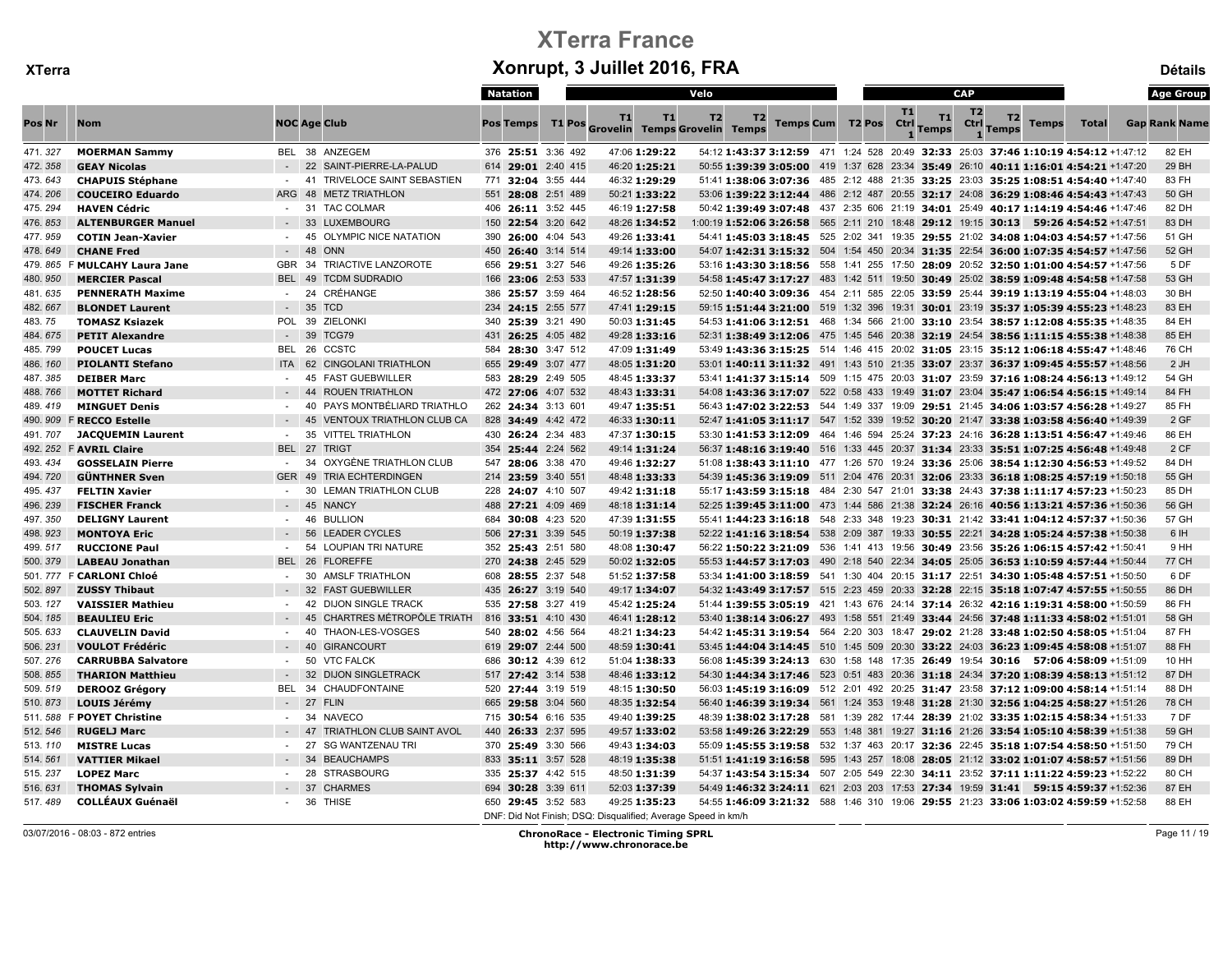|              |                               |                  |                                           | Natation           |                                                               | Velo                 |                         |                                   | <b>CAP</b>                   |                                                                                            |              | <b>Age Group</b>     |
|--------------|-------------------------------|------------------|-------------------------------------------|--------------------|---------------------------------------------------------------|----------------------|-------------------------|-----------------------------------|------------------------------|--------------------------------------------------------------------------------------------|--------------|----------------------|
| Pos Nr       | Nom                           |                  | <b>NOC Age Club</b>                       | <b>Pos Temps</b>   | T1<br>T1<br>T1 Pos Grovelin Temps Grovelin Temps              | T <sub>2</sub><br>T2 | <b>Temps Cum T2 Pos</b> | <b>T1</b><br>Ctrl<br><b>Temps</b> | T <sub>2</sub><br>T1<br>Ctrl | T2<br><b>Temps</b><br><b>Temps</b>                                                         | <b>Total</b> | <b>Gap Rank Name</b> |
| 471.327      | <b>MOERMAN Sammy</b>          |                  | BEL 38 ANZEGEM                            | 376 25:51 3:36 492 | 47:06 1:29:22                                                 |                      |                         |                                   |                              | 54:12 1:43:37 3:12:59 471 1:24 528 20:49 32:33 25:03 37:46 1:10:19 4:54:12 +1:47:12        |              | 82 EH                |
| 472.358      | <b>GEAY Nicolas</b>           |                  | 22<br>SAINT-PIERRE-LA-PALUD               | 614 29:01 2:40 415 | 46:20 1:25:21                                                 |                      |                         |                                   |                              | 50:55 1:39:39 3:05:00 419 1:37 628 23:34 35:49 26:10 40:11 1:16:01 4:54:21 +1:47:20        |              | 29 BH                |
| 473.643      | <b>CHAPUIS Stéphane</b>       | $\sim$           | 41<br><b>TRIVELOCE SAINT SEBASTIEN</b>    | 771 32:04 3:55 444 | 46:32 1:29:29                                                 |                      |                         |                                   |                              | 51:41 1:38:06 3:07:36 485 2:12 488 21:35 33:25 23:03 35:25 1:08:51 4:54:40 +1:47:40        |              | 83 FH                |
| 474.206      | <b>COUCEIRO Eduardo</b>       | ARG              | 48<br><b>METZ TRIATHLON</b>               | 551 28:08 2:51 489 | 50:21 1:33:22                                                 |                      |                         |                                   |                              | 53:06 1:39:22 3:12:44 486 2:12 487 20:55 32:17 24:08 36:29 1:08:46 4:54:43 +1:47:43        |              | 50 GH                |
| 475.294      | <b>HAVEN Cédric</b>           | $\sim$ 100 $\mu$ | 31 TAC COLMAR                             | 406 26:11 3:52 445 | 46:19 1:27:58                                                 |                      |                         |                                   |                              | 50:42 1:39:49 3:07:48 437 2:35 606 21:19 34:01 25:49 40:17 1:14:19 4:54:46 +1:47:46        |              | 82 DH                |
| 476.853      | <b>ALTENBURGER Manuel</b>     |                  | 33<br><b>LUXEMBOURG</b>                   | 150 22:54 3:20 642 | 48:26 1:34:52                                                 |                      |                         |                                   |                              | 1:00:19 1:52:06 3:26:58 565 2:11 210 18:48 29:12 19:15 30:13 59:26 4:54:52 +1:47:51        |              | 83 DH                |
| 477.959      | <b>COTIN Jean-Xavier</b>      |                  | OLYMPIC NICE NATATION<br>45               | 390 26:00 4:04 543 | 49:26 1:33:41                                                 |                      |                         |                                   |                              | 54:41 1:45:03 3:18:45 525 2:02 341 19:35 29:55 21:02 34:08 1:04:03 4:54:57 +1:47:56        |              | 51 GH                |
| 478.649      | <b>CHANE Fred</b>             |                  | 48<br>ONN                                 | 450 26:40 3:14 514 | 49:14 1:33:00                                                 |                      |                         |                                   |                              | 54:07 1:42:31 3:15:32 504 1:54 450 20:34 31:35 22:54 36:00 1:07:35 4:54:57 +1:47:56        |              | 52 GH                |
|              | 479. 865 F MULCAHY Laura Jane | GBR 34           | TRIACTIVE LANZOROTE                       | 656 29:51 3:27 546 | 49:26 1:35:26                                                 |                      |                         |                                   |                              | 53:16 1:43:30 3:18:56 558 1:41 255 17:50 28:09 20:52 32:50 1:01:00 4:54:57 +1:47:56        |              | 5 DF                 |
| 480.950      | <b>MERCIER Pascal</b>         | BEL 49           | <b>TCDM SUDRADIO</b>                      | 166 23:06 2:53 533 | 47:57 1:31:39                                                 |                      |                         |                                   |                              | 54:58 1:45:47 3:17:27 483 1:42 511 19:50 30:49 25:02 38:59 1:09:48 4:54:58 +1:47:58        |              | 53 GH                |
| 481.635      | <b>PENNERATH Maxime</b>       | $\sim$           | 24<br>CRÉHANGE                            | 386 25:57 3:59 464 | 46:52 1:28:56                                                 |                      |                         |                                   |                              | 52:50 1:40:40 3:09:36 454 2:11 585 22:05 33:59 25:44 39:19 1:13:19 4:55:04 +1:48:03        |              | 30 BH                |
| 482.667      | <b>BLONDET Laurent</b>        |                  | $-35$<br><b>TCD</b>                       | 234 24:15 2:55 577 | 47:41 1:29:15                                                 |                      |                         |                                   |                              | 59:15 1:51:44 3:21:00 519 1:32 396 19:31 30:01 23:19 35:37 1:05:39 4:55:23 +1:48:23        |              | 83 EH                |
| 483.75       | <b>TOMASZ Ksiazek</b>         | <b>POL</b>       | 39<br><b>ZIELONKI</b>                     | 340 25:39 3:21 490 | 50:03 1:31:45                                                 |                      |                         |                                   |                              | 54:53 1:41:06 3:12:51 468 1:34 566 21:00 33:10 23:54 38:57 1:12:08 4:55:35 +1:48:35        |              | 84 EH                |
| 484.675      | <b>PETIT Alexandre</b>        |                  | 39<br>TCG79                               | 431 26:25 4:05 482 | 49:28 1:33:16                                                 |                      |                         |                                   |                              | 52:31 1:38:49 3:12:06 475 1:45 546 20:38 32:19 24:54 38:56 1:11:15 4:55:38 +1:48:38        |              | 85 EH                |
| 485.799      | <b>POUCET Lucas</b>           | BEL              | 26<br><b>CCSTC</b>                        | 584 28:30 3:47 512 | 47:09 1:31:49                                                 |                      |                         |                                   |                              | 53:49 1:43:36 3:15:25 514 1:46 415 20:02 31:05 23:15 35:12 1:06:18 4:55:47 +1:48:46        |              | 76 CH                |
| 486.160      | <b>PIOLANTI Stefano</b>       | ITA 62           | <b>CINGOLANI TRIATHLON</b>                | 655 29:49 3:07 477 | 48:05 1:31:20                                                 |                      |                         |                                   |                              | 53:01 1:40:11 3:11:32 491 1:43 510 21:35 33:07 23:37 36:37 1:09:45 4:55:57 +1:48:56        |              | 2 JH                 |
| 487.385      | <b>DEIBER Marc</b>            | $\sim$           | 45<br><b>FAST GUEBWILLER</b>              | 583 28:29 2:49 505 | 48:45 1:33:37                                                 |                      |                         |                                   |                              | 53:41 1:41:37 3:15:14 509 1:15 475 20:03 31:07 23:59 37:16 1:08:24 4:56:13 +1:49:12        |              | 54 GH                |
| 488.766      | <b>MOTTET Richard</b>         |                  | 44<br><b>ROUEN TRIATHLON</b>              | 472 27:06 4:07 532 | 48:43 1:33:31                                                 |                      |                         |                                   |                              | 54:08 1:43:36 3:17:07 522 0:58 433 19:49 31:07 23:04 35:47 1:06:54 4:56:15 +1:49:14        |              | 84 FH                |
| 489.419      | <b>MINGUET Denis</b>          |                  | PAYS MONTBÉLIARD TRIATHLO<br>40           | 262 24:34 3:13 601 | 49:47 1:35:51                                                 |                      |                         |                                   |                              | 56:43 1:47:02 3:22:53 544 1:49 337 19:09 29:51 21:45 34:06 1:03:57 4:56:28 +1:49:27        |              | 85 FH                |
|              | 490. 909 F RECCO Estelle      |                  | 45<br><b>VENTOUX TRIATHLON CLUB CA</b>    | 828 34:49 4:42 472 | 46:33 1:30:11                                                 |                      |                         |                                   |                              | 52:47 1:41:05 3:11:17 547 1:52 339 19:52 30:20 21:47 33:38 1:03:58 4:56:40 +1:49:39        |              | 2 GF                 |
| 491.707      | <b>JACQUEMIN Laurent</b>      | $\sim$           | <b>VITTEL TRIATHLON</b><br>35             | 430 26:24 2:34 483 | 47:37 1:30:15                                                 |                      |                         |                                   |                              | 53:30 1:41:53 3:12:09 464 1:46 594 25:24 37:23 24:16 36:28 1:13:51 4:56:47 +1:49:46        |              | 86 EH                |
| 492.252      | <b>F AVRIL Claire</b>         | <b>BEL</b>       | 27<br><b>TRIGT</b>                        | 354 25:44 2:24 562 | 49:14 1:31:24                                                 |                      |                         |                                   |                              | 56:37 1:48:16 3:19:40 516 1:33 445 20:37 31:34 23:33 35:51 1:07:25 4:56:48 +1:49:48        |              | 2 CF                 |
| 493.434      | <b>GOSSELAIN Pierre</b>       |                  | OXYGÈNE TRIATHLON CLUB<br>-34             | 547 28:06 3:38 470 | 49:46 1:32:27                                                 |                      |                         |                                   |                              | 51:08 1:38:43 3:11:10 477 1:26 570 19:24 33:36 25:06 38:54 1:12:30 4:56:53 +1:49:52        |              | 84 DH                |
| 494.720      | <b>GÜNTHNER Sven</b>          | GER 49           | <b>TRIA ECHTERDINGEN</b>                  | 214 23:59 3:40 551 | 48:48 1:33:33                                                 |                      |                         |                                   |                              | 54:39 1:45:36 3:19:09 511 2:04 476 20:31 32:06 23:33 36:18 1:08:25 4:57:19 +1:50:18        |              | 55 GH                |
| 495.437      | <b>FELTIN Xavier</b>          | $\sim$           | 30<br><b>LEMAN TRIATHLON CLUB</b>         | 228 24:07 4:10 507 | 49:42 1:31:18                                                 |                      |                         |                                   |                              | 55:17 1:43:59 3:15:18 484 2:30 547 21:01 33:38 24:43 37:38 1:11:17 4:57:23 +1:50:23        |              | 85 DH                |
| 496, 239     | <b>FISCHER Franck</b>         |                  | 45<br><b>NANCY</b>                        | 488 27:21 4:09 469 | 48:18 1:31:14                                                 |                      |                         |                                   |                              | 52:25 1:39:45 3:11:00 473 1:44 586 21:38 32:24 26:16 40:56 1:13:21 4:57:36 +1:50:36        |              | 56 GH                |
| 497.350      | <b>DELIGNY Laurent</b>        |                  | 46<br><b>BULLION</b>                      | 684 30:08 4:23 520 | 47:39 1:31:55                                                 |                      |                         |                                   |                              | 55:41 1:44:23 3:16:18 548 2:33 348 19:23 30:31 21:42 33:41 1:04:12 4:57:37 +1:50:36        |              | 57 GH                |
| 498.923      | <b>MONTOYA Eric</b>           | $\sim$           | 56<br><b>LEADER CYCLES</b>                | 506 27:31 3:39 545 | 50:19 1:37:38                                                 |                      |                         |                                   |                              | 52:22 1:41:16 3:18:54 538 2:09 387 19:33 30:55 22:21 34:28 1:05:24 4:57:38 +1:50:38        |              | 6 IH                 |
| 499.517      | <b>RUCCIONE Paul</b>          | $\sim$           | 54<br><b>LOUPIAN TRI NATURE</b>           | 352 25:43 2:51 580 | 48:08 1:30:47                                                 |                      |                         |                                   |                              | 56:22 1:50:22 3:21:09 536 1:41 413 19:56 30:49 23:56 35:26 1:06:15 4:57:42 +1:50:41        |              | 9 HH                 |
| 500.379      | <b>LABEAU Jonathan</b>        | BEL 26           | <b>FLOREFFE</b>                           | 270 24:38 2:45 529 | 50:02 1:32:05                                                 |                      |                         |                                   |                              | 55:53 1:44:57 3:17:03 490 2:18 540 22:34 34:05 25:05 36:53 1:10:59 4:57:44 +1:50:44        |              | 77 CH                |
|              | 501. 777 F CARLONI Chloé      |                  | 30<br><b>AMSLF TRIATHLON</b>              | 608 28:55 2:37 548 | 51:52 1:37:58                                                 |                      |                         |                                   |                              | 53:34 1:41:00 3:18:59 541 1:30 404 20:15 31:17 22:51 34:30 1:05:48 4:57:51 +1:50:50        |              | 6 DF                 |
| 502.897      | <b>ZUSSY Thibaut</b>          |                  | 32<br><b>FAST GUEBWILLER</b>              | 435 26:27 3:19 540 | 49:17 1:34:07                                                 |                      |                         |                                   |                              | 54:32 1:43:49 3:17:57 515 2:23 459 20:33 32:28 22:15 35:18 1:07:47 4:57:55 +1:50:55        |              | 86 DH                |
| 503.127      | <b>VAISSIER Mathieu</b>       | $\sim$           | 42<br><b>DIJON SINGLE TRACK</b>           | 535 27:58 3:27 419 | 45:42 1:25:24                                                 |                      |                         |                                   |                              | 51:44 1:39:55 3:05:19 421 1:43 676 24:14 37:14 26:32 42:16 1:19:31 4:58:00 +1:50:59        |              | 86 FH                |
| 504.185      | <b>BEAULIEU Eric</b>          |                  | CHARTRES MÉTROPÔLE TRIATH<br>45           | 816 33:51 4:10 430 | 46:41 1:28:12                                                 |                      |                         |                                   |                              | 53:40 1:38:14 3:06:27 493 1:58 551 21:49 33:44 24:56 37:48 1:11:33 4:58:02 +1:51:01        |              | 58 GH                |
| 505.633      | <b>CLAUVELIN David</b>        |                  | THAON-LES-VOSGES<br>40                    | 540 28:02 4:56 564 | 48:21 1:34:23                                                 |                      |                         |                                   |                              | 54:42 1:45:31 3:19:54 564 2:20 303 18:47 29:02 21:28 33:48 1:02:50 4:58:05 +1:51:04        |              | 87 FH                |
| 506.231      | <b>VOULOT Frédéric</b>        |                  | 40<br><b>GIRANCOURT</b>                   | 619 29:07 2:44 500 | 48:59 1:30:41                                                 |                      |                         |                                   |                              | 53:45 1:44:04 3:14:45 510 1:45 509 20:30 33:22 24:03 36:23 1:09:45 4:58:08 +1:51:07        |              | 88 FH                |
| 507.276      | <b>CARRUBBA Salvatore</b>     | $\sim$           | 50<br><b>VTC FALCK</b>                    | 686 30:12 4:39 612 | 51:04 1:38:33                                                 |                      |                         |                                   |                              | 56:08 1:45:39 3:24:13 630 1:58 148 17:35 26:49 19:54 30:16 57:06 4:58:09 +1:51:09          |              | 10 HH                |
| 508.855      | <b>THARION Matthieu</b>       |                  | 32<br><b>DIJON SINGLETRACK</b>            | 517 27:42 3:14 538 | 48:46 1:33:12                                                 |                      |                         |                                   |                              | 54:30 1:44:34 3:17:46 523 0:51 483 20:36 31:18 24:34 37:20 1:08:39 4:58:13 +1:51:12        |              | 87 DH                |
| 509.519      | <b>DEROOZ Grégory</b>         |                  | BEL 34 CHAUDFONTAINE                      | 520 27:44 3:19 519 | 48:15 1:30:50                                                 |                      |                         |                                   |                              | 56:03 1:45:19 3:16:09 512 2:01 492 20:25 31:47 23:58 37:12 1:09:00 4:58:14 +1:51:14        |              | 88 DH                |
| 510.873      | <b>LOUIS Jérémy</b>           |                  | $-27$<br><b>FLIN</b>                      | 665 29:58 3:04 560 | 48:35 1:32:54                                                 |                      |                         |                                   |                              | 56:40 1:46:39 3:19:34 561 1:24 353 19:48 31:28 21:30 32:56 1:04:25 4:58:27 +1:51:26        |              | 78 CH                |
| 511.588<br>E | <b>POYET Christine</b>        |                  | -34<br><b>NAVECO</b>                      | 715 30:54 6:16 535 | 49:40 1:39:25                                                 |                      |                         |                                   |                              | 48:39 1:38:02 3:17:28 581 1:39 282 17:44 28:39 21:02 33:35 1:02:15 4:58:34 +1:51:33        |              | 7 DF                 |
| 512.546      | <b>RUGELJ Marc</b>            |                  | $-47$<br><b>TRIATHLON CLUB SAINT AVOL</b> | 440 26:33 2:37 595 | 49:57 1:33:02                                                 |                      |                         |                                   |                              | 53:58 1:49:26 3:22:29 553 1:48 381 19:27 31:16 21:26 33:54 1:05:10 4:58:39 +1:51:38        |              | 59 GH                |
| 513.110      | <b>MISTRE Lucas</b>           | $\sim$           | 27<br><b>SG WANTZENAU TRI</b>             | 370 25:49 3:30 566 | 49:43 1:34:03                                                 |                      |                         |                                   |                              | 55:09 1:45:55 3:19:58 532 1:37 463 20:17 32:36 22:45 35:18 1:07:54 4:58:50 +1:51:50        |              | 79 CH                |
| 514.561      | <b>VATTIER Mikael</b>         |                  | 34<br><b>BEAUCHAMPS</b>                   | 833 35:11 3:57 528 | 48:19 1:35:38                                                 |                      |                         |                                   |                              | 51:51 <b>1:41:19 3:16:58</b> 595 1:43 257 18:08 28:05 21:12 33:02 1:01:07 4:58:57 +1:51:56 |              | 89 DH                |
| 515.237      | <b>LOPEZ Marc</b>             | $\sim$           | 28<br><b>STRASBOURG</b>                   | 335 25:37 4:42 515 | 48:50 1:31:39                                                 |                      |                         |                                   |                              | 54:37 1:43:54 3:15:34 507 2:05 549 22:30 34:11 23:52 37:11 1:11:22 4:59:23 +1:52:22        |              | 80 CH                |
| 516.631      | <b>THOMAS Sylvain</b>         |                  | 37<br><b>CHARMES</b>                      | 694 30:28 3:39 611 | 52:03 1:37:39                                                 |                      |                         |                                   |                              | 54:49 1:46:32 3:24:11 621 2:03 203 17:53 27:34 19:59 31:41 59:15 4:59:37 +1:52:36          |              | 87 EH                |
| 517.489      | <b>COLLÉAUX Guénaël</b>       |                  | 36 THISE                                  | 650 29:45 3:52 583 | 49:25 1:35:23                                                 |                      |                         |                                   |                              | 54:55 1:46:09 3:21:32 588 1:46 310 19:06 29:55 21:23 33:06 1:03:02 4:59:59 +1:52:58        |              | 88 EH                |
|              |                               |                  |                                           |                    | DNF: Did Not Finish; DSQ: Disqualified; Average Speed in km/h |                      |                         |                                   |                              |                                                                                            |              |                      |

03/07/2016 - 08:03 - 872 entries ChronoRace - Electronic Timing SPRL http://www.chronorace.be

Page 11 / 19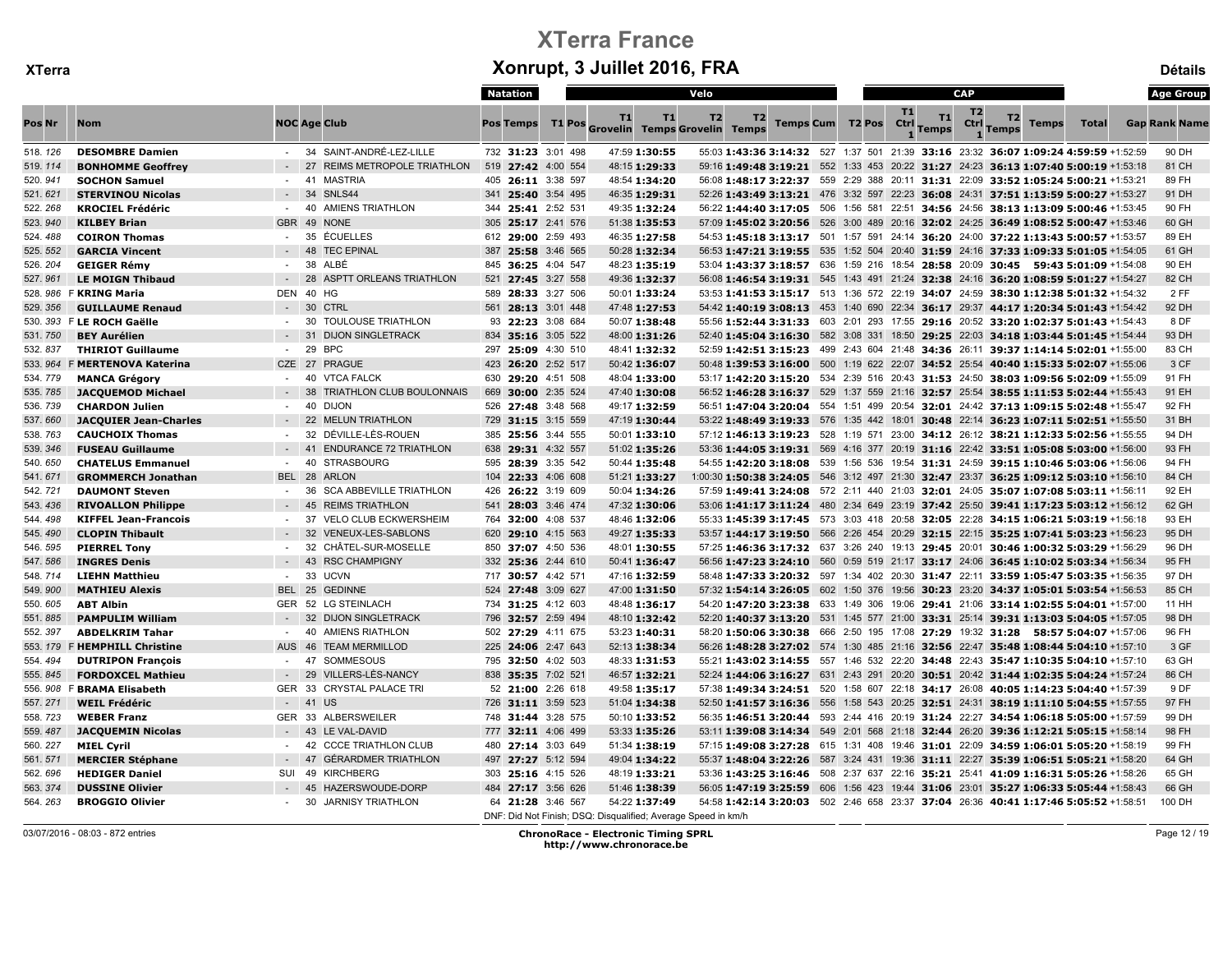|          |                               |            |                                        | Natation           |                |                                                               | Velo                                                                                                     |                         |  |                   |                    | <b>CAP</b>             |                                    |              | <b>Age Group</b>     |
|----------|-------------------------------|------------|----------------------------------------|--------------------|----------------|---------------------------------------------------------------|----------------------------------------------------------------------------------------------------------|-------------------------|--|-------------------|--------------------|------------------------|------------------------------------|--------------|----------------------|
| Pos Nr   | <b>Nom</b>                    |            | <b>NOC Age Club</b>                    | <b>Pos Temps</b>   |                | T1<br>T1<br>T1 Pos Grovelin Temps Grovelin Temps              | T <sub>2</sub><br>T2                                                                                     | <b>Temps Cum T2 Pos</b> |  | <b>T1</b><br>Ctrl | T1<br><b>Temps</b> | T <sub>2</sub><br>Ctrl | T2<br><b>Temps</b><br><b>Temps</b> | <b>Total</b> | <b>Gap Rank Name</b> |
| 518.126  | <b>DESOMBRE Damien</b>        |            | - 34 SAINT-ANDRÉ-LEZ-LILLE             | 732 31:23 3:01 498 |                | 47:59 1:30:55                                                 | 55:03 1:43:36 3:14:32 527 1:37 501 21:39 33:16 23:32 36:07 1:09:24 4:59:59 +1:52:59                      |                         |  |                   |                    |                        |                                    |              | 90 DH                |
| 519.114  | <b>BONHOMME Geoffrey</b>      |            | 27<br><b>REIMS METROPOLE TRIATHLON</b> | 519 27:42 4:00 554 |                | 48:15 1:29:33                                                 | 59:16 1:49:48 3:19:21 552 1:33 453 20:22 31:27 24:23 36:13 1:07:40 5:00:19 +1:53:18                      |                         |  |                   |                    |                        |                                    |              | 81 CH                |
| 520.941  | <b>SOCHON Samuel</b>          | $\sim$     | 41<br><b>MASTRIA</b>                   | 405 26:11 3:38 597 |                | 48:54 1:34:20                                                 | 56:08 1:48:17 3:22:37 559 2:29 388 20:11 31:31 22:09 33:52 1:05:24 5:00:21 +1:53:21                      |                         |  |                   |                    |                        |                                    |              | 89 FH                |
| 521.621  | <b>STERVINOU Nicolas</b>      |            | 34<br>SNLS44                           | 341 25:40 3:54 495 |                | 46:35 1:29:31                                                 | 52:26 1:43:49 3:13:21 476 3:32 597 22:23 36:08 24:31 37:51 1:13:59 5:00:27 +1:53:27                      |                         |  |                   |                    |                        |                                    |              | 91 DH                |
| 522.268  | <b>KROCIEL Frédéric</b>       |            | 40<br><b>AMIENS TRIATHLON</b>          | 344 25:41 2:52 531 |                | 49:35 1:32:24                                                 | 56:22 1:44:40 3:17:05 506 1:56 581 22:51 34:56 24:56 38:13 1:13:09 5:00:46 +1:53:45                      |                         |  |                   |                    |                        |                                    |              | 90 FH                |
| 523.940  | <b>KILBEY Brian</b>           | <b>GBR</b> | 49<br><b>NONE</b>                      | 305 25:17 2:41 576 |                | 51:38 1:35:53                                                 | 57:09 1:45:02 3:20:56 526 3:00 489 20:16 32:02 24:25 36:49 1:08:52 5:00:47 +1:53:46                      |                         |  |                   |                    |                        |                                    |              | 60 GH                |
| 524.488  | <b>COIRON Thomas</b>          |            | ÉCUELLES<br>35                         | 612 29:00 2:59 493 |                | 46:35 1:27:58                                                 | 54:53 <b>1:45:18 3:13:17</b> 501 1:57 591 24:14 <b>36:20</b> 24:00 <b>37:22 1:13:43 5:00:57</b> +1:53:57 |                         |  |                   |                    |                        |                                    |              | 89 EH                |
| 525. 552 | <b>GARCIA Vincent</b>         |            | 48<br><b>TEC EPINAL</b>                | 387 25:58 3:46 565 |                | 50:28 1:32:34                                                 | 56:53 1:47:21 3:19:55 535 1:52 504 20:40 31:59 24:16 37:33 1:09:33 5:01:05 +1:54:05                      |                         |  |                   |                    |                        |                                    |              | 61 GH                |
| 526.204  | <b>GEIGER Rémy</b>            | $\sim$     | 38<br>ALBÉ                             | 845 36:25 4:04 547 |                | 48:23 1:35:19                                                 | 53:04 1:43:37 3:18:57 636 1:59 216 18:54 28:58 20:09 30:45 59:43 5:01:09 +1:54:08                        |                         |  |                   |                    |                        |                                    |              | 90 EH                |
| 527.961  | <b>LE MOIGN Thibaud</b>       |            | 28<br><b>ASPTT ORLEANS TRIATHLON</b>   | 521 27:45 3:27 558 |                | 49:36 1:32:37                                                 | 56:08 1:46:54 3:19:31 545 1:43 491 21:24 32:38 24:16 36:20 1:08:59 5:01:27 +1:54:27                      |                         |  |                   |                    |                        |                                    |              | 82 CH                |
|          | 528. 986 F KRING Maria        | DEN        | 40<br>HG                               | 589 28:33 3:27 506 |                | 50:01 1:33:24                                                 | 53:53 1:41:53 3:15:17 513 1:36 572 22:19 34:07 24:59 38:30 1:12:38 5:01:32 +1:54:32                      |                         |  |                   |                    |                        |                                    |              | 2 FF                 |
| 529.356  | <b>GUILLAUME Renaud</b>       |            | - 30 CTRL                              | 561 28:13 3:01 448 |                | 47:48 1:27:53                                                 | 54:42 1:40:19 3:08:13 453 1:40 690 22:34 36:17 29:37 44:17 1:20:34 5:01:43 +1:54:42                      |                         |  |                   |                    |                        |                                    |              | 92 DH                |
|          | 530. 393 F LE ROCH Gaëlle     | $\sim$     | 30<br>TOULOUSE TRIATHLON               | 93 22:23 3:08 684  |                | 50:07 1:38:48                                                 | 55:56 1:52:44 3:31:33 603 2:01 293 17:55 29:16 20:52 33:20 1:02:37 5:01:43 +1:54:43                      |                         |  |                   |                    |                        |                                    |              | 8 DF                 |
| 531.750  | <b>BEY Aurélien</b>           |            | 31<br><b>DIJON SINGLETRACK</b>         | 834 35:16 3:05 522 |                | 48:00 1:31:26                                                 | 52:40 1:45:04 3:16:30 582 3:08 331 18:50 29:25 22:03 34:18 1:03:44 5:01:45 +1:54:44                      |                         |  |                   |                    |                        |                                    |              | 93 DH                |
| 532.837  | <b>THIRIOT Guillaume</b>      |            | 29<br><b>BPC</b>                       | 297 25:09 4:30 510 |                | 48:41 1:32:32                                                 | 52:59 1:42:51 3:15:23 499 2:43 604 21:48 34:36 26:11 39:37 1:14:14 5:02:01 +1:55:00                      |                         |  |                   |                    |                        |                                    |              | 83 CH                |
|          | 533. 964 F MERTENOVA Katerina | CZE 27     | <b>PRAGUE</b>                          | 423 26:20 2:52 517 |                | 50:42 1:36:07                                                 | 50:48 1:39:53 3:16:00 500 1:19 622 22:07 34:52 25:54 40:40 1:15:33 5:02:07 +1:55:06                      |                         |  |                   |                    |                        |                                    |              | 3 CF                 |
| 534.779  | <b>MANCA Grégory</b>          |            | 40<br><b>VTCA FALCK</b>                | 630 29:20 4:51 508 |                | 48:04 1:33:00                                                 | 53:17 1:42:20 3:15:20 534 2:39 516 20:43 31:53 24:50 38:03 1:09:56 5:02:09 +1:55:09                      |                         |  |                   |                    |                        |                                    |              | 91 FH                |
| 535.785  | <b>JACQUEMOD Michael</b>      |            | 38<br>TRIATHLON CLUB BOULONNAIS        | 669                | 30:00 2:35 524 | 47:40 1:30:08                                                 | 56:52 1:46:28 3:16:37 529 1:37 559 21:16 32:57 25:54 38:55 1:11:53 5:02:44 +1:55:43                      |                         |  |                   |                    |                        |                                    |              | 91 EH                |
| 536.739  | <b>CHARDON Julien</b>         |            | 40<br><b>DIJON</b>                     | 526 27:48 3:48 568 |                | 49:17 1:32:59                                                 | 56:51 1:47:04 3:20:04 554 1:51 499 20:54 32:01 24:42 37:13 1:09:15 5:02:48 +1:55:47                      |                         |  |                   |                    |                        |                                    |              | 92 FH                |
| 537.660  | <b>JACQUIER Jean-Charles</b>  |            | 22<br><b>MELUN TRIATHLON</b>           | 729 31:15 3:15 559 |                | 47:19 1:30:44                                                 | 53:22 1:48:49 3:19:33 576 1:35 442 18:01 30:48 22:14 36:23 1:07:11 5:02:51 +1:55:50                      |                         |  |                   |                    |                        |                                    |              | 31 BH                |
| 538.763  | <b>CAUCHOIX Thomas</b>        | $\sim$     | DÉVILLE-LÈS-ROUEN<br>32                | 385 25:56 3:44 555 |                | 50:01 1:33:10                                                 | 57:12 1:46:13 3:19:23 528 1:19 571 23:00 34:12 26:12 38:21 1:12:33 5:02:56 +1:55:55                      |                         |  |                   |                    |                        |                                    |              | 94 DH                |
| 539.346  | <b>FUSEAU Guillaume</b>       |            | 41<br><b>ENDURANCE 72 TRIATHLON</b>    | 638 29:31 4:32 557 |                | 51:02 1:35:26                                                 | 53:36 1:44:05 3:19:31 569 4:16 377 20:19 31:16 22:42 33:51 1:05:08 5:03:00 +1:56:00                      |                         |  |                   |                    |                        |                                    |              | 93 FH                |
| 540.650  | <b>CHATELUS Emmanuel</b>      | $\sim$     | 40<br><b>STRASBOURG</b>                | 595 28:39 3:35 542 |                | 50:44 1:35:48                                                 | 54:55 1:42:20 3:18:08 539 1:56 536 19:54 31:31 24:59 39:15 1:10:46 5:03:06 +1:56:06                      |                         |  |                   |                    |                        |                                    |              | 94 FH                |
| 541.671  | <b>GROMMERCH Jonathan</b>     | BEL 28     | <b>ARLON</b>                           | 104 22:33 4:06 608 |                | 51:21 1:33:27                                                 | 1:00:30 1:50:38 3:24:05 546 3:12 497 21:30 32:47 23:37 36:25 1:09:12 5:03:10 +1:56:10                    |                         |  |                   |                    |                        |                                    |              | 84 CH                |
| 542.721  | <b>DAUMONT Steven</b>         | $\sim$     | 36<br><b>SCA ABBEVILLE TRIATHLON</b>   | 426 26:22 3:19 609 |                | 50:04 1:34:26                                                 | 57:59 1:49:41 3:24:08 572 2:11 440 21:03 32:01 24:05 35:07 1:07:08 5:03:11 +1:56:11                      |                         |  |                   |                    |                        |                                    |              | 92 EH                |
| 543.436  | <b>RIVOALLON Philippe</b>     |            | 45<br><b>REIMS TRIATHLON</b>           | 541 28:03 3:46 474 |                | 47:32 1:30:06                                                 | 53:06 1:41:17 3:11:24 480 2:34 649 23:19 37:42 25:50 39:41 1:17:23 5:03:12 +1:56:12                      |                         |  |                   |                    |                        |                                    |              | 62 GH                |
| 544.498  | <b>KIFFEL Jean-Francois</b>   |            | 37<br>VELO CLUB ECKWERSHEIM            | 764 32:00 4:08 537 |                | 48:46 1:32:06                                                 | 55:33 1:45:39 3:17:45 573 3:03 418 20:58 32:05 22:28 34:15 1:06:21 5:03:19 +1:56:18                      |                         |  |                   |                    |                        |                                    |              | 93 EH                |
| 545.490  | <b>CLOPIN Thibault</b>        | $\sim$     | 32<br>VENEUX-LES-SABLONS               | 620 29:10 4:15 563 |                | 49:27 1:35:33                                                 | 53:57 1:44:17 3:19:50 566 2:26 454 20:29 32:15 22:15 35:25 1:07:41 5:03:23 +1:56:23                      |                         |  |                   |                    |                        |                                    |              | 95 DH                |
| 546.595  | <b>PIERREL Tony</b>           | $\sim$     | 32<br>CHÂTEL-SUR-MOSELLE               | 850 37:07 4:50 536 |                | 48:01 1:30:55                                                 | 57:25 1:46:36 3:17:32 637 3:26 240 19:13 29:45 20:01 30:46 1:00:32 5:03:29 +1:56:29                      |                         |  |                   |                    |                        |                                    |              | 96 DH                |
| 547.586  | <b>INGRES Denis</b>           |            | 43<br><b>RSC CHAMPIGNY</b>             | 332 25:36 2:44 610 |                | 50:41 1:36:47                                                 | 56:56 1:47:23 3:24:10 560 0:59 519 21:17 33:17 24:06 36:45 1:10:02 5:03:34 +1:56:34                      |                         |  |                   |                    |                        |                                    |              | 95 FH                |
| 548.714  | <b>LIEHN Matthieu</b>         |            | 33<br><b>UCVN</b>                      | 717 30:57 4:42 571 |                | 47:16 1:32:59                                                 | 58:48 1:47:33 3:20:32 597 1:34 402 20:30 31:47 22:11 33:59 1:05:47 5:03:35 +1:56:35                      |                         |  |                   |                    |                        |                                    |              | 97 DH                |
| 549.900  | <b>MATHIEU Alexis</b>         |            | BEL 25 GEDINNE                         | 524 27:48 3:09 627 |                | 47:00 1:31:50                                                 | 57:32 1:54:14 3:26:05 602 1:50 376 19:56 30:23 23:20 34:37 1:05:01 5:03:54 +1:56:53                      |                         |  |                   |                    |                        |                                    |              | 85 CH                |
| 550.605  | <b>ABT Albin</b>              |            | GER 52 LG STEINLACH                    | 734 31:25 4:12 603 |                | 48:48 1:36:17                                                 | 54:20 1:47:20 3:23:38 633 1:49 306 19:06 29:41 21:06 33:14 1:02:55 5:04:01 +1:57:00                      |                         |  |                   |                    |                        |                                    |              | 11 HH                |
| 551.885  | <b>PAMPULIM William</b>       |            | 32<br><b>DIJON SINGLETRACK</b>         | 796 32:57 2:59 494 |                | 48:10 1:32:42                                                 | 52:20 1:40:37 3:13:20 531 1:45 577 21:00 33:31 25:14 39:31 1:13:03 5:04:05 +1:57:05                      |                         |  |                   |                    |                        |                                    |              | 98 DH                |
| 552.397  | <b>ABDELKRIM Tahar</b>        | $\sim$     | <b>AMIENS RIATHLON</b><br>40           | 502 27:29 4:11 675 |                | 53:23 1:40:31                                                 | 58:20 1:50:06 3:30:38 666 2:50 195 17:08 27:29 19:32 31:28 58:57 5:04:07 +1:57:06                        |                         |  |                   |                    |                        |                                    |              | 96 FH                |
|          | 553. 179 F HEMPHILL Christine | <b>AUS</b> | <b>TEAM MERMILLOD</b><br>46            | 225 24:06 2:47 643 |                | 52:13 1:38:34                                                 | 56:26 1:48:28 3:27:02 574 1:30 485 21:16 32:56 22:47 35:48 1:08:44 5:04:10 +1:57:10                      |                         |  |                   |                    |                        |                                    |              | 3 GF                 |
| 554.494  | <b>DUTRIPON François</b>      |            | 47<br>SOMMESOUS                        | 795 32:50 4:02 503 |                | 48:33 1:31:53                                                 | 55:21 1:43:02 3:14:55 557 1:46 532 22:20 34:48 22:43 35:47 1:10:35 5:04:10 +1:57:10                      |                         |  |                   |                    |                        |                                    |              | 63 GH                |
| 555.845  | <b>FORDOXCEL Mathieu</b>      |            | 29<br>VILLERS-LÈS-NANCY                | 838 35:35 7:02 521 |                | 46:57 1:32:21                                                 | 52:24 1:44:06 3:16:27 631 2:43 291 20:20 30:51 20:42 31:44 1:02:35 5:04:24 +1:57:24                      |                         |  |                   |                    |                        |                                    |              | 86 CH                |
|          | 556. 908 F BRAMA Elisabeth    |            | GER 33 CRYSTAL PALACE TRI              | 52 21:00 2:26 618  |                | 49:58 1:35:17                                                 | 57:38 1:49:34 3:24:51 520 1:58 607 22:18 34:17 26:08 40:05 1:14:23 5:04:40 +1:57:39                      |                         |  |                   |                    |                        |                                    |              | 9 DF                 |
| 557.271  | <b>WEIL Frédéric</b>          |            | $-41$<br><b>US</b>                     | 726 31:11 3:59 523 |                | 51:04 1:34:38                                                 | 52:50 1:41:57 3:16:36 556 1:58 543 20:25 32:51 24:31 38:19 1:11:10 5:04:55 +1:57:55                      |                         |  |                   |                    |                        |                                    |              | 97 FH                |
| 558.723  | <b>WEBER Franz</b>            | GER 33     | <b>ALBERSWEILER</b>                    | 748 31:44 3:28 575 |                | 50:10 1:33:52                                                 | 56:35 1:46:51 3:20:44 593 2:44 416 20:19 31:24 22:27 34:54 1:06:18 5:05:00 +1:57:59                      |                         |  |                   |                    |                        |                                    |              | 99 DH                |
| 559.487  | <b>JACQUEMIN Nicolas</b>      |            | 43<br>LE VAL-DAVID                     | 777 32:11 4:06 499 |                | 53:33 1:35:26                                                 | 53:11 1:39:08 3:14:34 549 2:01 568 21:18 32:44 26:20 39:36 1:12:21 5:05:15 +1:58:14                      |                         |  |                   |                    |                        |                                    |              | 98 FH                |
| 560.227  | <b>MIEL Cyril</b>             |            | <b>CCCE TRIATHLON CLUB</b><br>42       | 480 27:14 3:03 649 |                | 51:34 1:38:19                                                 | 57:15 1:49:08 3:27:28  615  1:31  408  19:46  31:01  22:09  34:59  1:06:01  5:05:20  +1:58:19            |                         |  |                   |                    |                        |                                    |              | 99 FH                |
| 561.571  | <b>MERCIER Stéphane</b>       |            | 47<br><b>GÉRARDMER TRIATHLON</b>       | 497 27:27 5:12 594 |                | 49:04 1:34:22                                                 | 55:37 1:48:04 3:22:26 587 3:24 431 19:36 31:11 22:27 35:39 1:06:51 5:05:21 +1:58:20                      |                         |  |                   |                    |                        |                                    |              | 64 GH                |
| 562.696  | <b>HEDIGER Daniel</b>         | SUI        | 49<br><b>KIRCHBERG</b>                 | 303 25:16 4:15 526 |                | 48:19 1:33:21                                                 | 53:36 1:43:25 3:16:46 508 2:37 637 22:16 35:21 25:41 41:09 1:16:31 5:05:26 +1:58:26                      |                         |  |                   |                    |                        |                                    |              | 65 GH                |
| 563.374  | <b>DUSSINE Olivier</b>        |            | HAZERSWOUDE-DORP<br>45                 | 484 27:17 3:56 626 |                | 51:46 1:38:39                                                 | 56:05 <b>1:47:19 3:25:59</b> 606 1:56 423 19:44 <b>31:06</b> 23:01 <b>35:27 1:06:33 5:05:44</b> +1:58:43 |                         |  |                   |                    |                        |                                    |              | 66 GH                |
| 564.263  | <b>BROGGIO Olivier</b>        |            | 30 JARNISY TRIATHLON                   | 64 21:28 3:46 567  |                | 54:22 1:37:49                                                 | 54:58 1:42:14 3:20:03 502 2:46 658 23:37 37:04 26:36 40:41 1:17:46 5:05:52 +1:58:51                      |                         |  |                   |                    |                        |                                    |              | 100 DH               |
|          |                               |            |                                        |                    |                | DNF: Did Not Finish; DSQ: Disqualified; Average Speed in km/h |                                                                                                          |                         |  |                   |                    |                        |                                    |              |                      |

03/07/2016 - 08:03 - 872 entries ChronoRace - Electronic Timing SPRL http://www.chronorace.be

Page 12 / 19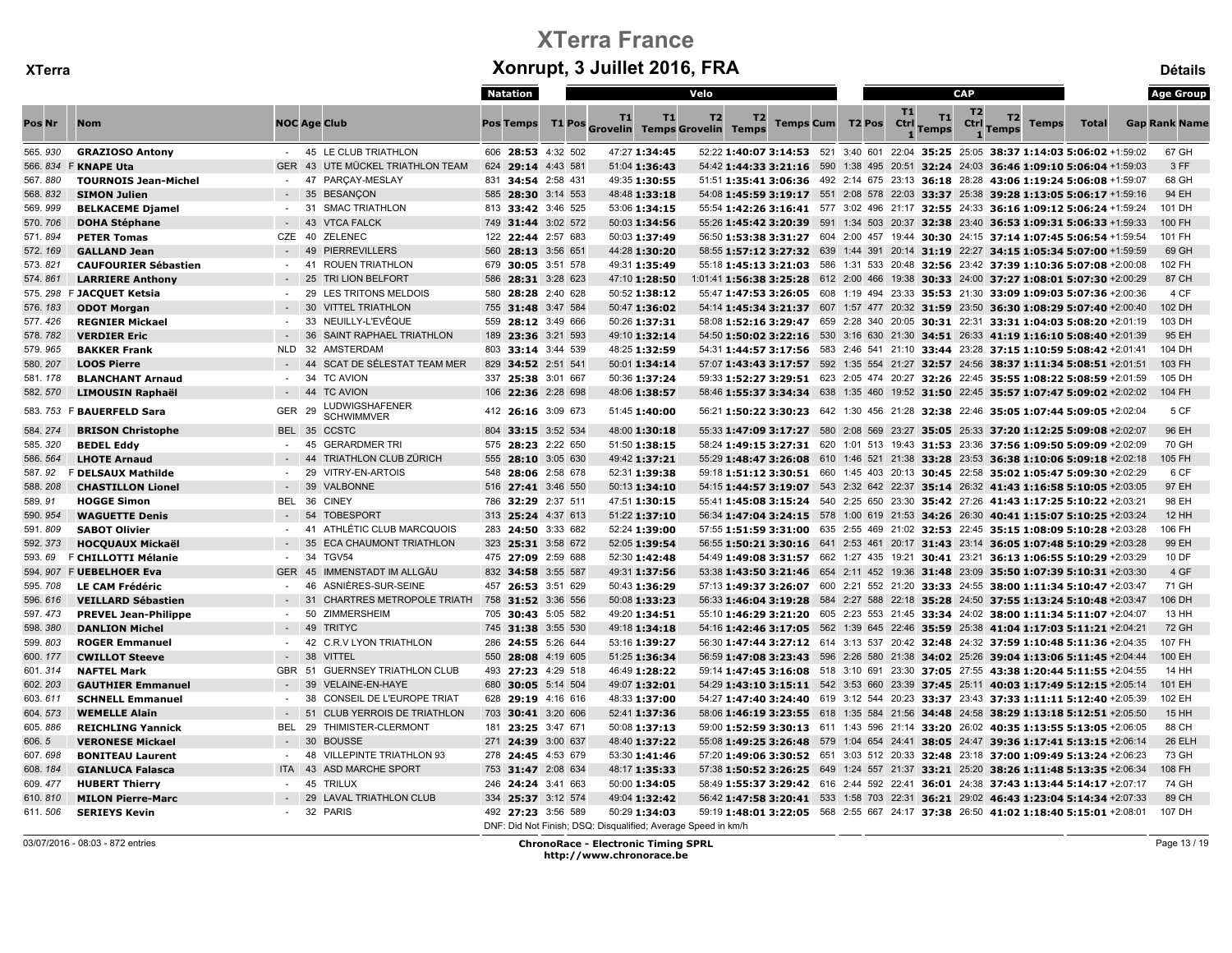|         |                             |                  |                                             | <b>Natation</b>    | Velo                                                                           |                                                                                               |                         |                   |                    | <b>CAP</b>                                            |              | <b>Age Group</b>     |
|---------|-----------------------------|------------------|---------------------------------------------|--------------------|--------------------------------------------------------------------------------|-----------------------------------------------------------------------------------------------|-------------------------|-------------------|--------------------|-------------------------------------------------------|--------------|----------------------|
| Pos Nr  | <b>Nom</b>                  |                  | <b>NOC Age Club</b>                         | <b>Pos Temps</b>   | T1<br><b>T1</b><br>T1 Pos Grovelin Temps Grovelin Temps                        | T <sub>2</sub><br>T2                                                                          | <b>Temps Cum T2 Pos</b> | <b>T1</b><br>Ctrl | T1<br><b>Temps</b> | T <sub>2</sub><br>T2<br>Ctrl<br><b>Temps</b><br>Temps | <b>Total</b> | <b>Gap Rank Name</b> |
| 565.930 | <b>GRAZIOSO Antony</b>      |                  | - 45 LE CLUB TRIATHLON                      | 606 28:53 4:32 502 | 47:27 1:34:45                                                                  | 52:22 1:40:07 3:14:53 521 3:40 601 22:04 35:25 25:05 38:37 1:14:03 5:06:02 +1:59:02           |                         |                   |                    |                                                       |              | 67 GH                |
| 566.834 | <b>F KNAPE Uta</b>          |                  | GER 43 UTE MÜCKEL TRIATHLON TEAM            | 624 29:14 4:43 581 | 51:04 1:36:43                                                                  | 54:42 1:44:33 3:21:16 590 1:38 495 20:51 32:24 24:03 36:46 1:09:10 5:06:04 +1:59:03           |                         |                   |                    |                                                       |              | 3 FF                 |
| 567.880 | <b>TOURNOIS Jean-Michel</b> |                  | PARCAY-MESLAY<br>47                         | 831 34:54 2:58 431 | 49:35 1:30:55                                                                  | 51:51 1:35:41 3:06:36 492 2:14 675 23:13 36:18 28:28 43:06 1:19:24 5:06:08 +1:59:07           |                         |                   |                    |                                                       |              | 68 GH                |
| 568.832 | <b>SIMON Julien</b>         |                  | 35<br><b>BESANÇON</b>                       | 585 28:30 3:14 553 | 48:48 1:33:18                                                                  | 54:08 1:45:59 3:19:17 551 2:08 578 22:03 33:37 25:38 39:28 1:13:05 5:06:17 +1:59:16           |                         |                   |                    |                                                       |              | 94 EH                |
| 569.999 | <b>BELKACEME Djamel</b>     |                  | - 31<br><b>SMAC TRIATHLON</b>               | 813 33:42 3:46 525 | 53:06 1:34:15                                                                  | 55:54 1:42:26 3:16:41 577 3:02 496 21:17 32:55 24:33 36:16 1:09:12 5:06:24 +1:59:24           |                         |                   |                    |                                                       |              | 101 DH               |
| 570.706 | <b>DOHA Stéphane</b>        |                  | 43<br><b>VTCA FALCK</b>                     | 749 31:44 3:02 572 | 50:03 1:34:56                                                                  | 55:26 1:45:42 3:20:39 591 1:34 503 20:37 32:38 23:40 36:53 1:09:31 5:06:33 +1:59:33           |                         |                   |                    |                                                       |              | 100 FH               |
| 571.894 | <b>PETER Tomas</b>          | CZE 40           | ZELENEC                                     | 122 22:44 2:57 683 | 50:03 1:37:49                                                                  | 56:50 1:53:38 3:31:27 604 2:00 457 19:44 30:30 24:15 37:14 1:07:45 5:06:54 +1:59:54           |                         |                   |                    |                                                       |              | 101 FH               |
| 572.169 | <b>GALLAND Jean</b>         |                  | <b>PIERREVILLERS</b><br>49                  | 560 28:13 3:56 651 | 44:28 1:30:20                                                                  | 58:55 1:57:12 3:27:32 639 1:44 391 20:14 31:19 22:27 34:15 1:05:34 5:07:00 +1:59:59           |                         |                   |                    |                                                       |              | 69 GH                |
| 573.821 | <b>CAUFOURIER Sébastien</b> |                  | <b>ROUEN TRIATHLON</b><br>-41               | 679 30:05 3:51 578 | 49:31 1:35:49                                                                  | 55:18 1:45:13 3:21:03 586 1:31 533 20:48 32:56 23:42 37:39 1:10:36 5:07:08 +2:00:08           |                         |                   |                    |                                                       |              | 102 FH               |
| 574.861 | <b>LARRIERE Anthony</b>     |                  | 25<br>TRI LION BELFORT                      | 586 28:31 3:28 623 | 47:10 1:28:50                                                                  | 1:01:41 1:56:38 3:25:28 612 2:00 466 19:38 30:33 24:00 37:27 1:08:01 5:07:30 +2:00:29         |                         |                   |                    |                                                       |              | 87 CH                |
| 575.298 | F JACQUET Ketsia            |                  | LES TRITONS MELDOIS<br>29                   | 580 28:28 2:40 628 | 50:52 1:38:12                                                                  | 55:47 1:47:53 3:26:05 608 1:19 494 23:33 35:53 21:30 33:09 1:09:03 5:07:36 +2:00:36           |                         |                   |                    |                                                       |              | 4 CF                 |
| 576.183 | <b>ODOT Morgan</b>          |                  | <b>VITTEL TRIATHLON</b><br>30               | 755 31:48 3:47 584 | 50:47 1:36:02                                                                  | 54:14 1:45:34 3:21:37 607 1:57 477 20:32 31:59 23:50 36:30 1:08:29 5:07:40 +2:00:40           |                         |                   |                    |                                                       |              | 102 DH               |
| 577.426 | <b>REGNIER Mickael</b>      | $\sim$           | 33<br>NEUILLY-L'EVÊQUE                      | 559 28:12 3:49 666 | 50:26 1:37:31                                                                  | 58:08 1:52:16 3:29:47 659 2:28 340 20:05 30:31 22:31 33:31 1:04:03 5:08:20 +2:01:19           |                         |                   |                    |                                                       |              | 103 DH               |
| 578.782 | <b>VERDIER Eric</b>         |                  | 36<br>SAINT RAPHAEL TRIATHLON               | 189 23:36 3:21 593 | 49:10 1:32:14                                                                  | 54:50 1:50:02 3:22:16 530 3:16 630 21:30 34:51 26:33 41:19 1:16:10 5:08:40 +2:01:39           |                         |                   |                    |                                                       |              | 95 EH                |
| 579.965 | <b>BAKKER Frank</b>         |                  | NLD 32 AMSTERDAM                            | 803 33:14 3:44 539 | 48:25 1:32:59                                                                  | 54:31 1:44:57 3:17:56 583 2:46 541 21:10 33:44 23:28 37:15 1:10:59 5:08:42 +2:01:41           |                         |                   |                    |                                                       |              | 104 DH               |
| 580.207 | <b>LOOS Pierre</b>          |                  | 44<br>SCAT DE SÉLESTAT TEAM MER             | 829 34:52 2:51 541 | 50:01 1:34:14                                                                  | 57:07 1:43:43 3:17:57 592 1:35 554 21:27 32:57 24:56 38:37 1:11:34 5:08:51 +2:01:51           |                         |                   |                    |                                                       |              | 103 FH               |
| 581.178 | <b>BLANCHANT Arnaud</b>     |                  | <b>TC AVION</b><br>34                       | 337 25:38 3:01 667 | 50:36 1:37:24                                                                  | 59:33 1:52:27 3:29:51  623  2:05  474  20:27  32:26  22:45  35:55  1:08:22  5:08:59  +2:01:59 |                         |                   |                    |                                                       |              | 105 DH               |
| 582.570 | <b>LIMOUSIN Raphaël</b>     |                  | - 44 TC AVION                               | 106 22:36 2:28 698 | 48:06 1:38:57                                                                  | 58:46 1:55:37 3:34:34 638 1:35 460 19:52 31:50 22:45 35:57 1:07:47 5:09:02 +2:02:02           |                         |                   |                    |                                                       |              | 104 FH               |
|         | 583. 753 F BAUERFELD Sara   | <b>GER</b>       | LUDWIGSHAFENER<br>- 29<br><b>SCHWIMMVER</b> | 412 26:16 3:09 673 | 51:45 1:40:00                                                                  | 56:21 1:50:22 3:30:23 642 1:30 456 21:28 32:38 22:46 35:05 1:07:44 5:09:05 +2:02:04           |                         |                   |                    |                                                       |              | 5 CF                 |
| 584.274 | <b>BRISON Christophe</b>    |                  | BEL 35 CCSTC                                | 804 33:15 3:52 534 | 48:00 1:30:18                                                                  | 55:33 1:47:09 3:17:27 580 2:08 569 23:27 35:05 25:33 37:20 1:12:25 5:09:08 +2:02:07           |                         |                   |                    |                                                       |              | 96 EH                |
| 585.320 | <b>BEDEL Eddy</b>           |                  | <b>GERARDMER TRI</b><br>45                  | 575 28:23 2:22 650 | 51:50 1:38:15                                                                  | 58:24 1:49:15 3:27:31 620 1:01 513 19:43 31:53 23:36 37:56 1:09:50 5:09:09 +2:02:09           |                         |                   |                    |                                                       |              | 70 GH                |
| 586.564 | <b>LHOTE Arnaud</b>         | $-44$            | <b>TRIATHLON CLUB ZÜRICH</b>                | 555 28:10 3:05 630 | 49:42 1:37:21                                                                  | 55:29 1:48:47 3:26:08 610 1:46 521 21:38 33:28 23:53 36:38 1:10:06 5:09:18 +2:02:18           |                         |                   |                    |                                                       |              | 105 FH               |
| 587.92  | F DELSAUX Mathilde          |                  | 29<br>VITRY-EN-ARTOIS                       | 548 28:06 2:58 678 | 52:31 1:39:38                                                                  | 59:18 1:51:12 3:30:51 660 1:45 403 20:13 30:45 22:58 35:02 1:05:47 5:09:30 +2:02:29           |                         |                   |                    |                                                       |              | 6 CF                 |
| 588.208 | <b>CHASTILLON Lionel</b>    |                  | 39<br>VALBONNE                              | 516 27:41 3:46 550 | 50:13 1:34:10                                                                  | 54:15 1:44:57 3:19:07 543 2:32 642 22:37 35:14 26:32 41:43 1:16:58 5:10:05 +2:03:05           |                         |                   |                    |                                                       |              | 97 EH                |
| 589.91  | <b>HOGGE Simon</b>          | BEL 36           | <b>CINEY</b>                                | 786 32:29 2:37 511 | 47:51 1:30:15                                                                  | 55:41 1:45:08 3:15:24 540 2:25 650 23:30 35:42 27:26 41:43 1:17:25 5:10:22 +2:03:21           |                         |                   |                    |                                                       |              | 98 EH                |
| 590.954 | <b>WAGUETTE Denis</b>       |                  | 54<br><b>TOBESPORT</b>                      | 313 25:24 4:37 613 | 51:22 1:37:10                                                                  | 56:34 1:47:04 3:24:15 578 1:00 619 21:53 34:26 26:30 40:41 1:15:07 5:10:25 +2:03:24           |                         |                   |                    |                                                       |              | <b>12 HH</b>         |
| 591.809 | <b>SABOT Olivier</b>        | $-41$            | ATHLÉTIC CLUB MARCQUOIS                     | 283 24:50 3:33 682 | 52:24 1:39:00                                                                  | 57:55 1:51:59 3:31:00 635 2:55 469 21:02 32:53 22:45 35:15 1:08:09 5:10:28 +2:03:28           |                         |                   |                    |                                                       |              | 106 FH               |
| 592.373 | <b>HOCQUAUX Mickaël</b>     |                  | 35<br><b>ECA CHAUMONT TRIATHLON</b>         | 323 25:31 3:58 672 | 52:05 1:39:54                                                                  | 56:55 1:50:21 3:30:16 641 2:53 461 20:17 31:43 23:14 36:05 1:07:48 5:10:29 +2:03:28           |                         |                   |                    |                                                       |              | 99 EH                |
| 593.69  | F CHILLOTTI Mélanie         | $\sim$ 100 $\mu$ | <b>TGV54</b><br>34                          | 475 27:09 2:59 688 | 52:30 1:42:48                                                                  | 54:49 1:49:08 3:31:57 662 1:27 435 19:21 30:41 23:21 36:13 1:06:55 5:10:29 +2:03:29           |                         |                   |                    |                                                       |              | 10 DF                |
| 594.907 | F UEBELHOER Eva             | GER 45           | <b>IMMENSTADT IM ALLGÄU</b>                 | 832 34:58 3:55 587 | 49:31 1:37:56                                                                  | 53:38 1:43:50 3:21:46 654 2:11 452 19:36 31:48 23:09 35:50 1:07:39 5:10:31 +2:03:30           |                         |                   |                    |                                                       |              | 4 GF                 |
| 595.708 | <b>LE CAM Frédéric</b>      |                  | - 46<br>ASNIÈRES-SUR-SEINE                  | 457 26:53 3:51 629 | 50:43 1:36:29                                                                  | 57:13 1:49:37 3:26:07 600 2:21 552 21:20 33:33 24:55 38:00 1:11:34 5:10:47 +2:03:47           |                         |                   |                    |                                                       |              | 71 GH                |
| 596.616 | <b>VEILLARD Sébastien</b>   |                  | CHARTRES METROPOLE TRIATH<br>31             | 758 31:52 3:36 556 | 50:08 1:33:23                                                                  | 56:33 1:46:04 3:19:28 584 2:27 588 22:18 35:28 24:50 37:55 1:13:24 5:10:48 +2:03:47           |                         |                   |                    |                                                       |              | 106 DH               |
| 597.473 | <b>PREVEL Jean-Philippe</b> |                  | <b>ZIMMERSHEIM</b><br>50                    | 705 30:43 5:05 582 | 49:20 1:34:51                                                                  | 55:10 1:46:29 3:21:20 605 2:23 553 21:45 33:34 24:02 38:00 1:11:34 5:11:07 +2:04:07           |                         |                   |                    |                                                       |              | 13 HH                |
| 598.380 | <b>DANLION Michel</b>       | $-49$            | <b>TRITYC</b>                               | 745 31:38 3:55 530 | 49:18 1:34:18                                                                  | 54:16 1:42:46 3:17:05 562 1:39 645 22:46 35:59 25:38 41:04 1:17:03 5:11:21 +2:04:21           |                         |                   |                    |                                                       |              | 72 GH                |
| 599.803 | <b>ROGER Emmanuel</b>       |                  | 42<br><b>C.R.V LYON TRIATHLON</b>           | 286 24:55 5:26 644 | 53:16 1:39:27                                                                  | 56:30 1:47:44 3:27:12 614 3:13 537 20:42 32:48 24:32 37:59 1:10:48 5:11:36 +2:04:35           |                         |                   |                    |                                                       |              | 107 FH               |
| 600.177 | <b>CWILLOT Steeve</b>       | $-38$            | <b>VITTEL</b>                               | 550 28:08 4:19 605 | 51:25 1:36:34                                                                  | 56:59 1:47:08 3:23:43 596 2:26 580 21:38 34:02 25:26 39:04 1:13:06 5:11:45 +2:04:44           |                         |                   |                    |                                                       |              | 100 EH               |
| 601.314 | <b>NAFTEL Mark</b>          | GBR 51           | <b>GUERNSEY TRIATHLON CLUB</b>              | 493 27:23 4:29 518 | 46:49 1:28:22                                                                  | 59:14 1:47:45 3:16:08 518 3:10 691 23:30 37:05 27:55 43:38 1:20:44 5:11:55 +2:04:55           |                         |                   |                    |                                                       |              | 14 HH                |
| 602.203 | <b>GAUTHIER Emmanuel</b>    |                  | 39<br><b>VELAINE-EN-HAYE</b>                | 680 30:05 5:14 504 | 49:07 1:32:01                                                                  | 54:29 1:43:10 3:15:11 542 3:53 660 23:39 37:45 25:11 40:03 1:17:49 5:12:15 +2:05:14           |                         |                   |                    |                                                       |              | 101 EH               |
| 603.611 | <b>SCHNELL Emmanuel</b>     | $\sim$           | -38<br>CONSEIL DE L'EUROPE TRIAT            | 628 29:19 4:16 616 | 48:33 1:37:00                                                                  | 54:27 1:47:40 3:24:40 619 3:12 544 20:23 33:37 23:43 37:33 1:11:11 5:12:40 +2:05:39           |                         |                   |                    |                                                       |              | 102 EH               |
| 604.573 | <b>WEMELLE Alain</b>        |                  | 51<br><b>CLUB YERROIS DE TRIATHLON</b>      | 703 30:41 3:20 606 | 52:41 1:37:36                                                                  | 58:06 1:46:19 3:23:55 618 1:35 584 21:56 34:48 24:58 38:29 1:13:18 5:12:51 +2:05:50           |                         |                   |                    |                                                       |              | 15 HH                |
| 605.886 | <b>REICHLING Yannick</b>    | BEL 29           | THIMISTER-CLERMONT                          | 181 23:25 3:47 671 | 50:08 1:37:13                                                                  | 59:00 1:52:59 3:30:13 611 1:43 596 21:14 33:20 26:02 40:35 1:13:55 5:13:05 +2:06:05           |                         |                   |                    |                                                       |              | 88 CH                |
| 606.5   | <b>VERONESE Mickael</b>     |                  | 30<br><b>BOUSSE</b>                         | 271 24:39 3:00 637 | 48:40 1:37:22                                                                  | 55:08 1:49:25 3:26:48 579 1:04 654 24:41 38:05 24:47 39:36 1:17:41 5:13:15 +2:06:14           |                         |                   |                    |                                                       |              | 26 ELH               |
| 607.698 | <b>BONITEAU Laurent</b>     | $\sim$ $-$       | 48 VILLEPINTE TRIATHLON 93                  | 278 24:45 4:53 679 | 53:30 1:41:46                                                                  | 57:20 1:49:06 3:30:52 651 3:03 512 20:33 32:48 23:18 37:00 1:09:49 5:13:24 +2:06:23           |                         |                   |                    |                                                       |              | 73 GH                |
| 608.184 | <b>GIANLUCA Falasca</b>     | <b>ITA 43</b>    | <b>ASD MARCHE SPORT</b>                     | 753 31:47 2:08 634 | 48:17 1:35:33                                                                  | 57:38 1:50:52 3:26:25 649 1:24 557 21:37 33:21 25:20 38:26 1:11:48 5:13:35 +2:06:34           |                         |                   |                    |                                                       |              | 108 FH               |
| 609.477 | <b>HUBERT Thierry</b>       |                  | <b>TRILUX</b><br>45                         | 246 24:24 3:41 663 | 50:00 1:34:05                                                                  | 58:49 1:55:37 3:29:42 616 2:44 592 22:41 36:01 24:38 37:43 1:13:44 5:14:17 +2:07:17           |                         |                   |                    |                                                       |              | 74 GH                |
| 610.810 | <b>MILON Pierre-Marc</b>    |                  | <b>LAVAL TRIATHLON CLUB</b><br>29           | 334 25:37 3:12 574 | 49:04 1:32:42                                                                  | 56:42 1:47:58 3:20:41 533 1:58 703 22:31 36:21 29:02 46:43 1:23:04 5:14:34 +2:07:33           |                         |                   |                    |                                                       |              | 89 CH                |
| 611.506 | <b>SERIEYS Kevin</b>        |                  | 32 PARIS                                    | 492 27:23 3:56 589 | 50:29 1:34:03<br>DNF: Did Not Finish; DSQ: Disqualified; Average Speed in km/h | 59:19 1:48:01 3:22:05 568 2:55 667 24:17 37:38 26:50 41:02 1:18:40 5:15:01 +2:08:01           |                         |                   |                    |                                                       |              | 107 DH               |

03/07/2016 - 08:03 - 872 entries ChronoRace - Electronic Timing SPRL http://www.chronorace.be

Page 13 / 19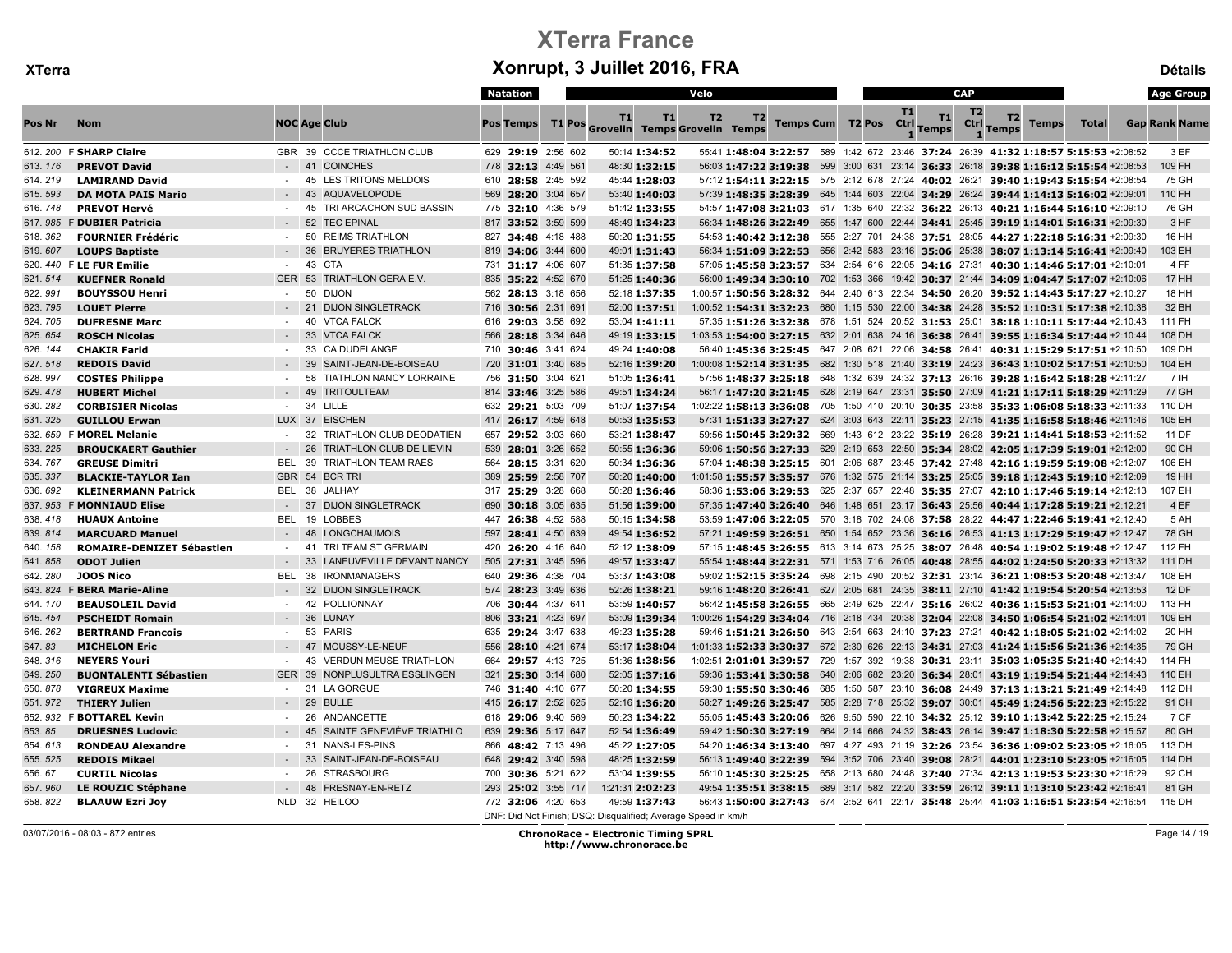|         |                                  |                  |                                     | <b>Natation</b> |                    |                                                               |                 | Velo           |                |  |                         |            |                    | <b>CAP</b>             |                                                                                                                |              |              | <b>Age Group</b>     |
|---------|----------------------------------|------------------|-------------------------------------|-----------------|--------------------|---------------------------------------------------------------|-----------------|----------------|----------------|--|-------------------------|------------|--------------------|------------------------|----------------------------------------------------------------------------------------------------------------|--------------|--------------|----------------------|
| Pos Nr  | <b>Nom</b>                       |                  | <b>NOC Age Club</b>                 | Pos Temps       |                    | T1<br>T1 Pos Grovelin Temps Grovelin Temps                    | T1              | T <sub>2</sub> | T <sub>2</sub> |  | <b>Temps Cum T2 Pos</b> | T1<br>Ctrl | T1<br><b>Temps</b> | T <sub>2</sub><br>Ctrl | T2<br>Temps                                                                                                    | <b>Temps</b> | <b>Total</b> | <b>Gap Rank Name</b> |
|         | 612. 200 F SHARP Claire          |                  | GBR 39 CCCE TRIATHLON CLUB          |                 | 629 29:19 2:56 602 |                                                               | 50:14 1:34:52   |                |                |  |                         |            |                    |                        | 55:41 1:48:04 3:22:57 589 1:42 672 23:46 37:24 26:39 41:32 1:18:57 5:15:53 +2:08:52                            |              |              | 3 EF                 |
| 613.176 | <b>PREVOT David</b>              |                  | $-41$<br><b>COINCHES</b>            |                 | 778 32:13 4:49 561 |                                                               | 48:30 1:32:15   |                |                |  |                         |            |                    |                        | 56:03 1:47:22 3:19:38 599 3:00 631 23:14 36:33 26:18 39:38 1:16:12 5:15:54 +2:08:53                            |              |              | 109 FH               |
| 614.219 | <b>LAMIRAND David</b>            | $-45$            | LES TRITONS MELDOIS                 |                 | 610 28:58 2:45 592 |                                                               | 45:44 1:28:03   |                |                |  |                         |            |                    |                        | 57:12 1:54:11 3:22:15 575 2:12 678 27:24 40:02 26:21 39:40 1:19:43 5:15:54 +2:08:54                            |              |              | 75 GH                |
| 615.593 | <b>DA MOTA PAIS Mario</b>        |                  | <b>AQUAVELOPODE</b><br>43           |                 | 569 28:20 3:04 657 |                                                               | 53:40 1:40:03   |                |                |  |                         |            |                    |                        | 57:39 1:48:35 3:28:39 645 1:44 603 22:04 34:29 26:24 39:44 1:14:13 5:16:02 +2:09:01                            |              |              | 110 FH               |
| 616.748 | <b>PREVOT Hervé</b>              |                  | TRI ARCACHON SUD BASSIN<br>45       |                 | 775 32:10 4:36 579 |                                                               | 51:42 1:33:55   |                |                |  |                         |            |                    |                        | 54:57 1:47:08 3:21:03 617 1:35 640 22:32 36:22 26:13 40:21 1:16:44 5:16:10 +2:09:10                            |              |              | 76 GH                |
|         | 617. 985 F DUBIER Patricia       |                  | 52<br><b>TEC EPINAL</b>             |                 | 817 33:52 3:59 599 |                                                               | 48:49 1:34:23   |                |                |  |                         |            |                    |                        | 56:34 1:48:26 3:22:49 655 1:47 600 22:44 34:41 25:45 39:19 1:14:01 5:16:31 +2:09:30                            |              |              | 3 HF                 |
| 618.362 | <b>FOURNIER Frédéric</b>         |                  | 50<br><b>REIMS TRIATHLON</b>        |                 | 827 34:48 4:18 488 |                                                               | 50:20 1:31:55   |                |                |  |                         |            |                    |                        | 54:53 1:40:42 3:12:38 555 2:27 701 24:38 37:51 28:05 44:27 1:22:18 5:16:31 +2:09:30                            |              |              | 16 HH                |
| 619.607 | <b>LOUPS Baptiste</b>            |                  | 36<br><b>BRUYERES TRIATHLON</b>     |                 | 819 34:06 3:44 600 |                                                               | 49:01 1:31:43   |                |                |  |                         |            |                    |                        | 56:34 1:51:09 3:22:53 656 2:42 583 23:16 35:06 25:38 38:07 1:13:14 5:16:41 +2:09:40                            |              |              | 103 EH               |
|         | 620. 440 F LE FUR Emilie         | $-43$            | <b>CTA</b>                          |                 | 731 31:17 4:06 607 |                                                               | 51:35 1:37:58   |                |                |  |                         |            |                    |                        | 57:05 1:45:58 3:23:57 634 2:54 616 22:05 34:16 27:31 40:30 1:14:46 5:17:01 +2:10:01                            |              |              | 4 FF                 |
| 621.514 | <b>KUEFNER Ronald</b>            | GER 53           | TRIATHLON GERA E.V.                 |                 | 835 35:22 4:52 670 |                                                               | 51:25 1:40:36   |                |                |  |                         |            |                    |                        | 56:00 1:49:34 3:30:10 702 1:53 366 19:42 30:37 21:44 34:09 1:04:47 5:17:07 +2:10:06                            |              |              | 17 HH                |
| 622.991 | <b>BOUYSSOU Henri</b>            | $\sim$           | 50<br><b>DIJON</b>                  |                 | 562 28:13 3:18 656 |                                                               | 52:18 1:37:35   |                |                |  |                         |            |                    |                        | 1:00:57 1:50:56 3:28:32 644 2:40 613 22:34 34:50 26:20 39:52 1:14:43 5:17:27 +2:10:27                          |              |              | 18 HH                |
| 623.795 | <b>LOUET Pierre</b>              | $-21$            | <b>DIJON SINGLETRACK</b>            |                 | 716 30:56 2:31 691 |                                                               | 52:00 1:37:51   |                |                |  |                         |            |                    |                        | 1:00:52 1:54:31 3:32:23 680 1:15 530 22:00 34:38 24:28 35:52 1:10:31 5:17:38 +2:10:38                          |              |              | 32 BH                |
| 624.705 | <b>DUFRESNE Marc</b>             | $\sim$           | 40<br><b>VTCA FALCK</b>             |                 | 616 29:03 3:58 692 |                                                               | 53:04 1:41:11   |                |                |  |                         |            |                    |                        | 57:35 1:51:26 3:32:38 678 1:51 524 20:52 31:53 25:01 38:18 1:10:11 5:17:44 +2:10:43                            |              |              | 111 FH               |
| 625.654 | <b>ROSCH Nicolas</b>             | $-33$            | <b>VTCA FALCK</b>                   |                 | 566 28:18 3:34 646 |                                                               | 49:19 1:33:15   |                |                |  |                         |            |                    |                        | 1:03:53 1:54:00 3:27:15 632 2:01 638 24:16 36:38 26:41 39:55 1:16:34 5:17:44 +2:10:44                          |              |              | 108 DH               |
| 626.144 | <b>CHAKIR Farid</b>              |                  | <b>CA DUDELANGE</b><br>-33          |                 | 710 30:46 3:41 624 |                                                               | 49:24 1:40:08   |                |                |  |                         |            |                    |                        | 56:40 1:45:36 3:25:45 647 2:08 621 22:06 34:58 26:41 40:31 1:15:29 5:17:51 +2:10:50                            |              |              | 109 DH               |
| 627.518 | <b>REDOIS David</b>              |                  | SAINT-JEAN-DE-BOISEAU<br>39         |                 | 720 31:01 3:40 685 |                                                               | 52:16 1:39:20   |                |                |  |                         |            |                    |                        | 1:00:08 1:52:14 3:31:35 682 1:30 518 21:40 33:19 24:23 36:43 1:10:02 5:17:51 +2:10:50                          |              |              | 104 EH               |
| 628.997 | <b>COSTES Philippe</b>           | $\sim$           | 58<br>TIATHLON NANCY LORRAINE       |                 | 756 31:50 3:04 621 |                                                               | 51:05 1:36:41   |                |                |  |                         |            |                    |                        | 57:56 1:48:37 3:25:18 648 1:32 639 24:32 37:13 26:16 39:28 1:16:42 5:18:28 +2:11:27                            |              |              | 7 IH                 |
| 629.478 | <b>HUBERT Michel</b>             |                  | 49<br><b>TRITOULTEAM</b>            |                 | 814 33:46 3:25 586 |                                                               | 49:51 1:34:24   |                |                |  |                         |            |                    |                        | 56:17 1:47:20 3:21:45 628 2:19 647 23:31 35:50 27:09 41:21 1:17:11 5:18:29 +2:11:29                            |              |              | 77 GH                |
| 630.282 | <b>CORBISIER Nicolas</b>         |                  | - 34 LILLE                          |                 | 632 29:21 5:03 709 |                                                               | 51:07 1:37:54   |                |                |  |                         |            |                    |                        | $1:02:22$ 1:58:13 3:36:08 705 1:50 410 20:10 30:35 23:58 35:33 1:06:08 5:18:33 +2:11:33                        |              |              | 110 DH               |
| 631.325 | <b>GUILLOU Erwan</b>             |                  | LUX 37 EISCHEN                      |                 | 417 26:17 4:59 648 |                                                               | 50:53 1:35:53   |                |                |  |                         |            |                    |                        | 57:31 1:51:33 3:27:27 624 3:03 643 22:11 35:23 27:15 41:35 1:16:58 5:18:46 +2:11:46                            |              |              | 105 EH               |
|         | 632. 659 F MOREL Melanie         | $-32$            | TRIATHLON CLUB DEODATIEN            |                 | 657 29:52 3:03 660 |                                                               | 53:21 1:38:47   |                |                |  |                         |            |                    |                        | 59:56 1:50:45 3:29:32 669 1:43 612 23:22 35:19 26:28 39:21 1:14:41 5:18:53 +2:11:52                            |              |              | 11 DF                |
| 633.225 | <b>BROUCKAERT Gauthier</b>       |                  | 26<br>TRIATHLON CLUB DE LIEVIN      |                 | 539 28:01 3:26 652 |                                                               | 50:55 1:36:36   |                |                |  |                         |            |                    |                        | 59:06 1:50:56 3:27:33 629 2:19 653 22:50 35:34 28:02 42:05 1:17:39 5:19:01 +2:12:00                            |              |              | 90 CH                |
| 634.767 | <b>GREUSE Dimitri</b>            | BEL.             | 39<br><b>TRIATHLON TEAM RAES</b>    |                 | 564 28:15 3:31 620 |                                                               | 50:34 1:36:36   |                |                |  |                         |            |                    |                        | 57:04 1:48:38 3:25:15 601 2:06 687 23:45 37:42 27:48 42:16 1:19:59 5:19:08 +2:12:07                            |              |              | 106 EH               |
| 635.337 | <b>BLACKIE-TAYLOR Ian</b>        | GBR 54           | <b>BCR TRI</b>                      |                 | 389 25:59 2:58 707 |                                                               | 50:20 1:40:00   |                |                |  |                         |            |                    |                        | 1:01:58 1:55:57 3:35:57 676 1:32 575 21:14 33:25 25:05 39:18 1:12:43 5:19:10 +2:12:09                          |              |              | 19 HH                |
| 636.692 | <b>KLEINERMANN Patrick</b>       |                  | BEL 38 JALHAY                       |                 | 317 25:29 3:28 668 |                                                               | 50:28 1:36:46   |                |                |  |                         |            |                    |                        | 58:36 1:53:06 3:29:53 625 2:37 657 22:48 35:35 27:07 42:10 1:17:46 5:19:14 +2:12:13                            |              |              | 107 EH               |
|         | 637. 953 F MONNIAUD Elise        | $-37$            | <b>DIJON SINGLETRACK</b>            |                 | 690 30:18 3:05 635 |                                                               | 51:56 1:39:00   |                |                |  |                         |            |                    |                        | 57:35 1:47:40 3:26:40 646 1:48 651 23:17 36:43 25:56 40:44 1:17:28 5:19:21 +2:12:21                            |              |              | 4 EF                 |
| 638.418 | <b>HUAUX Antoine</b>             |                  | BEL 19 LOBBES                       |                 | 447 26:38 4:52 588 |                                                               | 50:15 1:34:58   |                |                |  |                         |            |                    |                        | 53:59 1:47:06 3:22:05 570 3:18 702 24:08 37:58 28:22 44:47 1:22:46 5:19:41 +2:12:40                            |              |              | 5 AH                 |
| 639.814 | <b>MARCUARD Manuel</b>           | $-48$            | <b>LONGCHAUMOIS</b>                 |                 | 597 28:41 4:50 639 |                                                               | 49:54 1:36:52   |                |                |  |                         |            |                    |                        | 57:21 1:49:59 3:26:51 650 1:54 652 23:36 36:16 26:53 41:13 1:17:29 5:19:47 +2:12:47                            |              |              | 78 GH                |
| 640.158 | <b>ROMAIRE-DENIZET Sébastien</b> | $\sim$           | TRI TEAM ST GERMAIN<br>41           |                 | 420 26:20 4:16 640 |                                                               | 52:12 1:38:09   |                |                |  |                         |            |                    |                        | 57:15 1:48:45 3:26:55 613 3:14 673 25:25 38:07 26:48 40:54 1:19:02 5:19:48 +2:12:47                            |              |              | 112 FH               |
| 641.858 | <b>ODOT Julien</b>               |                  | LANEUVEVILLE DEVANT NANCY<br>33     |                 | 505 27:31 3:45 596 |                                                               | 49:57 1:33:47   |                |                |  |                         |            |                    |                        | 55:54 1:48:44 3:22:31 571 1:53 716 26:05 40:48 28:55 44:02 1:24:50 5:20:33 +2:13:32                            |              |              | 111 DH               |
| 642.280 | <b>JOOS Nico</b>                 | BEL.             | 38<br><b>IRONMANAGERS</b>           |                 | 640 29:36 4:38 704 |                                                               | 53:37 1:43:08   |                |                |  |                         |            |                    |                        | 59:02 1:52:15 3:35:24 698 2:15 490 20:52 32:31 23:14 36:21 1:08:53 5:20:48 +2:13:47                            |              |              | 108 EH               |
|         | 643. 824 F BERA Marie-Aline      |                  | $-32$<br><b>DIJON SINGLETRACK</b>   |                 | 574 28:23 3:49 636 |                                                               | 52:26 1:38:21   |                |                |  |                         |            |                    |                        | 59:16 1:48:20 3:26:41 627 2:05 681 24:35 38:11 27:10 41:42 1:19:54 5:20:54 +2:13:53                            |              |              | 12 DF                |
| 644.170 | <b>BEAUSOLEIL David</b>          | $\sim$ 100 $\mu$ | POLLIONNAY<br>42                    |                 | 706 30:44 4:37 641 |                                                               | 53:59 1:40:57   |                |                |  |                         |            |                    |                        | 56:42 1:45:58 3:26:55 665 2:49 625 22:47 35:16 26:02 40:36 1:15:53 5:21:01 +2:14:00                            |              |              | 113 FH               |
| 645.454 | <b>PSCHEIDT Romain</b>           |                  | 36<br>LUNAY                         |                 | 806 33:21 4:23 697 |                                                               | 53:09 1:39:34   |                |                |  |                         |            |                    |                        | 1:00:26 1:54:29 3:34:04 716 2:18 434 20:38 32:04 22:08 34:50 1:06:54 5:21:02 +2:14:01                          |              |              | 109 EH               |
| 646.262 | <b>BERTRAND Francois</b>         |                  | 53<br><b>PARIS</b>                  |                 | 635 29:24 3:47 638 |                                                               | 49:23 1:35:28   |                |                |  |                         |            |                    |                        | 59:46 1:51:21 3:26:50 643 2:54 663 24:10 37:23 27:21 40:42 1:18:05 5:21:02 +2:14:02                            |              |              | 20 HH                |
| 647.83  | <b>MICHELON Eric</b>             |                  | MOUSSY-LE-NEUF<br>47                |                 | 556 28:10 4:21 674 |                                                               | 53:17 1:38:04   |                |                |  |                         |            |                    |                        | 1:01:33 1:52:33 3:30:37 672 2:30 626 22:13 34:31 27:03 41:24 1:15:56 5:21:36 +2:14:35                          |              |              | 79 GH                |
| 648.316 | <b>NEYERS Youri</b>              | $\sim$           | <b>VERDUN MEUSE TRIATHLON</b><br>43 |                 | 664 29:57 4:13 725 |                                                               | 51:36 1:38:56   |                |                |  |                         |            |                    |                        | 1:02:51 2:01:01 3:39:57 729 1:57 392 19:38 30:31 23:11 35:03 1:05:35 5:21:40 +2:14:40                          |              |              | 114 FH               |
| 649.250 | <b>BUONTALENTI Sébastien</b>     | GER 39           | NONPLUSULTRA ESSLINGEN              |                 | 321 25:30 3:14 680 |                                                               | 52:05 1:37:16   |                |                |  |                         |            |                    |                        | 59:36 1:53:41 3:30:58 640 2:06 682 23:20 36:34 28:01 43:19 1:19:54 5:21:44 +2:14:43                            |              |              | 110 EH               |
| 650.878 | <b>VIGREUX Maxime</b>            | $\sim$           | <b>LA GORGUE</b><br>31              |                 | 746 31:40 4:10 677 |                                                               | 50:20 1:34:55   |                |                |  |                         |            |                    |                        | 59:30 1:55:50 3:30:46 685 1:50 587 23:10 36:08 24:49 37:13 1:13:21 5:21:49 +2:14:48                            |              |              | 112 DH               |
| 651.972 | <b>THIERY Julien</b>             |                  | 29<br><b>BULLE</b>                  |                 | 415 26:17 2:52 625 |                                                               | 52:16 1:36:20   |                |                |  |                         |            |                    |                        | 58:27 1:49:26 3:25:47 585 2:28 718 25:32 39:07 30:01 45:49 1:24:56 5:22:23 +2:15:22                            |              |              | 91 CH                |
|         | 652. 932 F BOTTAREL Kevin        | $-26$            | ANDANCETTE                          |                 | 618 29:06 9:40 569 |                                                               | 50:23 1:34:22   |                |                |  |                         |            |                    |                        | 55:05 1:45:43 3:20:06 626 9:50 590 22:10 34:32 25:12 39:10 1:13:42 5:22:25 +2:15:24                            |              |              | 7 CF                 |
| 653.85  | <b>DRUESNES Ludovic</b>          | $-45$            | SAINTE GENEVIÈVE TRIATHLO           |                 | 639 29:36 5:17 647 |                                                               | 52:54 1:36:49   |                |                |  |                         |            |                    |                        | 59:42 1:50:30 3:27:19    664    2:14    666    24:32    38:43    26:14    39:47 1:18:30    5:22:58    +2:15:57 |              |              | 80 GH                |
| 654.613 | <b>RONDEAU Alexandre</b>         | $-31$            | NANS-LES-PINS                       |                 | 866 48:42 7:13 496 |                                                               | 45:22 1:27:05   |                |                |  |                         |            |                    |                        | 54:20 1:46:34 3:13:40 697 4:27 493 21:19 32:26 23:54 36:36 1:09:02 5:23:05 +2:16:05                            |              |              | 113 DH               |
| 655.525 | <b>REDOIS Mikael</b>             |                  | SAINT-JEAN-DE-BOISEAU<br>33         |                 | 648 29:42 3:40 598 |                                                               | 48:25 1:32:59   |                |                |  |                         |            |                    |                        | 56:13 1:49:40 3:22:39 594 3:52 706 23:40 39:08 28:21 44:01 1:23:10 5:23:05 +2:16:05                            |              |              | 114 DH               |
| 656.67  | <b>CURTIL Nicolas</b>            | $\sim$           | 26<br><b>STRASBOURG</b>             |                 | 700 30:36 5:21 622 |                                                               | 53:04 1:39:55   |                |                |  |                         |            |                    |                        | 56:10 1:45:30 3:25:25 658 2:13 680 24:48 37:40 27:34 42:13 1:19:53 5:23:30 +2:16:29                            |              |              | 92 CH                |
| 657.960 | <b>LE ROUZIC Stéphane</b>        |                  | 48<br>FRESNAY-EN-RETZ               |                 | 293 25:02 3:55 717 |                                                               | 1:21:31 2:02:23 |                |                |  |                         |            |                    |                        | 49:54 1:35:51 3:38:15 689 3:17 582 22:20 33:59 26:12 39:11 1:13:10 5:23:42 +2:16:41                            |              |              | 81 GH                |
| 658.822 | <b>BLAAUW Ezri Joy</b>           |                  | NLD 32 HEILOO                       |                 | 772 32:06 4:20 653 |                                                               | 49:59 1:37:43   |                |                |  |                         |            |                    |                        | 56:43 1:50:00 3:27:43 674 2:52 641 22:17 35:48 25:44 41:03 1:16:51 5:23:54 +2:16:54                            |              |              | 115 DH               |
|         |                                  |                  |                                     |                 |                    | DNF: Did Not Finish; DSQ: Disqualified; Average Speed in km/h |                 |                |                |  |                         |            |                    |                        |                                                                                                                |              |              |                      |

03/07/2016 - 08:03 - 872 entries ChronoRace - Electronic Timing SPRL http://www.chronorace.be

Page 14 / 19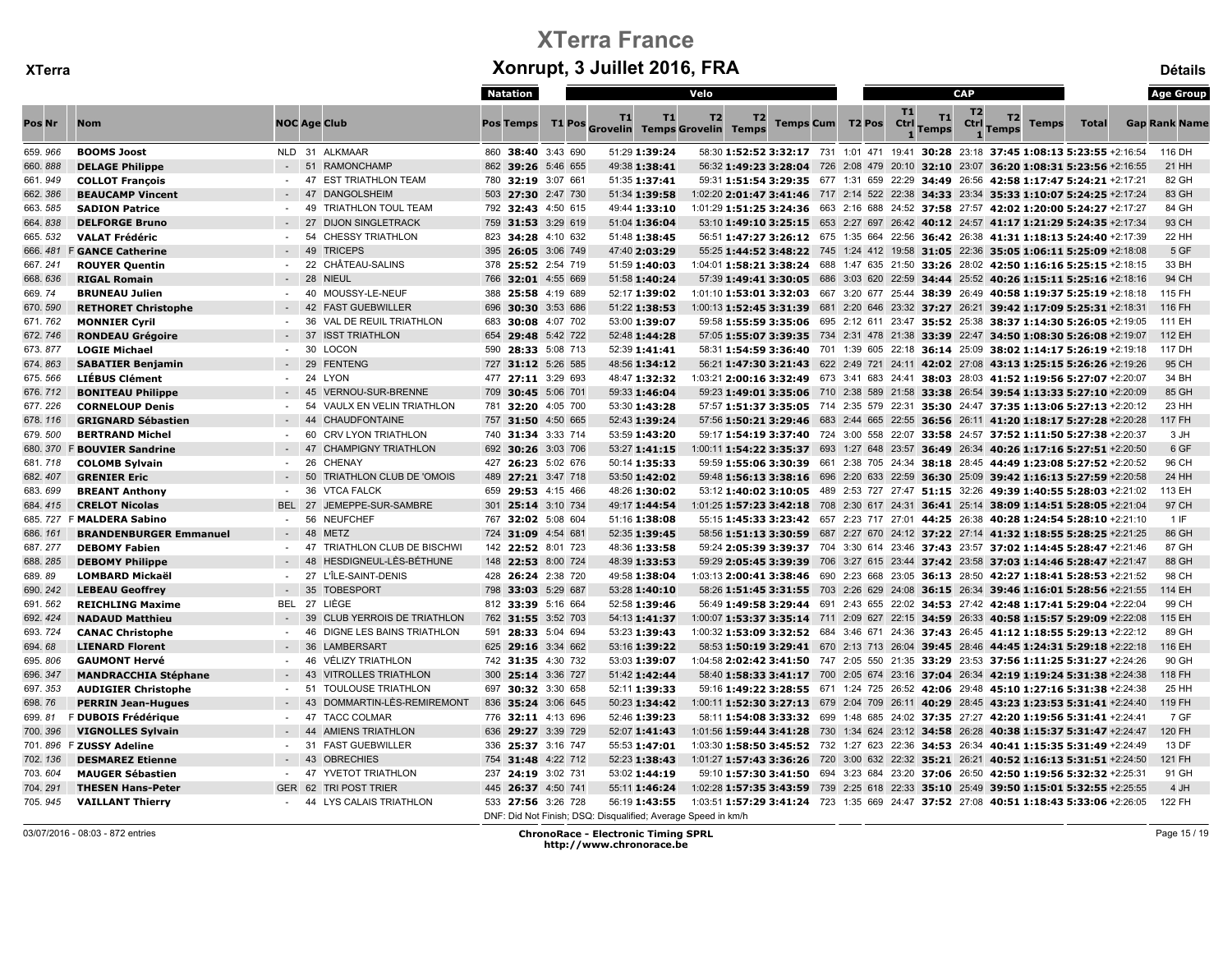|         |                               |                  |                                        | Natation           |                                                               | Velo |    |                       |           |                    | <b>CAP</b>     |                                                                                               |              | <b>Age Group</b>     |
|---------|-------------------------------|------------------|----------------------------------------|--------------------|---------------------------------------------------------------|------|----|-----------------------|-----------|--------------------|----------------|-----------------------------------------------------------------------------------------------|--------------|----------------------|
| Pos Nr  | <b>Nom</b>                    |                  | <b>NOC Age Club</b>                    | <b>Pos Temps</b>   | T1<br>T1<br>T1 Pos Grovelin Temps Grovelin Temps              | T2   | T2 | Temps Cum T2 Pos Ctrl | <b>T1</b> | T1<br><b>Temps</b> | T <sub>2</sub> | T2<br>Ctrl Temps<br><b>Temps</b>                                                              | <b>Total</b> | <b>Gap Rank Name</b> |
| 659.966 | <b>BOOMS Joost</b>            |                  | NLD 31 ALKMAAR                         | 860 38:40 3:43 690 | 51:29 1:39:24                                                 |      |    |                       |           |                    |                | 58:30 1:52:52 3:32:17 731 1:01 471 19:41 30:28 23:18 37:45 1:08:13 5:23:55 +2:16:54           |              | 116 DH               |
| 660.888 | <b>DELAGE Philippe</b>        |                  | 51 RAMONCHAMP                          | 862 39:26 5:46 655 | 49:38 1:38:41                                                 |      |    |                       |           |                    |                | 56:32 1:49:23 3:28:04 726 2:08 479 20:10 32:10 23:07 36:20 1:08:31 5:23:56 +2:16:55           |              | 21 HH                |
| 661.949 | <b>COLLOT François</b>        | $\sim$           | <b>EST TRIATHLON TEAM</b><br>47        | 780 32:19 3:07 661 | 51:35 1:37:41                                                 |      |    |                       |           |                    |                | 59:31 1:51:54 3:29:35 677 1:31 659 22:29 34:49 26:56 42:58 1:17:47 5:24:21 +2:17:21           |              | 82 GH                |
| 662.386 | <b>BEAUCAMP Vincent</b>       |                  | <b>DANGOLSHEIM</b><br>47               | 503 27:30 2:47 730 | 51:34 1:39:58                                                 |      |    |                       |           |                    |                | 1:02:20 2:01:47 3:41:46 717 2:14 522 22:38 34:33 23:34 35:33 1:10:07 5:24:25 +2:17:24         |              | 83 GH                |
| 663.585 | <b>SADION Patrice</b>         | $\sim$           | -49<br><b>TRIATHLON TOUL TEAM</b>      | 792 32:43 4:50 615 | 49:44 1:33:10                                                 |      |    |                       |           |                    |                | 1:01:29 1:51:25 3:24:36 663 2:16 688 24:52 37:58 27:57 42:02 1:20:00 5:24:27 +2:17:27         |              | 84 GH                |
| 664.838 | <b>DELFORGE Bruno</b>         |                  | 27<br><b>DIJON SINGLETRACK</b>         | 759 31:53 3:29 619 | 51:04 1:36:04                                                 |      |    |                       |           |                    |                | 53:10 1:49:10 3:25:15 653 2:27 697 26:42 40:12 24:57 41:17 1:21:29 5:24:35 +2:17:34           |              | 93 CH                |
| 665.532 | <b>VALAT Frédéric</b>         | $\sim$           | 54<br><b>CHESSY TRIATHLON</b>          | 823 34:28 4:10 632 | 51:48 1:38:45                                                 |      |    |                       |           |                    |                | 56:51 1:47:27 3:26:12 675 1:35 664 22:56 36:42 26:38 41:31 1:18:13 5:24:40 +2:17:39           |              | 22 HH                |
|         | 666. 481 F GANCE Catherine    |                  | 49<br><b>TRICEPS</b>                   | 395 26:05 3:06 749 | 47:40 2:03:29                                                 |      |    |                       |           |                    |                | 55:25 1:44:52 3:48:22 745 1:24 412 19:58 31:05 22:36 35:05 1:06:11 5:25:09 +2:18:08           |              | 5 GF                 |
| 667.241 | <b>ROUYER Quentin</b>         | $\sim$           | 22<br>CHÂTEAU-SALINS                   | 378 25:52 2:54 719 | 51:59 1:40:03                                                 |      |    |                       |           |                    |                | 1:04:01 1:58:21 3:38:24 688 1:47 635 21:50 33:26 28:02 42:50 1:16:16 5:25:15 +2:18:15         |              | 33 BH                |
| 668.636 | <b>RIGAL Romain</b>           |                  | $-28$<br><b>NIEUL</b>                  | 766 32:01 4:55 669 | 51:58 1:40:24                                                 |      |    |                       |           |                    |                | 57:39 1:49:41 3:30:05 686 3:03 620 22:59 34:44 25:52 40:26 1:15:11 5:25:16 +2:18:16           |              | 94 CH                |
| 669.74  | <b>BRUNEAU Julien</b>         |                  | MOUSSY-LE-NEUF<br>40                   | 388 25:58 4:19 689 | 52:17 1:39:02                                                 |      |    |                       |           |                    |                | 1:01:10 1:53:01 3:32:03 667 3:20 677 25:44 38:39 26:49 40:58 1:19:37 5:25:19 +2:18:18         |              | 115 FH               |
| 670.590 | <b>RETHORET Christophe</b>    |                  | <b>FAST GUEBWILLER</b><br>$-42$        | 696 30:30 3:53 686 | 51:22 1:38:53                                                 |      |    |                       |           |                    |                | 1:00:13 1:52:45 3:31:39 681 2:20 646 23:32 37:27 26:21 39:42 1:17:09 5:25:31 +2:18:31         |              | 116 FH               |
| 671.762 | <b>MONNIER Cyril</b>          |                  | 36<br><b>VAL DE REUIL TRIATHLON</b>    | 683 30:08 4:07 702 | 53:00 1:39:07                                                 |      |    |                       |           |                    |                | 59:58 1:55:59 3:35:06 695 2:12 611 23:47 35:52 25:38 38:37 1:14:30 5:26:05 +2:19:05           |              | 111 EH               |
| 672.746 | <b>RONDEAU Grégoire</b>       |                  | 37<br><b>ISST TRIATHLON</b>            | 654 29:48 5:42 722 | 52:48 1:44:28                                                 |      |    |                       |           |                    |                | 57:05 1:55:07 3:39:35 734 2:31 478 21:38 33:39 22:47 34:50 1:08:30 5:26:08 +2:19:07           |              | 112 EH               |
| 673.877 | <b>LOGIE Michael</b>          |                  | <b>LOCON</b><br>30                     | 590 28:33 5:08 713 | 52:39 1:41:41                                                 |      |    |                       |           |                    |                | 58:31 1:54:59 3:36:40 701 1:39 605 22:18 36:14 25:09 38:02 1:14:17 5:26:19 +2:19:18           |              | 117 DH               |
| 674.863 | <b>SABATIER Benjamin</b>      |                  | 29<br><b>FENTENG</b>                   | 727 31:12 5:26 585 | 48:56 1:34:12                                                 |      |    |                       |           |                    |                | 56:21 1:47:30 3:21:43 622 2:49 721 24:11 42:02 27:08 43:13 1:25:15 5:26:26 +2:19:26           |              | 95 CH                |
| 675.566 | LIÉBUS Clément                | $\sim$           | 24<br><b>LYON</b>                      | 477 27:11 3:29 693 | 48:47 1:32:32                                                 |      |    |                       |           |                    |                | 1:03:21 2:00:16 3:32:49 673 3:41 683 24:41 38:03 28:03 41:52 1:19:56 5:27:07 +2:20:07         |              | 34 BH                |
| 676.712 | <b>BONITEAU Philippe</b>      |                  | VERNOU-SUR-BRENNE<br>45                | 709 30:45 5:06 701 | 59:33 1:46:04                                                 |      |    |                       |           |                    |                | 59:23 1:49:01 3:35:06 710 2:38 589 21:58 33:38 26:54 39:54 1:13:33 5:27:10 +2:20:09           |              | 85 GH                |
| 677.226 | <b>CORNELOUP Denis</b>        |                  | 54<br>VAULX EN VELIN TRIATHLON         | 781 32:20 4:05 700 | 53:30 1:43:28                                                 |      |    |                       |           |                    |                | 57:57 1:51:37 3:35:05 714 2:35 579 22:31 35:30 24:47 37:35 1:13:06 5:27:13 +2:20:12           |              | 23 HH                |
| 678.116 | <b>GRIGNARD Sébastien</b>     |                  | 44<br><b>CHAUDFONTAINE</b>             | 757 31:50 4:50 665 | 52:43 1:39:24                                                 |      |    |                       |           |                    |                | 57:56 1:50:21 3:29:46 683 2:44 665 22:55 36:56 26:11 41:20 1:18:17 5:27:28 +2:20:28           |              | <b>117 FH</b>        |
| 679.500 | <b>BERTRAND Michel</b>        | $\sim$           | 60<br><b>CRV LYON TRIATHLON</b>        | 740 31:34 3:33 714 | 53:59 1:43:20                                                 |      |    |                       |           |                    |                | 59:17 1:54:19 3:37:40 724 3:00 558 22:07 33:58 24:57 37:52 1:11:50 5:27:38 +2:20:37           |              | 3 JH                 |
| 680.370 | <b>F BOUVIER Sandrine</b>     |                  | 47<br><b>CHAMPIGNY TRIATHLON</b>       | 692 30:26 3:03 706 | 53:27 1:41:15                                                 |      |    |                       |           |                    |                | 1:00:11 1:54:22 3:35:37 693 1:27 648 23:57 36:49 26:34 40:26 1:17:16 5:27:51 +2:20:50         |              | 6 GF                 |
| 681.718 | <b>COLOMB Sylvain</b>         | $\sim$           | 26<br><b>CHENAY</b>                    | 427 26:23 5:02 676 | 50:14 1:35:33                                                 |      |    |                       |           |                    |                | 59:59 1:55:06 3:30:39  661  2:38  705  24:34  38:18  28:45  44:49  1:23:08  5:27:52  +2:20:52 |              | 96 CH                |
| 682.407 | <b>GRENIER Eric</b>           |                  | 50<br>TRIATHLON CLUB DE 'OMOIS         | 489 27:21 3:47 718 | 53:50 1:42:02                                                 |      |    |                       |           |                    |                | 59:48 1:56:13 3:38:16 696 2:20 633 22:59 36:30 25:09 39:42 1:16:13 5:27:59 +2:20:58           |              | 24 HH                |
| 683.699 | <b>BREANT Anthony</b>         | $\sim$           | 36<br><b>VTCA FALCK</b>                | 659 29:53 4:15 466 | 48:26 1:30:02                                                 |      |    |                       |           |                    |                | 53:12 1:40:02 3:10:05 489 2:53 727 27:47 51:15 32:26 49:39 1:40:55 5:28:03 +2:21:02           |              | 113 EH               |
| 684.415 | <b>CRELOT Nicolas</b>         | <b>BEL 27</b>    | JEMEPPE-SUR-SAMBRE                     | 301 25:14 3:10 734 | 49:17 1:44:54                                                 |      |    |                       |           |                    |                | 1:01:25 1:57:23 3:42:18 708 2:30 617 24:31 36:41 25:14 38:09 1:14:51 5:28:05 +2:21:04         |              | 97 CH                |
|         | 685. 727 F MALDERA Sabino     | $\sim$           | 56<br><b>NEUFCHEF</b>                  | 767 32:02 5:08 604 | 51:16 1:38:08                                                 |      |    |                       |           |                    |                | 55:15 1:45:33 3:23:42 657 2:23 717 27:01 44:25 26:38 40:28 1:24:54 5:28:10 +2:21:10           |              | 1IF                  |
| 686.161 | <b>BRANDENBURGER Emmanuel</b> |                  | $-48$<br><b>METZ</b>                   | 724 31:09 4:54 681 | 52:35 1:39:45                                                 |      |    |                       |           |                    |                | 58:56 1:51:13 3:30:59 687 2:27 670 24:12 37:22 27:14 41:32 1:18:55 5:28:25 +2:21:25           |              | 86 GH                |
| 687.277 | <b>DEBOMY Fabien</b>          |                  | 47<br><b>TRIATHLON CLUB DE BISCHWI</b> | 142 22:52 8:01 723 | 48:36 1:33:58                                                 |      |    |                       |           |                    |                | 59:24 2:05:39 3:39:37 704 3:30 614 23:46 37:43 23:57 37:02 1:14:45 5:28:47 +2:21:46           |              | 87 GH                |
| 688.285 | <b>DEBOMY Philippe</b>        |                  | HESDIGNEUL-LÈS-BÉTHUNE<br>48           | 148 22:53 8:00 724 | 48:39 1:33:53                                                 |      |    |                       |           |                    |                | 59:29 2:05:45 3:39:39 706 3:27 615 23:44 37:42 23:58 37:03 1:14:46 5:28:47 +2:21:47           |              | 88 GH                |
| 689.89  | <b>LOMBARD Mickaël</b>        | $\sim$           | 27<br>L'ÎLE-SAINT-DENIS                | 428 26:24 2:38 720 | 49:58 1:38:04                                                 |      |    |                       |           |                    |                | 1:03:13 2:00:41 3:38:46 690 2:23 668 23:05 36:13 28:50 42:27 1:18:41 5:28:53 +2:21:52         |              | 98 CH                |
| 690.242 | <b>LEBEAU Geoffrey</b>        |                  | 35<br><b>TOBESPORT</b>                 | 798 33:03 5:29 687 | 53:28 1:40:10                                                 |      |    |                       |           |                    |                | 58:26 1:51:45 3:31:55 703 2:26 629 24:08 36:15 26:34 39:46 1:16:01 5:28:56 +2:21:55           |              | 114 EH               |
| 691.562 | <b>REICHLING Maxime</b>       |                  | BEL 27 LIÈGE                           | 812 33:39 5:16 664 | 52:58 1:39:46                                                 |      |    |                       |           |                    |                | 56:49 1:49:58 3:29:44 691 2:43 655 22:02 34:53 27:42 42:48 1:17:41 5:29:04 +2:22:04           |              | 99 CH                |
| 692.424 | <b>NADAUD Matthieu</b>        |                  | <b>CLUB YERROIS DE TRIATHLON</b><br>39 | 762 31:55 3:52 703 | 54:13 1:41:37                                                 |      |    |                       |           |                    |                | 1:00:07 1:53:37 3:35:14 711 2:09 627 22:15 34:59 26:33 40:58 1:15:57 5:29:09 +2:22:08         |              | 115 EH               |
| 693.724 | <b>CANAC Christophe</b>       | $\sim$ 100 $\mu$ | DIGNE LES BAINS TRIATHLON<br>46        | 591 28:33 5:04 694 | 53:23 1:39:43                                                 |      |    |                       |           |                    |                | 1:00:32 1:53:09 3:32:52 684 3:46 671 24:36 37:43 26:45 41:12 1:18:55 5:29:13 +2:22:12         |              | 89 GH                |
| 694.68  | <b>LIENARD Florent</b>        |                  | 36<br><b>LAMBERSART</b>                | 625 29:16 3:34 662 | 53:16 1:39:22                                                 |      |    |                       |           |                    |                | 58:53 1:50:19 3:29:41 670 2:13 713 26:04 39:45 28:46 44:45 1:24:31 5:29:18 +2:22:18           |              | 116 EH               |
| 695.806 | <b>GAUMONT Hervé</b>          | $\sim$           | <b>VÉLIZY TRIATHLON</b><br>46          | 742 31:35 4:30 732 | 53:03 1:39:07                                                 |      |    |                       |           |                    |                | 1:04:58 2:02:42 3:41:50 747 2:05 550 21:35 33:29 23:53 37:56 1:11:25 5:31:27 +2:24:26         |              | 90 GH                |
| 696.347 | <b>MANDRACCHIA Stéphane</b>   |                  | 43<br><b>VITROLLES TRIATHLON</b>       | 300 25:14 3:36 727 | 51:42 1:42:44                                                 |      |    |                       |           |                    |                | 58:40 1:58:33 3:41:17 700 2:05 674 23:16 37:04 26:34 42:19 1:19:24 5:31:38 +2:24:38           |              | 118 FH               |
| 697.353 | <b>AUDIGIER Christophe</b>    | $\sim$           | <b>TOULOUSE TRIATHLON</b><br>51        | 697 30:32 3:30 658 | 52:11 1:39:33                                                 |      |    |                       |           |                    |                | 59:16 1:49:22 3:28:55 671 1:24 725 26:52 42:06 29:48 45:10 1:27:16 5:31:38 +2:24:38           |              | 25 HH                |
| 698.76  | <b>PERRIN Jean-Hugues</b>     |                  | DOMMARTIN-LÈS-REMIREMONT<br>43         | 836 35:24 3:06 645 | 50:23 1:34:42                                                 |      |    |                       |           |                    |                | 1:00:11 1:52:30 3:27:13 679 2:04 709 26:11 40:29 28:45 43:23 1:23:53 5:31:41 +2:24:40         |              | 119 FH               |
| 699.81  | F DUBOIS Frédérique           | $-47$            | <b>TACC COLMAR</b>                     | 776 32:11 4:13 696 | 52:46 1:39:23                                                 |      |    |                       |           |                    |                | 58:11 1:54:08 3:33:32 699 1:48 685 24:02 37:35 27:27 42:20 1:19:56 5:31:41 +2:24:41           |              | 7 GF                 |
| 700.396 | <b>VIGNOLLES Sylvain</b>      |                  | 44<br><b>AMIENS TRIATHLON</b>          | 636 29:27 3:39 729 | 52:07 1:41:43                                                 |      |    |                       |           |                    |                | 1:01:56 1:59:44 3:41:28 730 1:34 624 23:12 34:58 26:28 40:38 1:15:37 5:31:47 +2:24:47         |              | 120 FH               |
|         | 701.896 F ZUSSY Adeline       |                  | <b>FAST GUEBWILLER</b><br>31           | 336 25:37 3:16 747 | 55:53 1:47:01                                                 |      |    |                       |           |                    |                | 1:03:30 1:58:50 3:45:52 732 1:27 623 22:36 34:53 26:34 40:41 1:15:35 5:31:49 +2:24:49         |              | 13 DF                |
| 702.136 | <b>DESMAREZ Etienne</b>       |                  | $-43$<br><b>OBRECHIES</b>              | 754 31:48 4:22 712 | 52:23 1:38:43                                                 |      |    |                       |           |                    |                | $1:01:27$ 1:57:43 3:36:26 720 3:00 632 22:32 35:21 26:21 40:52 1:16:13 5:31:51 +2:24:50       |              | 121 FH               |
| 703.604 | <b>MAUGER Sébastien</b>       |                  | 47<br>YVETOT TRIATHLON                 | 237 24:19 3:02 731 | 53:02 1:44:19                                                 |      |    |                       |           |                    |                | 59:10 1:57:30 3:41:50 694 3:23 684 23:20 37:06 26:50 42:50 1:19:56 5:32:32 +2:25:31           |              | 91 GH                |
| 704.291 | <b>THESEN Hans-Peter</b>      | <b>GER</b>       | 62<br><b>TRI POST TRIER</b>            | 445 26:37 4:50 741 | 55:11 1:46:24                                                 |      |    |                       |           |                    |                | 1:02:28 1:57:35 3:43:59 739 2:25 618 22:33 35:10 25:49 39:50 1:15:01 5:32:55 +2:25:55         |              | 4 JH                 |
| 705.945 | <b>VAILLANT Thierry</b>       |                  | 44 LYS CALAIS TRIATHLON                | 533 27:56 3:26 728 | 56:19 1:43:55                                                 |      |    |                       |           |                    |                | 1:03:51 1:57:29 3:41:24 723 1:35 669 24:47 37:52 27:08 40:51 1:18:43 5:33:06 +2:26:05         |              | 122 FH               |
|         |                               |                  |                                        |                    | DNF: Did Not Finish: DSQ: Disqualified: Average Speed in km/h |      |    |                       |           |                    |                |                                                                                               |              |                      |

03/07/2016 - 08:03 - 872 entries ChronoRace - Electronic Timing SPRL http://www.chronorace.be

Page 15 / 19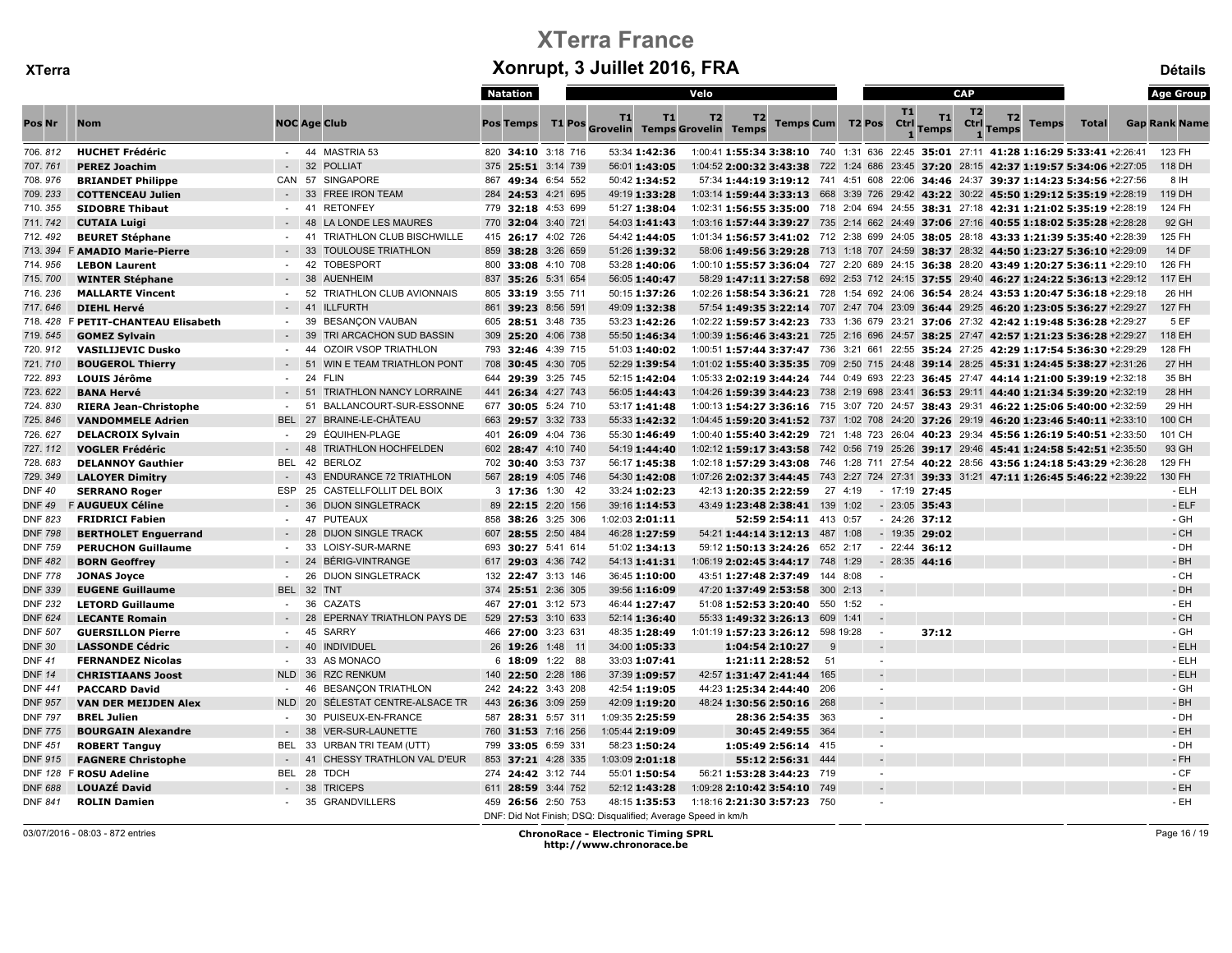|                |                              |               |                                       | Natation           |                 |                                                               | Velo      |                                                                                                 |          |        |            |                    | <b>CAP</b>     |                                  |              | <b>Age Group</b>     |
|----------------|------------------------------|---------------|---------------------------------------|--------------------|-----------------|---------------------------------------------------------------|-----------|-------------------------------------------------------------------------------------------------|----------|--------|------------|--------------------|----------------|----------------------------------|--------------|----------------------|
| Pos Nr         | <b>Nom</b>                   |               | <b>NOC Age Club</b>                   | <b>Pos Temps</b>   |                 | <b>T1</b><br>T1<br>T1 Pos Grovelin Temps Grovelin Temps       | <b>T2</b> | T2<br><b>Temps Cum T2 Pos</b>                                                                   |          |        | T1<br>Ctrl | T1<br><b>Temps</b> | T <sub>2</sub> | T2<br>Ctrl Temps<br><b>Temps</b> | <b>Total</b> | <b>Gap Rank Name</b> |
| 706.812        | <b>HUCHET Frédéric</b>       |               | - 44 MASTRIA 53                       | 820 34:10 3:18 716 |                 | 53:34 1:42:36                                                 |           | 1:00:41 1:55:34 3:38:10 740 1:31 636 22:45 35:01 27:11 41:28 1:16:29 5:33:41 +2:26:41           |          |        |            |                    |                |                                  |              | 123 FH               |
| 707.761        | <b>PEREZ Joachim</b>         |               | 32<br><b>POLLIAT</b>                  | 375 25:51 3:14 739 |                 | 56:01 1:43:05                                                 |           | 1:04:52 2:00:32 3:43:38 722 1:24 686 23:45 37:20 28:15 42:37 1:19:57 5:34:06 +2:27:05           |          |        |            |                    |                |                                  |              | 118 DH               |
| 708.976        | <b>BRIANDET Philippe</b>     |               | CAN 57 SINGAPORE                      | 867 49:34 6:54 552 |                 | 50:42 1:34:52                                                 |           | 57:34 1:44:19 3:19:12 741 4:51 608 22:06 34:46 24:37 39:37 1:14:23 5:34:56 +2:27:56             |          |        |            |                    |                |                                  |              | 8 IH                 |
| 709.233        | <b>COTTENCEAU Julien</b>     |               | 33<br><b>FREE IRON TEAM</b>           | 284 24:53 4:21 695 |                 | 49:19 1:33:28                                                 |           | 1:03:14 1:59:44 3:33:13  668  3:39  726  29:42  43:22  30:22  45:50  1:29:12  5:35:19  +2:28:19 |          |        |            |                    |                |                                  |              | 119 DH               |
| 710.355        | <b>SIDOBRE Thibaut</b>       |               | <b>RETONFEY</b><br>41                 | 779 32:18 4:53 699 |                 | 51:27 1:38:04                                                 |           | 1:02:31 1:56:55 3:35:00 718 2:04 694 24:55 38:31 27:18 42:31 1:21:02 5:35:19 +2:28:19           |          |        |            |                    |                |                                  |              | 124 FH               |
| 711.742        | <b>CUTAIA Luigi</b>          |               | 48<br>LA LONDE LES MAURES             | 770 32:04 3:40 721 |                 | 54:03 1:41:43                                                 |           | 1:03:16 1:57:44 3:39:27 735 2:14 662 24:49 37:06 27:16 40:55 1:18:02 5:35:28 +2:28:28           |          |        |            |                    |                |                                  |              | 92 GH                |
| 712.492        | <b>BEURET Stéphane</b>       | $\sim$        | TRIATHLON CLUB BISCHWILLE<br>41       | 415 26:17 4:02 726 |                 | 54:42 1:44:05                                                 |           | 1:01:34 1:56:57 3:41:02 712 2:38 699 24:05 38:05 28:18 43:33 1:21:39 5:35:40 +2:28:39           |          |        |            |                    |                |                                  |              | 125 FH               |
| 713.394        | <b>F AMADIO Marie-Pierre</b> |               | 33<br><b>TOULOUSE TRIATHLON</b>       | 859 38:28 3:26 659 |                 | 51:26 1:39:32                                                 |           | 58:06 1:49:56 3:29:28 713 1:18 707 24:59 38:37 28:32 44:50 1:23:27 5:36:10 +2:29:09             |          |        |            |                    |                |                                  |              | 14 DF                |
| 714.956        | <b>LEBON Laurent</b>         |               | 42<br><b>TOBESPORT</b>                | 800 33:08 4:10 708 |                 | 53:28 1:40:06                                                 |           | 1:00:10 1:55:57 3:36:04 727 2:20 689 24:15 36:38 28:20 43:49 1:20:27 5:36:11 +2:29:10           |          |        |            |                    |                |                                  |              | 126 FH               |
| 715.700        | <b>WINTER Stéphane</b>       | $\sim$ $-$    | 38<br><b>AUENHEIM</b>                 | 837 35:26 5:31 654 |                 | 56:05 1:40:47                                                 |           | 58:29 1:47:11 3:27:58 692 2:53 712 24:15 37:55 29:40 46:27 1:24:22 5:36:13 +2:29:12             |          |        |            |                    |                |                                  |              | 117 EH               |
| 716.236        | <b>MALLARTE Vincent</b>      | $\sim$        | 52<br>TRIATHLON CLUB AVIONNAIS        | 805 33:19 3:55 711 |                 | 50:15 1:37:26                                                 |           | 1:02:26 1:58:54 3:36:21 728 1:54 692 24:06 36:54 28:24 43:53 1:20:47 5:36:18 +2:29:18           |          |        |            |                    |                |                                  |              | 26 HH                |
| 717.646        | <b>DIEHL Hervé</b>           |               | 41<br><b>ILLFURTH</b>                 | 861 39:23 8:56 591 |                 | 49:09 1:32:38                                                 |           | 57:54 1:49:35 3:22:14 707 2:47 704 23:09 36:44 29:25 46:20 1:23:05 5:36:27 +2:29:27             |          |        |            |                    |                |                                  |              | <b>127 FH</b>        |
| 718.428        | F PETIT-CHANTEAU Elisabeth   |               | BESANÇON VAUBAN<br>39                 | 605 28:51 3:48 735 |                 | 53:23 1:42:26                                                 |           | 1:02:22 1:59:57 3:42:23 733 1:36 679 23:21 37:06 27:32 42:42 1:19:48 5:36:28 +2:29:27           |          |        |            |                    |                |                                  |              | 5 EF                 |
| 719.545        | <b>GOMEZ Sylvain</b>         |               | 39<br>TRI ARCACHON SUD BASSIN         | 309 25:20 4:06 738 |                 | 55:50 1:46:34                                                 |           | 1:00:39 1:56:46 3:43:21 725 2:16 696 24:57 38:25 27:47 42:57 1:21:23 5:36:28 +2:29:27           |          |        |            |                    |                |                                  |              | 118 EH               |
| 720.912        | <b>VASILIJEVIC Dusko</b>     |               | 44<br><b>OZOIR VSOP TRIATHLON</b>     | 793 32:46 4:39 715 |                 | 51:03 1:40:02                                                 |           | 1:00:51 1:57:44 3:37:47 736 3:21 661 22:55 35:24 27:25 42:29 1:17:54 5:36:30 +2:29:29           |          |        |            |                    |                |                                  |              | 128 FH               |
| 721.710        | <b>BOUGEROL Thierry</b>      |               | 51<br>WIN E TEAM TRIATHLON PONT       | 708 30:45 4:30 705 |                 | 52:29 1:39:54                                                 |           | $1:01:02$ 1:55:40 3:35:35 709 2:50 715 24:48 39:14 28:25 45:31 1:24:45 5:38:27 +2:31:26         |          |        |            |                    |                |                                  |              | 27 HH                |
| 722.893        | <b>LOUIS Jérôme</b>          | $\sim$        | 24<br><b>FLIN</b>                     | 644 29:39 3:25 745 |                 | 52:15 1:42:04                                                 |           | 1:05:33 2:02:19 3:44:24 744 0:49 693 22:23 36:45 27:47 44:14 1:21:00 5:39:19 +2:32:18           |          |        |            |                    |                |                                  |              | 35 BH                |
| 723.622        | <b>BANA Hervé</b>            |               | 51<br><b>TRIATHLON NANCY LORRAINE</b> | 441 26:34 4:27 743 |                 | 56:05 1:44:43                                                 |           | 1:04:26 1:59:39 3:44:23 738 2:19 698 23:41 36:53 29:11 44:40 1:21:34 5:39:20 +2:32:19           |          |        |            |                    |                |                                  |              | 28 HH                |
| 724.830        | <b>RIERA Jean-Christophe</b> |               | 51<br>BALLANCOURT-SUR-ESSONNE         | 677 30:05 5:24 710 |                 | 53:17 1:41:48                                                 |           | 1:00:13 1:54:27 3:36:16 715 3:07 720 24:57 38:43 29:31 46:22 1:25:06 5:40:00 +2:32:59           |          |        |            |                    |                |                                  |              | 29 HH                |
| 725.846        | <b>VANDOMMELE Adrien</b>     | <b>BEL</b>    | 27<br>BRAINE-LE-CHÂTEAU               | 663 29:57 3:32 733 |                 | 55:33 1:42:32                                                 |           | 1:04:45 1:59:20 3:41:52 737 1:02 708 24:20 37:26 29:19 46:20 1:23:46 5:40:11 +2:33:10           |          |        |            |                    |                |                                  |              | 100 CH               |
| 726.627        | <b>DELACROIX Sylvain</b>     | $\sim$        | 29<br>ÉQUIHEN-PLAGE                   | 401 26:09 4:04 736 |                 | 55:30 1:46:49                                                 |           | 1:00:40 1:55:40 3:42:29 721 1:48 723 26:04 40:23 29:34 45:56 1:26:19 5:40:51 +2:33:50           |          |        |            |                    |                |                                  |              | 101 CH               |
| 727.112        | <b>VOGLER Frédéric</b>       |               | <b>TRIATHLON HOCHFELDEN</b><br>48     | 602 28:47 4:10 740 |                 | 54:19 1:44:40                                                 |           | 1:02:12 1:59:17 3:43:58 742 0:56 719 25:26 39:17 29:46 45:41 1:24:58 5:42:51 +2:35:50           |          |        |            |                    |                |                                  |              | 93 GH                |
| 728.683        | <b>DELANNOY Gauthier</b>     | BEL           | 42<br><b>BERLOZ</b>                   | 702 30:40 3:53 737 |                 | 56:17 1:45:38                                                 |           | 1:02:18 1:57:29 3:43:08 746 1:28 711 27:54 40:22 28:56 43:56 1:24:18 5:43:29 +2:36:28           |          |        |            |                    |                |                                  |              | 129 FH               |
| 729.349        | <b>LALOYER Dimitry</b>       |               | <b>ENDURANCE 72 TRIATHLON</b><br>43   | 567 28:19 4:05 746 |                 | 54:30 1:42:08                                                 |           | 1:07:26 2:02:37 3:44:45 743 2:27 724 27:31 39:33 31:21 47:11 1:26:45 5:46:22 +2:39:22           |          |        |            |                    |                |                                  |              | 130 FH               |
| <b>DNF 40</b>  | <b>SERRANO Roger</b>         | <b>ESP</b>    | 25<br>CASTELLFOLLIT DEL BOIX          |                    | 3 17:36 1:30 42 | 33:24 1:02:23                                                 |           | 42:13 1:20:35 2:22:59                                                                           | 27 4:19  |        |            | $-17:19$ 27:45     |                |                                  |              | - ELH                |
| <b>DNF 49</b>  | <b>F AUGUEUX Céline</b>      |               | 36<br><b>DIJON SINGLETRACK</b>        | 89 22:15 2:20 156  |                 | 39:16 1:14:53                                                 |           | 43:49 1:23:48 2:38:41                                                                           | 139 1:02 |        |            | $-23:05$ 35:43     |                |                                  |              | $-ELF$               |
| <b>DNF 823</b> | <b>FRIDRICI Fabien</b>       | $\sim$        | PUTEAUX<br>47                         | 858 38:26 3:25 306 |                 | 1:02:03 2:01:11                                               |           | 52:59 2:54:11 413 0:57                                                                          |          |        |            | $-24:26$ 37:12     |                |                                  |              | - GH                 |
| <b>DNF 798</b> | <b>BERTHOLET Enguerrand</b>  |               | 28<br><b>DIJON SINGLE TRACK</b>       | 607 28:55 2:50 484 |                 | 46:28 1:27:59                                                 |           | 54:21 1:44:14 3:12:13 487 1:08                                                                  |          |        |            | $-19:35$ 29:02     |                |                                  |              | - CH                 |
| <b>DNF 759</b> | <b>PERUCHON Guillaume</b>    |               | 33<br>LOISY-SUR-MARNE                 | 693 30:27 5:41 614 |                 | 51:02 1:34:13                                                 |           | 59:12 1:50:13 3:24:26 652 2:17                                                                  |          |        |            | $-22:44$ 36:12     |                |                                  |              | - DH                 |
| <b>DNF 482</b> | <b>BORN Geoffrey</b>         |               | 24<br>BÉRIG-VINTRANGE                 | 617 29:03 4:36 742 |                 | 54:13 1:41:31                                                 |           | 1:06:19 2:02:45 3:44:17 748 1:29                                                                |          |        |            | $-28:35$ 44:16     |                |                                  |              | $-BH$                |
| <b>DNF 778</b> | <b>JONAS Joyce</b>           | $\sim$ $-$    | 26<br><b>DIJON SINGLETRACK</b>        | 132 22:47 3:13 146 |                 | 36:45 1:10:00                                                 |           | 43:51 1:27:48 2:37:49                                                                           | 144 8:08 |        |            |                    |                |                                  |              | - CH                 |
| <b>DNF 339</b> | <b>EUGENE Guillaume</b>      | <b>BEL</b>    | 32<br><b>TNT</b>                      | 374 25:51 2:36 305 |                 | 39:56 1:16:09                                                 |           | 47:20 1:37:49 2:53:58                                                                           | 300 2:13 |        |            |                    |                |                                  |              | - DH                 |
| <b>DNF 232</b> | <b>LETORD Guillaume</b>      |               | CAZATS<br>36                          | 467 27:01 3:12 573 |                 | 46:44 1:27:47                                                 |           | 51:08 1:52:53 3:20:40                                                                           | 550 1:52 |        |            |                    |                |                                  |              | - EH                 |
| <b>DNF 624</b> | <b>LECANTE Romain</b>        |               | 28<br>EPERNAY TRIATHLON PAYS DE       | 529 27:53 3:10 633 |                 | 52:14 1:36:40                                                 |           | 55:33 1:49:32 3:26:13 609 1:41                                                                  |          |        |            |                    |                |                                  |              | - CH                 |
| <b>DNF 507</b> | <b>GUERSILLON Pierre</b>     | $\sim$        | 45<br><b>SARRY</b>                    | 466 27:00 3:23 631 |                 | 48:35 1:28:49                                                 |           | 1:01:19 1:57:23 3:26:12 598 19:28                                                               |          | $\sim$ |            | 37:12              |                |                                  |              | - GH                 |
| <b>DNF 30</b>  | <b>LASSONDE Cédric</b>       |               | 40<br><b>INDIVIDUEL</b>               | 26 19:26 1:48 11   |                 | 34:00 1:05:33                                                 |           | 1:04:54 2:10:27                                                                                 | -9       |        |            |                    |                |                                  |              | - ELH                |
| <b>DNF 41</b>  | <b>FERNANDEZ Nicolas</b>     | $\sim$        | 33<br>AS MONACO                       |                    | 6 18:09 1:22 88 | 33:03 1:07:41                                                 |           | 1:21:11 2:28:52                                                                                 | 51       | ÷      |            |                    |                |                                  |              | - ELH                |
| <b>DNF 14</b>  | <b>CHRISTIAANS Joost</b>     | <b>NLD</b> 36 | <b>RZC RENKUM</b>                     | 140 22:50 2:28 186 |                 | 37:39 1:09:57                                                 |           | 42:57 1:31:47 2:41:44 165                                                                       |          |        |            |                    |                |                                  |              | - ELH                |
| <b>DNF 441</b> | <b>PACCARD David</b>         |               | 46<br><b>BESANCON TRIATHLON</b>       | 242 24:22 3:43 208 |                 | 42:54 1:19:05                                                 |           | 44:23 1:25:34 2:44:40 206                                                                       |          | ÷.     |            |                    |                |                                  |              | - GH                 |
| DNF 957        | <b>VAN DER MEIJDEN Alex</b>  | <b>NLD</b>    | 20<br>SÉLESTAT CENTRE-ALSACE TR       | 443 26:36 3:09 259 |                 | 42:09 1:19:20                                                 |           | 48:24 1:30:56 2:50:16 268                                                                       |          |        |            |                    |                |                                  |              | - BH                 |
| <b>DNF 797</b> | <b>BREL Julien</b>           |               | 30<br>PUISEUX-EN-FRANCE               | 587 28:31 5:57 311 |                 | 1:09:35 2:25:59                                               |           | 28:36 2:54:35 363                                                                               |          | $\sim$ |            |                    |                |                                  |              | $-DH$                |
| <b>DNF 775</b> | <b>BOURGAIN Alexandre</b>    |               | 38<br><b>VER-SUR-LAUNETTE</b>         | 760 31:53 7:16 256 |                 | 1:05:44 2:19:09                                               |           | 30:45 2:49:55 364                                                                               |          |        |            |                    |                |                                  |              | - EH                 |
| <b>DNF 451</b> | <b>ROBERT Tanguy</b>         | BEL.          | 33<br>URBAN TRI TEAM (UTT)            | 799 33:05 6:59 331 |                 | 58:23 1:50:24                                                 |           | 1:05:49 2:56:14 415                                                                             |          | ÷.     |            |                    |                |                                  |              | - DH                 |
| <b>DNF 915</b> | <b>FAGNERE Christophe</b>    |               | CHESSY TRATHLON VAL D'EUR<br>41       | 853 37:21 4:28 335 |                 | 1:03:09 2:01:18                                               |           | 55:12 2:56:31 444                                                                               |          |        |            |                    |                |                                  |              | $-FH$                |
|                | DNF 128 F ROSU Adeline       | <b>BEL 28</b> | <b>TDCH</b>                           | 274 24:42 3:12 744 |                 | 55:01 1:50:54                                                 |           | 56:21 1:53:28 3:44:23 719                                                                       |          | ÷      |            |                    |                |                                  |              | $-CF$                |
| <b>DNF 688</b> | <b>LOUAZÉ David</b>          |               | 38<br><b>TRICEPS</b>                  | 611 28:59 3:44 752 |                 | 52:12 1:43:28                                                 |           | 1:09:28 2:10:42 3:54:10 749                                                                     |          |        |            |                    |                |                                  |              | - EH                 |
| <b>DNF 841</b> | <b>ROLIN Damien</b>          |               | 35<br><b>GRANDVILLERS</b>             | 459 26:56 2:50 753 |                 | 48:15 1:35:53                                                 |           | 1:18:16 2:21:30 3:57:23 750                                                                     |          |        |            |                    |                |                                  |              | - EH                 |
|                |                              |               |                                       |                    |                 | DNF: Did Not Finish; DSQ: Disqualified; Average Speed in km/h |           |                                                                                                 |          |        |            |                    |                |                                  |              |                      |

03/07/2016 - 08:03 - 872 entries ChronoRace - Electronic Timing SPRL http://www.chronorace.be

Page 16 / 19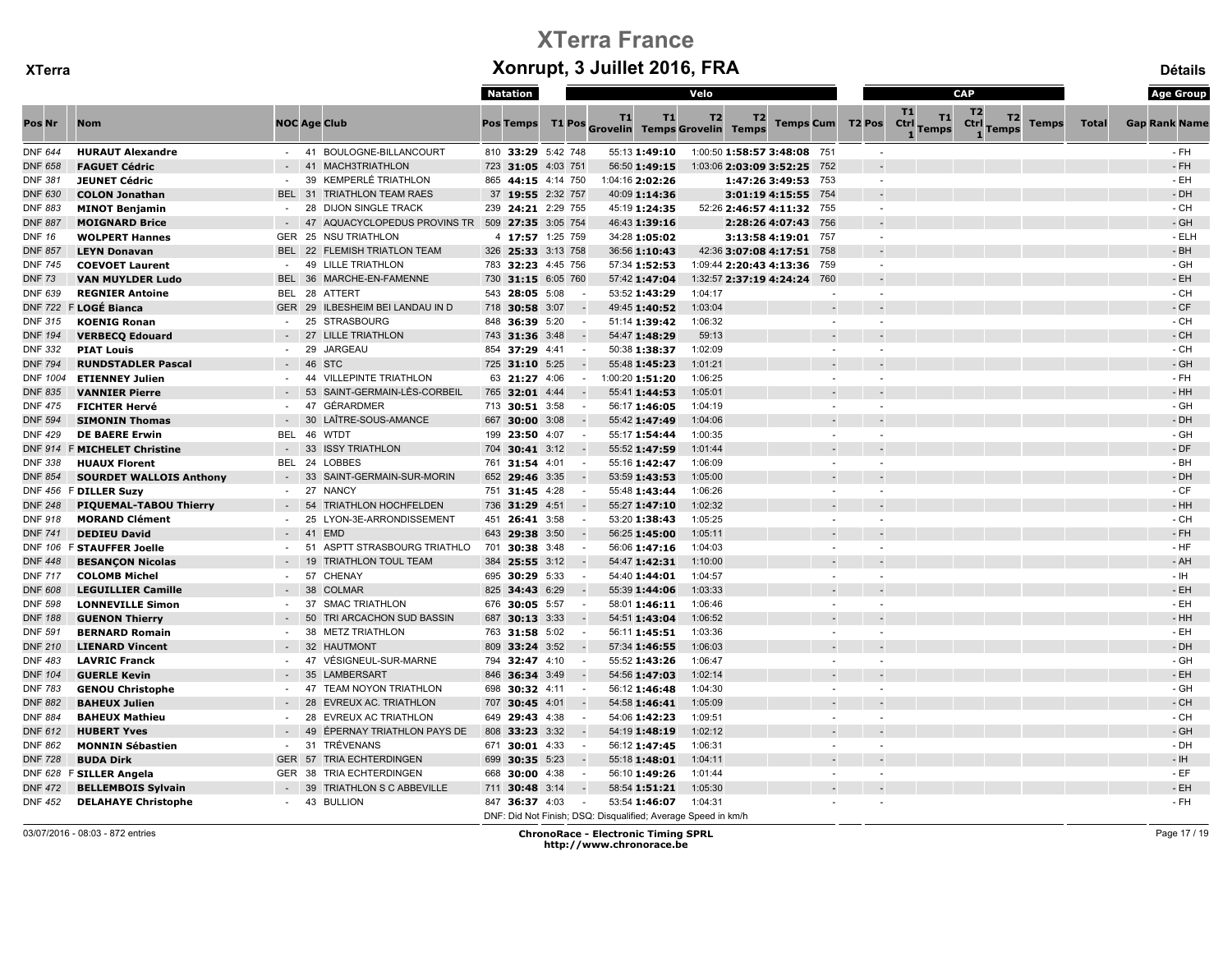|                |                                |                          |                                                    |     | <b>Natation</b>  |                    |                                      |                 | Velo                                                                     |                     |        |                         |                                  | CAP                                                          |              | <b>Age Group</b>     |
|----------------|--------------------------------|--------------------------|----------------------------------------------------|-----|------------------|--------------------|--------------------------------------|-----------------|--------------------------------------------------------------------------|---------------------|--------|-------------------------|----------------------------------|--------------------------------------------------------------|--------------|----------------------|
| Pos Nr         | <b>Nom</b>                     |                          | <b>NOC Age Club</b>                                |     | <b>Pos Temps</b> |                    | T1<br>T1 Pos Grovelin Temps Grovelin | T1              | T2<br><b>Temps</b>                                                       | T <sub>2</sub>      |        | <b>Temps Cum T2 Pos</b> | T1<br>T1<br>Ctrl<br><b>Temps</b> | T <sub>2</sub><br>T2<br>Ctrl<br><b>Temps</b><br><b>Temps</b> | <b>Total</b> | <b>Gap Rank Name</b> |
| <b>DNF 644</b> | <b>HURAUT Alexandre</b>        | $-41$                    | BOULOGNE-BILLANCOURT                               |     |                  | 810 33:29 5:42 748 |                                      | 55:13 1:49:10   | 1:00:50 1:58:57 3:48:08 751                                              |                     |        |                         |                                  |                                                              |              | $-FH$                |
| <b>DNF 658</b> | <b>FAGUET Cédric</b>           | $-41$                    | <b>MACH3TRIATHLON</b>                              |     |                  | 723 31:05 4:03 751 |                                      | 56:50 1:49:15   | 1:03:06 2:03:09 3:52:25 752                                              |                     |        |                         |                                  |                                                              |              | - FH                 |
| <b>DNF 381</b> | <b>JEUNET Cédric</b>           | $\sim$                   | <b>KEMPERLÉ TRIATHLON</b><br>39                    |     |                  | 865 44:15 4:14 750 |                                      | 1:04:16 2:02:26 |                                                                          | 1:47:26 3:49:53 753 |        | $\sim$                  |                                  |                                                              |              | - EH                 |
| <b>DNF 630</b> | <b>COLON Jonathan</b>          | <b>BEL</b>               | <b>TRIATHLON TEAM RAES</b><br>31                   |     |                  | 37 19:55 2:32 757  |                                      | 40:09 1:14:36   |                                                                          | 3:01:19 4:15:55 754 |        |                         |                                  |                                                              |              | - DH                 |
| DNF 883        | <b>MINOT Benjamin</b>          |                          | 28<br><b>DIJON SINGLE TRACK</b>                    |     |                  | 239 24:21 2:29 755 |                                      | 45:19 1:24:35   | 52:26 2:46:57 4:11:32 755                                                |                     |        |                         |                                  |                                                              |              | - CH                 |
| <b>DNF 887</b> | <b>MOIGNARD Brice</b>          |                          | AQUACYCLOPEDUS PROVINS TR 509 27:35 3:05 754<br>47 |     |                  |                    |                                      | 46:43 1:39:16   |                                                                          | 2:28:26 4:07:43 756 |        |                         |                                  |                                                              |              | - GH                 |
| <b>DNF 16</b>  | <b>WOLPERT Hannes</b>          | GER 25                   | <b>NSU TRIATHLON</b>                               |     |                  | 4 17:57 1:25 759   |                                      | 34:28 1:05:02   |                                                                          | 3:13:58 4:19:01 757 |        | $\sim$                  |                                  |                                                              |              | - ELH                |
| <b>DNF 857</b> | <b>LEYN Donavan</b>            | <b>BEL 22</b>            | <b>FLEMISH TRIATLON TEAM</b>                       |     |                  | 326 25:33 3:13 758 |                                      | 36:56 1:10:43   | 42:36 3:07:08 4:17:51 758                                                |                     |        |                         |                                  |                                                              |              | $-BH$                |
| <b>DNF 745</b> | <b>COEVOET Laurent</b>         | $\sim$                   | <b>LILLE TRIATHLON</b><br>49                       |     |                  | 783 32:23 4:45 756 |                                      | 57:34 1:52:53   | 1:09:44 2:20:43 4:13:36 759                                              |                     |        | $\sim$                  |                                  |                                                              |              | - GH                 |
| <b>DNF 73</b>  | <b>VAN MUYLDER Ludo</b>        | <b>BEL</b>               | 36<br>MARCHE-EN-FAMENNE                            |     |                  | 730 31:15 6:05 760 |                                      | 57:42 1:47:04   | 1:32:57 2:37:19 4:24:24 760                                              |                     |        |                         |                                  |                                                              |              | - EH                 |
| DNF 639        | <b>REGNIER Antoine</b>         | BEL 28                   | ATTERT                                             |     | 543 28:05 5:08   |                    |                                      | 53:52 1:43:29   | 1:04:17                                                                  |                     |        |                         |                                  |                                                              |              | - CH                 |
| <b>DNF 722</b> | F LOGÉ Bianca                  |                          | GER 29 ILBESHEIM BEI LANDAU IN D                   |     | 718 30:58 3:07   |                    |                                      | 49:45 1:40:52   | 1:03:04                                                                  |                     |        |                         |                                  |                                                              |              | - CF                 |
| <b>DNF 315</b> | <b>KOENIG Ronan</b>            | $\sim$                   | <b>STRASBOURG</b><br>25                            |     | 848 36:39 5:20   |                    |                                      | 51:14 1:39:42   | 1:06:32                                                                  |                     |        |                         |                                  |                                                              |              | - CH                 |
| <b>DNF 194</b> | <b>VERBECQ Edouard</b>         |                          | <b>LILLE TRIATHLON</b><br>27                       |     | 743 31:36 3:48   |                    |                                      | 54:47 1:48:29   | 59:13                                                                    |                     |        |                         |                                  |                                                              |              | - CH                 |
| <b>DNF 332</b> | <b>PIAT Louis</b>              |                          | 29<br><b>JARGEAU</b>                               |     | 854 37:29 4:41   |                    | $\sim$                               | 50:38 1:38:37   | 1:02:09                                                                  |                     |        |                         |                                  |                                                              |              | - CH                 |
| <b>DNF 794</b> | <b>RUNDSTADLER Pascal</b>      | $-46$                    | <b>STC</b>                                         |     | 725 31:10 5:25   |                    |                                      | 55:48 1:45:23   | 1:01:21                                                                  |                     |        |                         |                                  |                                                              |              | - GH                 |
| DNF 1004       | <b>ETIENNEY Julien</b>         | $-44$                    | <b>VILLEPINTE TRIATHLON</b>                        |     | 63 21:27 4:06    |                    | $\sim$                               | 1:00:20 1:51:20 | 1:06:25                                                                  |                     |        |                         |                                  |                                                              |              | $-FH$                |
| <b>DNF 835</b> | <b>VANNIER Pierre</b>          |                          | SAINT-GERMAIN-LÈS-CORBEIL<br>53                    |     | 765 32:01 4:44   |                    |                                      | 55:41 1:44:53   | 1:05:01                                                                  |                     |        |                         |                                  |                                                              |              | - HH                 |
| <b>DNF 475</b> | <b>FICHTER Hervé</b>           |                          | 47<br><b>GÉRARDMER</b>                             |     | 713 30:51 3:58   |                    | $\sim$                               | 56:17 1:46:05   | 1:04:19                                                                  |                     |        |                         |                                  |                                                              |              | - GH                 |
| <b>DNF 594</b> | <b>SIMONIN Thomas</b>          |                          | 30<br>LAÎTRE-SOUS-AMANCE                           |     | 667 30:00 3:08   |                    |                                      | 55:42 1:47:49   | 1:04:06                                                                  |                     |        |                         |                                  |                                                              |              | - DH                 |
| <b>DNF 429</b> | <b>DE BAERE Erwin</b>          | <b>BEL</b>               | - 46<br><b>WTDT</b>                                |     | 199 23:50 4:07   |                    | $\sim$                               | 55:17 1:54:44   | 1:00:35                                                                  |                     |        |                         |                                  |                                                              |              | - GH                 |
| <b>DNF 914</b> | <b>F MICHELET Christine</b>    | $\overline{\phantom{a}}$ | 33<br><b>ISSY TRIATHLON</b>                        | 704 | 30:41 3:12       |                    |                                      | 55:52 1:47:59   | 1:01:44                                                                  |                     |        |                         |                                  |                                                              |              | - DF                 |
| <b>DNF 338</b> | <b>HUAUX Florent</b>           | <b>BEL</b>               | 24<br><b>LOBBES</b>                                |     | 761 31:54 4:01   | $\sim$             |                                      | 55:16 1:42:47   | 1:06:09                                                                  |                     |        |                         |                                  |                                                              |              | - BH                 |
| <b>DNF 854</b> | <b>SOURDET WALLOIS Anthony</b> |                          | 33<br>SAINT-GERMAIN-SUR-MORIN                      |     | 652 29:46 3:35   |                    |                                      | 53:59 1:43:53   | 1:05:00                                                                  |                     |        |                         |                                  |                                                              |              | - DH                 |
| DNF 456        | <b>F DILLER Suzy</b>           |                          | 27<br><b>NANCY</b>                                 |     | 751 31:45 4:28   |                    |                                      | 55:48 1:43:44   | 1:06:26                                                                  |                     |        |                         |                                  |                                                              |              | $-CF$                |
| <b>DNF 248</b> | PIQUEMAL-TABOU Thierry         | $\sim$                   | 54<br><b>TRIATHLON HOCHFELDEN</b>                  |     | 736 31:29 4:51   |                    |                                      | 55:27 1:47:10   | 1:02:32                                                                  |                     |        |                         |                                  |                                                              |              | $-HH$                |
| <b>DNF 918</b> | <b>MORAND Clément</b>          | $\sim$                   | 25<br>LYON-3E-ARRONDISSEMENT                       |     | 451 26:41 3:58   |                    |                                      | 53:20 1:38:43   | 1:05:25                                                                  |                     |        |                         |                                  |                                                              |              | - CH                 |
| <b>DNF 741</b> | <b>DEDIEU David</b>            |                          | 41<br><b>EMD</b>                                   | 643 | 29:38 3:50       |                    |                                      | 56:25 1:45:00   | 1:05:11                                                                  |                     |        |                         |                                  |                                                              |              | - FH                 |
|                | DNF 106 F STAUFFER Joelle      |                          | ASPTT STRASBOURG TRIATHLO<br>51                    |     | 701 30:38 3:48   |                    | $\sim$                               | 56:06 1:47:16   | 1:04:03                                                                  |                     |        |                         |                                  |                                                              |              | $-HF$                |
| <b>DNF 448</b> | <b>BESANÇON Nicolas</b>        |                          | <b>TRIATHLON TOUL TEAM</b><br>19                   |     | 384 25:55 3:12   |                    |                                      | 54:47 1:42:31   | 1:10:00                                                                  |                     |        |                         |                                  |                                                              |              | - AH                 |
| <b>DNF 717</b> | <b>COLOMB Michel</b>           | $\sim$                   | 57<br><b>CHENAY</b>                                |     | 695 30:29 5:33   |                    |                                      | 54:40 1:44:01   | 1:04:57                                                                  |                     |        |                         |                                  |                                                              |              | - IH                 |
| <b>DNF 608</b> | <b>LEGUILLIER Camille</b>      |                          | 38<br><b>COLMAR</b>                                |     | 825 34:43 6:29   |                    |                                      | 55:39 1:44:06   | 1:03:33                                                                  |                     |        |                         |                                  |                                                              |              | $-EH$                |
| <b>DNF 598</b> | <b>LONNEVILLE Simon</b>        | $\sim$                   | 37<br><b>SMAC TRIATHLON</b>                        |     | 676 30:05 5:57   |                    | $\sim$                               | 58:01 1:46:11   | 1:06:46                                                                  |                     |        | $\sim$                  |                                  |                                                              |              | - EH                 |
| <b>DNF 188</b> | <b>GUENON Thierry</b>          |                          | 50<br>TRI ARCACHON SUD BASSIN                      | 687 | 30:13 3:33       |                    |                                      | 54:51 1:43:04   | 1:06:52                                                                  |                     |        |                         |                                  |                                                              |              | - HH                 |
| <b>DNF 591</b> | <b>BERNARD Romain</b>          | $\sim$                   | 38<br><b>METZ TRIATHLON</b>                        |     | 763 31:58 5:02   |                    | $\sim$                               | 56:11 1:45:51   | 1:03:36                                                                  |                     |        |                         |                                  |                                                              |              | - EH                 |
| <b>DNF 210</b> | <b>LIENARD Vincent</b>         |                          | 32<br><b>HAUTMONT</b>                              |     | 809 33:24 3:52   |                    |                                      | 57:34 1:46:55   | 1:06:03                                                                  |                     |        |                         |                                  |                                                              |              | - DH                 |
| <b>DNF 483</b> | <b>LAVRIC Franck</b>           |                          | 47<br>VÉSIGNEUL-SUR-MARNE                          |     | 794 32:47 4:10   |                    | $\sim$                               | 55:52 1:43:26   | 1:06:47                                                                  |                     |        |                         |                                  |                                                              |              | - GH                 |
| <b>DNF 104</b> | <b>GUERLE Kevin</b>            |                          | <b>LAMBERSART</b><br>35                            |     | 846 36:34 3:49   |                    |                                      | 54:56 1:47:03   | 1:02:14                                                                  |                     |        |                         |                                  |                                                              |              | - EH                 |
| <b>DNF 783</b> | <b>GENOU Christophe</b>        | $\sim$                   | <b>TEAM NOYON TRIATHLON</b><br>47                  |     | 698 30:32 4:11   |                    |                                      | 56:12 1:46:48   | 1:04:30                                                                  |                     | $\sim$ |                         |                                  |                                                              |              | - GH                 |
| <b>DNF 882</b> | <b>BAHEUX Julien</b>           |                          | 28<br><b>EVREUX AC. TRIATHLON</b>                  |     | 707 30:45 4:01   |                    |                                      | 54:58 1:46:41   | 1:05:09                                                                  |                     |        |                         |                                  |                                                              |              | - CH                 |
| <b>DNF 884</b> | <b>BAHEUX Mathieu</b>          |                          | EVREUX AC TRIATHLON<br>28                          | 649 | 29:43 4:38       |                    |                                      | 54:06 1:42:23   | 1:09:51                                                                  |                     |        |                         |                                  |                                                              |              | - CH                 |
| <b>DNF 612</b> | <b>HUBERT Yves</b>             |                          | 49<br>ÉPERNAY TRIATHLON PAYS DE                    |     | 808 33:23 3:32   |                    |                                      | 54:19 1:48:19   | 1:02:12                                                                  |                     |        |                         |                                  |                                                              |              | - GH                 |
| DNF 862        | <b>MONNIN Sébastien</b>        | $\sim$                   | 31<br>TRÉVENANS                                    |     | 671 30:01 4:33   |                    | $\sim$                               | 56:12 1:47:45   | 1:06:31                                                                  |                     |        |                         |                                  |                                                              |              | - DH                 |
| <b>DNF 728</b> | <b>BUDA Dirk</b>               | <b>GER 57</b>            | <b>TRIA ECHTERDINGEN</b>                           |     | 699 30:35 5:23   |                    |                                      | 55:18 1:48:01   | 1:04:11                                                                  |                     |        |                         |                                  |                                                              |              | - IH                 |
|                | DNF 628 F SILLER Angela        | GER 38                   | <b>TRIA ECHTERDINGEN</b>                           |     | 668 30:00 4:38   |                    |                                      | 56:10 1:49:26   | 1:01:44                                                                  |                     |        |                         |                                  |                                                              |              | $-EF$                |
| <b>DNF 472</b> | <b>BELLEMBOIS Sylvain</b>      |                          | TRIATHLON S C ABBEVILLE<br>39                      | 711 | 30:48 3:14       |                    |                                      | 58:54 1:51:21   | 1:05:30                                                                  |                     |        |                         |                                  |                                                              |              | - EH                 |
| <b>DNF 452</b> | <b>DELAHAYE Christophe</b>     |                          | - 43 BULLION                                       |     | 847 36:37 4:03   |                    |                                      | 53:54 1:46:07   | 1:04:31<br>DNF: Did Not Finish; DSQ: Disqualified; Average Speed in km/h |                     |        |                         |                                  |                                                              |              | - FH                 |

03/07/2016 - 08:03 - 872 entries ChronoRace - Electronic Timing SPRL http://www.chronorace.be

Page 17 / 19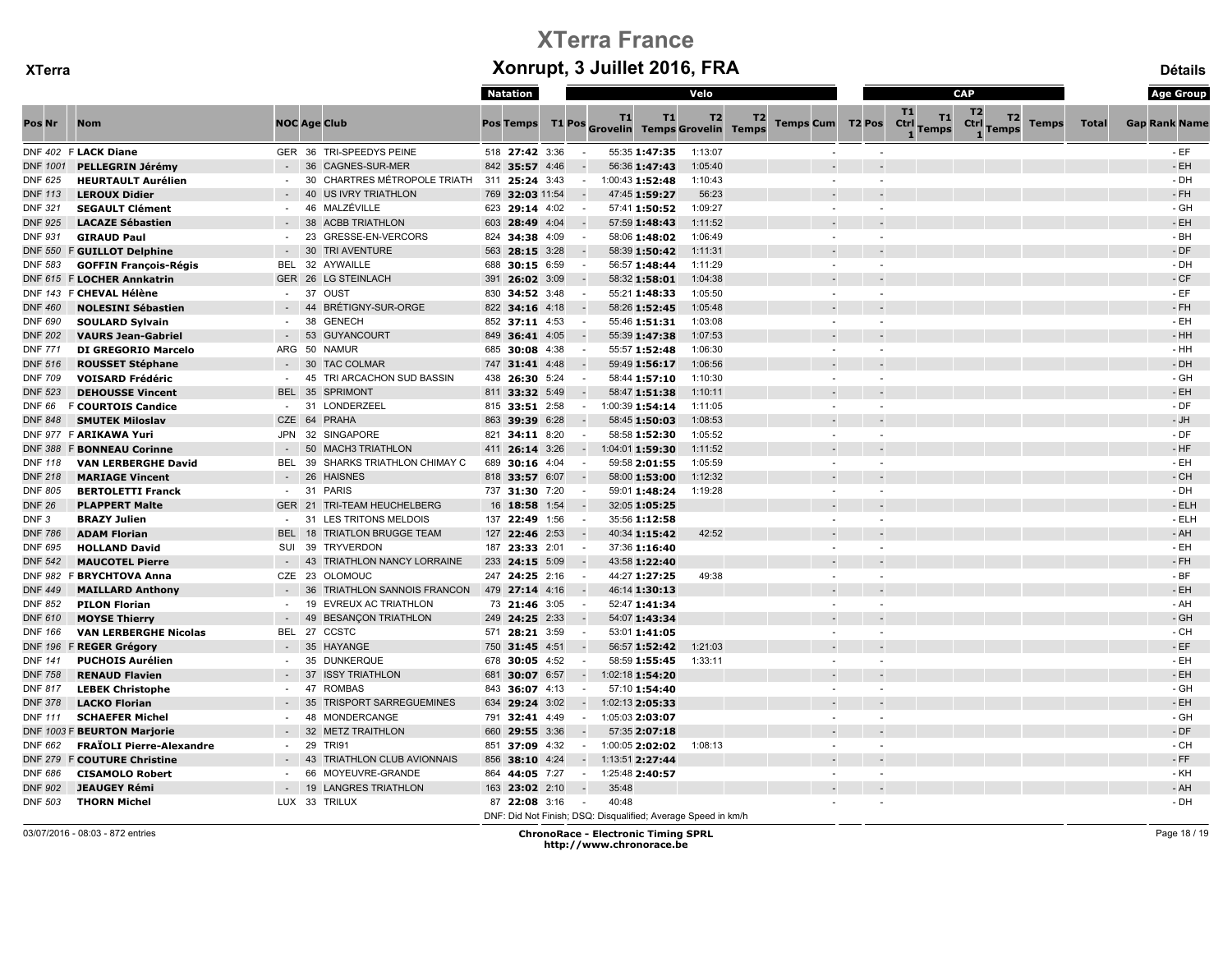|                  |                                  |               |                                     | Natation                                                      |                          |                 |                                            | Velo    |                               |                                         | CAP                                                      |              |              | <b>Age Group</b>     |
|------------------|----------------------------------|---------------|-------------------------------------|---------------------------------------------------------------|--------------------------|-----------------|--------------------------------------------|---------|-------------------------------|-----------------------------------------|----------------------------------------------------------|--------------|--------------|----------------------|
| Pos Nr           | <b>Nom</b>                       |               | <b>NOC Age Club</b>                 | <b>Pos Temps</b>                                              |                          | <b>T1</b>       | T1<br>T1 Pos Grovelin Temps Grovelin Temps | T2      | T2<br><b>Temps Cum T2 Pos</b> | T1<br><b>T1</b><br>Ctrl<br><b>Temps</b> | T <sub>2</sub><br>T <sub>2</sub><br>Ctrl<br><b>Temps</b> | <b>Temps</b> | <b>Total</b> | <b>Gap Rank Name</b> |
|                  | DNF 402 F LACK Diane             |               | GER 36 TRI-SPEEDYS PEINE            | 518 27:42 3:36                                                |                          | 55:35 1:47:35   |                                            | 1:13:07 |                               |                                         |                                                          |              |              | $-EF$                |
| <b>DNF 1001</b>  | PELLEGRIN Jérémy                 |               | <b>CAGNES-SUR-MER</b><br>36         | 842 35:57 4:46                                                |                          | 56:36 1:47:43   |                                            | 1:05:40 |                               |                                         |                                                          |              |              | $-EH$                |
| <b>DNF 625</b>   | <b>HEURTAULT Aurélien</b>        | $\sim$        | CHARTRES MÉTROPOLE TRIATH<br>30     | 311 25:24 3:43                                                | $\sim$                   | 1:00:43 1:52:48 |                                            | 1:10:43 |                               |                                         |                                                          |              |              | - DH                 |
| <b>DNF 113</b>   | <b>LEROUX Didier</b>             |               | <b>US IVRY TRIATHLON</b><br>40      | 32:03 11:54<br>769                                            |                          | 47:45 1:59:27   |                                            | 56:23   |                               |                                         |                                                          |              |              | $-FH$                |
| <b>DNF 321</b>   | <b>SEGAULT Clément</b>           | $\sim$        | MALZÉVILLE<br>46                    | 623 29:14 4:02                                                | $\sim$                   | 57:41 1:50:52   |                                            | 1:09:27 |                               |                                         |                                                          |              |              | - GH                 |
| <b>DNF 925</b>   | <b>LACAZE Sébastien</b>          |               | 38<br><b>ACBB TRIATHLON</b>         | 603 28:49 4:04                                                |                          | 57:59 1:48:43   |                                            | 1:11:52 |                               |                                         |                                                          |              |              | - EH                 |
| <b>DNF 931</b>   | <b>GIRAUD Paul</b>               |               | GRESSE-EN-VERCORS<br>23             | 824 34:38 4:09                                                |                          | 58:06 1:48:02   |                                            | 1:06:49 |                               |                                         |                                                          |              |              | - BH                 |
| <b>DNF 550</b>   | <b>F GUILLOT Delphine</b>        |               | 30<br><b>TRI AVENTURE</b>           | 563 28:15 3:28                                                |                          | 58:39 1:50:42   |                                            | 1:11:31 |                               |                                         |                                                          |              |              | - DF                 |
| <b>DNF 583</b>   | <b>GOFFIN François-Régis</b>     | BEL           | AYWAILLE<br>32                      | 688<br>30:15 6:59                                             |                          | 56:57 1:48:44   |                                            | 1:11:29 |                               |                                         |                                                          |              |              | - DH                 |
|                  | DNF 615 F LOCHER Annkatrin       |               | GER 26 LG STEINLACH                 | 391 26:02 3:09                                                |                          | 58:32 1:58:01   |                                            | 1:04:38 |                               |                                         |                                                          |              |              | - CF                 |
|                  | DNF 143 F CHEVAL Hélène          | $\sim$        | OUST<br>37                          | 830 34:52 3:48                                                | $\sim$                   | 55:21 1:48:33   |                                            | 1:05:50 |                               |                                         |                                                          |              |              | $-EF$                |
| <b>DNF 460</b>   | <b>NOLESINI Sébastien</b>        |               | 44<br><b>BRÉTIGNY-SUR-ORGE</b>      | 822 34:16 4:18                                                |                          | 58:26 1:52:45   |                                            | 1:05:48 |                               |                                         |                                                          |              |              | - FH                 |
| <b>DNF 690</b>   | <b>SOULARD Sylvain</b>           | $\sim$        | <b>GENECH</b><br>38                 | 852 37:11 4:53                                                | $\sim$                   | 55:46 1:51:31   |                                            | 1:03:08 |                               |                                         |                                                          |              |              | $-EH$                |
| <b>DNF 202</b>   | <b>VAURS Jean-Gabriel</b>        |               | <b>GUYANCOURT</b><br>53             | 849 36:41 4:05                                                |                          | 55:39 1:47:38   |                                            | 1:07:53 |                               |                                         |                                                          |              |              | $-HH$                |
| <b>DNF 771</b>   | <b>DI GREGORIO Marcelo</b>       | ARG           | 50 NAMUR                            | 685 30:08 4:38                                                |                          | 55:57 1:52:48   |                                            | 1:06:30 |                               |                                         |                                                          |              |              | $-HH$                |
| <b>DNF 516</b>   | <b>ROUSSET Stéphane</b>          |               | <b>TAC COLMAR</b><br>30             | 747 31:41 4:48                                                |                          | 59:49 1:56:17   |                                            | 1:06:56 |                               |                                         |                                                          |              |              | $-DH$                |
| <b>DNF 709</b>   | <b>VOISARD Frédéric</b>          | $\sim$        | 45 TRI ARCACHON SUD BASSIN          | 438 26:30 5:24                                                |                          | 58:44 1:57:10   |                                            | 1:10:30 |                               |                                         |                                                          |              |              | - GH                 |
| <b>DNF 523</b>   | <b>DEHOUSSE Vincent</b>          |               | BEL 35 SPRIMONT                     | 811 33:32 5:49                                                |                          | 58:47 1:51:38   |                                            | 1:10:11 |                               |                                         |                                                          |              |              | $-EH$                |
| <b>DNF 66</b>    | <b>F COURTOIS Candice</b>        | $\sim$        | 31<br>LONDERZEEL                    | 815 33:51 2:58                                                | $\sim$                   | 1:00:39 1:54:14 |                                            | 1:11:05 |                               |                                         |                                                          |              |              | - DF                 |
| <b>DNF 848</b>   | <b>SMUTEK Miloslav</b>           | CZE 64        | PRAHA                               | 863 39:39 6:28                                                |                          | 58:45 1:50:03   |                                            | 1:08:53 |                               |                                         |                                                          |              |              | - JH                 |
|                  | DNF 977 F ARIKAWA Yuri           |               | JPN 32 SINGAPORE                    | 821 34:11 8:20                                                | $\sim$                   | 58:58 1:52:30   |                                            | 1:05:52 |                               |                                         |                                                          |              |              | $-DF$                |
| <b>DNF 388</b>   | <b>F BONNEAU Corinne</b>         |               | 50<br><b>MACH3 TRIATHLON</b>        | 411 26:14 3:26                                                |                          | 1:04:01 1:59:30 |                                            | 1:11:52 |                               |                                         |                                                          |              |              | $-HF$                |
| <b>DNF 118</b>   | <b>VAN LERBERGHE David</b>       | <b>BEL</b>    | 39<br>SHARKS TRIATHLON CHIMAY C     | 689 30:16 4:04                                                |                          | 59:58 2:01:55   |                                            | 1:05:59 |                               |                                         |                                                          |              |              | $-EH$                |
| <b>DNF 218</b>   | <b>MARIAGE Vincent</b>           |               | 26<br><b>HAISNES</b>                | 818 33:57 6:07                                                |                          | 58:00 1:53:00   |                                            | 1:12:32 |                               |                                         |                                                          |              |              | $-CH$                |
| <b>DNF 805</b>   | <b>BERTOLETTI Franck</b>         | $\sim$        | 31<br><b>PARIS</b>                  | 737 31:30 7:20                                                | $\sim$                   | 59:01 1:48:24   |                                            | 1:19:28 |                               |                                         |                                                          |              |              | - DH                 |
| <b>DNF 26</b>    | <b>PLAPPERT Malte</b>            | <b>GER 21</b> | <b>TRI-TEAM HEUCHELBERG</b>         | 16 18:58 1:54                                                 |                          | 32:05 1:05:25   |                                            |         |                               |                                         |                                                          |              |              | - ELH                |
| DNF <sub>3</sub> | <b>BRAZY Julien</b>              | $\sim$        | 31<br>LES TRITONS MELDOIS           | 137 22:49 1:56                                                |                          | 35:56 1:12:58   |                                            |         |                               |                                         |                                                          |              |              | $-ELH$               |
| <b>DNF 786</b>   | <b>ADAM Florian</b>              | <b>BEL</b>    | <b>TRIATLON BRUGGE TEAM</b><br>18   | 127 22:46 2:53                                                |                          | 40:34 1:15:42   |                                            | 42:52   |                               |                                         |                                                          |              |              | - AH                 |
| <b>DNF 695</b>   | <b>HOLLAND David</b>             | SUI           | 39<br><b>TRYVERDON</b>              | 187 23:33 2:01                                                | $\sim$                   | 37:36 1:16:40   |                                            |         |                               |                                         |                                                          |              |              | $-EH$                |
| <b>DNF 542</b>   | <b>MAUCOTEL Pierre</b>           |               | 43<br>TRIATHLON NANCY LORRAINE      | 233 24:15 5:09                                                |                          | 43:58 1:22:40   |                                            |         |                               |                                         |                                                          |              |              | - FH                 |
|                  | DNF 982 F BRYCHTOVA Anna         | CZE 23        | <b>OLOMOUC</b>                      | 247 24:25 2:16                                                | $\sim$                   | 44:27 1:27:25   |                                            | 49:38   |                               |                                         |                                                          |              |              | $-BF$                |
| <b>DNF 449</b>   | <b>MAILLARD Anthony</b>          |               | TRIATHLON SANNOIS FRANCON<br>36     | 479 27:14 4:16                                                |                          | 46:14 1:30:13   |                                            |         |                               |                                         |                                                          |              |              | $-EH$                |
| <b>DNF 852</b>   | <b>PILON Florian</b>             | $\sim$        | EVREUX AC TRIATHLON<br>19           | 73 21:46 3:05                                                 | $\sim$                   | 52:47 1:41:34   |                                            |         |                               |                                         |                                                          |              |              | - AH                 |
| <b>DNF 610</b>   | <b>MOYSE Thierry</b>             |               | <b>BESANCON TRIATHLON</b><br>49     | 249 24:25 2:33                                                |                          | 54:07 1:43:34   |                                            |         |                               |                                         |                                                          |              |              | - GH                 |
| <b>DNF 166</b>   | <b>VAN LERBERGHE Nicolas</b>     | <b>BEL 27</b> | CCSTC                               | 571 28:21 3:59                                                |                          | 53:01 1:41:05   |                                            |         |                               |                                         |                                                          |              |              | $-$ CH               |
| <b>DNF 196</b>   | <b>F REGER Grégory</b>           |               | 35<br><b>HAYANGE</b>                | 750 31:45 4:51                                                |                          | 56:57 1:52:42   |                                            | 1:21:03 |                               |                                         |                                                          |              |              | $-EF$                |
| <b>DNF 141</b>   | <b>PUCHOIS Aurélien</b>          |               | <b>DUNKERQUE</b><br>35              | 678 30:05 4:52                                                |                          | 58:59 1:55:45   |                                            | 1:33:11 |                               |                                         |                                                          |              |              | $-EH$                |
| <b>DNF 758</b>   | <b>RENAUD Flavien</b>            |               | 37<br><b>ISSY TRIATHLON</b>         | 681 30:07 6:57                                                | $\sim$                   | 1:02:18 1:54:20 |                                            |         |                               |                                         |                                                          |              |              | $-EH$                |
| <b>DNF 817</b>   | <b>LEBEK Christophe</b>          |               | 47<br><b>ROMBAS</b>                 | 36:07 4:13<br>843                                             | $\sim$                   | 57:10 1:54:40   |                                            |         |                               |                                         |                                                          |              |              | - GH                 |
| <b>DNF 378</b>   | <b>LACKO Florian</b>             |               | 35<br><b>TRISPORT SARREGUEMINES</b> | 634<br>29:24 3:02                                             | $\sim$                   | 1:02:13 2:05:33 |                                            |         |                               |                                         |                                                          |              |              | - EH                 |
| <b>DNF 111</b>   | <b>SCHAEFER Michel</b>           | $\sim$        | 48<br>MONDERCANGE                   | 791 32:41 4:49                                                | $\sim$                   | 1:05:03 2:03:07 |                                            |         |                               |                                         |                                                          |              |              | - GH                 |
| DNF 1003 F       | <b>BEURTON Marjorie</b>          |               | <b>METZ TRAITHLON</b><br>32         | 660 29:55 3:36                                                |                          | 57:35 2:07:18   |                                            |         |                               |                                         |                                                          |              |              | - DF                 |
| <b>DNF 662</b>   | <b>FRAÏOLI Pierre-Alexandre</b>  | $\sim$        | 29<br><b>TRI91</b>                  | 851 37:09 4:32                                                | $\sim$                   | 1:00:05 2:02:02 |                                            | 1:08:13 |                               |                                         |                                                          |              |              | - CH                 |
| <b>DNF 279</b>   | <b>COUTURE Christine</b>         |               | 43<br>TRIATHLON CLUB AVIONNAIS      | 856<br>38:10 4:24                                             |                          | 1:13:51 2:27:44 |                                            |         |                               |                                         |                                                          |              |              | $-FF$                |
| <b>DNF 686</b>   | <b>CISAMOLO Robert</b>           |               | 66<br>MOYEUVRE-GRANDE               | 864<br>44:05 7:27                                             | $\sim$                   | 1:25:48 2:40:57 |                                            |         |                               |                                         |                                                          |              |              | - KH                 |
| <b>DNF 902</b>   | <b>JEAUGEY Rémi</b>              |               | <b>LANGRES TRIATHLON</b><br>19      | 163 23:02 2:10                                                | $\overline{\phantom{a}}$ | 35:48           |                                            |         |                               |                                         |                                                          |              |              | - AH                 |
| <b>DNF 503</b>   | <b>THORN Michel</b>              |               | LUX 33 TRILUX                       | 87 22:08 3:16                                                 |                          | 40:48           |                                            |         |                               |                                         |                                                          |              |              | - DH                 |
|                  |                                  |               |                                     | DNF: Did Not Finish; DSQ: Disqualified; Average Speed in km/h |                          |                 |                                            |         |                               |                                         |                                                          |              |              |                      |
|                  | 03/07/2016 - 08:03 - 872 entries |               |                                     |                                                               |                          |                 | <b>ChronoRace - Electronic Timing SPRL</b> |         |                               |                                         |                                                          |              |              | Page 18 / 19         |

http://www.chronorace.be